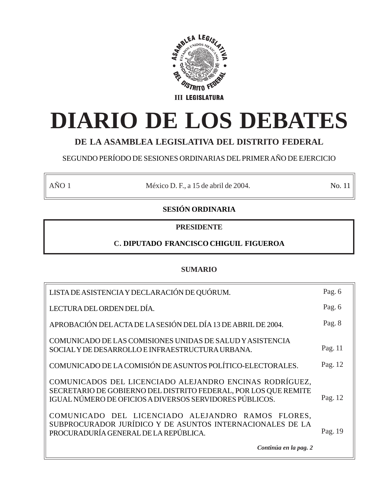

# **DIARIO DE LOS DEBATES**

# **DE LA ASAMBLEA LEGISLATIVA DEL DISTRITO FEDERAL**

SEGUNDO PERÍODO DE SESIONES ORDINARIAS DEL PRIMER AÑO DE EJERCICIO

AÑO 1 México D. F., a 15 de abril de 2004. No. 11

# **SESIÓN ORDINARIA**

# **PRESIDENTE**

# **C. DIPUTADO FRANCISCO CHIGUIL FIGUEROA**

# **SUMARIO**

| LISTA DE ASISTENCIA Y DECLARACIÓN DE QUÓRUM.                                                                                                                                          | Pag. 6  |
|---------------------------------------------------------------------------------------------------------------------------------------------------------------------------------------|---------|
| LECTURA DEL ORDEN DEL DÍA.                                                                                                                                                            | Pag. 6  |
| APROBACIÓN DEL ACTA DE LA SESIÓN DEL DÍA 13 DE ABRIL DE 2004.                                                                                                                         | Pag. 8  |
| COMUNICADO DE LAS COMISIONES UNIDAS DE SALUD Y ASISTENCIA<br>SOCIAL Y DE DESARROLLO E INFRAESTRUCTURA URBANA.                                                                         | Pag. 11 |
| COMUNICADO DE LA COMISIÓN DE ASUNTOS POLÍTICO-ELECTORALES.                                                                                                                            | Pag. 12 |
| COMUNICADOS DEL LICENCIADO ALEJANDRO ENCINAS RODRÍGUEZ,<br>SECRETARIO DE GOBIERNO DEL DISTRITO FEDERAL, POR LOS QUE REMITE<br>IGUAL NÚMERO DE OFICIOS A DIVERSOS SERVIDORES PÚBLICOS. | Pag. 12 |
| COMUNICADO DEL LICENCIADO ALEJANDRO RAMOS FLORES,<br>SUBPROCURADOR JURÍDICO Y DE ASUNTOS INTERNACIONALES DE LA<br>PROCURADURÍA GENERAL DE LA REPÚBLICA.                               | Pag. 19 |
| Continúa en la pag. 2                                                                                                                                                                 |         |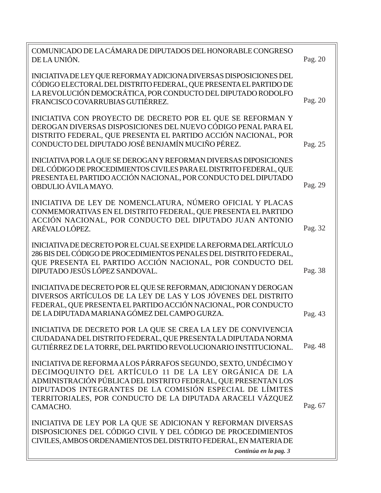| COMUNICADO DE LA CÁMARA DE DIPUTADOS DEL HONORABLE CONGRESO<br>DE LA UNIÓN.                                                                                                                                                                                                                                                      | Pag. 20 |
|----------------------------------------------------------------------------------------------------------------------------------------------------------------------------------------------------------------------------------------------------------------------------------------------------------------------------------|---------|
| INICIATIVA DE LEY QUE REFORMA Y ADICIONA DIVERSAS DISPOSICIONES DEL<br>CÓDIGO ELECTORAL DEL DISTRITO FEDERAL, QUE PRESENTA EL PARTIDO DE<br>LA REVOLUCIÓN DEMOCRÁTICA, POR CONDUCTO DEL DIPUTADO RODOLFO<br>FRANCISCO COVARRUBIAS GUTIÉRREZ.                                                                                     | Pag. 20 |
| INICIATIVA CON PROYECTO DE DECRETO POR EL QUE SE REFORMAN Y<br>DEROGAN DIVERSAS DISPOSICIONES DEL NUEVO CÓDIGO PENAL PARA EL<br>DISTRITO FEDERAL, QUE PRESENTA EL PARTIDO ACCIÓN NACIONAL, POR<br>CONDUCTO DEL DIPUTADO JOSÉ BENJAMÍN MUCIÑO PÉREZ.                                                                              | Pag. 25 |
| INICIATIVA POR LA QUE SE DEROGAN Y REFORMAN DIVERSAS DIPOSICIONES<br>DEL CÓDIGO DE PROCEDIMIENTOS CIVILES PARA EL DISTRITO FEDERAL, QUE<br>PRESENTA EL PARTIDO ACCIÓN NACIONAL, POR CONDUCTO DEL DIPUTADO<br>OBDULIO ÁVILA MAYO.                                                                                                 | Pag. 29 |
| INICIATIVA DE LEY DE NOMENCLATURA, NÚMERO OFICIAL Y PLACAS<br>CONMEMORATIVAS EN EL DISTRITO FEDERAL, QUE PRESENTA EL PARTIDO<br>ACCIÓN NACIONAL, POR CONDUCTO DEL DIPUTADO JUAN ANTONIO<br>ARÉVALOLÓPEZ.                                                                                                                         | Pag. 32 |
| INICIATIVA DE DECRETO POR EL CUAL SE EXPIDE LA REFORMA DEL ARTÍCULO<br>286 BIS DEL CÓDIGO DE PROCEDIMIENTOS PENALES DEL DISTRITO FEDERAL,<br>QUE PRESENTA EL PARTIDO ACCIÓN NACIONAL, POR CONDUCTO DEL<br>DIPUTADO JESÚS LÓPEZ SANDOVAL.                                                                                         | Pag. 38 |
| INICIATIVA DE DECRETO POR EL QUE SE REFORMAN, ADICIONAN Y DEROGAN<br>DIVERSOS ARTÍCULOS DE LA LEY DE LAS Y LOS JÓVENES DEL DISTRITO<br>FEDERAL, QUE PRESENTA EL PARTIDO ACCIÓN NACIONAL, POR CONDUCTO<br>DE LA DIPUTADA MARIANA GÓMEZ DEL CAMPO GURZA.                                                                           | Pag. 43 |
| INICIATIVA DE DECRETO POR LA QUE SE CREA LA LEY DE CONVIVENCIA<br>CIUDADANA DEL DISTRITO FEDERAL, QUE PRESENTA LA DIPUTADA NORMA<br>GUTIÉRREZ DE LA TORRE, DEL PARTIDO REVOLUCIONARIO INSTITUCIONAL.                                                                                                                             | Pag. 48 |
| INICIATIVA DE REFORMA A LOS PÁRRAFOS SEGUNDO, SEXTO, UNDÉCIMO Y<br>DECIMOQUINTO DEL ARTÍCULO 11 DE LA LEY ORGÁNICA DE LA<br>ADMINISTRACIÓN PÚBLICA DEL DISTRITO FEDERAL, QUE PRESENTAN LOS<br>DIPUTADOS INTEGRANTES DE LA COMISIÓN ESPECIAL DE LÍMITES<br>TERRITORIALES, POR CONDUCTO DE LA DIPUTADA ARACELI VÁZQUEZ<br>CAMACHO. | Pag. 67 |
| INICIATIVA DE LEY POR LA QUE SE ADICIONAN Y REFORMAN DIVERSAS<br>DISPOSICIONES DEL CÓDIGO CIVIL Y DEL CÓDIGO DE PROCEDIMIENTOS<br>CIVILES, AMBOS ORDENAMIENTOS DEL DISTRITO FEDERAL, EN MATERIA DE<br>Continúa en la pag. 3                                                                                                      |         |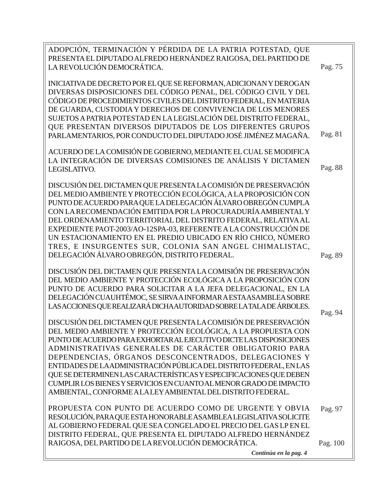| ADOPCIÓN, TERMINACIÓN Y PÉRDIDA DE LA PATRIA POTESTAD, QUE<br>PRESENTA EL DIPUTADO ALFREDO HERNÁNDEZ RAIGOSA, DEL PARTIDO DE         |          |
|--------------------------------------------------------------------------------------------------------------------------------------|----------|
| LA REVOLUCIÓN DEMOCRÁTICA.                                                                                                           | Pag. 75  |
| INICIATIVA DE DECRETO POR EL QUE SE REFORMAN, ADICIONAN Y DEROGAN<br>DIVERSAS DISPOSICIONES DEL CÓDIGO PENAL, DEL CÓDIGO CIVIL Y DEL |          |
| CÓDIGO DE PROCEDIMIENTOS CIVILES DEL DISTRITO FEDERAL, EN MATERIA<br>DE GUARDA, CUSTODIA Y DERECHOS DE CONVIVENCIA DE LOS MENORES    |          |
| SUJETOS A PATRIA POTESTAD EN LA LEGISLACIÓN DEL DISTRITO FEDERAL,<br>QUE PRESENTAN DIVERSOS DIPUTADOS DE LOS DIFERENTES GRUPOS       |          |
| PARLAMENTARIOS, POR CONDUCTO DEL DIPUTADO JOSÉ JIMÉNEZ MAGAÑA.                                                                       | Pag. 81  |
| ACUERDO DE LA COMISIÓN DE GOBIERNO, MEDIANTE EL CUAL SE MODIFICA<br>LA INTEGRACIÓN DE DIVERSAS COMISIONES DE ANÁLISIS Y DICTAMEN     |          |
| LEGISLATIVO.                                                                                                                         | Pag. 88  |
| DISCUSIÓN DEL DICTAMEN QUE PRESENTA LA COMISIÓN DE PRESERVACIÓN<br>DEL MEDIO AMBIENTE Y PROTECCIÓN ECOLÓGICA, A LA PROPOSICIÓN CON   |          |
| PUNTO DE ACUERDO PARA QUE LA DELEGACIÓN ÁLVARO OBREGÓN CUMPLA<br>CON LA RECOMENDACIÓN EMITIDA POR LA PROCURADURÍA AMBIENTAL Y        |          |
| DEL ORDENAMIENTO TERRITORIAL DEL DISTRITO FEDERAL, RELATIVA AL                                                                       |          |
| EXPEDIENTE PAOT-2003/AO-12SPA-03, REFERENTE A LA CONSTRUCCIÓN DE                                                                     |          |
| UN ESTACIONAMIENTO EN EL PREDIO UBICADO EN RÍO CHICO, NÚMERO<br>TRES, E INSURGENTES SUR, COLONIA SAN ANGEL CHIMALISTAC,              |          |
| DELEGACIÓN ÁLVARO OBREGÓN, DISTRITO FEDERAL.                                                                                         | Pag. 89  |
| DISCUSIÓN DEL DICTAMEN QUE PRESENTA LA COMISIÓN DE PRESERVACIÓN                                                                      |          |
| DEL MEDIO AMBIENTE Y PROTECCIÓN ECOLÓGICA A LA PROPOSICIÓN CON                                                                       |          |
| PUNTO DE ACUERDO PARA SOLICITAR A LA JEFA DELEGACIONAL, EN LA<br>DELEGACIÓN CUAUHTÉMOC, SE SIRVA A INFORMAR A ESTA ASAMBLEA SOBRE    |          |
| LAS ACCIONES QUE REALIZARÁ DICHA AUTORIDAD SOBRE LA TALA DE ÁRBOLES.                                                                 |          |
| DISCUSIÓN DEL DICTAMEN QUE PRESENTA LA COMISIÓN DE PRESERVACIÓN                                                                      | Pag. 94  |
| DEL MEDIO AMBIENTE Y PROTECCIÓN ECOLÓGICA, A LA PROPUESTA CON                                                                        |          |
| PUNTO DE ACUERDO PARA EXHORTAR AL EJECUTIVO DICTE LAS DISPOSICIONES                                                                  |          |
| ADMINISTRATIVAS GENERALES DE CARÁCTER OBLIGATORIO PARA                                                                               |          |
| DEPENDENCIAS, ÓRGANOS DESCONCENTRADOS, DELEGACIONES Y<br>ENTIDADES DE LAADMINISTRACIÓN PÚBLICA DEL DISTRITO FEDERAL, EN LAS          |          |
| QUE SE DETERMINEN LAS CARACTERÍSTICAS Y ESPECIFICACIONES QUE DEBEN                                                                   |          |
| CUMPLIR LOS BIENES Y SERVICIOS EN CUANTO AL MENOR GRADO DE IMPACTO                                                                   |          |
| AMBIENTAL, CONFORME A LA LEY AMBIENTAL DEL DISTRITO FEDERAL.                                                                         |          |
| PROPUESTA CON PUNTO DE ACUERDO COMO DE URGENTE Y OBVIA                                                                               | Pag. 97  |
| RESOLUCIÓN, PARA QUE ESTA HONORABLE ASAMBLEA LEGISLATIVA SOLICITE                                                                    |          |
| AL GOBIERNO FEDERAL QUE SEA CONGELADO EL PRECIO DEL GAS LP EN EL<br>DISTRITO FEDERAL, QUE PRESENTA EL DIPUTADO ALFREDO HERNÁNDEZ     |          |
| RAIGOSA, DEL PARTIDO DE LA REVOLUCIÓN DEMOCRÁTICA.                                                                                   | Pag. 100 |
|                                                                                                                                      |          |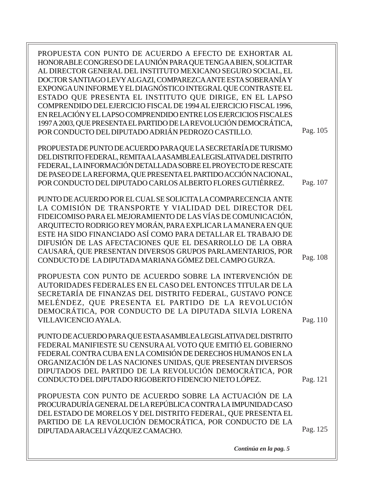| PROPUESTA CON PUNTO DE ACUERDO A EFECTO DE EXHORTAR AL<br>HONORABLE CONGRESO DE LA UNIÓN PARA QUE TENGAA BIEN, SOLICITAR<br>AL DIRECTOR GENERAL DEL INSTITUTO MEXICANO SEGURO SOCIAL, EL<br>DOCTOR SANTIAGO LEVY ALGAZI, COMPAREZCA ANTE ESTA SOBERANÍA Y<br>EXPONGA UN INFORME Y EL DIAGNÓSTICO INTEGRAL QUE CONTRASTE EL<br>ESTADO QUE PRESENTA EL INSTITUTO QUE DIRIGE, EN EL LAPSO<br>COMPRENDIDO DEL EJERCICIO FISCAL DE 1994 AL EJERCICIO FISCAL 1996,<br>EN RELACIÓN Y EL LAPSO COMPRENDIDO ENTRE LOS EJERCICIOS FISCALES |          |
|----------------------------------------------------------------------------------------------------------------------------------------------------------------------------------------------------------------------------------------------------------------------------------------------------------------------------------------------------------------------------------------------------------------------------------------------------------------------------------------------------------------------------------|----------|
| 1997 A 2003, QUE PRESENTA EL PARTIDO DE LA REVOLUCIÓN DEMOCRÁTICA,<br>POR CONDUCTO DEL DIPUTADO ADRIÁN PEDROZO CASTILLO.                                                                                                                                                                                                                                                                                                                                                                                                         | Pag. 105 |
| PROPUESTA DE PUNTO DE ACUERDO PARA QUE LA SECRETARÍA DE TURISMO<br>DEL DISTRITO FEDERAL, REMITAALAASAMBLEALEGISLATIVA DEL DISTRITO<br>FEDERAL, LA INFORMACIÓN DETALLADA SOBRE EL PROYECTO DE RESCATE<br>DE PASEO DE LA REFORMA, QUE PRESENTA EL PARTIDO ACCIÓN NACIONAL,<br>POR CONDUCTO DEL DIPUTADO CARLOS ALBERTO FLORES GUTIÉRREZ.                                                                                                                                                                                           | Pag. 107 |
| PUNTO DE ACUERDO POR EL CUAL SE SOLICITA LA COMPARECENCIA ANTE<br>LA COMISIÓN DE TRANSPORTE Y VIALIDAD DEL DIRECTOR DEL<br>FIDEICOMISO PARA EL MEJORAMIENTO DE LAS VÍAS DE COMUNICACIÓN,<br>ARQUITECTO RODRIGO REY MORÁN, PARA EXPLICAR LA MANERA EN QUE<br>ESTE HA SIDO FINANCIADO ASÍ COMO PARA DETALLAR EL TRABAJO DE<br>DIFUSIÓN DE LAS AFECTACIONES QUE EL DESARROLLO DE LA OBRA<br>CAUSARÁ, QUE PRESENTAN DIVERSOS GRUPOS PARLAMENTARIOS, POR<br>CONDUCTO DE LA DIPUTADA MARIANA GÓMEZ DEL CAMPO GURZA.                    | Pag. 108 |
| PROPUESTA CON PUNTO DE ACUERDO SOBRE LA INTERVENCIÓN DE<br>AUTORIDADES FEDERALES EN EL CASO DEL ENTONCES TITULAR DE LA<br>SECRETARÍA DE FINANZAS DEL DISTRITO FEDERAL, GUSTAVO PONCE<br>MELÉNDEZ, QUE PRESENTA EL PARTIDO DE LA REVOLUCIÓN<br>DEMOCRÁTICA, POR CONDUCTO DE LA DIPUTADA SILVIA LORENA<br>VILLAVICENCIO AYALA.                                                                                                                                                                                                     | Pag. 110 |
| PUNTO DE ACUERDO PARA QUE ESTA ASAMBLEA LEGISLATIVA DEL DISTRITO<br>FEDERAL MANIFIESTE SU CENSURA AL VOTO QUE EMITIÓ EL GOBIERNO<br>FEDERAL CONTRA CUBA EN LA COMISIÓN DE DERECHOS HUMANOS EN LA<br>ORGANIZACIÓN DE LAS NACIONES UNIDAS, QUE PRESENTAN DIVERSOS<br>DIPUTADOS DEL PARTIDO DE LA REVOLUCIÓN DEMOCRÁTICA, POR<br>CONDUCTO DEL DIPUTADO RIGOBERTO FIDENCIO NIETO LÓPEZ.                                                                                                                                              | Pag. 121 |
| PROPUESTA CON PUNTO DE ACUERDO SOBRE LA ACTUACIÓN DE LA<br>PROCURADURÍA GENERAL DE LA REPÚBLICA CONTRA LA IMPUNIDAD CASO<br>DEL ESTADO DE MORELOS Y DEL DISTRITO FEDERAL, QUE PRESENTA EL<br>PARTIDO DE LA REVOLUCIÓN DEMOCRÁTICA, POR CONDUCTO DE LA<br>DIPUTADA ARACELI VÁZQUEZ CAMACHO.                                                                                                                                                                                                                                       | Pag. 125 |

*Continúa en la pag. 5*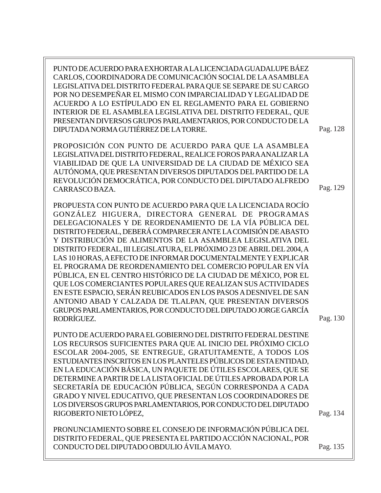PUNTO DE ACUERDO PARA EXHORTAR A LA LICENCIADA GUADALUPE BÁEZ CARLOS, COORDINADORA DE COMUNICACIÓN SOCIAL DE LA ASAMBLEA LEGISLATIVA DEL DISTRITO FEDERAL PARA QUE SE SEPARE DE SU CARGO POR NO DESEMPEÑAR EL MISMO CON IMPARCIALIDAD Y LEGALIDAD DE ACUERDO A LO ESTÍPULADO EN EL REGLAMENTO PARA EL GOBIERNO INTERIOR DE EL ASAMBLEA LEGISLATIVA DEL DISTRITO FEDERAL, QUE PRESENTAN DIVERSOS GRUPOS PARLAMENTARIOS, POR CONDUCTO DE LA DIPUTADA NORMA GUTIÉRREZ DE LA TORRE.

PROPOSICIÓN CON PUNTO DE ACUERDO PARA QUE LA ASAMBLEA LEGISLATIVA DEL DISTRITO FEDERAL, REALICE FOROS PARA ANALIZAR LA VIABILIDAD DE QUE LA UNIVERSIDAD DE LA CIUDAD DE MÉXICO SEA AUTÓNOMA, QUE PRESENTAN DIVERSOS DIPUTADOS DEL PARTIDO DE LA REVOLUCIÓN DEMOCRÁTICA, POR CONDUCTO DEL DIPUTADO ALFREDO CARRASCO BAZA.

PROPUESTA CON PUNTO DE ACUERDO PARA QUE LA LICENCIADA ROCÍO GONZÁLEZ HIGUERA, DIRECTORA GENERAL DE PROGRAMAS DELEGACIONALES Y DE REORDENAMIENTO DE LA VÍA PÚBLICA DEL DISTRITO FEDERAL, DEBERÁ COMPARECER ANTE LA COMISIÓN DE ABASTO Y DISTRIBUCIÓN DE ALIMENTOS DE LA ASAMBLEA LEGISLATIVA DEL DISTRITO FEDERAL, III LEGISLATURA, EL PRÓXIMO 23 DE ABRIL DEL 2004, A LAS 10 HORAS, A EFECTO DE INFORMAR DOCUMENTALMENTE Y EXPLICAR EL PROGRAMA DE REORDENAMIENTO DEL COMERCIO POPULAR EN VÍA PÚBLICA, EN EL CENTRO HISTÓRICO DE LA CIUDAD DE MÉXICO, POR EL QUE LOS COMERCIANTES POPULARES QUE REALIZAN SUS ACTIVIDADES EN ESTE ESPACIO, SERÁN REUBICADOS EN LOS PASOS A DESNIVEL DE SAN ANTONIO ABAD Y CALZADA DE TLALPAN, QUE PRESENTAN DIVERSOS GRUPOS PARLAMENTARIOS, POR CONDUCTO DEL DIPUTADO JORGE GARCÍA RODRÍGUEZ.

PUNTO DE ACUERDO PARA EL GOBIERNO DEL DISTRITO FEDERAL DESTINE LOS RECURSOS SUFICIENTES PARA QUE AL INICIO DEL PRÓXIMO CICLO ESCOLAR 2004-2005, SE ENTREGUE, GRATUITAMENTE, A TODOS LOS ESTUDIANTES INSCRITOS EN LOS PLANTELES PÚBLICOS DE ESTA ENTIDAD, EN LA EDUCACIÓN BÁSICA, UN PAQUETE DE ÚTILES ESCOLARES, QUE SE DETERMINE A PARTIR DE LA LISTA OFICIAL DE ÚTILES APROBADA POR LA SECRETARÍA DE EDUCACIÓN PÚBLICA, SEGÚN CORRESPONDA A CADA GRADO Y NIVEL EDUCATIVO, QUE PRESENTAN LOS COORDINADORES DE LOS DIVERSOS GRUPOS PARLAMENTARIOS, POR CONDUCTO DEL DIPUTADO RIGOBERTO NIETO LÓPEZ,

PRONUNCIAMIENTO SOBRE EL CONSEJO DE INFORMACIÓN PÚBLICA DEL DISTRITO FEDERAL, QUE PRESENTA EL PARTIDO ACCIÓN NACIONAL, POR CONDUCTO DEL DIPUTADO OBDULIO ÁVILA MAYO.

Pag. 128

Pag. 129

Pag. 130

Pag. 134

Pag. 135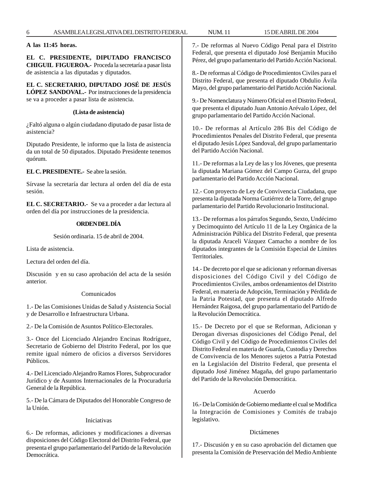#### **A las 11:45 horas.**

**EL C. PRESIDENTE, DIPUTADO FRANCISCO CHIGUIL FIGUEROA.-** Proceda la secretaría a pasar lista de asistencia a las diputadas y diputados.

**EL C. SECRETARIO, DIPUTADO JOSÉ DE JESÚS LÓPEZ SANDOVAL.-** Por instrucciones de la presidencia se va a proceder a pasar lista de asistencia.

#### **(Lista de asistencia)**

¿Faltó alguna o algún ciudadano diputado de pasar lista de asistencia?

Diputado Presidente, le informo que la lista de asistencia da un total de 50 diputados. Diputado Presidente tenemos quórum.

**EL C. PRESIDENTE.-** Se abre la sesión.

Sírvase la secretaría dar lectura al orden del día de esta sesión.

**EL C. SECRETARIO.-** Se va a proceder a dar lectura al orden del día por instrucciones de la presidencia.

#### **ORDEN DEL DÍA**

Sesión ordinaria. 15 de abril de 2004.

Lista de asistencia.

Lectura del orden del día.

Discusión y en su caso aprobación del acta de la sesión anterior.

#### Comunicados

1.- De las Comisiones Unidas de Salud y Asistencia Social y de Desarrollo e Infraestructura Urbana.

2.- De la Comisión de Asuntos Político-Electorales.

3.- Once del Licenciado Alejandro Encinas Rodríguez, Secretario de Gobierno del Distrito Federal, por los que remite igual número de oficios a diversos Servidores Públicos.

4.- Del Licenciado Alejandro Ramos Flores, Subprocurador Jurídico y de Asuntos Internacionales de la Procuraduría General de la República.

5.- De la Cámara de Diputados del Honorable Congreso de la Unión.

#### Iniciativas

6.- De reformas, adiciones y modificaciones a diversas disposiciones del Código Electoral del Distrito Federal, que presenta el grupo parlamentario del Partido de la Revolución Democrática.

7.- De reformas al Nuevo Código Penal para el Distrito Federal, que presenta el diputado José Benjamín Muciño Pérez, del grupo parlamentario del Partido Acción Nacional.

8.- De reformas al Código de Procedimientos Civiles para el Distrito Federal, que presenta el diputado Obdulio Ávila Mayo, del grupo parlamentario del Partido Acción Nacional.

9.- De Nomenclatura y Número Oficial en el Distrito Federal, que presenta el diputado Juan Antonio Arévalo López, del grupo parlamentario del Partido Acción Nacional.

10.- De reformas al Artículo 286 Bis del Código de Procedimientos Penales del Distrito Federal, que presenta el diputado Jesús López Sandoval, del grupo parlamentario del Partido Acción Nacional.

11.- De reformas a la Ley de las y los Jóvenes, que presenta la diputada Mariana Gómez del Campo Gurza, del grupo parlamentario del Partido Acción Nacional.

12.- Con proyecto de Ley de Convivencia Ciudadana, que presenta la diputada Norma Gutiérrez de la Torre, del grupo parlamentario del Partido Revolucionario Institucional.

13.- De reformas a los párrafos Segundo, Sexto, Undécimo y Decimoquinto del Artículo 11 de la Ley Orgánica de la Administración Pública del Distrito Federal, que presenta la diputada Araceli Vázquez Camacho a nombre de los diputados integrantes de la Comisión Especial de Límites Territoriales.

14.- De decreto por el que se adicionan y reforman diversas disposiciones del Código Civil y del Código de Procedimientos Civiles, ambos ordenamientos del Distrito Federal, en materia de Adopción, Terminación y Pérdida de la Patria Potestad, que presenta el diputado Alfredo Hernández Raigosa, del grupo parlamentario del Partido de la Revolución Democrática.

15.- De Decreto por el que se Reforman, Adicionan y Derogan diversas disposiciones del Código Penal, del Código Civil y del Código de Procedimientos Civiles del Distrito Federal en materia de Guarda, Custodia y Derechos de Convivencia de los Menores sujetos a Patria Potestad en la Legislación del Distrito Federal, que presenta el diputado José Jiménez Magaña, del grupo parlamentario del Partido de la Revolución Democrática.

#### Acuerdo

16.- De la Comisión de Gobierno mediante el cual se Modifica la Integración de Comisiones y Comités de trabajo legislativo.

#### Dictámenes

17.- Discusión y en su caso aprobación del dictamen que presenta la Comisión de Preservación del Medio Ambiente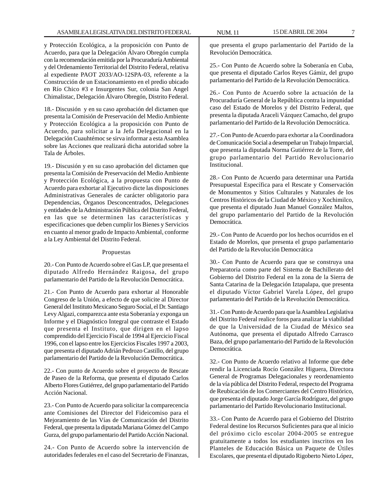y Protección Ecológica, a la proposición con Punto de Acuerdo, para que la Delegación Álvaro Obregón cumpla con la recomendación emitida por la Procuraduría Ambiental y del Ordenamiento Territorial del Distrito Federal, relativa al expediente PAOT 2033/AO-12SPA-03, referente a la Construcción de un Estacionamiento en el predio ubicado en Río Chico #3 e Insurgentes Sur, colonia San Angel Chimalistac, Delegación Álvaro Obregón, Distrito Federal.

18.- Discusión y en su caso aprobación del dictamen que presenta la Comisión de Preservación del Medio Ambiente y Protección Ecológica a la proposición con Punto de Acuerdo, para solicitar a la Jefa Delegacional en la Delegación Cuauhtémoc se sirva informar a esta Asamblea sobre las Acciones que realizará dicha autoridad sobre la Tala de Árboles.

19.- Discusión y en su caso aprobación del dictamen que presenta la Comisión de Preservación del Medio Ambiente y Protección Ecológica, a la propuesta con Punto de Acuerdo para exhortar al Ejecutivo dicte las disposiciones Administrativas Generales de carácter obligatorio para Dependencias, Órganos Desconcentrados, Delegaciones y entidades de la Administración Pública del Distrito Federal, en las que se determinen las características y especificaciones que deben cumplir los Bienes y Servicios en cuanto al menor grado de Impacto Ambiental, conforme a la Ley Ambiental del Distrito Federal.

#### Propuestas

20.- Con Punto de Acuerdo sobre el Gas LP, que presenta el diputado Alfredo Hernández Raigosa, del grupo parlamentario del Partido de la Revolución Democrática.

21.- Con Punto de Acuerdo para exhortar al Honorable Congreso de la Unión, a efecto de que solicite al Director General del Instituto Mexicano Seguro Social, el Dr. Santiago Levy Algazi, comparezca ante esta Soberanía y exponga un Informe y el Diagnóstico Integral que contraste el Estado que presenta el Instituto, que dirigen en el lapso comprendido del Ejercicio Fiscal de 1994 al Ejercicio Fiscal 1996, con el lapso entre los Ejercicios Fiscales 1997 a 2003, que presenta el diputado Adrián Pedrozo Castillo, del grupo parlamentario del Partido de la Revolución Democrática.

22.- Con punto de Acuerdo sobre el proyecto de Rescate de Paseo de la Reforma, que presenta el diputado Carlos Alberto Flores Gutiérrez, del grupo parlamentario del Partido Acción Nacional.

23.- Con Punto de Acuerdo para solicitar la comparecencia ante Comisiones del Director del Fideicomiso para el Mejoramiento de las Vías de Comunicación del Distrito Federal, que presenta la diputada Mariana Gómez del Campo Gurza, del grupo parlamentario del Partido Acción Nacional.

24.- Con Punto de Acuerdo sobre la intervención de autoridades federales en el caso del Secretario de Finanzas,

que presenta el grupo parlamentario del Partido de la Revolución Democrática.

25.- Con Punto de Acuerdo sobre la Soberanía en Cuba, que presenta el diputado Carlos Reyes Gámiz, del grupo parlamentario del Partido de la Revolución Democrática.

26.- Con Punto de Acuerdo sobre la actuación de la Procuraduría General de la República contra la impunidad caso del Estado de Morelos y del Distrito Federal, que presenta la diputada Araceli Vázquez Camacho, del grupo parlamentario del Partido de la Revolución Democrática.

27.- Con Punto de Acuerdo para exhortar a la Coordinadora de Comunicación Social a desempeñar un Trabajo Imparcial, que presenta la diputada Norma Gutiérrez de la Torre, del grupo parlamentario del Partido Revolucionario Institucional.

28.- Con Punto de Acuerdo para determinar una Partida Presupuestal Específica para el Rescate y Conservación de Monumentos y Sitios Culturales y Naturales de los Centros Históricos de la Ciudad de México y Xochimilco, que presenta el diputado Juan Manuel González Maltos, del grupo parlamentario del Partido de la Revolución Democrática.

29.- Con Punto de Acuerdo por los hechos ocurridos en el Estado de Morelos, que presenta el grupo parlamentario del Partido de la Revolución Democrática

30.- Con Punto de Acuerdo para que se construya una Preparatoria como parte del Sistema de Bachillerato del Gobierno del Distrito Federal en la zona de la Sierra de Santa Catarina de la Delegación Iztapalapa, que presenta el diputado Víctor Gabriel Varela López, del grupo parlamentario del Partido de la Revolución Democrática.

31.- Con Punto de Acuerdo para que la Asamblea Legislativa del Distrito Federal realice foros para analizar la viabilidad de que la Universidad de la Ciudad de México sea Autónoma, que presenta el diputado Alfredo Carrasco Baza, del grupo parlamentario del Partido de la Revolución Democrática.

32.- Con Punto de Acuerdo relativo al Informe que debe rendir la Licenciada Rocío González Higuera, Directora General de Programas Delegacionales y reordenamiento de la vía pública del Distrito Federal, respecto del Programa de Reubicación de los Comerciantes del Centro Histórico, que presenta el diputado Jorge García Rodríguez, del grupo parlamentario del Partido Revolucionario Institucional.

33.- Con Punto de Acuerdo para el Gobierno del Distrito Federal destine los Recursos Suficientes para que al inicio del próximo ciclo escolar 2004-2005 se entregue gratuitamente a todos los estudiantes inscritos en los Planteles de Educación Básica un Paquete de Útiles Escolares, que presenta el diputado Rigoberto Nieto López,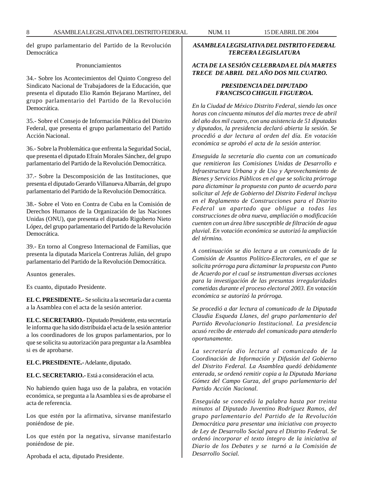del grupo parlamentario del Partido de la Revolución Democrática

#### Pronunciamientos

34.- Sobre los Acontecimientos del Quinto Congreso del Sindicato Nacional de Trabajadores de la Educación, que presenta el diputado Elio Ramón Bejarano Martínez, del grupo parlamentario del Partido de la Revolución Democrática.

35.- Sobre el Consejo de Información Pública del Distrito Federal, que presenta el grupo parlamentario del Partido Acción Nacional.

36.- Sobre la Problemática que enfrenta la Seguridad Social, que presenta el diputado Efraín Morales Sánchez, del grupo parlamentario del Partido de la Revolución Democrática.

37.- Sobre la Descomposición de las Instituciones, que presenta el diputado Gerardo Villanueva Albarrán, del grupo parlamentario del Partido de la Revolución Democrática.

38.- Sobre el Voto en Contra de Cuba en la Comisión de Derechos Humanos de la Organización de las Naciones Unidas (ONU), que presenta el diputado Rigoberto Nieto López, del grupo parlamentario del Partido de la Revolución Democrática.

39.- En torno al Congreso Internacional de Familias, que presenta la diputada Maricela Contreras Julián, del grupo parlamentario del Partido de la Revolución Democrática.

Asuntos generales.

Es cuanto, diputado Presidente.

**EL C. PRESIDENTE.-** Se solicita a la secretaría dar a cuenta a la Asamblea con el acta de la sesión anterior.

**EL C. SECRETARIO.-** Diputado Presidente, esta secretaría le informa que ha sido distribuida el acta de la sesión anterior a los coordinadores de los grupos parlamentarios, por lo que se solicita su autorización para preguntar a la Asamblea si es de aprobarse.

**EL C. PRESIDENTE.-** Adelante, diputado.

**EL C. SECRETARIO.-** Está a consideración el acta.

No habiendo quien haga uso de la palabra, en votación económica, se pregunta a la Asamblea si es de aprobarse el acta de referencia.

Los que estén por la afirmativa, sírvanse manifestarlo poniéndose de pie.

Los que estén por la negativa, sírvanse manifestarlo poniéndose de pie.

Aprobada el acta, diputado Presidente.

#### *ASAMBLEA LEGISLATIVA DEL DISTRITO FEDERAL TERCERA LEGISLATURA*

#### *ACTA DE LA SESIÓN CELEBRADA EL DÍA MARTES TRECE DE ABRIL DEL AÑO DOS MIL CUATRO.*

#### *PRESIDENCIA DEL DIPUTADO FRANCISCO CHIGUIL FIGUEROA.*

*En la Ciudad de México Distrito Federal, siendo las once horas con cincuenta minutos del día martes trece de abril del año dos mil cuatro, con una asistencia de 51 diputadas y diputados, la presidencia declaró abierta la sesión. Se procedió a dar lectura al orden del día. En votación económica se aprobó el acta de la sesión anterior.*

*Enseguida la secretaría dio cuenta con un comunicado que remitieron las Comisiones Unidas de Desarrollo e Infraestructura Urbana y de Uso y Aprovechamiento de Bienes y Servicios Públicos en el que se solicita prórroga para dictaminar la propuesta con punto de acuerdo para solicitar al Jefe de Gobierno del Distrito Federal incluya en el Reglamento de Construcciones para el Distrito Federal un apartado que obligue a todas las construcciones de obra nueva, ampliación o modificación cuenten con un área libre susceptible de filtración de agua pluvial. En votación económica se autorizó la ampliación del término.*

*A continuación se dio lectura a un comunicado de la Comisión de Asuntos Político-Electorales, en el que se solicita prórroga para dictaminar la propuesta con Punto de Acuerdo por el cual se instrumentan diversas acciones para la investigación de las presuntas irregularidades cometidas durante el proceso electoral 2003. En votación económica se autorizó la prórroga.*

*Se procedió a dar lectura al comunicado de la Diputada Claudia Esqueda Llanes, del grupo parlamentario del Partido Revolucionario Institucional. La presidencia acusó recibo de enterado del comunicado para atenderlo oportunamente.*

*La secretaría dio lectura al comunicado de la Coordinación de Información y Difusión del Gobierno del Distrito Federal. La Asamblea quedó debidamente enterada, se ordenó remitir copia a la Diputada Mariana Gómez del Campo Gurza, del grupo parlamentario del Partido Acción Nacional.*

*Enseguida se concedió la palabra hasta por treinta minutos al Diputado Juventino Rodríguez Ramos, del grupo parlamentario del Partido de la Revolución Democrática para presentar una iniciativa con proyecto de Ley de Desarrollo Social para el Distrito Federal. Se ordenó incorporar el texto íntegro de la iniciativa al Diario de los Debates y se turnó a la Comisión de Desarrollo Social.*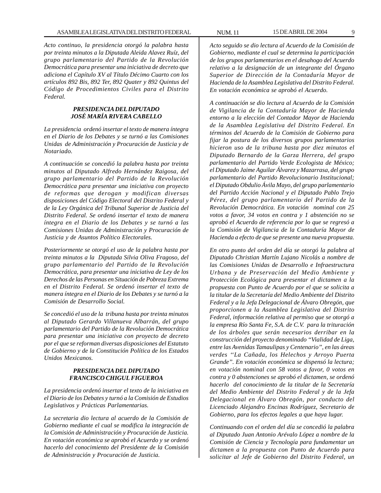*Acto continuo, la presidencia otorgó la palabra hasta por treinta minutos a la Diputada Aleida Alavez Ruíz, del grupo parlamentario del Partido de la Revolución Democrática para presentar una iniciativa de decreto que adiciona el Capítulo XV al Título Décimo Cuarto con los artículos 892 Bis, 892 Ter, 892 Quater y 892 Quintus del Código de Procedimientos Civiles para el Distrito Federal.*

#### *PRESIDENCIA DEL DIPUTADO JOSÉ MARÍA RIVERA CABELLO*

*La presidencia ordenó insertar el texto de manera íntegra en el Diario de los Debates y se turnó a las Comisiones Unidas de Administración y Procuración de Justicia y de Notariado.*

*A continuación se concedió la palabra hasta por treinta minutos al Diputado Alfredo Hernández Raigosa, del grupo parlamentario del Partido de la Revolución Democrática para presentar una iniciativa con proyecto de reformas que derogan y modifican diversas disposiciones del Código Electoral del Distrito Federal y de la Ley Orgánica del Tribunal Superior de Justicia del Distrito Federal. Se ordenó insertar el texto de manera íntegra en el Diario de los Debates y se turnó a las Comisiones Unidas de Administración y Procuración de Justicia y de Asuntos Político Electorales.*

*Posteriormente se otorgó el uso de la palabra hasta por treinta minutos a la Diputada Silvia Oliva Fragoso, del grupo parlamentario del Partido de la Revolución Democrática, para presentar una iniciativa de Ley de los Derechos de las Personas en Situación de Pobreza Extrema en el Distrito Federal. Se ordenó insertar el texto de manera íntegra en el Diario de los Debates y se turnó a la Comisión de Desarrollo Social.*

*Se concedió el uso de la tribuna hasta por treinta minutos al Diputado Gerardo Villanueva Albarrán, del grupo parlamentario del Partido de la Revolución Democrática para presentar una iniciativa con proyecto de decreto por el que se reforman diversas disposiciones del Estatuto de Gobierno y de la Constitución Política de los Estados Unidos Mexicanos.*

#### *PRESIDENCIA DEL DIPUTADO FRANCISCO CHIGUL FIGUEROA*

*La presidencia ordenó insertar el texto de la iniciativa en el Diario de los Debates y turnó a la Comisión de Estudios Legislativos y Prácticas Parlamentarias.*

*La secretaria dio lectura al acuerdo de la Comisión de Gobierno mediante el cual se modifica la integración de la Comisión de Administración y Procuración de Justicia. En votación económica se aprobó el Acuerdo y se ordenó hacerlo del conocimiento del Presidente de la Comisión de Administración y Procuración de Justicia.*

*Acto seguido se dio lectura al Acuerdo de la Comisión de Gobierno, mediante el cual se determina la participación de los grupos parlamentarios en el desahogo del Acuerdo relativo a la designación de un integrante del Órgano Superior de Dirección de la Contaduría Mayor de Hacienda de la Asamblea Legislativa del Distrito Federal. En votación económica se aprobó el Acuerdo.*

*A continuación se dio lectura al Acuerdo de la Comisión de Vigilancia de la Contaduría Mayor de Hacienda entorno a la elección del Contador Mayor de Hacienda de la Asamblea Legislativa del Distrito Federal. En términos del Acuerdo de la Comisión de Gobierno para fijar la postura de los diversos grupos parlamentarios hicieron uso de la tribuna hasta por diez minutos el Diputado Bernardo de la Garza Herrera, del grupo parlamentario del Partido Verde Ecologista de México; el Diputado Jaime Aguilar Álvarez y Mazarrasa, del grupo parlamentario del Partido Revolucionario Institucional; el Diputado Obdulio Ávila Mayo, del grupo parlamentario del Partido Acción Nacional y el Diputado Pablo Trejo Pérez, del grupo parlamentario del Partido de la Revolución Democrática. En votación nominal con 25 votos a favor, 34 votos en contra y 1 abstención no se aprobó el Acuerdo de referencia por lo que se regresó a la Comisión de Vigilancia de la Contaduría Mayor de Hacienda a efecto de que se presente una nueva propuesta.*

*En otro punto del orden del día se otorgó la palabra al Diputado Christian Martín Lujano Nicolás a nombre de las Comisiones Unidas de Desarrollo e Infraestructura Urbana y de Preservación del Medio Ambiente y Protección Ecológica para presentar el dictamen a la propuesta con Punto de Acuerdo por el que se solicita a la titular de la Secretaría del Medio Ambiente del Distrito Federal y a la Jefa Delegacional de Álvaro Obregón, que proporcionen a la Asamblea Legislativa del Distrito Federal, información relativa al permiso que se otorgó a la empresa Río Santa Fe, S.A. de C.V. para la trituración de los árboles que serán necesarios derribar en la construcción del proyecto denominado ''Vialidad de Liga, entre las Avenidas Tamaulipas y Centenario'', en las áreas verdes ''La Cañada, los Helechos y Arroyo Puerta Grande''. En votación económica se dispensó la lectura; en votación nominal con 58 votos a favor, 0 votos en contra y 0 abstenciones se aprobó el dictamen, se ordenó hacerlo del conocimiento de la titular de la Secretaría del Medio Ambiente del Distrito Federal y de la Jefa Delegacional en Álvaro Obregón, por conducto del Licenciado Alejandro Encinas Rodríguez, Secretario de Gobierno, para los efectos legales a que haya lugar.*

*Continuando con el orden del día se concedió la palabra al Diputado Juan Antonio Arévalo López a nombre de la Comisión de Ciencia y Tecnología para fundamentar un dictamen a la propuesta con Punto de Acuerdo para solicitar al Jefe de Gobierno del Distrito Federal, un*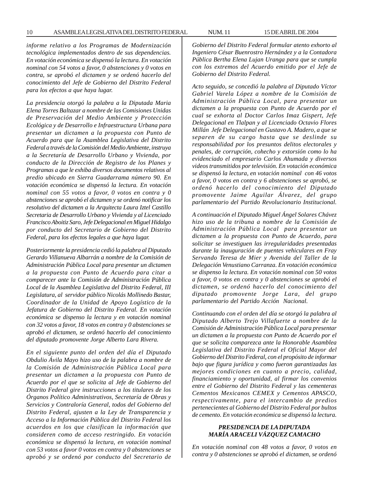*informe relativo a los Programas de Modernización tecnológica implementados dentro de sus dependencias. En votación económica se dispensó la lectura. En votación nominal con 54 votos a favor, 0 abstenciones y 0 votos en contra, se aprobó el dictamen y se ordenó hacerlo del conocimiento del Jefe de Gobierno del Distrito Federal para los efectos a que haya lugar.*

*La presidencia otorgó la palabra a la Diputada Maria Elena Torres Baltazar a nombre de las Comisiones Unidas de Preservación del Medio Ambiente y Protección Ecológica y de Desarrollo e Infraestructura Urbana para presentar un dictamen a la propuesta con Punto de Acuerdo para que la Asamblea Legislativa del Distrito Federal a través de la Comisión del Medio Ambiente, instruya a la Secretaría de Desarrollo Urbano y Vivienda, por conducto de la Dirección de Registro de los Planes y Programas a que le exhiba diversos documentos relativos al predio ubicado en Sierra Guadarrama número 90. En votación económica se dispensó la lectura. En votación nominal con 55 votos a favor, 0 votos en contra y 0 abstenciones se aprobó el dictamen y se ordenó notificar los resolutivo del dictamen a la Arquitecta Laura Iztel Castillo Secretaria de Desarrollo Urbano y Vivienda y al Licenciado Francisco Aboitiz Saro, Jefe Delegacional en Miguel Hidalgo por conducto del Secretario de Gobierno del Distrito Federal, para los efectos legales a que haya lugar.*

*Posteriormente la presidencia cedió la palabra al Diputado Gerardo Villanueva Albarrán a nombre de la Comisión de Administración Pública Local para presentar un dictamen a la propuesta con Punto de Acuerdo para citar a comparecer ante la Comisión de Administración Pública Local de la Asamblea Legislativa del Distrito Federal, III Legislatura, al servidor público Nicolás Mollinedo Bastar, Coordinador de la Unidad de Apoyo Logístico de la Jefatura de Gobierno del Distrito Federal. En votación económica se dispenso la lectura y en votación nominal con 32 votos a favor, 18 votos en contra y 0 abstenciones se aprobó el dictamen, se ordenó hacerlo del conocimiento del diputado promovente Jorge Alberto Lara Rivera.*

*En el siguiente punto del orden del día el Diputado Obdulio Ávila Mayo hizo uso de la palabra a nombre de la Comisión de Administración Pública Local para presentar un dictamen a la propuesta con Punto de Acuerdo por el que se solicita al Jefe de Gobierno del Distrito Federal gire instrucciones a los titulares de los Órganos Político Administrativos, Secretaría de Obras y Servicios y Contraloría General, todos del Gobierno del Distrito Federal, ajusten a la Ley de Transparencia y Acceso a la Información Pública del Distrito Federal los acuerdos en los que clasifican la información que consideren como de acceso restringido. En votación económica se dispensó la lectura, en votación nominal con 53 votos a favor 0 votos en contra y 0 abstenciones se aprobó y se ordenó por conducto del Secretario de*

*Gobierno del Distrito Federal formular atento exhorto al Ingeniero César Buenrostro Hernández y a la Contadora Pública Bertha Elena Lujan Uranga para que se cumpla con los extremos del Acuerdo emitido por el Jefe de Gobierno del Distrito Federal.*

*Acto seguido, se concedió la palabra al Diputado Víctor Gabriel Varela López a nombre de la Comisión de Administración Pública Local, para presentar un dictamen a la propuesta con Punto de Acuerdo por el cual se exhorta al Doctor Carlos Imaz Gispert, Jefe Delegacional en Tlalpan y al Licenciado Octavio Flores Millán Jefe Delegacional en Gustavo A. Madero, a que se separen de su cargo hasta que se deslinde su responsabilidad por los presuntos delitos electorales y penales, de corrupción, cohecho y extorsión como lo ha evidenciado el empresario Carlos Ahumada y diversos videos transmitidos por televisión. En votación económica se dispensó la lectura, en votación nominal con 46 votos a favor, 0 votos en contra y 6 abstenciones se aprobó, se ordenó hacerlo del conocimiento del Diputado promovente Jaime Aguilar Álvarez, del grupo parlamentario del Partido Revolucionario Institucional.*

*A continuación el Diputado Miguel Ángel Solares Chávez hizo uso de la tribuna a nombre de la Comisión de Administración Pública Local para presentar un dictamen a la propuesta con Punto de Acuerdo, para solicitar se investiguen las irregularidades presentadas durante la inauguración de puentes vehiculares en Fray Servando Teresa de Mier y Avenida del Taller de la Delegación Venustiano Carranza. En votación económica se dispenso la lectura. En votación nominal con 50 votos a favor, 0 votos en contra y 0 abstenciones se aprobó el dictamen, se ordenó hacerlo del conocimiento del diputado promovente Jorge Lara, del grupo parlamentario del Partido Acción Nacional.*

*Continuando con el orden del día se otorgó la palabra al Diputado Alberto Trejo Villafuerte a nombre de la Comisión de Administración Pública Local para presentar un dictamen a la propuesta con Punto de Acuerdo por el que se solicita comparezca ante la Honorable Asamblea Legislativa del Distrito Federal el Oficial Mayor del Gobierno del Distrito Federal, con el propósito de informar bajo que figura jurídica y como fueron garantizadas las mejores condiciones en cuanto a precio, calidad, financiamiento y oportunidad, al firmar los convenios entre el Gobierno del Distrito Federal y las cementeras Cementos Mexicanos CEMEX y Cementos APASCO, respectivamente, para el intercambio de predios pertenecientes al Gobierno del Distrito Federal por bultos de cemento. En votación económica se dispensó la lectura.*

#### *PRESIDENCIA DE LA DIPUTADA MARÍA ARACELI VÁZQUEZ CAMACHO*

*En votación nominal con 48 votos a favor, 0 votos en contra y 0 abstenciones se aprobó el dictamen, se ordenó*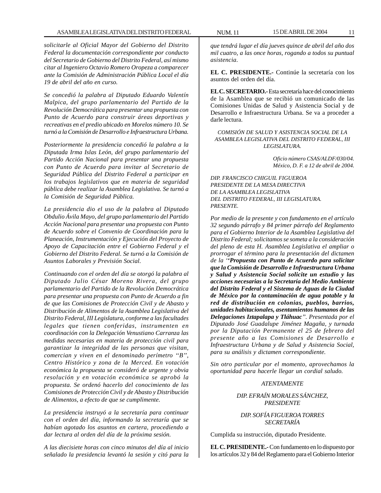*solicitarle al Oficial Mayor del Gobierno del Distrito Federal la documentación correspondiente por conducto del Secretario de Gobierno del Distrito Federal, así mismo citar al Ingeniero Octavio Romero Oropeza a comparecer ante la Comisión de Administración Pública Local el día 19 de abril del año en curso.*

*Se concedió la palabra al Diputado Eduardo Valentín Malpica, del grupo parlamentario del Partido de la Revolución Democrática para presentar una propuesta con Punto de Acuerdo para construir áreas deportivas y recreativas en el predio ubicado en Morelos número 10. Se turnó a la Comisión de Desarrollo e Infraestructura Urbana.*

*Posteriormente la presidencia concedió la palabra a la Diputada Irma Islas León, del grupo parlamentario del Partido Acción Nacional para presentar una propuesta con Punto de Acuerdo para invitar al Secretario de Seguridad Pública del Distrito Federal a participar en los trabajos legislativos que en materia de seguridad pública debe realizar la Asamblea Legislativa. Se turnó a la Comisión de Seguridad Pública.*

*La presidencia dio el uso de la palabra al Diputado Obdulio Ávila Mayo, del grupo parlamentario del Partido Acción Nacional para presentar una propuesta con Punto de Acuerdo sobre el Convenio de Coordinación para la Planeación, Instrumentación y Ejecución del Proyecto de Apoyo de Capacitación entre el Gobierno Federal y el Gobierno del Distrito Federal. Se turnó a la Comisión de Asuntos Laborales y Previsión Social.*

*Continuando con el orden del día se otorgó la palabra al Diputado Julio César Moreno Rivera, del grupo parlamentario del Partido de la Revolución Democrática para presentar una propuesta con Punto de Acuerdo a fin de que las Comisiones de Protección Civil y de Abasto y Distribución de Alimentos de la Asamblea Legislativa del Distrito Federal, III Legislatura, conforme a las facultades legales que tienen conferidas, instrumenten en coordinación con la Delegación Venustiano Carranza las medidas necesarias en materia de protección civil para garantizar la integridad de las personas que visitan, comercian y viven en el denominado perímetro ''B'', Centro Histórico y zona de la Merced. En votación económica la propuesta se consideró de urgente y obvia resolución y en votación económica se aprobó la propuesta. Se ordenó hacerlo del conocimiento de las Comisiones de Protección Civil y de Abasto y Distribución de Alimentos, a efecto de que se cumplimente.*

*La presidencia instruyó a la secretaría para continuar con el orden del día, informando la secretaría que se habían agotado los asuntos en cartera, procediendo a dar lectura al orden del día de la próxima sesión.*

*A las diecisiete horas con cinco minutos del día al inicio señalado la presidencia levantó la sesión y citó para la*

*que tendrá lugar el día jueves quince de abril del año dos mil cuatro, a las once horas, rogando a todos su puntual asistencia.*

**EL C. PRESIDENTE.-** Continúe la secretaría con los asuntos del orden del día.

**EL C. SECRETARIO.-** Esta secretaría hace del conocimiento de la Asamblea que se recibió un comunicado de las Comisiones Unidas de Salud y Asistencia Social y de Desarrollo e Infraestructura Urbana. Se va a proceder a darle lectura.

*COMISIÓN DE SALUD Y ASISTENCIA SOCIAL DE LA ASAMBLEA LEGISLATIVA DEL DISTRITO FEDERAL, III LEGISLATURA.*

> *Oficio número CSAS/ALDF/030/04. México, D. F. a 12 de abril de 2004.*

*DIP. FRANCISCO CHIGUIL FIGUEROA PRESIDENTE DE LA MESA DIRECTIVA DE LA ASAMBLEA LEGISLATIVA DEL DISTRITO FEDERAL, III LEGISLATURA. PRESENTE.*

*Por medio de la presente y con fundamento en el artículo 32 segundo párrafo y 84 primer párrafo del Reglamento para el Gobierno Interior de la Asamblea Legislativa del Distrito Federal; solicitamos se someta a la consideración del pleno de esta H. Asamblea Legislativa el ampliar o prorrogar el término para la presentación del dictamen de la ''Propuesta con Punto de Acuerdo para solicitar que la Comisión de Desarrollo e Infraestructura Urbana y Salud y Asistencia Social solicite un estudio y las acciones necesarias a la Secretaría del Medio Ambiente del Distrito Federal y el Sistema de Aguas de la Ciudad de México por la contaminación de agua potable y la red de distribución en colonias, pueblos, barrios, unidades habitacionales, asentamientos humanos de las Delegaciones Iztapalapa y Tláhuac''. Presentada por el Diputado José Guadalupe Jiménez Magaña, y turnada por la Diputación Permanente el 25 de febrero del presente año a las Comisiones de Desarrollo e Infraestructura Urbana y de Salud y Asistencia Social, para su análisis y dictamen correspondiente.*

*Sin otro particular por el momento, aprovechamos la oportunidad para hacerle llegar un cordial saludo.*

## *ATENTAMENTE*

*DIP. EFRAÍN MORALES SÁNCHEZ, PRESIDENTE*

#### *DIP. SOFÍA FIGUEROA TORRES SECRETARÍA*

Cumplida su instrucción, diputado Presidente.

**EL C. PRESIDENTE.-** Con fundamento en lo dispuesto por los artículos 32 y 84 del Reglamento para el Gobierno Interior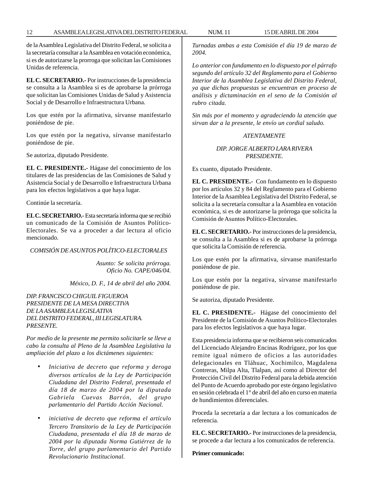de la Asamblea Legislativa del Distrito Federal, se solicita a la secretaría consultar a la Asamblea en votación económica, si es de autorizarse la prorroga que solicitan las Comisiones Unidas de referencia.

**EL C. SECRETARIO.-** Por instrucciones de la presidencia se consulta a la Asamblea si es de aprobarse la prórroga que solicitan las Comisiones Unidas de Salud y Asistencia Social y de Desarrollo e Infraestructura Urbana.

Los que estén por la afirmativa, sírvanse manifestarlo poniéndose de pie.

Los que estén por la negativa, sírvanse manifestarlo poniéndose de pie.

Se autoriza, diputado Presidente.

**EL C. PRESIDENTE.-** Hágase del conocimiento de los titulares de las presidencias de las Comisiones de Salud y Asistencia Social y de Desarrollo e Infraestructura Urbana para los efectos legislativos a que haya lugar.

Continúe la secretaría.

**EL C. SECRETARIO.-** Esta secretaría informa que se recibió un comunicado de la Comisión de Asuntos Político-Electorales. Se va a proceder a dar lectura al oficio mencionado.

#### *COMISIÓN DE ASUNTOS POLÍTICO-ELECTORALES*

*Asunto: Se solicita prórroga. Oficio No. CAPE/046/04.*

*México, D. F., 14 de abril del año 2004.*

*DIP. FRANCISCO CHIGUIL FIGUEROA PRESIDENTE DE LA MESA DIRECTIVA DE LA ASAMBLEA LEGISLATIVA DEL DISTRITO FEDERAL, III LEGISLATURA. PRESENTE.*

*Por medio de la presente me permito solicitarle se lleve a cabo la consulta al Pleno de la Asamblea Legislativa la ampliación del plazo a los dictámenes siguientes:*

- *Iniciativa de decreto que reforma y deroga diversos artículos de la Ley de Participación Ciudadana del Distrito Federal, presentada el día 18 de marzo de 2004 por la diputada Gabriela Cuevas Barrón, del grupo parlamentario del Partido Acción Nacional.*
- *iniciativa de decreto que reforma el artículo Tercero Transitorio de la Ley de Participación Ciudadana, presentada el día 18 de marzo de 2004 por la diputada Norma Gutiérrez de la Torre, del grupo parlamentario del Partido Revolucionario Institucional.*

*Turnadas ambas a esta Comisión el día 19 de marzo de 2004.*

*Lo anterior con fundamento en lo dispuesto por el párrafo segundo del artículo 32 del Reglamento para el Gobierno Interior de la Asamblea Legislativa del Distrito Federal, ya que dichas propuestas se encuentran en proceso de análisis y dictaminación en el seno de la Comisión al rubro citada.*

*Sin más por el momento y agradeciendo la atención que sirvan dar a la presente, le envío un cordial saludo.*

#### *ATENTAMENTE*

### *DIP. JORGE ALBERTO LARA RIVERA PRESIDENTE.*

Es cuanto, diputado Presidente.

**EL C. PRESIDENTE.-** Con fundamento en lo dispuesto por los artículos 32 y 84 del Reglamento para el Gobierno Interior de la Asamblea Legislativa del Distrito Federal, se solicita a la secretaría consultar a la Asamblea en votación económica, si es de autorizarse la prórroga que solicita la Comisión de Asuntos Político-Electorales.

**EL C. SECRETARIO.-** Por instrucciones de la presidencia, se consulta a la Asamblea si es de aprobarse la prórroga que solicita la Comisión de referencia.

Los que estén por la afirmativa, sírvanse manifestarlo poniéndose de pie.

Los que estén por la negativa, sírvanse manifestarlo poniéndose de pie.

Se autoriza, diputado Presidente.

**EL C. PRESIDENTE.-** Hágase del conocimiento del Presidente de la Comisión de Asuntos Político-Electorales para los efectos legislativos a que haya lugar.

Esta presidencia informa que se recibieron seis comunicados del Licenciado Alejandro Encinas Rodríguez, por los que remite igual número de oficios a las autoridades delegacionales en Tláhuac, Xochimilco, Magdalena Contreras, Milpa Alta, Tlalpan, así como al Director del Protección Civil del Distrito Federal para la debida atención del Punto de Acuerdo aprobado por este órgano legislativo en sesión celebrada el 1° de abril del año en curso en materia de hundimientos diferenciales.

Proceda la secretaría a dar lectura a los comunicados de referencia.

**EL C. SECRETARIO.-** Por instrucciones de la presidencia, se procede a dar lectura a los comunicados de referencia.

**Primer comunicado:**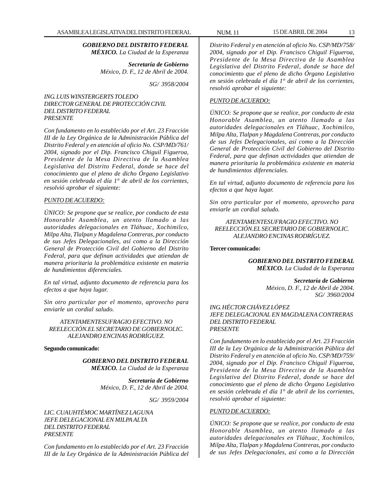*GOBIERNO DEL DISTRITO FEDERAL MÉXICO. La Ciudad de la Esperanza*

> *Secretaría de Gobierno México, D. F., 12 de Abril de 2004.*

> > *SG/ 3958/2004*

#### *ING. LUIS WINSTERGERTS TOLEDO DIRECTOR GENERAL DE PROTECCIÓN CIVIL DEL DISTRITO FEDERAL PRESENTE*

*Con fundamento en lo establecido por el Art. 23 Fracción III de la Ley Orgánica de la Administración Pública del Distrito Federal y en atención al oficio No. CSP/MD/761/ 2004, signado por el Dip. Francisco Chiguil Figueroa, Presidente de la Mesa Directiva de la Asamblea Legislativa del Distrito Federal, donde se hace del conocimiento que el pleno de dicho Órgano Legislativo en sesión celebrada el día 1° de abril de los corrientes, resolvió aprobar el siguiente:*

#### *PUNTO DE ACUERDO:*

*ÚNICO: Se propone que se realice, por conducto de esta Honorable Asamblea, un atento llamado a las autoridades delegacionales en Tláhuac, Xochimilco, Milpa Alta, Tlalpan y Magdalena Contreras, por conducto de sus Jefes Delegacionales, así como a la Dirección General de Protección Civil del Gobierno del Distrito Federal, para que definan actividades que atiendan de manera prioritaria la problemática existente en materia de hundimientos diferenciales.*

*En tal virtud, adjunto documento de referencia para los efectos a que haya lugar.*

*Sin otro particular por el momento, aprovecho para enviarle un cordial saludo.*

*ATENTAMENTESUFRAGIO EFECTIVO. NO REELECCIÓN.EL SECRETARIO DE GOBIERNOLIC. ALEJANDRO ENCINAS RODRÍGUEZ.*

#### **Segundo comunicado:**

*GOBIERNO DEL DISTRITO FEDERAL MÉXICO. La Ciudad de la Esperanza*

> *Secretaría de Gobierno México, D. F., 12 de Abril de 2004.*

> > *SG/ 3959/2004*

*LIC. CUAUHTÉMOC MARTÍNEZ LAGUNA JEFE DELEGACIONAL EN MILPA ALTA DEL DISTRITO FEDERAL PRESENTE*

*Con fundamento en lo establecido por el Art. 23 Fracción III de la Ley Orgánica de la Administración Pública del* *Distrito Federal y en atención al oficio No. CSP/MD/758/ 2004, signado por el Dip. Francisco Chiguil Figueroa, Presidente de la Mesa Directiva de la Asamblea Legislativa del Distrito Federal, donde se hace del conocimiento que el pleno de dicho Órgano Legislativo en sesión celebrada el día 1° de abril de los corrientes, resolvió aprobar el siguiente:*

#### *PUNTO DE ACUERDO:*

*ÚNICO: Se propone que se realice, por conducto de esta Honorable Asamblea, un atento llamado a las autoridades delegacionales en Tláhuac, Xochimilco, Milpa Alta, Tlalpan y Magdalena Contreras, por conducto de sus Jefes Delegacionales, así como a la Dirección General de Protección Civil del Gobierno del Distrito Federal, para que definan actividades que atiendan de manera prioritaria la problemática existente en materia de hundimientos diferenciales.*

*En tal virtud, adjunto documento de referencia para los efectos a que haya lugar.*

*Sin otro particular por el momento, aprovecho para enviarle un cordial saludo.*

*ATENTAMENTESUFRAGIO EFECTIVO. NO REELECCIÓN.EL SECRETARIO DE GOBIERNOLIC. ALEJANDRO ENCINAS RODRÍGUEZ.*

#### **Tercer comunicado:**

*GOBIERNO DEL DISTRITO FEDERAL MÉXICO. La Ciudad de la Esperanza*

> *Secretaría de Gobierno México, D. F., 12 de Abril de 2004. SG/ 3960/2004*

#### *ING. HÉCTOR CHÁVEZ LÓPEZ JEFE DELEGACIONAL EN MAGDALENA CONTRERAS DEL DISTRITO FEDERAL PRESENTE*

*Con fundamento en lo establecido por el Art. 23 Fracción III de la Ley Orgánica de la Administración Pública del Distrito Federal y en atención al oficio No. CSP/MD/759/ 2004, signado por el Dip. Francisco Chiguil Figueroa, Presidente de la Mesa Directiva de la Asamblea Legislativa del Distrito Federal, donde se hace del conocimiento que el pleno de dicho Órgano Legislativo en sesión celebrada el día 1° de abril de los corrientes, resolvió aprobar el siguiente:*

#### *PUNTO DE ACUERDO:*

*ÚNICO: Se propone que se realice, por conducto de esta Honorable Asamblea, un atento llamado a las autoridades delegacionales en Tláhuac, Xochimilco, Milpa Alta, Tlalpan y Magdalena Contreras, por conducto de sus Jefes Delegacionales, así como a la Dirección*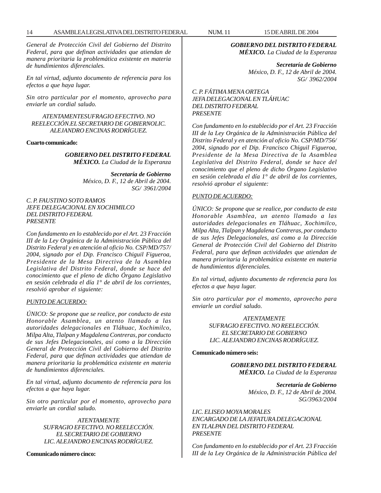*General de Protección Civil del Gobierno del Distrito Federal, para que definan actividades que atiendan de manera prioritaria la problemática existente en materia de hundimientos diferenciales.*

*En tal virtud, adjunto documento de referencia para los efectos a que haya lugar.*

*Sin otro particular por el momento, aprovecho para enviarle un cordial saludo.*

#### *ATENTAMENTESUFRAGIO EFECTIVO. NO REELECCIÓN.EL SECRETARIO DE GOBIERNOLIC. ALEJANDRO ENCINAS RODRÍGUEZ.*

#### **Cuarto comunicado:**

*GOBIERNO DEL DISTRITO FEDERAL MÉXICO. La Ciudad de la Esperanza*

> *Secretaría de Gobierno México, D. F., 12 de Abril de 2004. SG/ 3961/2004*

#### *C. P. FAUSTINO SOTO RAMOS JEFE DELEGACIONAL EN XOCHIMILCO DEL DISTRITO FEDERAL PRESENTE*

*Con fundamento en lo establecido por el Art. 23 Fracción III de la Ley Orgánica de la Administración Pública del Distrito Federal y en atención al oficio No. CSP/MD/757/ 2004, signado por el Dip. Francisco Chiguil Figueroa, Presidente de la Mesa Directiva de la Asamblea Legislativa del Distrito Federal, donde se hace del conocimiento que el pleno de dicho Órgano Legislativo en sesión celebrada el día 1° de abril de los corrientes, resolvió aprobar el siguiente:*

#### *PUNTO DE ACUERDO:*

*ÚNICO: Se propone que se realice, por conducto de esta Honorable Asamblea, un atento llamado a las autoridades delegacionales en Tláhuac, Xochimilco, Milpa Alta, Tlalpan y Magdalena Contreras, por conducto de sus Jefes Delegacionales, así como a la Dirección General de Protección Civil del Gobierno del Distrito Federal, para que definan actividades que atiendan de manera prioritaria la problemática existente en materia de hundimientos diferenciales.*

*En tal virtud, adjunto documento de referencia para los efectos a que haya lugar.*

*Sin otro particular por el momento, aprovecho para enviarle un cordial saludo.*

> *ATENTAMENTE SUFRAGIO EFECTIVO. NO REELECCIÓN. EL SECRETARIO DE GOBIERNO LIC. ALEJANDRO ENCINAS RODRÍGUEZ.*

#### **Comunicado número cinco:**

*GOBIERNO DEL DISTRITO FEDERAL*

*MÉXICO. La Ciudad de la Esperanza*

*Secretaría de Gobierno México, D. F., 12 de Abril de 2004. SG/ 3962/2004*

#### *C. P. FÁTIMA MENA ORTEGA JEFA DELEGACIONAL EN TLÁHUAC DEL DISTRITO FEDERAL PRESENTE*

*Con fundamento en lo establecido por el Art. 23 Fracción III de la Ley Orgánica de la Administración Pública del Distrito Federal y en atención al oficio No. CSP/MD/756/ 2004, signado por el Dip. Francisco Chiguil Figueroa, Presidente de la Mesa Directiva de la Asamblea Legislativa del Distrito Federal, donde se hace del conocimiento que el pleno de dicho Órgano Legislativo en sesión celebrada el día 1° de abril de los corrientes, resolvió aprobar el siguiente:*

#### *PUNTO DE ACUERDO:*

*ÚNICO: Se propone que se realice, por conducto de esta Honorable Asamblea, un atento llamado a las autoridades delegacionales en Tláhuac, Xochimilco, Milpa Alta, Tlalpan y Magdalena Contreras, por conducto de sus Jefes Delegacionales, así como a la Dirección General de Protección Civil del Gobierno del Distrito Federal, para que definan actividades que atiendan de manera prioritaria la problemática existente en materia de hundimientos diferenciales.*

*En tal virtud, adjunto documento de referencia para los efectos a que haya lugar.*

*Sin otro particular por el momento, aprovecho para enviarle un cordial saludo.*

> *ATENTAMENTE SUFRAGIO EFECTIVO. NO REELECCIÓN. EL SECRETARIO DE GOBIERNO LIC. ALEJANDRO ENCINAS RODRÍGUEZ.*

#### **Comunicado número seis:**

*GOBIERNO DEL DISTRITO FEDERAL MÉXICO. La Ciudad de la Esperanza*

> *Secretaría de Gobierno México, D. F., 12 de Abril de 2004. SG/3963/2004*

*LIC. ELISEO MOYA MORALES ENCARGADO DE LA JEFATURA DELEGACIONAL EN TLALPAN DEL DISTRITO FEDERAL PRESENTE*

*Con fundamento en lo establecido por el Art. 23 Fracción III de la Ley Orgánica de la Administración Pública del*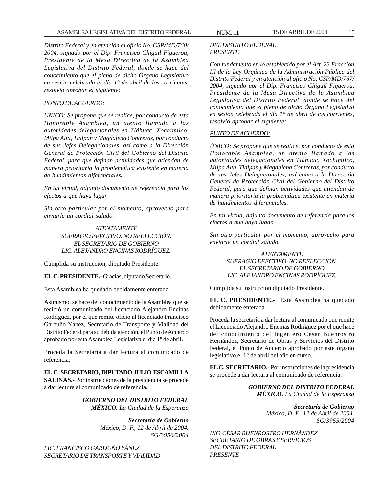*Distrito Federal y en atención al oficio No. CSP/MD/760/ 2004, signado por el Dip. Francisco Chiguil Figueroa, Presidente de la Mesa Directiva de la Asamblea Legislativa del Distrito Federal, donde se hace del conocimiento que el pleno de dicho Órgano Legislativo en sesión celebrada el día 1° de abril de los corrientes, resolvió aprobar el siguiente:*

#### *PUNTO DE ACUERDO:*

*ÚNICO: Se propone que se realice, por conducto de esta Honorable Asamblea, un atento llamado a las autoridades delegacionales en Tláhuac, Xochimilco, Milpa Alta, Tlalpan y Magdalena Contreras, por conducto de sus Jefes Delegacionales, así como a la Dirección General de Protección Civil del Gobierno del Distrito Federal, para que definan actividades que atiendan de manera prioritaria la problemática existente en materia de hundimientos diferenciales.*

*En tal virtud, adjunto documento de referencia para los efectos a que haya lugar.*

*Sin otro particular por el momento, aprovecho para enviarle un cordial saludo.*

> *ATENTAMENTE SUFRAGIO EFECTIVO. NO REELECCIÓN. EL SECRETARIO DE GOBIERNO LIC. ALEJANDRO ENCINAS RODRÍGUEZ.*

Cumplida su instrucción, diputado Presidente.

**EL C. PRESIDENTE.-** Gracias, diputado Secretario.

Esta Asamblea ha quedado debidamente enterada.

Asimismo, se hace del conocimiento de la Asamblea que se recibió un comunicado del licenciado Alejandro Encinas Rodríguez, por el que remite oficio al licenciado Francisco Garduño Yánez, Secretario de Transporte y Vialidad del Distrito Federal para su debida atención, el Punto de Acuerdo aprobado por esta Asamblea Legislativa el día 1º de abril.

Proceda la Secretaría a dar lectura al comunicado de referencia.

**EL C. SECRETARIO, DIPUTADO JULIO ESCAMILLA SALINAS.-** Por instrucciones de la presidencia se procede a dar lectura al comunicado de referencia.

> *GOBIERNO DEL DISTRITO FEDERAL MÉXICO. La Ciudad de la Esperanza*

> > *Secretaría de Gobierno México, D. F., 12 de Abril de 2004. SG/3956/2004*

*LIC. FRANCISCO GARDUÑO YÁÑEZ SECRETARIO DE TRANSPORTE Y VIALIDAD*

#### *DEL DISTRITO FEDERAL PRESENTE*

*Con fundamento en lo establecido por el Art. 23 Fracción III de la Ley Orgánica de la Administración Pública del Distrito Federal y en atención al oficio No. CSP/MD/767/ 2004, signado por el Dip. Francisco Chiguil Figueroa, Presidente de la Mesa Directiva de la Asamblea Legislativa del Distrito Federal, donde se hace del conocimiento que el pleno de dicho Órgano Legislativo en sesión celebrada el día 1° de abril de los corrientes, resolvió aprobar el siguiente:*

#### *PUNTO DE ACUERDO:*

*ÚNICO: Se propone que se realice, por conducto de esta Honorable Asamblea, un atento llamado a las autoridades delegacionales en Tláhuac, Xochimilco, Milpa Alta, Tlalpan y Magdalena Contreras, por conducto de sus Jefes Delegacionales, así como a la Dirección General de Protección Civil del Gobierno del Distrito Federal, para que definan actividades que atiendan de manera prioritaria la problemática existente en materia de hundimientos diferenciales.*

*En tal virtud, adjunto documento de referencia para los efectos a que haya lugar.*

*Sin otro particular por el momento, aprovecho para enviarle un cordial saludo.*

#### *ATENTAMENTE SUFRAGIO EFECTIVO. NO REELECCIÓN. EL SECRETARIO DE GOBIERNO LIC. ALEJANDRO ENCINAS RODRÍGUEZ.*

Cumplida su instrucción diputado Presidente.

**EL C. PRESIDENTE.-** Esta Asamblea ha quedado debidamente enterada.

Proceda la secretaría a dar lectura al comunicado que remite el Licenciado Alejandro Encinas Rodríguez por el que hace del conocimiento del Ingeniero César Buenrostro Hernández, Secretario de Obras y Servicios del Distrito Federal, el Punto de Acuerdo aprobado por este órgano legislativo el 1° de abril del año en curso.

**EL C. SECRETARIO.-** Por instrucciones de la presidencia se procede a dar lectura al comunicado de referencia.

> *GOBIERNO DEL DISTRITO FEDERAL MÉXICO. La Ciudad de la Esperanza*

> > *Secretaría de Gobierno México, D. F., 12 de Abril de 2004. SG/3955/2004*

*ING. CÉSAR BUENROSTRO HERNÁNDEZ SECRETARIO DE OBRAS Y SERVICIOS DEL DISTRITO FEDERAL PRESENTE*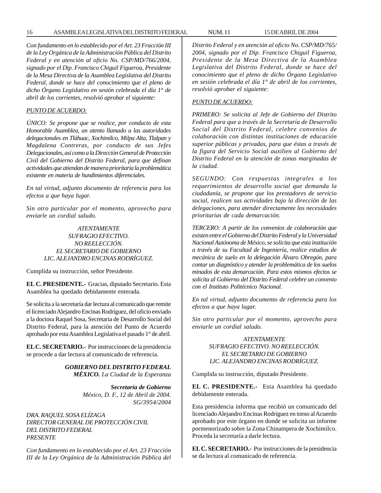*Con fundamento en lo establecido por el Art. 23 Fracción III de la Ley Orgánica de la Administración Pública del Distrito Federal y en atención al oficio No. CSP/MD/766/2004, signado por el Dip. Francisco Chiguil Figueroa, Presidente de la Mesa Directiva de la Asamblea Legislativa del Distrito Federal, donde se hace del conocimiento que el pleno de dicho Órgano Legislativo en sesión celebrada el día 1° de abril de los corrientes, resolvió aprobar el siguiente:*

### *PUNTO DE ACUERDO:*

*ÚNICO: Se propone que se realice, por conducto de esta Honorable Asamblea, un atento llamado a las autoridades delegacionales en Tláhuac, Xochimilco, Milpa Alta, Tlalpan y Magdalena Contreras, por conducto de sus Jefes Delegacionales, así como a la Dirección General de Protección Civil del Gobierno del Distrito Federal, para que definan actividades que atiendan de manera prioritaria la problemática existente en materia de hundimientos diferenciales.*

*En tal virtud, adjunto documento de referencia para los efectos a que haya lugar.*

*Sin otro particular por el momento, aprovecho para enviarle un cordial saludo.*

#### *ATENTAMENTE SUFRAGIO EFECTIVO. NO REELECCIÓN. EL SECRETARIO DE GOBIERNO LIC. ALEJANDRO ENCINAS RODRÍGUEZ.*

Cumplida su instrucción, señor Presidente.

**EL C. PRESIDENTE.-** Gracias, diputado Secretario. Esta Asamblea ha quedado debidamente enterada.

Se solicita a la secretaría dar lectura al comunicado que remite el licenciado Alejandro Encinas Rodríguez, del oficio enviado a la doctora Raquel Sosa, Secretaria de Desarrollo Social del Distrito Federal, para la atención del Punto de Acuerdo aprobado por esta Asamblea Legislativa el pasado 1° de abril.

**EL C. SECRETARIO.-** Por instrucciones de la presidencia se procede a dar lectura al comunicado de referencia.

> *GOBIERNO DEL DISTRITO FEDERAL MÉXICO. La Ciudad de la Esperanza*

> > *Secretaría de Gobierno México, D. F., 12 de Abril de 2004. SG/3954/2004*

*DRA. RAQUEL SOSA ELÍZAGA DIRECTOR GENERAL DE PROTECCIÓN CIVIL DEL DISTRITO FEDERAL PRESENTE*

*Con fundamento en lo establecido por el Art. 23 Fracción III de la Ley Orgánica de la Administración Pública del* *Distrito Federal y en atención al oficio No. CSP/MD/765/ 2004, signado por el Dip. Francisco Chiguil Figueroa, Presidente de la Mesa Directiva de la Asamblea Legislativa del Distrito Federal, donde se hace del conocimiento que el pleno de dicho Órgano Legislativo en sesión celebrada el día 1° de abril de los corrientes, resolvió aprobar el siguiente:*

#### *PUNTO DE ACUERDO:*

*PRIMERO: Se solicita al Jefe de Gobierno del Distrito Federal para que a través de la Secretaría de Desarrollo Social del Distrito Federal, celebre convenios de colaboración con distintas instituciones de educación superior públicas y privadas, para que éstas a través de la figura del Servicio Social auxilien al Gobierno del Distrito Federal en la atención de zonas marginadas de la ciudad.*

*SEGUNDO: Con respuestas integrales a los requerimientos de desarrollo social que demanda la ciudadanía, se propone que los prestadores de servicio social, realicen sus actividades bajo la dirección de las delegaciones, para atender directamente las necesidades prioritarias de cada demarcación.*

*TERCERO: A partir de los convenios de colaboración que existen entre el Gobierno del Distrito Federal y la Universidad Nacional Autónoma de México, se solicita que esta institución a través de su Facultad de Ingeniería, realice estudios de mecánica de suelo en la delegación Álvaro Obregón, para contar un diagnóstico y atender la problemática de los suelos minados de esta demarcación. Para estos mismos efectos se solicita al Gobierno del Distrito Federal celebre un convenio con el Instituto Politécnico Nacional.*

*En tal virtud, adjunto documento de referencia para los efectos a que haya lugar.*

*Sin otro particular por el momento, aprovecho para enviarle un cordial saludo.*

#### *ATENTAMENTE SUFRAGIO EFECTIVO. NO REELECCIÓN. EL SECRETARIO DE GOBIERNO LIC. ALEJANDRO ENCINAS RODRÍGUEZ.*

Cumplida su instrucción, diputado Presidente.

**EL C. PRESIDENTE.-** Esta Asamblea ha quedado debidamente enterada.

Esta presidencia informa que recibió un comunicado del licenciado Alejandro Encinas Rodríguez en torno al Acuerdo aprobado por este órgano en donde se solicita un informe pormenorizado sobre la Zona Chinampera de Xochimilco. Proceda la secretaría a darle lectura.

**EL C. SECRETARIO.-** Por instrucciones de la presidencia se da lectura al comunicado de referencia.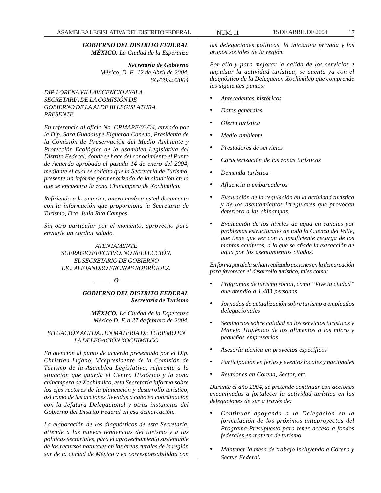#### *GOBIERNO DEL DISTRITO FEDERAL MÉXICO. La Ciudad de la Esperanza*

*Secretaría de Gobierno México, D. F., 12 de Abril de 2004. SG/3952/2004*

### *DIP. LORENA VILLAVICENCIO AYALA SECRETARIA DE LA COMISIÓN DE GOBIERNO DE LA ALDF III LEGISLATURA PRESENTE*

*En referencia al oficio No. CPMAPE/03/04, enviado por la Dip. Sara Guadalupe Figueroa Canedo, Presidenta de la Comisión de Preservación del Medio Ambiente y Protección Ecológica de la Asamblea Legislativa del Distrito Federal, donde se hace del conocimiento el Punto de Acuerdo aprobado el pasada 14 de enero del 2004, mediante el cual se solicita que la Secretaría de Turismo, presente un informe pormenorizado de la situación en la que se encuentra la zona Chinampera de Xochimilco.*

*Refiriendo a lo anterior, anexo envío a usted documento con la información que proporciona la Secretaria de Turismo, Dra. Julia Rita Campos.*

*Sin otro particular por el momento, aprovecho para enviarle un cordial saludo.*

> *ATENTAMENTE SUFRAGIO EFECTIVO. NO REELECCIÓN. EL SECRETARIO DE GOBIERNO LIC. ALEJANDRO ENCINAS RODRÍGUEZ.*

> > *\_\_\_\_\_ O \_\_\_\_\_*

*GOBIERNO DEL DISTRITO FEDERAL Secretaría de Turismo*

*MÉXICO. La Ciudad de la Esperanza México D. F. a 27 de febrero de 2004.*

#### *SITUACIÓN ACTUAL EN MATERIA DE TURISMO EN LA DELEGACIÓN XOCHIMILCO*

*En atención al punto de acuerdo presentado por el Dip. Christian Lujano, Vicepresidente de la Comisión de Turismo de la Asamblea Legislativa, referente a la situación que guarda el Centro Histórico y la zona chinampera de Xochimilco, esta Secretaría informa sobre los ejes rectores de la planeación y desarrollo turístico, así como de las acciones llevadas a cabo en coordinación con la Jefatura Delegacional y otras instancias del Gobierno del Distrito Federal en esa demarcación.*

*La elaboración de los diagnósticos de esta Secretaría, atiende a las nuevas tendencias del turismo y a las políticas sectoriales, para el aprovechamiento sustentable de los recursos naturales en las áreas rurales de la región sur de la ciudad de México y en corresponsabilidad con*

*las delegaciones políticas, la iniciativa privada y los grupos sociales de la región.*

*Por ello y para mejorar la calida de los servicios e impulsar la actividad turística, se cuenta ya con el diagnóstico de la Delegación Xochimilco que comprende los siguientes puntos:*

- *Antecedentes históricos*
- *Datos generales*
- *Oferta turística*
- *Medio ambiente*
- *Prestadores de servicios*
- *Caracterización de las zonas turísticas*
- *Demanda turística*
- *Afluencia a embarcaderos*
- *Evaluación de la regulación en la actividad turística y de los asentamientos irregulares que provocan deterioro a las chinampas.*
- *Evaluación de los niveles de agua en canales por problemas estructurales de toda la Cuenca del Valle, que tiene que ver con la insuficiente recarga de los mantos acuíferos, a lo que se añade la extracción de agua por los asentamientos citados.*

*En forma paralela se han realizado acciones en la demarcación para favorecer el desarrollo turístico, tales como:*

- *Programas de turismo social, como ''Vive tu ciudad'' que atendió a 1,483 personas*
- *Jornadas de actualización sobre turismo a empleados delegacionales*
- *Seminarios sobre calidad en los servicios turísticos y Manejo Higiénico de los alimentos a los micro y pequeños empresarios*
- *Asesoría técnica en proyectos específicos*
- *Participación en ferias y eventos locales y nacionales*
- *Reuniones en Corena, Sector, etc.*

*Durante el año 2004, se pretende continuar con acciones encaminadas a fortalecer la actividad turística en las delegaciones de sur a través de:*

- *Continuar apoyando a la Delegación en la formulación de los próximos anteproyectos del Programa-Presupuesto para tener acceso a fondos federales en materia de turismo.*
- *Mantener la mesa de trabajo incluyendo a Corena y Sectur Federal.*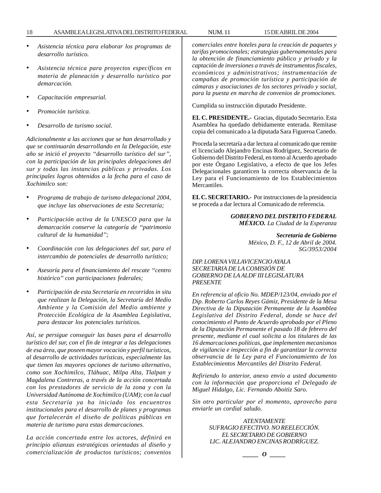- *Asistencia técnica para elaborar los programas de desarrollo turístico.*
- *Asistencia técnica para proyectos específicos en materia de planeación y desarrollo turístico por demarcación.*
- *Capacitación empresarial.*
- *Promoción turística.*
- *Desarrollo de turismo social.*

*Adicionalmente a las acciones que se han desarrollado y que se continuarán desarrollando en la Delegación, este año se inició el proyecto ''desarrollo turístico del sur'', con la participación de las principales delegaciones del sur y todas las instancias públicas y privadas. Los principales logros obtenidos a la fecha para el caso de Xochimilco son:*

- *Programa de trabajo de turismo delegacional 2004, que incluye las observaciones de esta Secretaría;*
- *Participación activa de la UNESCO para que la demarcación conserve la categoría de ''patrimonio cultural de la humanidad'';*
- *Coordinación con las delegaciones del sur, para el intercambio de potenciales de desarrollo turístico;*
- *Asesoría para el financiamiento del rescate ''centro histórico'' con participaciones federales;*
- *Participación de esta Secretaría en recorridos in situ que realizan la Delegación, la Secretaría del Medio Ambiente y la Comisión del Medio ambiente y Protección Ecológica de la Asamblea Legislativa, para destacar los potenciales turísticos.*

*Así, se persigue conseguir las bases para el desarrollo turístico del sur, con el fin de integrar a las delegaciones de esa área, que poseen mayor vocación y perfil turísticos, al desarrollo de actividades turísticas, especialmente las que tienen las mayores opciones de turismo alternativo, como son Xochimilco, Tláhuac, Milpa Alta, Tlalpan y Magdalena Contreras, a través de la acción concertada con los prestadores de servicio de la zona y con la Universidad Autónoma de Xochimilco (UAM); con la cual esta Secretaría ya ha iniciado los encuentros institucionales para el desarrollo de planes y programas que fortalecerán el diseño de políticas públicas en materia de turismo para estas demarcaciones.*

*La acción concertada entre los actores, definirá en principio alianzas estratégicas orientadas al diseño y comercialización de productos turísticos; convenios* *comerciales entre hoteles para la creación de paquetes y tarifas promocionales; estrategias gubernamentales para la obtención de financiamiento público y privado y la captación de inversiones a través de instrumentos fiscales, económicos y administrativos; instrumentación de campañas de promoción turística y participación de cámaras y asociaciones de los sectores privado y social, para la puesta en marcha de convenios de promociones.*

Cumplida su instrucción diputado Presidente.

**EL C. PRESIDENTE.-** Gracias, diputado Secretario. Esta Asamblea ha quedado debidamente enterada. Remítase copia del comunicado a la diputada Sara Figueroa Canedo.

Proceda la secretaría a dar lectura al comunicado que remite el licenciado Alejandro Encinas Rodríguez, Secretario de Gobierno del Distrito Federal, en torno al Acuerdo aprobado por este Órgano Legislativo, a efecto de que los Jefes Delegacionales garanticen la correcta observancia de la Ley para el Funcionamiento de los Establecimientos Mercantiles.

**EL C. SECRETARIO.-** Por instrucciones de la presidencia se proceda a dar lectura al Comunicado de referencia.

> *GOBIERNO DEL DISTRITO FEDERAL MÉXICO. La Ciudad de la Esperanza*

> > *Secretaría de Gobierno México, D. F., 12 de Abril de 2004. SG/3953/2004*

#### *DIP. LORENA VILLAVICENCIO AYALA SECRETARIA DE LA COMISIÓN DE GOBIERNO DE LA ALDF III LEGISLATURA PRESENTE*

*En referencia al oficio No. MDEP/123/04, enviado por el Dip. Roberto Carlos Reyes Gámiz, Presidente de la Mesa Directiva de la Diputación Permanente de la Asamblea Legislativa del Distrito Federal, donde se hace del conocimiento el Punto de Acuerdo aprobado por el Pleno de la Diputación Permanente el pasado 18 de febrero del presente, mediante el cual solicita a los titulares de las 16 demarcaciones políticas, que implementen mecanismos de vigilancia e inspección a fin de garantizar la correcta observancia de la Ley para el Funcionamiento de los Establecimientos Mercantiles del Distrito Federal.*

*Refiriendo lo anterior, anexo envío a usted documento con la información que proporciona el Delegado de Miguel Hidalgo, Lic. Fernando Aboitiz Saro.*

*Sin otro particular por el momento, aprovecho para enviarle un cordial saludo.*

> *ATENTAMENTE SUFRAGIO EFECTIVO. NO REELECCIÓN. EL SECRETARIO DE GOBIERNO LIC. ALEJANDRO ENCINAS RODRÍGUEZ.*

$$
\_\_o\_
$$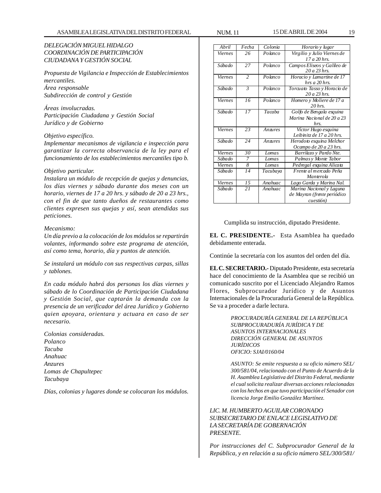### *DELEGACIÓN MIGUEL HIDALGO COORDINACIÓN DE PARTICIPACIÓN CIUDADANA Y GESTIÓN SOCIAL*

*Propuesta de Vigilancia e Inspección de Establecimientos mercantiles. Área responsable Subdirección de control y Gestión*

*Áreas involucradas. Participación Ciudadana y Gestión Social Jurídico y de Gobierno*

#### *Objetivo específico.*

*Implementar mecanismos de vigilancia e inspección para garantizar la correcta observancia de la ley para el funcionamiento de los establecimientos mercantiles tipo b.*

#### *Objetivo particular.*

*Instalara un módulo de recepción de quejas y denuncias, los días viernes y sábado durante dos meses con un horario, viernes de 17 a 20 hrs. y sábado de 20 a 23 hrs., con el fin de que tanto dueños de restaurantes como clientes expresen sus quejas y así, sean atendidas sus peticiones.*

#### *Mecanismo:*

*Un día previo a la colocación de los módulos se repartirán volantes, informando sobre este programa de atención, así como tema, horario, día y puntos de atención.*

*Se instalará un módulo con sus respectivas carpas, sillas y tablones.*

*En cada módulo habrá dos personas los días viernes y sábado de lo Coordinación de Participación Ciudadana y Gestión Social, que captarán la demanda con la presencia de un verificador del área Jurídico y Gobierno quien apoyara, orientara y actuara en caso de ser necesario.*

*Colonias consideradas. Polanco Tacuba Anahuac Anzures Lomas de Chapultepec Tacubaya*

*Días, colonias y lugares donde se colocaran los módulos.*

| Abril                 | Fecha                    | Colonia      | Horario y lugar                                  |
|-----------------------|--------------------------|--------------|--------------------------------------------------|
| <b>Viernes</b>        | 26                       | Polanco      | Virgilio y Julio Viernes de                      |
|                       |                          |              | $17a20$ hrs.                                     |
| Sábado                | 27                       | Polanco      | Campos Eliseos y Galileo de                      |
|                       |                          |              | $20a23$ hrs.                                     |
| Viernes               | $\overline{\mathcal{L}}$ | Polanco      | Horacio y Lamartine de 17                        |
|                       |                          |              | $hrs a 20 hrs$ .                                 |
| Sábado                | $\mathfrak{Z}$           | Polanco      | Torcuato Tasso y Horacio de                      |
|                       |                          |              | $20a23$ hrs.                                     |
| Viernes               | 16                       | Polanco      | Homero y Moliere de 17 a                         |
|                       | 17                       |              | $20$ hrs.                                        |
| Sábado                |                          | Tacaba       | Golfo de Bengala esquina                         |
|                       |                          |              | Marina Nacional de 20 a 23<br>hrs.               |
| Viernes               | 23                       |              |                                                  |
|                       |                          | Anzures      | Víctor Hugo esquina<br>Leibinitz de 17 a 20 hrs. |
| Sábado                | 2.4                      | Anzures      | Herodoto esquina Melchor                         |
|                       |                          |              | Ocampo de 20 a 23 hrs.                           |
| Viernes               | 30                       | Lomas        | Barrilazo y Pardo Nte.                           |
| Sábado                | 7                        | Lomas        | Palmas y Monte Tabor                             |
| $\overline{V}$ iernes | 8                        | <b>Lomas</b> | Pedregal esquina Alicata                         |
| Sábado                | $\overline{14}$          | Tacubaya     | Frente al mercado Peña                           |
|                       |                          |              | Manterola                                        |
| Viernes               | 15                       | Anahuac      | Lago Garda y Marina Nal.                         |
| Sábado                | 21                       | Anahuac      | Marina Nacional y Laguna                         |
|                       |                          |              | de Mayran (frente periódico                      |
|                       |                          |              | cuestión)                                        |

Cumplida su instrucción, diputado Presidente.

**EL C. PRESIDENTE.-** Esta Asamblea ha quedado debidamente enterada.

Continúe la secretaría con los asuntos del orden del día.

**EL C. SECRETARIO.-** Diputado Presidente, esta secretaría hace del conocimiento de la Asamblea que se recibió un comunicado suscrito por el Licenciado Alejandro Ramos Flores, Subprocurador Jurídico y de Asuntos Internacionales de la Procuraduría General de la República. Se va a proceder a darle lectura.

> *PROCURADURÍA GENERAL DE LA REPÚBLICA SUBPROCURADURÍA JURÍDICA Y DE ASUNTOS INTERNACIONALES DIRECCIÓN GENERAL DE ASUNTOS JURÍDICOS OFICIO: SJAI/0160/04*

*ASUNTO: Se emite respuesta a su oficio número SEL/ 300/581/04, relacionado con el Punto de Acuerdo de la H. Asamblea Legislativa del Distrito Federal, mediante el cual solicita realizar diversas acciones relacionadas con los hechos en que tuvo participación el Senador con licencia Jorge Emilio González Martínez.*

#### *LIC. M. HUMBERTO AGUILAR CORONADO SUBSECRETARIO DE ENLACE LEGISLATIVO DE LA SECRETARÍA DE GOBERNACIÓN PRESENTE.*

*Por instrucciones del C. Subprocurador General de la República, y en relación a su oficio número SEL/300/581/*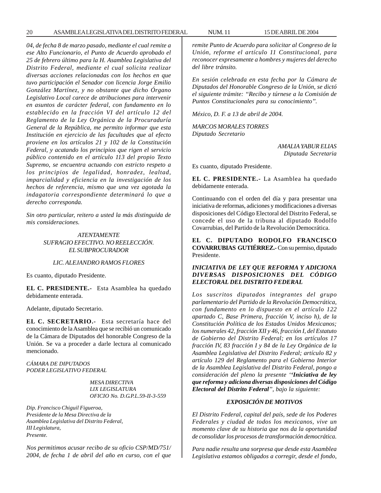*04, de fecha 8 de marzo pasado, mediante el cual remite a ese Alto Funcionario, el Punto de Acuerdo aprobado el 25 de febrero último para la H. Asamblea Legislativa del Distrito Federal, mediante el cual solicita realizar diversas acciones relacionadas con los hechos en que tuvo participación el Senador con licencia Jorge Emilio González Martínez, y no obstante que dicho Órgano Legislativo Local carece de atribuciones para intervenir en asuntos de carácter federal, con fundamento en lo establecido en la fracción VI del artículo 12 del Reglamento de la Ley Orgánica de la Procuraduría General de la República, me permito informar que esta Institución en ejercicio de las facultades que al efecto proviene en los artículos 21 y 102 de la Constitución Federal, y acatando los principios que rigen el servicio público contenido en el artículo 113 del propio Texto Supremo, se encuentra actuando con estricto respeto a los principios de legalidad, honradez, lealtad, imparcialidad y eficiencia en la investigación de los hechos de referencia, mismo que una vez agotada la indagatoria correspondiente determinará lo que a derecho corresponda.*

*Sin otro particular, reitero a usted la más distinguida de mis consideraciones.*

#### *ATENTAMENTE SUFRAGIO EFECTIVO. NO REELECCIÓN. EL SUBPROCURADOR*

#### *LIC. ALEJANDRO RAMOS FLORES*

Es cuanto, diputado Presidente.

**EL C. PRESIDENTE.-** Esta Asamblea ha quedado debidamente enterada.

Adelante, diputado Secretario.

**EL C. SECRETARIO.-** Esta secretaría hace del conocimiento de la Asamblea que se recibió un comunicado de la Cámara de Diputados del honorable Congreso de la Unión. Se va a proceder a darle lectura al comunicado mencionado.

*CÁMARA DE DIPUTADOS PODER LEGISLATIVO FEDERAL*

> *MESA DIRECTIVA LIX LEGISLATURA OFICIO No. D.G.P.L.59-II-3-559*

*Dip. Francisco Chiguil Figueroa, Presidente de la Mesa Directiva de la Asamblea Legislativa del Distrito Federal, III Legislatura, Presente.*

*Nos permitimos acusar recibo de su oficio CSP/MD/751/ 2004, de fecha 1 de abril del año en curso, con el que* *remite Punto de Acuerdo para solicitar al Congreso de la Unión, reforme el artículo 11 Constitucional, para reconocer expresamente a hombres y mujeres del derecho del libre tránsito.*

*En sesión celebrada en esta fecha por la Cámara de Diputados del Honorable Congreso de la Unión, se dictó el siguiente trámite: ''Recibo y túrnese a la Comisión de Puntos Constitucionales para su conocimiento''.*

*México, D. F. a 13 de abril de 2004.*

*MARCOS MORALES TORRES Diputado Secretario*

> *AMALIA YABUR ELIAS Diputada Secretaria*

Es cuanto, diputado Presidente.

**EL C. PRESIDENTE.-** La Asamblea ha quedado debidamente enterada.

Continuando con el orden del día y para presentar una iniciativa de reformas, adiciones y modificaciones a diversas disposiciones del Código Electoral del Distrito Federal, se concede el uso de la tribuna al diputado Rodolfo Covarrubias, del Partido de la Revolución Democrática.

**EL C. DIPUTADO RODOLFO FRANCISCO COVARRUBIAS GUTIÉRREZ.-** Con su permiso, diputado Presidente.

#### *INICIATIVA DE LEY QUE REFORMA Y ADICIONA DIVERSAS DISPOSICIONES DEL CÓDIGO ELECTORAL DEL DISTRITO FEDERAL*

*Los suscritos diputados integrantes del grupo parlamentario del Partido de la Revolución Democrática, con fundamento en lo dispuesto en el artículo 122 apartado C, Base Primera, fracción V, inciso h), de la Constitución Política de los Estados Unidos Mexicanos; los numerales 42, fracción XII y 46, fracción I, del Estatuto de Gobierno del Distrito Federal; en los artículos 17 fracción IV, 83 fracción I y 84 de la Ley Orgánica de la Asamblea Legislativa del Distrito Federal; artículo 82 y artículo 129 del Reglamento para el Gobierno Interior de la Asamblea Legislativa del Distrito Federal, pongo a consideración del pleno la presente ''Iniciativa de ley que reforma y adiciona diversas disposiciones del Código Electoral del Distrito Federal'', bajo la siguiente:*

#### *EXPOSICIÓN DE MOTIVOS*

*El Distrito Federal, capital del país, sede de los Poderes Federales y ciudad de todos los mexicanos, vive un momento clave de su historia que nos da la oportunidad de consolidar los procesos de transformación democrática.*

*Para nadie resulta una sorpresa que desde esta Asamblea Legislativa estamos obligados a corregir, desde el fondo,*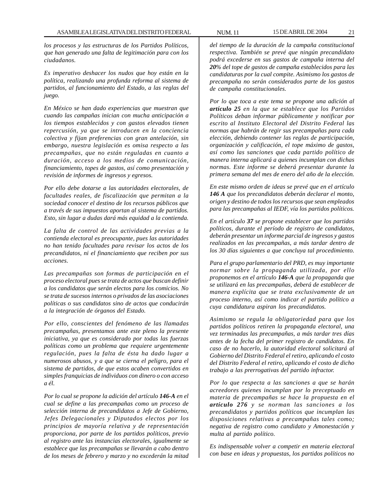*los procesos y las estructuras de los Partidos Políticos, que han generado una falta de legitimación para con los ciudadanos.*

*Es imperativo deshacer los nudos que hoy están en la política, realizando una profunda reforma al sistema de partidos, al funcionamiento del Estado, a las reglas del juego.*

*En México se han dado experiencias que muestran que cuando las campañas inician con mucha anticipación a los tiempos establecidos y con gastos elevados tienen repercusión, ya que se introducen en la conciencia colectiva y fijan preferencias con gran antelación, sin embargo, nuestra legislación es omisa respecto a las precampañas, que no están reguladas en cuanto a duración, acceso a los medios de comunicación, financiamiento, topes de gastos, así como presentación y revisión de informes de ingresos y egresos.*

*Por ello debe dotarse a las autoridades electorales, de facultades reales, de fiscalización que permitan a la sociedad conocer el destino de los recursos públicos que a través de sus impuestos aportan al sistema de partidos. Esto, sin lugar a dudas dará más equidad a la contienda.*

*La falta de control de las actividades previas a la contienda electoral es preocupante, pues las autoridades no han tenido facultades para revisar los actos de los precandidatos, ni el financiamiento que reciben por sus acciones.*

*Las precampañas son formas de participación en el proceso electoral pues se trata de actos que buscan definir a los candidatos que serán electos para los comicios. No se trata de sucesos internos o privados de las asociaciones políticas o sus candidatos sino de actos que conducirán a la integración de órganos del Estado.*

*Por ello, conscientes del fenómeno de las llamadas precampañas, presentamos ante este pleno la presente iniciativa, ya que es considerado por todas las fuerzas políticas como un problema que requiere urgentemente regulación, pues la falta de ésta ha dado lugar a numerosos abusos, y a que se cierna el peligro, para el sistema de partidos, de que estos acaben convertidos en simples franquicias de individuos con dinero o con acceso a él.*

*Por lo cual se propone la adición del artículo 146-A en el cual se define a las precampañas como un proceso de selección interna de precandidatos a Jefe de Gobierno, Jefes Delegacionales y Diputados electos por los principios de mayoría relativa y de representación proporciona, por parte de los partidos políticos, previo al registro ante las instancias electorales, igualmente se establece que las precampañas se llevarán a cabo dentro de los meses de febrero y marzo y no excederán la mitad*

*del tiempo de la duración de la campaña constitucional respectiva. También se prevé que ningún precandidato podrá excederse en sus gastos de campaña interna del 20% del tope de gastos de campaña establecidos para las candidaturas por la cual compite. Asimismo los gastos de precampaña no serán considerados parte de los gastos de campaña constitucionales.*

*Por lo que toca a este tema se propone una adición al artículo 25 en la que se establece que los Partidos Políticos deban informar públicamente y notificar por escrito al Instituto Electoral del Distrito Federal las normas que habrán de regir sus precampañas para cada elección, debiendo contener las reglas de participación, organización y calificación, el tope máximo de gastos, así como las sanciones que cada partido político de manera interna aplicará a quienes incumplan con dichas normas. Este informe se deberá presentar durante la primera semana del mes de enero del año de la elección.*

*En este mismo orden de ideas se prevé que en el artículo 146 A que los precandidatos deberán declarar el monto, origen y destino de todos los recursos que sean empleados para las precampañas al IEDF, vía los partidos políticos.*

*En el artículo 37 se propone establecer que los partidos políticos, durante el período de registro de candidatos, deberán presentar un informe parcial de ingresos y gastos realizados en las precampañas, a más tardar dentro de los 30 días siguientes a que concluya tal procedimiento.*

*Para el grupo parlamentario del PRD, es muy importante normar sobre la propaganda utilizada, por ello proponemos en el artículo 146-A que la propaganda que se utilizará en las precampañas, deberá de establecer de manera explícita que se trata exclusivamente de un proceso interno, así como indicar el partido político a cuya candidatura aspiran los precandidatos.*

*Asimismo se regula la obligatoriedad para que los partidos políticos retiren la propaganda electoral, una vez terminadas las precampañas, a más tardar tres días antes de la fecha del primer registro de candidatos. En caso de no hacerlo, la autoridad electoral solicitará al Gobierno del Distrito Federal el retiro, aplicando el costo del Distrito Federal el retiro, aplicando el costo de dicho trabajo a las prerrogativas del partido infractor.*

*Por lo que respecta a las sanciones a que se harán acreedores quienes incumplan por lo preceptuado en materia de precampañas se hace la propuesta en el artículo 276 y se norman las sanciones a los precandidatos y partidos políticos que incumplan las disposiciones relativas a precampañas tales como; negativa de registro como candidato y Amonestación y multa al partido político.*

*Es indispensable volver a competir en materia electoral con base en ideas y propuestas, los partidos políticos no*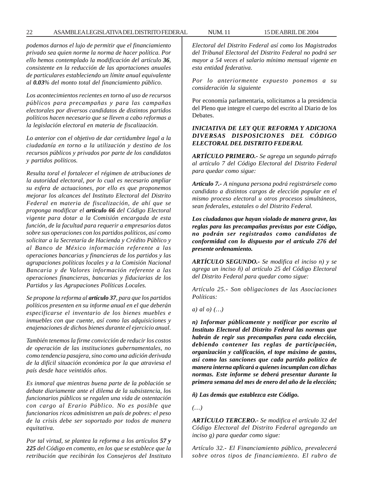*podemos darnos el lujo de permitir que el financiamiento privado sea quien norme la norma de hacer política. Por ello hemos contemplado la modificación del artículo 36, consistente en la reducción de las aportaciones anuales de particulares estableciendo un límite anual equivalente al 0.03% del monto total del financiamiento público.*

*Los acontecimientos recientes en torno al uso de recursos públicos para precampañas y para las campañas electorales por diversos candidatos de distintos partidos políticos hacen necesario que se lleven a cabo reformas a la legislación electoral en materia de fiscalización.*

*Lo anterior con el objetivo de dar certidumbre legal a la ciudadanía en torno a la utilización y destino de los recursos públicos y privados por parte de los candidatos y partidos políticos.*

*Resulta toral el fortalecer el régimen de atribuciones de la autoridad electoral, por lo cual es necesario ampliar su esfera de actuaciones, por ello es que proponemos mejorar los alcances del Instituto Electoral del Distrito Federal en materia de fiscalización, de ahí que se proponga modificar el artículo 66 del Código Electoral vigente para dotar a la Comisión encargada de esta función, de la facultad para requerir a empresarios datos sobre sus operaciones con los partidos políticos, así como solicitar a la Secretaría de Hacienda y Crédito Público y al Banco de México información referente a las operaciones bancarias y financieras de los partidos y las agrupaciones políticas locales y a la Comisión Nacional Bancaria y de Valores información referente a las operaciones financieras, bancarias y fiduciarias de los Partidos y las Agrupaciones Políticas Locales.*

*Se propone la reforma al artículo 37, para que los partidos políticos presenten en su informe anual en el que deberán especificarse el inventario de los bienes muebles e inmuebles con que cuente, así como las adquisiciones y enajenaciones de dichos bienes durante el ejercicio anual.*

*También tenemos la firme convicción de reducir los costos de operación de las instituciones gubernamentales, no como tendencia pasajera, sino como una adición derivada de la difícil situación económica por la que atraviesa el país desde hace veintidós años.*

*Es inmoral que mientras buena parte de la población se debate diariamente ante el dilema de la subsistencia, los funcionarios públicos se regalen una vida de ostentación con cargo al Erario Público. No es posible que funcionarios ricos administren un país de pobres: el peso de la crisis debe ser soportado por todos de manera equitativa.*

*Por tal virtud, se plantea la reforma a los artículos 57 y 225 del Código en comento, en los que se establece que la retribución que recibirán los Consejeros del Instituto* *Electoral del Distrito Federal así como los Magistrados del Tribunal Electoral del Distrito Federal no podrá ser mayor a 54 veces el salario mínimo mensual vigente en esta entidad federativa.*

*Por lo anteriormente expuesto ponemos a su consideración la siguiente*

Por economía parlamentaria, solicitamos a la presidencia del Pleno que integre el cuerpo del escrito al Diario de los Debates.

#### *INICIATIVA DE LEY QUE REFORMA Y ADICIONA DIVERSAS DISPOSICIONES DEL CÓDIGO ELECTORAL DEL DISTRITO FEDERAL*

*ARTÍCULO PRIMERO.- Se agrega un segundo párrafo al artículo 7 del Código Electoral del Distrito Federal para quedar como sigue:*

*Artículo 7.- A ninguna persona podrá registrársele como candidato a distintos cargos de elección popular en el mismo proceso electoral u otros procesos simultáneos, sean federales, estatales o del Distrito Federal.*

*Los ciudadanos que hayan violado de manera grave, las reglas para las precampañas previstas por este Código, no podrán ser registrados como candidatos de conformidad con lo dispuesto por el artículo 276 del presente ordenamiento.*

*ARTÍCULO SEGUNDO.- Se modifica el inciso n) y se agrega un inciso ñ) al artículo 25 del Código Electoral del Distrito Federal para quedar como sigue:*

*Artículo 25.- Son obligaciones de las Asociaciones Políticas:*

*a) al o) (…)*

*n) Informar públicamente y notificar por escrito al Instituto Electoral del Distrito Federal las normas que habrán de regir sus precampañas para cada elección, debiendo contener las reglas de participación, organización y calificación, el tope máximo de gastos, así como las sanciones que cada partido político de manera interna aplicará a quienes incumplan con dichas normas. Este informe se deberá presentar durante la primera semana del mes de enero del año de la elección;*

*ñ) Las demás que establezca este Código.*

*(…)*

*ARTÍCULO TERCERO.- Se modifica el artículo 32 del Código Electoral del Distrito Federal agregando un inciso g) para quedar como sigue:*

*Artículo 32.- El Financiamiento público, prevalecerá sobre otros tipos de financiamiento. El rubro de*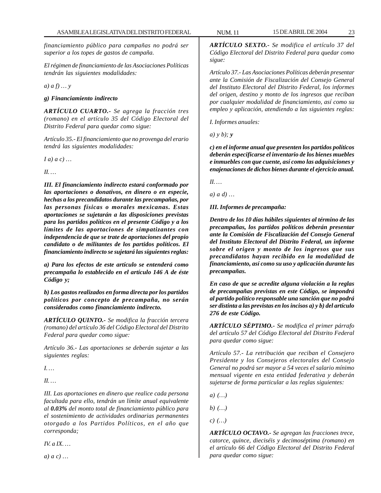*financiamiento público para campañas no podrá ser superior a los topes de gastos de campaña.*

*El régimen de financiamiento de las Asociaciones Políticas tendrán las siguientes modalidades:*

*a) a f) … y*

#### *g) Financiamiento indirecto*

*ARTÍCULO CUARTO.- Se agrega la fracción tres (romano) en el artículo 35 del Código Electoral del Distrito Federal para quedar como sigue:*

*Artículo 35.- El financiamiento que no provenga del erario tendrá las siguientes modalidades:*

*I a) a c) …*

*II. …*

*III. El financiamiento indirecto estará conformado por las aportaciones o donativos, en dinero o en especie, hechas a los precandidatos durante las precampañas, por las personas físicas o morales mexicanas. Estas aportaciones se sujetarán a las disposiciones previstas para los partidos políticos en el presente Código y a los límites de las aportaciones de simpatizantes con independencia de que se trate de aportaciones del propio candidato o de militantes de los partidos políticos. El financiamiento indirecto se sujetará las siguientes reglas:*

*a) Para los efectos de este artículo se entenderá como precampaña lo establecido en el artículo 146 A de éste Código y;*

*b) Los gastos realizados en forma directa por los partidos políticos por concepto de precampaña, no serán considerados como financiamiento indirecto.*

*ARTÍCULO QUINTO.- Se modifica la fracción tercera (romano) del artículo 36 del Código Electoral del Distrito Federal para quedar como sigue:*

*Artículo 36.- Las aportaciones se deberán sujetar a las siguientes reglas:*

*I. …*

*II. …*

*III. Las aportaciones en dinero que realice cada persona facultada para ello, tendrán un límite anual equivalente al 0.03% del monto total de financiamiento público para el sostenimiento de actividades ordinarias permanentes otorgado a los Partidos Políticos, en el año que corresponda;*

*IV. a IX. …*

*a) a c) …*

*ARTÍCULO SEXTO.- Se modifica el artículo 37 del Código Electoral del Distrito Federal para quedar como sigue:*

*Artículo 37.- Las Asociaciones Políticas deberán presentar ante la Comisión de Fiscalización del Consejo General del Instituto Electoral del Distrito Federal, los informes del origen, destino y monto de los ingresos que reciban por cualquier modalidad de financiamiento, así como su empleo y aplicación, atendiendo a las siguientes reglas:*

*I. Informes anuales:*

*a) y b); y*

*c) en el informe anual que presenten los partidos políticos deberán especificarse el inventario de los bienes muebles e inmuebles con que cuente, así como las adquisiciones y enajenaciones de dichos bienes durante el ejercicio anual.*

*II. …*

*a) a d) …*

*III. Informes de precampaña:*

*Dentro de los 10 días hábiles siguientes al término de las precampañas, los partidos políticos deberán presentar ante la Comisión de Fiscalización del Consejo General del Instituto Electoral del Distrito Federal, un informe sobre el origen y monto de los ingresos que sus precandidatos hayan recibido en la modalidad de financiamiento, así como su uso y aplicación durante las precampañas.*

*En caso de que se acredite alguna violación a la reglas de precampañas previstas en este Código, se impondrá al partido político responsable una sanción que no podrá ser distinta a las previstas en los incisos a) y b) del artículo 276 de este Código.*

*ARTÍCULO SÉPTIMO.- Se modifica el primer párrafo del artículo 57 del Código Electoral del Distrito Federal para quedar como sigue:*

*Artículo 57.- La retribución que reciban el Consejero Presidente y los Consejeros electorales del Consejo General no podrá ser mayor a 54 veces el salario mínimo mensual vigente en esta entidad federativa y deberán sujetarse de forma particular a las reglas siguientes:*

*a) (…)*

*b) (…)*

*c) (…)*

*ARTÍCULO OCTAVO.- Se agregan las fracciones trece, catorce, quince, dieciséis y decimoséptima (romano) en el artículo 66 del Código Electoral del Distrito Federal para quedar como sigue:*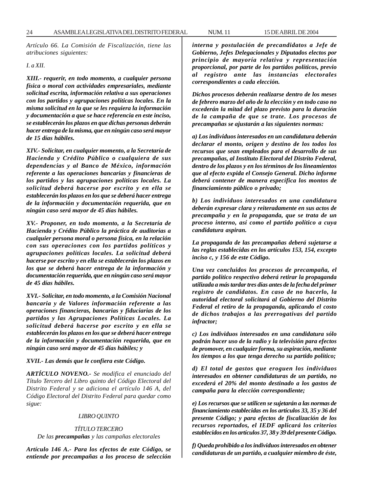*Artículo 66. La Comisión de Fiscalización, tiene las atribuciones siguientes:*

*I. a XII.*

*XIII.- requerir, en todo momento, a cualquier persona física o moral con actividades empresariales, mediante solicitud escrita, información relativa a sus operaciones con los partidos y agrupaciones políticas locales. En la misma solicitud en la que se les requiera la información y documentación a que se hace referencia en este inciso, se establecerán los plazos en que dichas personas deberán hacer entrega de la misma, que en ningún caso será mayor de 15 días hábiles.*

*XIV.- Solicitar, en cualquier momento, a la Secretaría de Hacienda y Crédito Público o cualquiera de sus dependencias y al Banco de México, información referente a las operaciones bancarias y financieras de los partidos y las agrupaciones políticas locales. La solicitud deberá hacerse por escrito y en ella se establecerán los plazos en los que se deberá hacer entrega de la información y documentación requerida, que en ningún caso será mayor de 45 días hábiles.*

*XV.- Proponer, en todo momento, a la Secretaría de Hacienda y Crédito Público la práctica de auditorias a cualquier persona moral o persona física, en la relación con sus operaciones con los partidos políticos y agrupaciones políticas locales. La solicitud deberá hacerse por escrito y en ella se establecerán los plazos en los que se deberá hacer entrega de la información y documentación requerida, que en ningún caso será mayor de 45 días hábiles.*

*XVI.- Solicitar, en todo momento, a la Comisión Nacional bancaria y de Valores información referente a las operaciones financieras, bancarias y fiduciarias de los partidos y las Agrupaciones Políticas Locales. La solicitud deberá hacerse por escrito y en ella se establecerán los plazos en los que se deberá hacer entrega de la información y documentación requerida, que en ningún caso será mayor de 45 días hábiles; y*

*XVII.- Las demás que le confiera este Código.*

*ARTÍCULO NOVENO.- Se modifica el enunciado del Título Tercero del Libro quinto del Código Electoral del Distrito Federal y se adiciona el artículo 146 A, del Código Electoral del Distrito Federal para quedar como sigue:*

#### *LIBRO QUINTO*

#### *TÍTULO TERCERO*

*De las precampañas y las campañas electorales*

*Artículo 146 A.- Para los efectos de este Código, se entiende por precampañas a los proceso de selección*

*interna y postulación de precandidatos a Jefe de Gobierno, Jefes Delegacionales y Diputados electos por principio de mayoría relativa y representación proporcional, por parte de los partidos políticos, previo al registro ante las instancias electorales correspondientes a cada elección.*

*Dichos procesos deberán realizarse dentro de los meses de febrero marzo del año de la elección y en todo caso no excederán la mitad del plazo previsto para la duración de la campaña de que se trate. Los procesos de precampañas se ajustarán a las siguientes normas:*

*a) Los individuos interesados en un candidatura deberán declarar el monto, origen y destino de los todos los recursos que sean empleados para el desarrollo de sus precampañas, al Instituto Electoral del Distrito Federal, dentro de los plazos y en los términos de los lineamientos que al efecto expida el Consejo General. Dicho informe deberá contener de manera específica los montos de financiamiento público o privado;*

*b) Los individuos interesados en una candidatura deberán expresar clara y reiteradamente en sus actos de precampaña y en la propaganda, que se trata de un proceso interno, así como el partido político a cuya candidatura aspiran.*

*La propaganda de las precampañas deberá sujetarse a las reglas establecidas en los artículos 153, 154, excepto inciso c, y 156 de este Código.*

*Una vez concluidos los procesos de precampaña, el partido político respectivo deberá retirar la propaganda utilizada a más tardar tres días antes de la fecha del primer registro de candidatos. En caso de no hacerlo, la autoridad electoral solicitará al Gobierno del Distrito Federal el retiro de la propaganda, aplicando el costo de dichos trabajos a las prerrogativas del partido infractor;*

*c) Los individuos interesados en una candidatura sólo podrán hacer uso de la radio y la televisión para efectos de promover, en cualquier forma, su aspiración, mediante los tiempos a los que tenga derecho su partido político;*

*d) El total de gastos que eroguen los individuos interesados en obtener candidaturas de un partido, no excederá el 20% del monto destinado a los gastos de campaña para la elección correspondiente;*

*e) Los recursos que se utilicen se sujetarán a las normas de financiamiento establecidas en los artículos 33, 35 y 36 del presente Código; y para efectos de fiscalización de los recursos reportados, el IEDF aplicará los criterios establecidos en los artículos 37, 38 y 39 del presente Código.*

*f) Queda prohibido a los individuos interesados en obtener candidaturas de un partido, a cualquier miembro de éste,*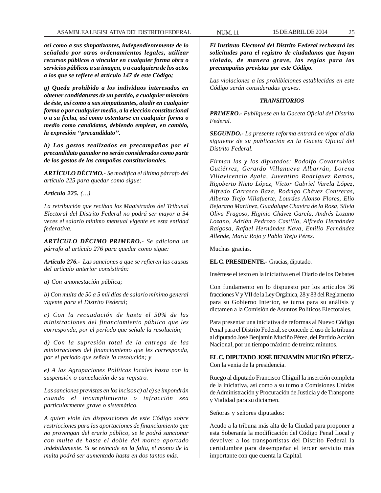*así como a sus simpatizantes, independientemente de lo señalado por otros ordenamientos legales, utilizar recursos públicos o vincular en cualquier forma obra o servicios públicos a su imagen, o a cualquiera de los actos a los que se refiere el artículo 147 de este Código;*

*g) Queda prohibido a los individuos interesados en obtener candidaturas de un partido, a cualquier miembro de éste, así como a sus simpatizantes, aludir en cualquier forma o por cualquier medio, a la elección constitucional o a su fecha, así como ostentarse en cualquier forma o medio como candidatos, debiendo emplear, en cambio, la expresión ''precandidato''.*

*h) Los gastos realizados en precampañas por el precandidato ganador no serán considerados como parte de los gastos de las campañas constitucionales.*

*ARTÍCULO DÉCIMO.- Se modifica el último párrafo del artículo 225 para quedar como sigue:*

*Artículo 225. (…)*

*La retribución que reciban los Magistrados del Tribunal Electoral del Distrito Federal no podrá ser mayor a 54 veces el salario mínimo mensual vigente en esta entidad federativa.*

*ARTÍCULO DÉCIMO PRIMERO.- Se adiciona un párrafo al artículo 276 para quedar como sigue:*

*Artículo 276.- Las sanciones a que se refieren las causas del artículo anterior consistirán:*

*a) Con amonestación pública;*

*b) Con multa de 50 a 5 mil días de salario mínimo general vigente para el Distrito Federal;*

*c) Con la recaudación de hasta el 50% de las ministraciones del financiamiento público que les corresponda, por el período que señale la resolución;*

*d) Con la supresión total de la entrega de las ministraciones del financiamiento que les corresponda, por el período que señale la resolución; y*

*e) A las Agrupaciones Políticas locales hasta con la suspensión o cancelación de su registro.*

*Las sanciones previstas en los incisos c) al e) se impondrán cuando el incumplimiento o infracción sea particularmente grave o sistemático.*

*A quien viole las disposiciones de este Código sobre restricciones para las aportaciones de financiamiento que no provengan del erario público, se le podrá sancionar con multa de hasta el doble del monto aportado indebidamente. Si se reincide en la falta, el monto de la multa podrá ser aumentado hasta en dos tantos más.*

*El Instituto Electoral del Distrito Federal rechazará las solicitudes para el registro de ciudadanos que hayan violado, de manera grave, las reglas para las precampañas previstas por este Código.*

*Las violaciones a las prohibiciones establecidas en este Código serán consideradas graves.*

#### *TRANSITORIOS*

*PRIMERO.- Publíquese en la Gaceta Oficial del Distrito Federal.*

*SEGUNDO.- La presente reforma entrará en vigor al día siguiente de su publicación en la Gaceta Oficial del Distrito Federal.*

*Firman las y los diputados: Rodolfo Covarrubias Gutiérrez, Gerardo Villanueva Albarrán, Lorena Villavicencio Ayala, Juventino Rodríguez Ramos, Rigoberto Nieto López, Víctor Gabriel Varela López, Alfredo Carrasco Baza, Rodrigo Chávez Contreras, Alberto Trejo Villafuerte, Lourdes Alonso Flores, Elio Bejarano Martínez, Guadalupe Chavira de la Rosa, Silvia Oliva Fragoso, Higinio Chávez García, Andrés Lozano Lozano, Adrián Pedrozo Castillo, Alfredo Hernández Raigosa, Rafael Hernández Nava, Emilio Fernández Allende, María Rojo y Pablo Trejo Pérez.*

Muchas gracias.

**EL C. PRESIDENTE.-** Gracias, diputado.

Insértese el texto en la iniciativa en el Diario de los Debates

Con fundamento en lo dispuesto por los artículos 36 fracciones V y VII de la Ley Orgánica, 28 y 83 del Reglamento para su Gobierno Interior, se turna para su análisis y dictamen a la Comisión de Asuntos Políticos Electorales.

Para presentar una iniciativa de reformas al Nuevo Código Penal para el Distrito Federal, se concede el uso de la tribuna al diputado José Benjamín Muciño Pérez, del Partido Acción Nacional, por un tiempo máximo de treinta minutos.

**EL C. DIPUTADO JOSÉ BENJAMÍN MUCIÑO PÉREZ.-** Con la venia de la presidencia.

Ruego al diputado Francisco Chiguil la inserción completa de la iniciativa, así como a su turno a Comisiones Unidas de Administración y Procuración de Justicia y de Transporte y Vialidad para su dictamen.

Señoras y señores diputados:

Acudo a la tribuna más alta de la Ciudad para proponer a esta Soberanía la modificación del Código Penal Local y devolver a los transportistas del Distrito Federal la certidumbre para desempeñar el tercer servicio más importante con que cuenta la Capital.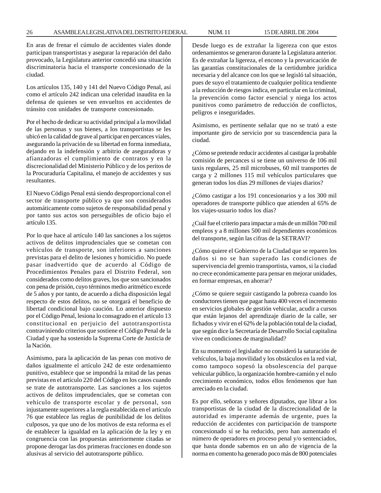En aras de frenar el cúmulo de accidentes viales donde participan transportistas y asegurar la reparación del daño provocado, la Legislatura anterior concedió una situación discriminatoria hacia el transporte concesionado de la ciudad.

Los artículos 135, 140 y 141 del Nuevo Código Penal, así como el artículo 242 indican una celeridad inaudita en la defensa de quienes se ven envueltos en accidentes de tránsito con unidades de transporte concesionado.

Por el hecho de dedicar su actividad principal a la movilidad de las personas y sus bienes, a los transportistas se les ubicó en la calidad de grave al participar en percances viales, asegurando la privación de su libertad en forma inmediata, dejando en la indefensión y arbitrio de aseguradoras y afianzadoras el cumplimiento de contratos y en la discrecionalidad del Ministerio Público y de los peritos de la Procuraduría Capitalina, el manejo de accidentes y sus resultantes.

El Nuevo Código Penal está siendo desproporcional con el sector de transporte público ya que son considerados automáticamente como sujetos de responsabilidad penal y por tanto sus actos son perseguibles de oficio bajo el artículo 135.

Por lo que hace al artículo 140 las sanciones a los sujetos activos de delitos imprudenciales que se cometan con vehículos de transporte, son inferiores a sanciones previstas para el delito de lesiones y homicidio. No puede pasar inadvertido que de acuerdo al Código de Procedimientos Penales para el Distrito Federal, son considerados como delitos graves, los que son sancionados con pena de prisión, cuyo términos medio aritmético excede de 5 años y por tanto, de acuerdo a dicha disposición legal respecto de estos delitos, no se otorgará el beneficio de libertad condicional bajo caución. Lo anterior dispuesto por el Código Penal, lesiona lo consagrado en el artículo 13 constitucional en perjuicio del autotransportista contraviniendo criterios que sostiene el Código Penal de la Ciudad y que ha sostenido la Suprema Corte de Justicia de la Nación.

Asimismo, para la aplicación de las penas con motivo de daños igualmente el artículo 242 de este ordenamiento punitivo, establece que se impondrá la mitad de las penas previstas en el artículo 220 del Código en los casos cuando se trate de autotransporte. Las sanciones a los sujetos activos de delitos imprudenciales, que se cometan con vehículo de transporte escolar y de personal, son injustamente superiores a la regla establecida en el artículo 76 que establece las reglas de punibilidad de los delitos culposos, ya que uno de los motivos de esta reforma es el de establecer la igualdad en la aplicación de la ley y en congruencia con las propuestas anteriormente citadas se propone derogar las dos primeras fracciones en donde son alusivas al servicio del autotransporte público.

Desde luego es de extrañar la ligereza con que estos ordenamientos se generaron durante la Legislatura anterior. Es de extrañar la ligereza, el encono y la prevaricación de las garantías constitucionales de la certidumbre jurídica necesaria y del alcance con los que se legisló tal situación, pues de suyo el tratamiento de cualquier política tendiente a la reducción de riesgos indica, en particular en la criminal, la prevención como factor esencial y niega los actos punitivos como parámetro de reducción de conflictos, peligros e inseguridades.

Asimismo, es pertinente señalar que no se trató a este importante giro de servicio por su trascendencia para la ciudad.

¿Cómo se pretende reducir accidentes al castigar la probable comisión de percances si se tiene un universo de 106 mil taxis regulares, 25 mil microbuses, 60 mil transportes de carga y 2 millones 115 mil vehículos particulares que generan todos los días 29 millones de viajes diarios?

¿Cómo castigar a los 191 concesionarios y a los 300 mil operadores de transporte público que atienden al 65% de los viajes-usuario todos los días?

¿Cuál fue el criterio para impactar a más de un millón 700 mil empleos y a 8 millones 500 mil dependientes económicos del transporte, según las cifras de la SETRAVI?

¿Cómo quiere el Gobierno de la Ciudad que se reparen los daños si no se han superado las condiciones de supervivencia del gremio transportista, vamos, si la ciudad no crece económicamente para pensar en mejorar unidades, en formar empresas, en ahorrar?

¿Cómo se quiere seguir castigando la pobreza cuando los conductores tienen que pagar hasta 400 veces el incremento en servicios globales de gestión vehicular, acudir a cursos que están lejanos del aprendizaje diario de la calle, ser fichados y vivir en el 62% de la población total de la ciudad, que según dice la Secretaría de Desarrollo Social capitalina vive en condiciones de marginalidad?

En su momento el legislador no consideró la saturación de vehículos, la baja movilidad y los obstáculos en la red vial, como tampoco sopesó la obsolescencia del parque vehicular público, la organización hombre-camión y el nulo crecimiento económico, todos ellos fenómenos que han arreciado en la ciudad.

Es por ello, señoras y señores diputados, que librar a los transportistas de la ciudad de la discrecionalidad de la autoridad es imperante además de urgente, pues la reducción de accidentes con participación de transporte concesionado sí se ha reducido, pero han aumentado el número de operadores en proceso penal y/o sentenciados, que hasta donde sabemos en un año de vigencia de la norma en comento ha generado poco más de 800 potenciales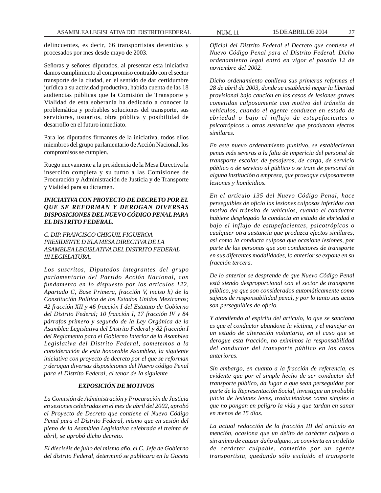delincuentes, es decir, 66 transportistas detenidos y procesados por mes desde mayo de 2003.

Señoras y señores diputados, al presentar esta iniciativa damos cumplimiento al compromiso contraído con el sector transporte de la ciudad, en el sentido de dar certidumbre jurídica a su actividad productiva, habida cuenta de las 18 audiencias públicas que la Comisión de Transporte y Vialidad de esta soberanía ha dedicado a conocer la problemática y probables soluciones del transporte, sus servidores, usuarios, obra pública y posibilidad de desarrollo en el futuro inmediato.

Para los diputados firmantes de la iniciativa, todos ellos miembros del grupo parlamentario de Acción Nacional, los compromisos se cumplen.

Ruego nuevamente a la presidencia de la Mesa Directiva la inserción completa y su turno a las Comisiones de Procuración y Administración de Justicia y de Transporte y Vialidad para su dictamen.

### *INICIATIVA CON PROYECTO DE DECRETO POR EL QUE SE REFORMAN Y DEROGAN DIVERSAS DISPOSICIONES DEL NUEVO CÓDIGO PENAL PARA EL DISTRITO FEDERAL.*

*C. DIP. FRANCISCO CHIGUIL FIGUEROA PRESIDENTE D ELA MESA DIRECTIVA DE LA ASAMBLEA LEGISLATIVA DEL DISTRITO FEDERAL III LEGISLATURA.*

*Los suscritos, Diputados integrantes del grupo parlamentario del Partido Acción Nacional, con fundamento en lo dispuesto por los artículos 122, Apartado C, Base Primera, fracción V, inciso h) de la Constitución Política de los Estados Unidos Mexicanos; 42 fracción XII y 46 fracción I del Estatuto de Gobierno del Distrito Federal; 10 fracción I, 17 fracción IV y 84 párrafos primero y segundo de la Ley Orgánica de la Asamblea Legislativa del Distrito Federal y 82 fracción I del Reglamento para el Gobierno Interior de la Asamblea Legislativa del Distrito Federal, sometemos a la consideración de esta honorable Asamblea, la siguiente iniciativa con proyecto de decreto por el que se reforman y derogan diversas disposiciones del Nuevo código Penal para el Distrito Federal, al tenor de la siguiente*

#### *EXPOSICIÓN DE MOTIVOS*

*La Comisión de Administración y Procuración de Justicia en sesiones celebradas en el mes de abril del 2002, aprobó el Proyecto de Decreto que contiene el Nuevo Código Penal para el Distrito Federal, mismo que en sesión del pleno de la Asamblea Legislativa celebrada el treinta de abril, se aprobó dicho decreto.*

*El dieciséis de julio del mismo año, el C. Jefe de Gobierno del distrito Federal, determinó se publicara en la Gaceta*

*Oficial del Distrito Federal el Decreto que contiene el Nuevo Código Penal para el Distrito Federal. Dicho ordenamiento legal entró en vigor el pasado 12 de noviembre del 2002.*

*Dicho ordenamiento conlleva sus primeras reformas el 28 de abril de 2003, donde se estableció negar la libertad provisional bajo caución en los casos de lesiones graves cometidas culposamente con motivo del tránsito de vehículos, cuando el agente conduzca en estado de ebriedad o bajo el influjo de estupefacientes o psicotrópicos u otras sustancias que produzcan efectos similares.*

*En este nuevo ordenamiento punitivo, se establecieron penas más severas a la falta de impericia del personal de transporte escolar, de pasajeros, de carga, de servicio público o de servicio al público o se trate de personal de alguna institución o empresa, que provoque culposamente lesiones y homicidios.*

*En el artículo 135 del Nuevo Código Penal, hace perseguibles de oficio las lesiones culposas inferidas con motivo del tránsito de vehículos, cuando el conductor hubiere desplegado la conducta en estado de ebriedad o bajo el influjo de estupefacientes, psicotrópicos o cualquier otra sustancia que produzca efectos similares, así como la conducta culposa que ocasione lesiones, por parte de las personas que son conductores de transporte en sus diferentes modalidades, lo anterior se expone en su fracción tercera.*

*De lo anterior se desprende de que Nuevo Código Penal está siendo desproporcional con el sector de transporte público, ya que son considerados automáticamente como sujetos de responsabilidad penal, y por lo tanto sus actos son perseguibles de oficio.*

*Y atendiendo al espíritu del artículo, lo que se sanciona es que el conductor abandone la víctima, y el manejar en un estado de alteración voluntaria, en el caso que se derogue esta fracción, no eximimos la responsabilidad del conductor del transporte público en los casos anteriores.*

*Sin embargo, en cuanto a la fracción de referencia, es evidente que por el simple hecho de ser conductor del transporte público, da lugar a que sean perseguidas por parte de la Representación Social, investigue un probable juicio de lesiones leves, traduciéndose como simples o que no pongan en peligro la vida y que tardan en sanar en menos de 15 días.*

*La actual redacción de la fracción III del artículo en mención, ocasiona que un delito de carácter culposo o sin animo de causar daño alguno, se convierta en un delito de carácter culpable, cometido por un agente transportista, quedando sólo excluido el transporte*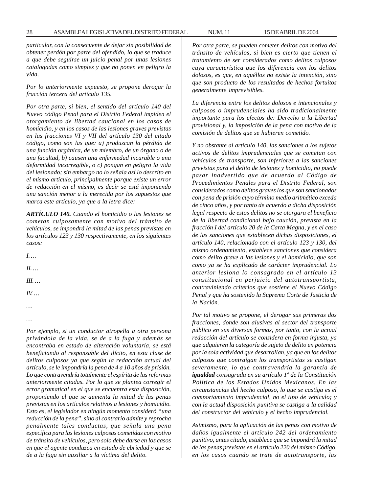*particular, con la consecuente de dejar sin posibilidad de obtener perdón por parte del ofendido, lo que se traduce a que debe seguirse un juicio penal por unas lesiones catalogadas como simples y que no ponen en peligro la vida.*

*Por lo anteriormente expuesto, se propone derogar la fracción tercera del artículo 135.*

*Por otra parte, si bien, el sentido del artículo 140 del Nuevo código Penal para el Distrito Federal impiden el otorgamiento de libertad caucional en los casos de homicidio, y en los casos de las lesiones graves previstas en las fracciones VI y VII del artículo 130 del citado código, como son las que: a) produzcan la pérdida de una función orgánica, de un miembro, de un órgano o de una facultad, b) causen una enfermedad incurable o una deformidad incorregible, o c) pongan en peligro la vida del lesionado; sin embargo no lo señala así lo descrito en el mismo artículo, principalmente porque existe un error de redacción en el mismo, es decir se está imponiendo una sanción menor a la merecida por los supuestos que marca este artículo, ya que a la letra dice:*

*ARTÍCULO 140. Cuando el homicidio o las lesiones se cometan culposamente con motivo del tránsito de vehículos, se impondrá la mitad de las penas previstas en los artículos 123 y 130 respectivamente, en los siguientes casos:*

*I. … II. …*

*III. …*

*IV. …*

*… …*

*Por ejemplo, si un conductor atropella a otra persona privándola de la vida, se de a la fuga y además se encontraba en estado de alteración voluntaria, se está beneficiando al responsable del ilícito, en esta clase de delitos culposos ya que según la redacción actual del artículo, se le impondría la pena de 4 a 10 años de prisión. Lo que contravendría totalmente el espíritu de las reformas anteriormente citadas. Por lo que se plantea corregir el error gramatical en el que se encuentra esta disposición, proponiendo el que se aumenta la mitad de las penas previstas en los artículos relativos a lesiones y homicidio. Esto es, el legislador en ningún momento consideró ''una reducción de la pena'', sino al contrario admite y reprocha penalmente tales conductas, que señala una pena específica para las lesiones culposas cometidas con motivo de tránsito de vehículos, pero solo debe darse en los casos en que el agente conduzca en estado de ebriedad y que se de a la fuga sin auxiliar a la víctima del delito.*

*Por otra parte, se pueden cometer delitos con motivo del tránsito de vehículos, si bien es cierto que tienen el tratamiento de ser considerados como delitos culposos cuya característica que los diferencia con los delitos dolosos, es que, en aquéllos no existe la intención, sino que son producto de los resultados de hechos fortuitos generalmente imprevisibles.*

*La diferencia entre los delitos dolosos e intencionales y culposos o imprudenciales ha sido tradicionalmente importante para los efectos de: Derecho a la Libertad provisional y, la imposición de la pena con motivo de la comisión de delitos que se hubieren cometido.*

*Y no obstante al artículo 140, las sanciones a los sujetos activos de delitos imprudenciales que se cometan con vehículos de transporte, son inferiores a las sanciones previstas para el delito de lesiones y homicidio, no puede pasar inadvertido que de acuerdo al Código de Procedimientos Penales para el Distrito Federal, son considerados como delitos graves los que son sancionados con pena de prisión cuyo término medio aritmético exceda de cinco años, y por tanto de acuerdo a dicha disposición legal respecto de estos delitos no se otorgara el beneficio de la libertad condicional bajo caución, prevista en la fracción I del artículo 20 de la Carta Magna, y en el caso de las sanciones que establecen dichas disposiciones, el artículo 140, relacionado con el artículo 123 y 130, del mismo ordenamiento, establece sanciones que considera como delito grave a las lesiones y el homicidio, que son como ya se ha explicado de carácter imprudencial. Lo anterior lesiona lo consagrado en el artículo 13 constitucional en perjuicio del autotransportista, contraviniendo criterios que sostiene el Nuevo Código Penal y que ha sostenido la Suprema Corte de Justicia de la Nación.*

*Por tal motivo se propone, el derogar sus primeras dos fracciones, donde son alusivas al sector del transporte público en sus diversas formas, por tanto, con la actual redacción del artículo se considera en forma injusta, ya que adquieren la categoría de sujeto de delito en potencia por la sola actividad que desarrollan, ya que en los delitos culposos que contraigan los transportistas se castigan severamente, lo que contravendría la garantía de igualdad consagrada en su artículo 1º de la Constitución Política de los Estados Unidos Mexicanos. En las circunstancias del hecho culposo, lo que se castiga es el comportamiento imprudencial, no el tipo de vehículo; y con la actual disposición punitiva se castiga a la calidad del constructor del vehículo y el hecho imprudencial.*

*Asimismo, para la aplicación de las penas con motivo de daños igualmente el artículo 242 del ordenamiento punitivo, antes citado, establece que se impondrá la mitad de las penas previstas en el artículo 220 del mismo Código, en los casos cuando se trate de autotransporte, las*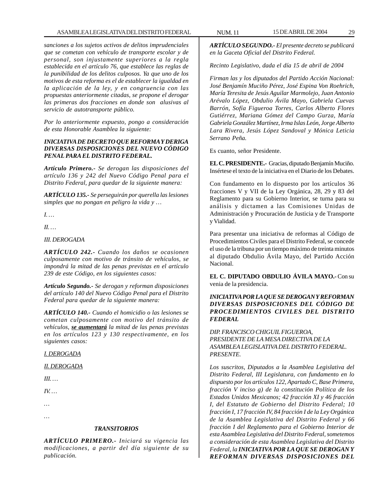*sanciones a los sujetos activos de delitos imprudenciales que se cometan con vehículo de transporte escolar y de personal, son injustamente superiores a la regla establecida en el artículo 76, que establece las reglas de la punibilidad de los delitos culposos. Ya que uno de los motivos de esta reforma es el de establecer la igualdad en la aplicación de la ley, y en congruencia con las propuestas anteriormente citadas, se propone el derogar las primeras dos fracciones en donde son alusivas al servicio de autotransporte público.*

*Por lo anteriormente expuesto, pongo a consideración de esta Honorable Asamblea la siguiente:*

#### *INICIATIVA DE DECRETO QUE REFORMA Y DERIGA DIVERSAS DISPOSICIONES DEL NUEVO CÓDIGO PENAL PARA EL DISTRITO FEDERAL.*

*Artículo Primero.- Se derogan las disposiciones del artículo 136 y 242 del Nuevo Código Penal para el Distrito Federal, para quedar de la siguiente manera:*

*ARTÍCULO 135.- Se perseguirán por querella las lesiones simples que no pongan en peligro la vida y …*

*I. …*

*II. …*

#### *III. DEROGADA*

*ARTÍCULO 242.- Cuando los daños se ocasionen culposamente con motivo de tránsito de vehículos, se impondrá la mitad de las penas previstas en el artículo 239 de este Código, en los siguientes casos:*

*Artículo Segundo.- Se derogan y reforman disposiciones del artículo 140 del Nuevo Código Penal para el Distrito Federal para quedar de la siguiente manera:*

*ARTÍCULO 140.- Cuando el homicidio o las lesiones se cometan culposamente con motivo del tránsito de vehículos, se aumentará la mitad de las penas previstas en los artículos 123 y 130 respectivamente, en los siguientes casos:*

#### *I. DEROGADA*

#### *II. DEROGADA*

*III. …*

*IV. …*

*…*

*…*

#### *TRANSITORIOS*

*ARTÍCULO PRIMERO.- Iniciará su vigencia las modificaciones, a partir del día siguiente de su publicación.*

*ARTÍCULO SEGUNDO.- El presente decreto se publicará en la Gaceta Oficial del Distrito Federal.*

*Recinto Legislativo, dada el día 15 de abril de 2004*

*Firman las y los diputados del Partido Acción Nacional: José Benjamín Muciño Pérez, José Espina Von Roehrich, María Teresita de Jesús Aguilar Marmolejo, Juan Antonio Arévalo López, Obdulio Ávila Mayo, Gabriela Cuevas Barrón, Sofía Figueroa Torres, Carlos Alberto Flores Gutiérrez, Mariana Gómez del Campo Gurza, María Gabriela González Martínez, Irma Islas León, Jorge Alberto Lara Rivera, Jesús López Sandoval y Mónica Leticia Serrano Peña.*

Es cuanto, señor Presidente.

**EL C. PRESIDENTE.-** Gracias, diputado Benjamín Muciño. Insértese el texto de la iniciativa en el Diario de los Debates.

Con fundamento en lo dispuesto por los artículos 36 fracciones V y VII de la Ley Orgánica, 28, 29 y 83 del Reglamento para su Gobierno Interior, se turna para su análisis y dictamen a las Comisiones Unidas de Administración y Procuración de Justicia y de Transporte y Vialidad.

Para presentar una iniciativa de reformas al Código de Procedimientos Civiles para el Distrito Federal, se concede el uso de la tribuna por un tiempo máximo de treinta minutos al diputado Obdulio Ávila Mayo, del Partido Acción Nacional.

**EL C. DIPUTADO OBDULIO ÁVILA MAYO.-** Con su venia de la presidencia.

#### *INICIATIVA POR LA QUE SE DEROGAN Y REFORMAN DIVERSAS DISPOSICIONES DEL CÓDIGO DE PROCEDIMIENTOS CIVILES DEL DISTRITO FEDERAL*

*DIP. FRANCISCO CHIGUIL FIGUEROA, PRESIDENTE DE LA MESA DIRECTIVA DE LA ASAMBLEA LEGISLATIVA DEL DISTRITO FEDERAL. PRESENTE.*

*Los suscritos, Diputados a la Asamblea Legislativa del Distrito Federal, III Legislatura, con fundamento en lo dispuesto por los artículos 122, Apartado C, Base Primera, fracción V inciso g) de la constitución Política de los Estados Unidos Mexicanos; 42 fracción XI y 46 fracción I, del Estatuto de Gobierno del Distrito Federal; 10 fracción I, 17 fracción IV, 84 fracción I de la Ley Orgánica de la Asamblea Legislativa del Distrito Federal y 66 fracción I del Reglamento para el Gobierno Interior de esta Asamblea Legislativa del Distrito Federal, sometemos a consideración de esta Asamblea Legislativa del Distrito Federal, la INICIATIVA POR LA QUE SE DEROGAN Y REFORMAN DIVERSAS DISPOSICIONES DEL*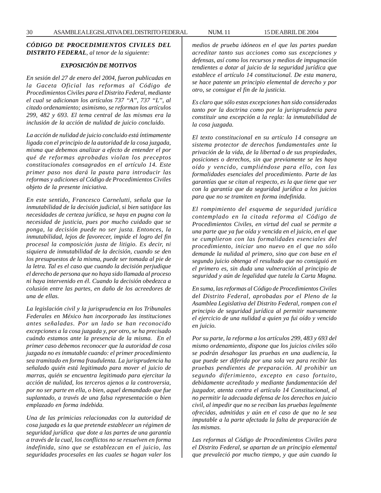#### *CÓDIGO DE PROCEDIMIENTOS CIVILES DEL DISTRITO FEDERAL, al tenor de la siguiente:*

#### *EXPOSICIÓN DE MOTIVOS*

*En sesión del 27 de enero del 2004, fueron publicadas en la Gaceta Oficial las reformas al Código de Procedimientos Civiles para el Distrito Federal, mediante el cual se adicionan los artículos 737 ''A'', 737 ''L'', al citado ordenamiento; asimismo, se reforman los artículos 299, 482 y 693. El tema central de las mismas era la inclusión de la acción de nulidad de juicio concluido.*

*La acción de nulidad de juicio concluido está íntimamente ligada con el principio de la autoridad de la cosa juzgada, misma que debemos analizar a efecto de entender el por qué de reformas aprobadas violan los preceptos constitucionales consagrados en el artículo 14. Este primer paso nos dará la pauta para introducir las reformas y adiciones al Código de Procedimientos Civiles objeto de la presente iniciativa.*

*En este sentido, Francesco Carnelutti, señala que la inmutabilidad de la decisión judicial, si bien satisface las necesidades de certeza jurídica, se haya en pugna con la necesidad de justicia, pues por mucho cuidado que se ponga, la decisión puede no ser justa. Entonces, la inmutabilidad, lejos de favorecer, impide el logro del fin procesal la composición justa de litigio. Es decir, ni siquiera de inmutabilidad de la decisión, cuando se den los presupuestos de la misma, puede ser tomada al pie de la letra. Tal es el caso que cuando la decisión perjudique el derecho de persona que no haya sido llamada al proceso ni haya intervenido en él. Cuando la decisión obedezca a colusión entre las partes, en daño de los acreedores de una de ellas.*

*La legislación civil y la jurisprudencia en los Tribunales Federales en México han incorporado las instituciones antes señaladas. Por un lado se han reconocido excepciones a la cosa juzgada y, por otro, se ha precisado cuándo estamos ante la presencia de la misma. En el primer caso debemos reconocer que la autoridad de cosa juzgada no es inmutable cuando: el primer procedimiento sea tramitado en forma fraudulenta. La jurisprudencia ha señalado quién está legitimado para mover el juicio de marras, quién se encuentra legitimado para ejercitar la acción de nulidad, los terceros ajenos a la controversia, por no ser parte en ella, o bien, aquel demandado que fue suplantado, a través de una falsa representación o bien emplazado en forma indebida.*

*Una de las primicias relacionadas con la autoridad de cosa juzgada es la que pretende establecer un régimen de seguridad jurídica que dote a las partes de una garantía a través de la cual, los conflictos no se resuelven en forma indefinida, sino que se establezcan en el juicio, las seguridades procesales en las cuales se hagan valer los*

*medios de prueba idóneos en el que las partes puedan acreditar tanto sus acciones como sus excepciones y defensas, así como los recursos y medios de impugnación tendientes a dotar al juicio de la seguridad jurídica que establece el artículo 14 constitucional. De esta manera, se hace patente un principio elemental de derecho y por otro, se consigue el fin de la justicia.*

*Es claro que sólo estas excepciones han sido consideradas tanto por la doctrina como por la jurisprudencia para constituir una excepción a la regla: la inmutabilidad de la cosa juzgada.*

*El texto constitucional en su artículo 14 consagra un sistema protector de derechos fundamentales ante la privación de la vida, de la libertad o de sus propiedades, posiciones o derechos, sin que previamente se les haya oído y vencido, cumpliéndose para ello, con las formalidades esenciales del procedimiento. Parte de las garantías que se citan al respecto, es la que tiene que ver con la garantía que da seguridad jurídica a los juicios para que no se tramiten en forma indefinida.*

*El rompimiento del esquema de seguridad jurídica contemplado en la citada reforma al Código de Procedimientos Civiles, en virtud del cual se permite a una parte que ya fue oída y vencida en el juicio, en el que se cumplieron con las formalidades esenciales del procedimiento, iniciar uno nuevo en el que no sólo demande la nulidad al primero, sino que con base en el segundo juicio obtenga el resultado que no consiguió en el primero es, sin duda una vulneración al principio de seguridad y aún de legalidad que tutela la Carta Magna.*

*En suma, las reformas al Código de Procedimientos Civiles del Distrito Federal, aprobadas por el Pleno de la Asamblea Legislativa del Distrito Federal, rompen con el principio de seguridad jurídica al permitir nuevamente el ejercicio de una nulidad a quien ya fui oído y vencido en juicio.*

*Por su parte, la reforma a los artículos 299, 483 y 693 del mismo ordenamiento, dispone que los juicios civiles sólo se podrán desahogar las pruebas en una audiencia, la que puede ser diferida por una sola vez para recibir las pruebas pendientes de preparación. Al prohibir un segundo diferimiento, excepto en caso fortuito, debidamente acreditado y mediante fundamentación del juzgador, atenta contra el artículo 14 Constitucional, al no permitir la adecuada defensa de los derechos en juicio civil, al impedir que no se reciban las pruebas legalmente ofrecidas, admitidas y aún en el caso de que no le sea imputable a la parte afectada la falta de preparación de las mismas.*

*Las reformas al Código de Procedimientos Civiles para el Distrito Federal, se apartan de un principio elemental que prevaleció por mucho tiempo, y que aún cuando la*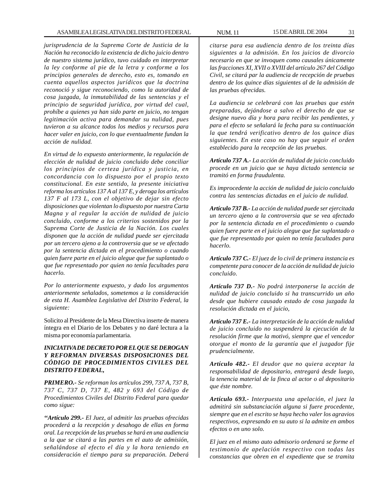*jurisprudencia de la Suprema Corte de Justicia de la Nación ha reconocido la existencia de dicho juicio dentro de nuestro sistema jurídico, tuvo cuidado en interpretar la ley conforme al pie de la letra y conforme a los principios generales de derecho, esto es, tomando en cuenta aquellos aspectos jurídicos que la doctrina reconoció y sigue reconociendo, como la autoridad de cosa juzgada, la inmutabilidad de las sentencias y el principio de seguridad jurídica, por virtud del cual, prohíbe a quienes ya han sido parte en juicio, no tengan legitimación activa para demandar su nulidad, pues tuvieron a su alcance todos los medios y recursos para hacer valer en juicio, con lo que eventualmente fundan la acción de nulidad.*

*En virtud de lo expuesto anteriormente, la regulación de elección de nulidad de juicio concluido debe conciliar los principios de certeza jurídica y justicia, en concordancia con lo dispuesto por el propio texto constitucional. En este sentido, la presente iniciativa reforma los artículos 137 A al 137 E, y deroga los artículos 137 F al 173 L, con el objetivo de dejar sin efecto disposiciones que violentan lo dispuesto por nuestra Carta Magna y al regular la acción de nulidad de juicio concluido, conforme a los criterios sostenidos por la Suprema Corte de Justicia de la Nación. Los cuales disponen que la acción de nulidad puede ser ejercitada por un tercero ajeno a la controversia que se ve afectado por la sentencia dictada en el procedimiento o cuando quien fuere parte en el juicio alegue que fue suplantado o que fue representado por quien no tenía facultades para hacerlo.*

*Por lo anteriormente expuesto, y dado los argumentos anteriormente señalados, sometemos a la consideración de esta H. Asamblea Legislativa del Distrito Federal, la siguiente:*

Solicito al Presidente de la Mesa Directiva inserte de manera íntegra en el Diario de los Debates y no daré lectura a la misma por economía parlamentaria.

#### *INICIATIVA DE DECRETO POR EL QUE SE DEROGAN Y REFORMAN DIVERSAS DISPOSICIONES DEL CÓDIGO DE PROCEDIMIENTOS CIVILES DEL DISTRITO FEDERAL***,**

*PRIMERO.- Se reforman los artículos 299, 737 A, 737 B, 737 C, 737 D, 737 E, 482 y 693 del Código de Procedimientos Civiles del Distrito Federal para quedar como sigue:*

*''Artículo 299.- El Juez, al admitir las pruebas ofrecidas procederá a la recepción y desahogo de ellas en forma oral. La recepción de las pruebas se hará en una audiencia a la que se citará a las partes en el auto de admisión, señalándose al efecto el día y la hora teniendo en consideración el tiempo para su preparación. Deberá*

*citarse para esa audiencia dentro de los treinta días siguientes a la admisión. En los juicios de divorcio necesario en que se invoquen como causales únicamente las fracciones XI, XVII o XVIII del artículo 267 del Código Civil, se citará par la audiencia de recepción de pruebas dentro de los quince días siguientes al de la admisión de las pruebas ofrecidas.*

*La audiencia se celebrará con las pruebas que estén preparadas, dejándose a salvo el derecho de que se designe nuevo día y hora para recibir las pendientes, y para el efecto se señalará la fecha para su continuación la que tendrá verificativo dentro de los quince días siguientes. En este caso no hay que seguir el orden establecido para la recepción de las pruebas.*

*Artículo 737 A.- La acción de nulidad de juicio concluido procede en un juicio que se haya dictado sentencia se tramitó en forma fraudulenta.*

*Es improcedente la acción de nulidad de juicio concluido contra las sentencias dictadas en el juicio de nulidad.*

*Artículo 737 B.- La acción de nulidad puede ser ejercitada un tercero ajeno a la controversia que se vea afectado por la sentencia dictada en el procedimiento o cuando quien fuere parte en el juicio alegue que fue suplantado o que fue representado por quien no tenía facultades para hacerlo.*

*Artículo 737 C.- El juez de lo civil de primera instancia es competente para conocer de la acción de nulidad de juicio concluido.*

*Artículo 737 D.- No podrá interponerse la acción de nulidad de juicio concluido si ha transcurrido un año desde que hubiere causado estado de cosa juzgada la resolución dictada en el juicio,*

*Artículo 737 E.- La interpretación de la acción de nulidad de juicio concluido no suspenderá la ejecución de la resolución firme que la motivó, siempre que el vencedor otorgue el monto de la garantía que el juzgador fije prudencialmente.*

*Artículo 482.- El deudor que no quiera aceptar la responsabilidad de depositario, entregará desde luego, la tenencia material de la finca al actor o al depositario que éste nombre.*

*Artículo 693.- Interpuesta una apelación, el juez la admitirá sin substanciación alguna si fuere procedente, siempre que en el escrito se haya hecho valer los agravios respectivos, expresando en su auto si la admite en ambos efectos o en uno solo.*

*El juez en el mismo auto admisorio ordenará se forme el testimonio de apelación respectivo con todas las constancias que obren en el expediente que se tramita*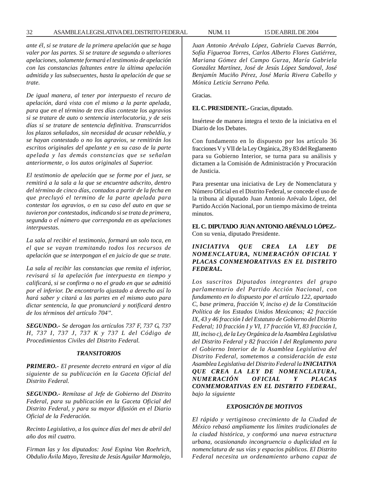*ante él, si se tratare de la primera apelación que se haga valer por las partes. Si se tratare de segunda o ulteriores apelaciones, solamente formará el testimonio de apelación con las constancias faltantes entre la última apelación admitida y las subsecuentes, hasta la apelación de que se trate.*

*De igual manera, al tener por interpuesto el recuro de apelación, dará vista con el mismo a la parte apelada, para que en el término de tres días conteste los agravios si se tratare de auto o sentencia interlocutoria, y de seis días si se tratare de sentencia definitiva. Transcurridos los plazos señalados, sin necesidad de acusar rebeldía, y se hayan contestado o no los agravios, se remitirán los escritos originales del apelante y en su caso de la parte apelada y las demás constancias que se señalan anteriormente, o los autos originales al Superior.*

*El testimonio de apelación que se forme por el juez, se remitirá a la sala a la que se encuentre adscrito, dentro del término de cinco días, contados a partir de la fecha en que precluyó el termino de la parte apelada para contestar los agravios, o en su caso del auto en que se tuvieron por contestados, indicando si se trata de primera, segunda o el número que corresponda en as apelaciones interpuestas.*

*La sala al recibir el testimonio, formará un solo toca, en el que se vayan tramitando todos los recursos de apelación que se interpongan el en juicio de que se trate.*

*La sala al recibir las constancias que remita el inferior, revisará si la apelación fue interpuesta en tiempo y calificará, si se confirma o no el grado en que se admitió por el inferior. De encontrarlo ajustado a derecho así lo hará saber y citará a las partes en el mismo auto para dictar sentencia, la que pronunciará y notificará dentro de los términos del artículo 704''.*

*SEGUNDO.- Se derogan los artículos 737 F, 737 G, 737 H, 737 I, 737 J, 737 K y 737 L del Código de Procedimientos Civiles del Distrito Federal.*

#### *TRANSITORIOS*

*PRIMERO.- El presente decreto entrará en vigor al día siguiente de su publicación en la Gaceta Oficial del Distrito Federal.*

*SEGUNDO.- Remítase al Jefe de Gobierno del Distrito Federal, para su publicación en la Gaceta Oficial del Distrito Federal, y para su mayor difusión en el Diario Oficial de la Federación.*

*Recinto Legislativo, a los quince días del mes de abril del año dos mil cuatro.*

*Firman las y los diputados: José Espina Von Roehrich, Obdulio Ávila Mayo, Teresita de Jesús Aguilar Marmolejo,* *Juan Antonio Arévalo López, Gabriela Cuevas Barrón, Sofía Figueroa Torres, Carlos Alberto Flores Gutiérrez, Mariana Gómez del Campo Gurza, María Gabriela González Martínez, José de Jesús López Sandoval, José Benjamín Muciño Pérez, José María Rivera Cabello y Mónica Leticia Serrano Peña.*

Gracias.

**EL C. PRESIDENTE.-** Gracias, diputado.

Insértese de manera íntegra el texto de la iniciativa en el Diario de los Debates.

Con fundamento en lo dispuesto por los artículo 36 fracciones V y VII de la Ley Orgánica, 28 y 83 del Reglamento para su Gobierno Interior, se turna para su análisis y dictamen a la Comisión de Administración y Procuración de Justicia.

Para presentar una iniciativa de Ley de Nomenclatura y Número Oficial en el Distrito Federal, se concede el uso de la tribuna al diputado Juan Antonio Arévalo López, del Partido Acción Nacional, por un tiempo máximo de treinta minutos.

**EL C. DIPUTADO JUAN ANTONIO ARÉVALO LÓPEZ.-** Con su venia, diputado Presidente.

### *INICIATIVA QUE CREA LA LEY DE NOMENCLATURA, NUMERACIÓN OFICIAL Y PLACAS CONMEMORATIVAS EN EL DISTRITO FEDERAL.*

*Los suscritos Diputados integrantes del grupo parlamentario del Partido Acción Nacional, con fundamento en lo dispuesto por el artículo 122, apartado C, base primera, fracción V, inciso e) de la Constitución Política de los Estados Unidos Mexicanos; 42 fracción IX, 43 y 46 fracción I del Estatuto de Gobierno del Distrito Federal; 10 fracción I y VI, 17 fracción VI, 83 fracción I, III, inciso c), de la Ley Orgánica de la Asamblea Legislativa del Distrito Federal y 82 fracción I del Reglamento para el Gobierno Interior de la Asamblea Legislativa del Distrito Federal, sometemos a consideración de esta Asamblea Legislativa del Distrito Federal la INICIATIVA QUE CREA LA LEY DE NOMENCLATURA, NUMERACIÓN OFICIAL Y PLACAS CONMEMORATIVAS EN EL DISTRITO FEDERAL, bajo la siguiente*

#### *EXPOSICIÓN DE MOTIVOS*

*El rápido y vertiginoso crecimiento de la Ciudad de México rebasó ampliamente los límites tradicionales de la ciudad histórica, y conformó una nueva estructura urbana, ocasionando incongruencia o duplicidad en la nomenclatura de sus vías y espacios públicos. El Distrito Federal necesita un ordenamiento urbano capaz de*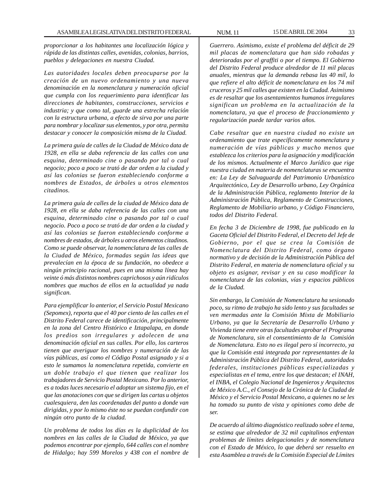*proporcionar a los habitantes una localización lógica y rápida de las distintas calles, avenidas, colonias, barrios, pueblos y delegaciones en nuestra Ciudad.*

*Las autoridades locales deben preocuparse por la creación de un nuevo ordenamiento y una nueva denominación en la nomenclatura y numeración oficial que cumpla con los requerimiento para identificar las direcciones de habitantes, construcciones, servicios e industria; y que como tal, guarde una estrecha relación con la estructura urbana, a efecto de sirva por una parte para nombrar y localizar sus elementos, y por otra, permita destacar y conocer la composición misma de la Ciudad.*

*La primera guía de calles de la Ciudad de México data de 1928, en ella se daba referencia de las calles con una esquina, determinado cine o pasando por tal o cual negocio; poco a poco se trató de dar orden a la ciudad y así las colonias se fueron estableciendo conforme a nombres de Estados, de árboles u otros elementos citadinos.*

*La primera guía de calles de la ciudad de México data de 1928, en ella se daba referencia de las calles con una esquina, determinado cine o pasando por tal o cual negocio. Poco a poco se trató de dar orden a la ciudad y así las colonias se fueron estableciendo conforme a nombres de estados, de árboles u otros elementos citadinos. Como se puede observar, la nomenclatura de las calles de la Ciudad de México, formadas según las ideas que prevalecían en la época de su fundación, no obedece a ningún principio racional, pues en una misma línea hay veinte ó más distintos nombres caprichosos y aún ridículos nombres que muchos de ellos en la actualidad ya nada significan.*

*Para ejemplificar lo anterior, el Servicio Postal Mexicano (Sepomex), reporta que el 40 por ciento de las calles en el Distrito Federal carece de identificación, principalmente en la zona del Centro Histórico e Iztapalapa, en donde los predios son irregulares y adolecen de una denominación oficial en sus calles. Por ello, los carteros tienen que averiguar los nombres y numeración de las vías públicas, así como el Código Postal asignado y si a esto le sumamos la nomenclatura repetida, convierte en un doble trabajo el que tienen que realizar los trabajadores de Servicio Postal Mexicano. Por lo anterior, es a todas luces necesario el adoptar un sistema fijo, en el que las anotaciones con que se dirigen las cartas u objetos cualesquiera, den las coordenadas del punto a donde van dirigidas, y por lo mismo éste no se puedan confundir con ningún otro punto de la ciudad.*

*Un problema de todos los días es la duplicidad de los nombres en las calles de la Ciudad de México, ya que podemos encontrar por ejemplo, 644 calles con el nombre de Hidalgo; hay 599 Morelos y 438 con el nombre de* *Guerrero. Asimismo, existe el problema del déficit de 29 mil placas de nomenclatura que han sido robadas y deterioradas por el graffiti o por el tiempo. El Gobierno del Distrito Federal produce alrededor de 11 mil placas anuales, mientras que la demanda rebasa las 40 mil, lo que refiere el alto déficit de nomenclatura en los 74 mil cruceros y 25 mil calles que existen en la Ciudad. Asimismo es de resaltar que los asentamientos humanos irregulares significan un problema en la actualización de la nomenclatura, ya que el proceso de fraccionamiento y regularización puede tardar varios años.*

*Cabe resaltar que en nuestra ciudad no existe un ordenamiento que trate específicamente nomenclatura y numeración de vías públicas y mucho menos que establezca los criterios para la asignación y modificación de los mismos. Actualmente el Marco Jurídico que rige nuestra ciudad en materia de nomenclaturas se encuentra en: La Ley de Salvaguarda del Patrimonio Urbanístico Arquitectónico, Ley de Desarrollo urbano, Ley Orgánica de la Administración Pública, reglamento Interior de la Administración Pública, Reglamento de Construcciones, Reglamento de Mobiliario urbano, y Código Financiero, todos del Distrito Federal.*

*En fecha 3 de Diciembre de 1998, fue publicado en la Gaceta Oficial del Distrito Federal, el Decreto del Jefe de Gobierno, por el que se crea la Comisión de Nomenclatura del Distrito Federal, como órgano normativo y de decisión de la Administración Pública del Distrito Federal, en materia de nomenclatura oficial y su objeto es asignar, revisar y en su caso modificar la nomenclatura de las colonias, vías y espacios públicos de la Ciudad.*

*Sin embargo, la Comisión de Nomenclatura ha sesionado poco, su ritmo de trabajo ha sido lento y sus facultades se ven mermadas ante la Comisión Mixta de Mobiliario Urbano, ya que la Secretaría de Desarrollo Urbano y Vivienda tiene entre otras facultades aprobar el Programa de Nomenclatura, sin el consentimiento de la Comisión de Nomenclatura. Esto no es ilegal pero sí incorrecto, ya que la Comisión está integrada por representantes de la Administración Pública del Distrito Federal, autoridades federales, instituciones públicas especializadas y especialistas en el tema, entre los que destacan; el INAH, el INBA, el Colegio Nacional de Ingenieros y Arquitectos de México A.C., el Consejo de la Crónica de la Ciudad de México y el Servicio Postal Mexicano, a quienes no se les ha tomado su punto de vista y opiniones como debe de ser.*

*De acuerdo al último diagnóstico realizado sobre el tema, se estima que alrededor de 32 mil capitalinos enfrentan problemas de límites delegacionales y de nomenclatura con el Estado de México, lo que deberá ser resuelto en esta Asamblea a través de la Comisión Especial de Límites*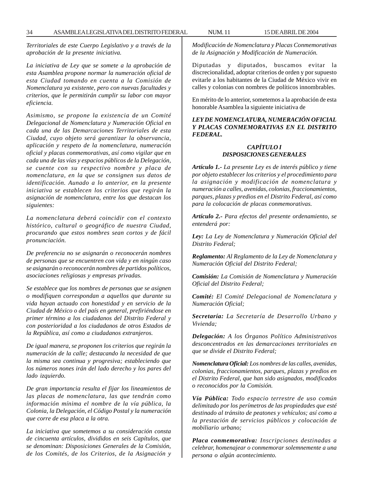*Territoriales de este Cuerpo Legislativo y a través de la aprobación de la presente iniciativa.*

*La iniciativa de Ley que se somete a la aprobación de esta Asamblea propone normar la numeración oficial de esta Ciudad tomando en cuenta a la Comisión de Nomenclatura ya existente, pero con nuevas facultades y criterios, que le permitirán cumplir su labor con mayor eficiencia.*

*Asimismo, se propone la existencia de un Comité Delegacional de Nomenclatura y Numeración Oficial en cada una de las Demarcaciones Territoriales de esta Ciudad, cuyo objeto será garantizar la observancia, aplicación y respeto de la nomenclatura, numeración oficial y placas conmemorativas, así como vigilar que en cada una de las vías y espacios públicos de la Delegación, se cuente con su respectivo nombre y placa de nomenclatura, en la que se consignen sus datos de identificación. Aunado a lo anterior, en la presente iniciativa se establecen los criterios que regirán la asignación de nomenclatura, entre los que destacan los siguientes:*

*La nomenclatura deberá coincidir con el contexto histórico, cultural o geográfico de nuestra Ciudad, procurando que estos nombres sean cortos y de fácil pronunciación.*

*De preferencia no se asignarán o reconocerán nombres de personas que se encuentren con vida y en ningún caso se asignarán o reconocerán nombres de partidos políticos, asociaciones religiosas y empresas privadas.*

*Se establece que los nombres de personas que se asignen o modifiquen correspondan a aquellos que durante su vida hayan actuado con honestidad y en servicio de la Ciudad de México o del país en general, prefiriéndose en primer término a los ciudadanos del Distrito Federal y con posterioridad a los ciudadanos de otros Estados de la República, así como a ciudadanos extranjeros.*

*De igual manera, se proponen los criterios que regirán la numeración de la calle; destacando la necesidad de que la misma sea continua y progresiva; estableciendo que los números nones irán del lado derecho y los pares del lado izquierdo.*

*De gran importancia resulta el fijar los lineamientos de las placas de nomenclatura, las que tendrán como información mínima el nombre de la vía pública, la Colonia, la Delegación, el Código Postal y la numeración que corre de esa placa a la otra.*

*La iniciativa que sometemos a su consideración consta de cincuenta artículos, divididos en seis Capítulos, que se denominan: Disposiciones Generales de la Comisión, de los Comités, de los Criterios, de la Asignación y* *Modificación de Nomenclatura y Placas Conmemorativas de la Asignación y Modificación de Numeración.*

Diputadas y diputados, buscamos evitar la discrecionalidad, adoptar criterios de orden y por supuesto evitarle a los habitantes de la Ciudad de México vivir en calles y colonias con nombres de políticos innombrables.

En mérito de lo anterior, sometemos a la aprobación de esta honorable Asamblea la siguiente iniciativa de

*LEY DE NOMENCLATURA, NUMERACIÓN OFICIAL Y PLACAS CONMEMORATIVAS EN EL DISTRITO FEDERAL.*

#### *CAPÍTULO I DISPOSICIONES GENERALES*

*Artículo 1.- La presente Ley es de interés público y tiene por objeto establecer los criterios y el procedimiento para la asignación y modificación de nomenclatura y numeración a calles, avenidas, colonias, fraccionamientos, parques, plazas y predios en el Distrito Federal, así como para la colocación de placas conmemorativas.*

*Artículo 2.- Para efectos del presente ordenamiento, se entenderá por:*

*Ley: La Ley de Nomenclatura y Numeración Oficial del Distrito Federal;*

*Reglamento: Al Reglamento de la Ley de Nomenclatura y Numeración Oficial del Distrito Federal;*

*Comisión: La Comisión de Nomenclatura y Numeración Oficial del Distrito Federal;*

*Comité: El Comité Delegacional de Nomenclatura y Numeración Oficial;*

*Secretaría: La Secretaría de Desarrollo Urbano y Vivienda;*

*Delegación: A los Órganos Político Administrativos desconcentrados en las demarcaciones territoriales en que se divide el Distrito Federal;*

*Nomenclatura Oficial: Los nombres de las calles, avenidas, colonias, fraccionamientos, parques, plazas y predios en el Distrito Federal, que han sido asignados, modificados o reconocidos por la Comisión.*

*Vía Pública: Todo espacio terrestre de uso común delimitado por los perímetros de las propiedades que esté destinado al tránsito de peatones y vehículos; así como a la prestación de servicios públicos y colocación de mobiliario urbano;*

*Placa conmemorativa: Inscripciones destinadas a celebrar, homenajear o conmemorar solemnemente a una persona o algún acontecimiento.*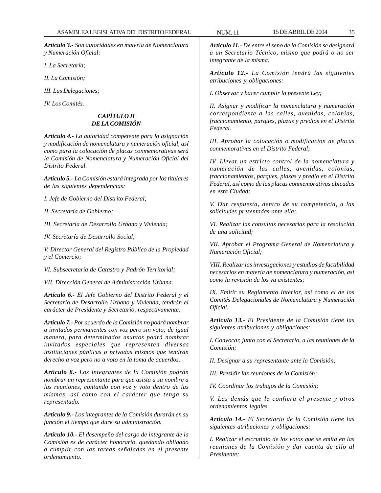*Artículo 3.- Son autoridades en materia de Nomenclatura y Numeración Oficial:*

*I. La Secretaría;*

*II. La Comisión;*

*III. Las Delegaciones;*

*IV. Los Comités.*

#### *CAPÍTULO II DE LA COMISIÓN*

*Artículo 4.- La autoridad competente para la asignación y modificación de nomenclatura y numeración oficial, así como para la colocación de placas conmemorativas será la Comisión de Nomenclatura y Numeración Oficial del Distrito Federal.*

*Artículo 5.- La Comisión estará integrada por los titulares de las siguientes dependencias:*

*I. Jefe de Gobierno del Distrito Federal;*

*II. Secretaría de Gobierno;*

*III. Secretaría de Desarrollo Urbano y Vivienda;*

*IV. Secretaría de Desarrollo Social;*

*V. Director General del Registro Público de la Propiedad y el Comercio;*

*VI. Subsecretaría de Catastro y Padrón Territorial;*

*VII. Dirección General de Administración Urbana.*

*Artículo 6.- El Jefe Gobierno del Distrito Federal y el Secretario de Desarrollo Urbano y Vivienda, tendrán el carácter de Presidente y Secretario, respectivamente.*

*Artículo 7.- Por acuerdo de la Comisión no podrá nombrar a invitados permanentes con voz pero sin voto; de igual manera, para determinados asuntos podrá nombrar invitados especiales que representen diversas instituciones públicas o privadas mismos que tendrán derecho a voz pero no a voto en la toma de acuerdos.*

*Artículo 8.- Los integrantes de la Comisión podrán nombrar un representante para que asista a su nombre a las reuniones, contando con voz y voto dentro de las mismas, así como con el carácter que tenga su representado.*

*Artículo 9.- Los integrantes de la Comisión durarán en su función el tiempo que dure su administración.*

*Artículo 10.- El desempeño del cargo de integrante de la Comisión es de carácter honorario, quedando obligado a cumplir con las tareas señaladas en el presente ordenamiento.*

*Artículo 11.- De entre el seno de la Comisión se designará a un Secretario Técnico, mismo que podrá o no ser integrante de la misma.*

*Artículo 12.- La Comisión tendrá las siguientes atribuciones y obligaciones:*

*I. Observar y hacer cumplir la presente Ley;*

*II. Asignar y modificar la nomenclatura y numeración correspondiente a las calles, avenidas, colonias, fraccionamiento, parques, plazas y predios en el Distrito Federal.*

*III. Aprobar la colocación o modificación de placas conmemorativas en el Distrito Federal;*

*IV. Llevar un estricto control de la nomenclatura y numeración de las calles, avenidas, colonias, fraccionamientos, parques, plazas y predio en el Distrito Federal, así como de las placas conmemorativas ubicadas en esta Ciudad;*

*V. Dar respuesta, dentro de su competencia, a las solicitudes presentadas ante ella;*

*VI. Realizar las consultas necesarias para la resolución de una solicitud;*

*VII. Aprobar el Programa General de Nomenclatura y Numeración Oficial;*

*VIII. Realizar las investigaciones y estudios de factibilidad necesarios en materia de nomenclatura y numeración, así como la revisión de los ya existentes;*

*IX. Emitir su Reglamento Interior, así como el de los Comités Delegacionales de Nomenclatura y Numeración Oficial.*

*Artículo 13.- El Presidente de la Comisión tiene las siguientes atribuciones y obligaciones:*

*I. Convocar, junto con el Secretario, a las reuniones de la Comisión;*

*II. Designar a su representante ante la Comisión;*

*III. Presidir las reuniones de la Comisión;*

*IV. Coordinar los trabajos de la Comisión;*

*V. Las demás que le confiera el presente y otros ordenamientos legales.*

*Artículo 14.- El Secretario de la Comisión tiene las siguientes atribuciones y obligaciones:*

*I. Realizar el escrutinio de los votos que se emita en las reuniones de la Comisión y dar cuenta de ello al Presidente;*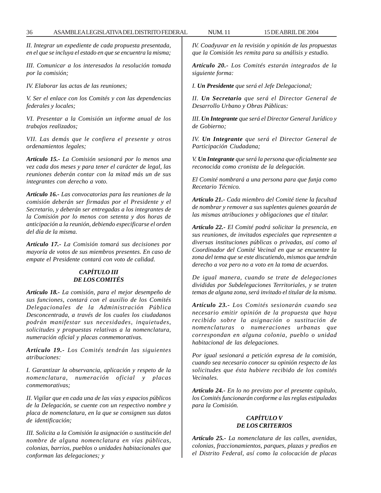*II. Integrar un expediente de cada propuesta presentada, en el que se incluya el estado en que se encuentra la misma;*

*III. Comunicar a los interesados la resolución tomada por la comisión;*

*IV. Elaborar las actas de las reuniones;*

*V. Ser el enlace con los Comités y con las dependencias federales y locales;*

*VI. Presentar a la Comisión un informe anual de los trabajos realizados;*

*VII. Las demás que le confiera el presente y otros ordenamientos legales;*

*Artículo 15.- La Comisión sesionará por lo menos una vez cada dos meses y para tener el carácter de legal, las reuniones deberán contar con la mitad más un de sus integrantes con derecho a voto.*

*Artículo 16.- Las convocatorias para las reuniones de la comisión deberán ser firmadas por el Presidente y el Secretario, y deberán ser entregadas a los integrantes de la Comisión por lo menos con setenta y dos horas de anticipación a la reunión, debiendo especificarse el orden del día de la misma.*

*Artículo 17.- La Comisión tomará sus decisiones por mayoría de votos de sus miembros presentes. En caso de empate el Presidente contará con voto de calidad.*

#### *CAPÍTULO III DE LOS COMITÉS*

*Artículo 18.- La comisión, para el mejor desempeño de sus funciones, contará con el auxilio de los Comités Delegacionales de la Administración Pública Desconcentrada, a través de los cuales los ciudadanos podrán manifestar sus necesidades, inquietudes, solicitudes y propuestas relativas a la nomenclatura, numeración oficial y placas conmemorativas.*

*Artículo 19.- Los Comités tendrán las siguientes atribuciones:*

*I. Garantizar la observancia, aplicación y respeto de la nomenclatura, numeración oficial y placas conmemorativas;*

*II. Vigilar que en cada una de las vías y espacios públicos de la Delegación, se cuente con un respectivo nombre y placa de nomenclatura, en la que se consignen sus datos de identificación;*

*III. Solicita a la Comisión la asignación o sustitución del nombre de alguna nomenclatura en vías públicas, colonias, barrios, pueblos o unidades habitacionales que conforman las delegaciones; y*

*IV. Coadyuvar en la revisión y opinión de las propuestas que la Comisión les remita para su análisis y estudio.*

*Artículo 20.- Los Comités estarán integrados de la siguiente forma:*

*I. Un Presidente que será el Jefe Delegacional;*

*II. Un Secretario que será el Director General de Desarrollo Urbano y Obras Públicas:*

*III. Un Integrante que será el Director General Jurídico y de Gobierno;*

*IV. Un Integrante que será el Director General de Participación Ciudadana;*

*V. Un Integrante que será la persona que oficialmente sea reconocida como cronista de la delegación.*

*El Comité nombrará a una persona para que funja como Recetario Técnico.*

*Artículo 21.- Cada miembro del Comité tiene la facultad de nombrar y remover a sus suplentes quienes gozarán de las mismas atribuciones y obligaciones que el titular.*

*Artículo 22.- El Comité podrá solicitar la presencia, en sus reuniones, de invitados especiales que representen a diversas instituciones públicas o privadas, así como al Coordinador del Comité Vecinal en que se encuentre la zona del tema que se este discutiendo, mismos que tendrán derecho a voz pero no a voto en la toma de acuerdos.*

*De igual manera, cuando se trate de delegaciones divididas por Subdelegaciones Territoriales, y se traten temas de alguna zona, será invitado el titular de la misma.*

*Artículo 23.- Los Comités sesionarán cuando sea necesario emitir opinión de la propuesta que haya recibido sobre la asignación o sustitución de nomenclaturas o numeraciones urbanas que correspondan en alguna colonia, pueblo o unidad habitacional de las delegaciones.*

*Por igual sesionará a petición expresa de la comisión, cuando sea necesario conocer su opinión respecto de las solicitudes que ésta hubiere recibido de los comités Vecinales.*

*Artículo 24.- En lo no previsto por el presente capítulo, los Comités funcionarán conforme a las reglas estipuladas para la Comisión.*

#### *CAPÍTULO V DE LOS CRITERIOS*

*Artículo 25.- La nomenclatura de las calles, avenidas, colonias, fraccionamientos, parques, plazas y predios en el Distrito Federal, así como la colocación de placas*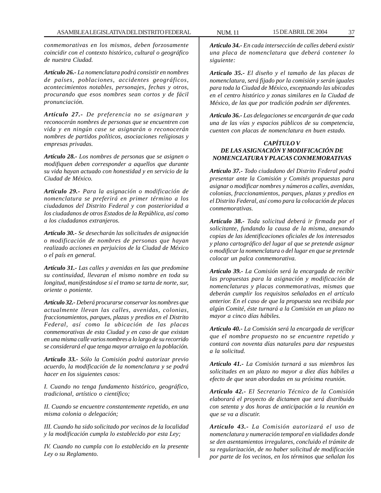*conmemorativas en los mismos, deben forzosamente coincidir con el contexto histórico, cultural o geográfico de nuestra Ciudad.*

*Artículo 26.- La nomenclatura podrá consistir en nombres de países, poblaciones, accidentes geográficos, acontecimientos notables, personajes, fechas y otros, procurando que esos nombres sean cortos y de fácil pronunciación.*

*Artículo 27.- De preferencia no se asignaran y reconocerán nombres de personas que se encuentren con vida y en ningún case se asignarán o reconocerán nombres de partidos políticos, asociaciones religiosas y empresas privadas.*

*Artículo 28.- Los nombres de personas que se asignen o modifiquen deben corresponder a aquellos que durante su vida hayan actuado con honestidad y en servicio de la Ciudad de México.*

*Artículo 29.- Para la asignación o modificación de nomenclatura se preferirá en primer término a los ciudadanos del Distrito Federal y con posterioridad a los ciudadanos de otros Estados de la República, así como a los ciudadanos extranjeros.*

*Artículo 30.- Se desecharán las solicitudes de asignación o modificación de nombres de personas que hayan realizado acciones en perjuicios de la Ciudad de México o el país en general.*

*Artículo 31.- Las calles y avenidas en las que predomine su continuidad, llevaran el mismo nombre en toda su longitud, manifestándose si el tramo se tarta de norte, sur, oriente o poniente.*

*Artículo 32.- Deberá procurarse conservar los nombres que actualmente llevan las calles, avenidas, colonias, fraccionamientos, parques, plazas y predios en el Distrito Federal, así como la ubicación de las placas conmemorativas de esta Ciudad y en caso de que existan en una misma calle varios nombres a lo largo de su recorrido se considerará el que tenga mayor arraigo en la población.*

*Artículo 33.- Sólo la Comisión podrá autorizar previo acuerdo, la modificación de la nomenclatura y se podrá hacer en los siguientes casos:*

*I. Cuando no tenga fundamento histórico, geográfico, tradicional, artístico o científico;*

*II. Cuando se encuentre constantemente repetido, en una misma colonia o delegación;*

*III. Cuando ha sido solicitado por vecinos de la localidad y la modificación cumpla lo establecido por esta Ley;*

*IV. Cuando no cumpla con lo establecido en la presente Ley o su Reglamento.*

*Artículo 34.- En cada intersección de calles deberá existir una placa de nomenclatura que deberá contener lo siguiente:*

*Artículo 35.- El diseño y el tamaño de las placas de nomenclatura, será fijado por la comisión y serán iguales para toda la Ciudad de México, exceptuando las ubicadas en el centro histórico y zonas similares en la Ciudad de México, de las que por tradición podrán ser diferentes.*

*Artículo 36.- Las delegaciones se encargarán de que cada una de las vías y espacios públicos de su competencia, cuenten con placas de nomenclatura en buen estado.*

# *CAPÍTULO V DE LAS ASIGNACIÓN Y MODIFICACIÓN DE NOMENCLATURA Y PLACAS CONMEMORATIVAS*

*Artículo 37.- Todo ciudadano del Distrito Federal podrá presentar ante la Comisión y Comités propuestas para asignar o modificar nombres y números a calles, avenidas, colonias, fraccionamientos, parques, plazas y predios en el Distrito Federal, así como para la colocación de placas conmemorativas.*

*Artículo 38.- Toda solicitud deberá ir firmada por el solicitante, fundando la causa de la misma, anexando copias de las identificaciones oficiales de los interesados y plano cartográfico del lugar al que se pretende asignar o modificar la nomenclatura o del lugar en que se pretende colocar un palca conmemorativa.*

*Artículo 39.- La Comisión será la encargada de recibir las propuestas para la asignación y modificación de nomenclaturas y placas conmemorativas, mismas que deberán cumplir los requisitos señalados en el artículo anterior. En el caso de que la propuesta sea recibida por algún Comité, éste turnará a la Comisión en un plazo no mayor a cinco días hábiles.*

*Artículo 40.- La Comisión será la encargada de verificar que el nombre propuesto no se encuentre repetido y contará con noventa días naturales para dar respuestas a la solicitud.*

*Artículo 41.- La Comisión turnará a sus miembros las solicitudes en un plazo no mayor a diez días hábiles a efecto de que sean abordadas en su próxima reunión.*

*Artículo 42.- El Secretario Técnico de la Comisión elaborará el proyecto de dictamen que será distribuido con setenta y dos horas de anticipación a la reunión en que se va a discutir.*

*Artículo 43.- La Comisión autorizará el uso de nomenclatura y numeración temporal en vialidades donde se den asentamientos irregulares, concluido el trámite de su regularización, de no haber solicitud de modificación por parte de los vecinos, en los términos que señalan los*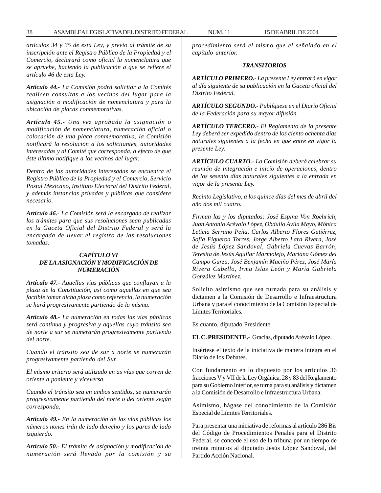*artículos 34 y 35 de esta Ley, y previo al trámite de su inscripción ante el Registro Público de la Propiedad y el Comercio, declarará como oficial la nomenclatura que se apruebe, haciendo la publicación a que se refiere el artículo 46 de esta Ley.*

*Artículo 44.- La Comisión podrá solicitar a la Comités realicen consultas a los vecinos del lugar para la asignación o modificación de nomenclatura y para la ubicación de placas conmemorativas.*

*Artículo 45.- Una vez aprobada la asignación o modificación de nomenclatura, numeración oficial o colocación de una placa conmemorativa, la Comisión notificará la resolución a los solicitantes, autoridades interesadas y al Comité que corresponda, a efecto de que éste último notifique a los vecinos del lugar.*

*Dentro de las autoridades interesadas se encuentra el Registro Público de la Propiedad y el Comercio, Servicio Postal Mexicano, Instituto Electoral del Distrito Federal, y además instancias privadas y públicas que considere necesario.*

*Artículo 46.- La Comisión será la encargada de realizar los trámites para que sus resoluciones sean publicadas en la Gaceta Oficial del Distrito Federal y será la encargada de llevar el registro de las resoluciones tomadas.*

## *CAPÍTULO VI DE LA ASIGNACIÓN Y MODIFICACIÓN DE NUMERACIÓN*

*Artículo 47.- Aquellas vías públicas que confluyan a la plaza de la Constitución, así como aquellas en que sea factible tomar dicha plaza como referencia, la numeración se hará progresivamente partiendo de la misma.*

*Artículo 48.- La numeración en todas las vías públicas será continua y progresiva y aquellas cuyo tránsito sea de norte a sur se numerarán progresivamente partiendo del norte.*

*Cuando el tránsito sea de sur a norte se numerarán progresivamente partiendo del Sur.*

*El mismo criterio será utilizado en as vías que corren de oriente a poniente y viceversa.*

*Cuando el tránsito sea en ambos sentidos, se numerarán progresivamente partiendo del norte o del oriente según corresponda,*

*Artículo 49.- En la numeración de las vías públicas los números nones irán de lado derecho y los pares de lado izquierdo.*

*Artículo 50.- El trámite de asignación y modificación de numeración será llevado por la comisión y su* *procedimiento será el mismo que el señalado en el capítulo anterior.*

#### *TRANSITORIOS*

*ARTÍCULO PRIMERO.- La presente Ley entrará en vigor al día siguiente de su publicación en la Gaceta oficial del Distrito Federal.*

*ARTÍCULO SEGUNDO.- Publíquese en el Diario Oficial de la Federación para su mayor difusión.*

*ARTÍCULO TERCERO.- El Reglamento de la presente Ley deberá ser expedido dentro de los ciento ochenta días naturales siguientes a la fecha en que entre en vigor la presente Ley.*

*ARTÍCULO CUARTO.- La Comisión deberá celebrar su reunión de integración e inicio de operaciones, dentro de los sesenta días naturales siguientes a la entrada en vigor de la presente Ley.*

*Recinto Legislativo, a los quince días del mes de abril del año dos mil cuatro.*

*Firman las y los diputados: José Espina Von Roehrich, Juan Antonio Arévalo López, Obdulio Ávila Mayo, Mónica Leticia Serrano Peña, Carlos Alberto Flores Gutiérrez, Sofía Figueroa Torres, Jorge Alberto Lara Rivera, José de Jesús López Sandoval, Gabriela Cuevas Barrón, Teresita de Jesús Aguilar Marmolejo, Mariana Gómez del Campo Gurza, José Benjamín Muciño Pérez, José María Rivera Cabello, Irma Islas León y María Gabriela González Martínez.*

Solicito asimismo que sea turnada para su análisis y dictamen a la Comisión de Desarrollo e Infraestructura Urbana y para el conocimiento de la Comisión Especial de Límites Territoriales.

Es cuanto, diputado Presidente.

**EL C. PRESIDENTE.-** Gracias, diputado Arévalo López.

Insértese el texto de la iniciativa de manera íntegra en el Diario de los Debates.

Con fundamento en lo dispuesto por los artículos 36 fracciones V y VII de la Ley Orgánica, 28 y 83 del Reglamento para su Gobierno Interior, se turna para su análisis y dictamen a la Comisión de Desarrollo e Infraestructura Urbana.

Asimismo, hágase del conocimiento de la Comisión Especial de Límites Territoriales.

Para presentar una iniciativa de reformas al artículo 286 Bis del Código de Procedimientos Penales para el Distrito Federal, se concede el uso de la tribuna por un tiempo de treinta minutos al diputado Jesús López Sandoval, del Partido Acción Nacional.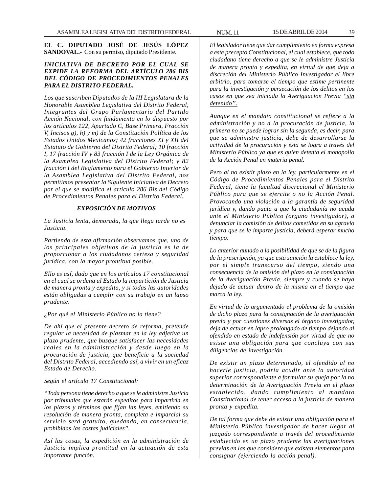**EL C. DIPUTADO JOSÉ DE JESÚS LÓPEZ SANDOVAL.-** Con su permiso, diputado Presidente.

## *INICIATIVA DE DECRETO POR EL CUAL SE EXPIDE LA REFORMA DEL ARTÍCULO 286 BIS DEL CÓDIGO DE PROCEDIMIENTOS PENALES PARA EL DISTRITO FEDERAL.*

*Los que suscriben Diputados de la III Legislatura de la Honorable Asamblea Legislativa del Distrito Federal, Integrantes del Grupo Parlamentario del Partido Acción Nacional, con fundamento en lo dispuesto por los artículos 122, Apartado C, Base Primera, Fracción V, Incisos g), h) y m) de la Constitución Política de los Estados Unidos Mexicanos; 42 fracciones XI y XII del Estatuto de Gobierno del Distrito Federal; 10 fracción I, 17 fracción IV y 83 fracción I de la Ley Orgánica de la Asamblea Legislativa del Distrito Federal; y 82 fracción I del Reglamento para el Gobierno Interior de la Asamblea Legislativa del Distrito Federal, nos permitimos presentar la Siguiente Iniciativa de Decreto por el que se modifica el artículo 286 Bis del Código de Procedimientos Penales para el Distrito Federal.*

#### *EXPOSICIÓN DE MOTIVOS*

*La Justicia lenta, demorada, la que llega tarde no es Justicia.*

*Partiendo de esta afirmación observamos que, uno de los principales objetivos de la justicia es la de proporcionar a los ciudadanos certeza y seguridad jurídica, con la mayor prontitud posible.*

*Ello es así, dado que en los artículos 17 constitucional en el cual se ordena al Estado la impartición de Justicia de manera pronta y expedita, y si todas las autoridades están obligadas a cumplir con su trabajo en un lapso prudente.*

*¿Por qué el Ministerio Público no la tiene?*

*De ahí que el presente decreto de reforma, pretende regular la necesidad de plasmar en la ley adjetiva un plazo prudente, que busque satisfacer las necesidades reales en la administración y desde luego en la procuración de justicia, que beneficie a la sociedad del Distrito Federal, accediendo así, a vivir en un eficaz Estado de Derecho.*

*Según el artículo 17 Constitucional:*

*''Toda persona tiene derecho a que se le administre Justicia por tribunales que estarán expeditos para impartirla en los plazos y términos que fijan las leyes, emitiendo su resolución de manera pronta, completa e imparcial su servicio será gratuito, quedando, en consecuencia, prohibidas las costas judiciales''.*

*Así las cosas, la expedición en la administración de Justicia implica prontitud en la actuación de esta importante función.*

*El legislador tiene que dar cumplimiento en forma expresa a este precepto Constitucional, el cual establece, que todo ciudadano tiene derecho a que se le administre Justicia de manera pronta y expedita, en virtud de que deja a discreción del Ministerio Público Investigador el libre arbitrio, para tomarse el tiempo que estime pertinente para la investigación y persecución de los delitos en los casos en que sea iniciada la Averiguación Previa ''sin detenido''.*

*Aunque en el mandato constitucional se refiere a la administración y no a la procuración de justicia, la primera no se puede lograr sin la segunda, es decir, para que se administre justicia, debe de desarrollarse la actividad de la procuración y ésta se logra a través del Ministerio Público ya que es quien detenta el monopolio de la Acción Penal en materia penal.*

*Pero al no existir plazo en la ley, particularmente en el Código de Procedimientos Penales para el Distrito Federal, tiene la facultad discrecional el Ministerio Público para que se ejercite o no la Acción Penal. Provocando una violación a la garantía de seguridad jurídica y, dando pauta a que la ciudadanía no acuda ante el Ministerio Público (órgano investigador), a denunciar la comisión de delitos cometidos en su agravio y para que se le imparta justicia, deberá esperar mucho tiempo.*

*Lo anterior aunado a la posibilidad de que se de la figura de la prescripción, ya que esta sanción la establece la ley, por el simple transcurso del tiempo, siendo una consecuencia de la omisión del plazo en la consignación de la Averiguación Previa, siempre y cuando se haya dejado de actuar dentro de la misma en el tiempo que marca la ley.*

*En virtud de lo argumentado el problema de la omisión de dicho plazo para la consignación de la averiguación previa y por cuestiones diversas el órgano investigador, deja de actuar en lapso prolongado de tiempo dejando al ofendido en estado de indefensión por virtud de que no existe una obligación para que concluya con sus diligencias de investigación.*

*De existir un plazo determinado, el ofendido al no hacerle justicia, podría acudir ante la autoridad superior correspondiente a formular su queja por la no determinación de la Averiguación Previa en el plazo establecido, dando cumplimiento al mandato Constitucional de tener acceso a la justicia de manera pronta y expedita.*

*De tal forma que debe de existir una obligación para el Ministerio Público investigador de hacer llegar al juzgado correspondiente a través del procedimiento establecido en un plazo prudente las averiguaciones previas en las que considere que existen elementos para consignar (ejerciendo la acción penal).*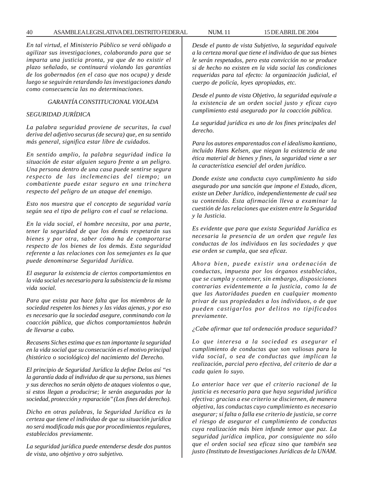*En tal virtud, el Ministerio Público se verá obligado a agilizar sus investigaciones, colaborando para que se imparta una justicia pronta, ya que de no existir el plazo señalado, se continuará violando las garantías de los gobernados (en el caso que nos ocupa) y desde luego se seguirán retardando las investigaciones dando como consecuencia las no determinaciones.*

### *GARANTÍA CONSTITUCIONAL VIOLADA*

#### *SEGURIDAD JURÍDICA*

*La palabra seguridad proviene de securitas, la cual deriva del adjetivo securus (de secura) que, en su sentido más general, significa estar libre de cuidados.*

*En sentido amplio, la palabra seguridad indica la situación de estar alguien seguro frente a un peligro. Una persona dentro de una casa puede sentirse segura respecto de las inclemencias del tiempo; un combatiente puede estar seguro en una trinchera respecto del peligro de un ataque del enemigo.*

*Esto nos muestra que el concepto de seguridad varía según sea el tipo de peligro con el cual se relaciona.*

*En la vida social, el hombre necesita, por una parte, tener la seguridad de que los demás respetarán sus bienes y por otra, saber cómo ha de comportarse respecto de los bienes de los demás. Esta seguridad referente a las relaciones con los semejantes es la que puede denominarse Seguridad Jurídica.*

*El asegurar la existencia de ciertos comportamientos en la vida social es necesario para la subsistencia de la misma vida social.*

*Para que exista paz hace falta que los miembros de la sociedad respeten los bienes y las vidas ajenas, y por eso es necesario que la sociedad asegure, conminando con la coacción pública, que dichos comportamientos habrán de llevarse a cabo.*

*Recasens Siches estima que es tan importante la seguridad en la vida social que su consecución es el motivo principal (histórico o sociológico) del nacimiento del Derecho.*

*El principio de Seguridad Jurídica la define Delos así ''es la garantía dada al individuo de que su persona, sus bienes y sus derechos no serán objeto de ataques violentos o que, si estos llegan a producirse; le serán aseguradas por la sociedad, protección y reparación'' (Los fines del derecho).*

*Dicho en otras palabras, la Seguridad Jurídica es la certeza que tiene el individuo de que su situación jurídica no será modificada más que por procedimientos regulares, establecidos previamente.*

*La seguridad jurídica puede entenderse desde dos puntos de vista, uno objetivo y otro subjetivo.*

*Desde el punto de vista Subjetivo, la seguridad equivale a la certeza moral que tiene el individuo de que sus bienes le serán respetados, pero esta convicción no se produce si de hecho no existen en la vida social las condiciones requeridas para tal efecto: la organización judicial, el cuerpo de policía, leyes apropiadas, etc.*

*Desde el punto de vista Objetivo, la seguridad equivale a la existencia de un orden social justo y eficaz cuyo cumplimiento está asegurado por la coacción pública.*

*La seguridad jurídica es uno de los fines principales del derecho.*

*Para los autores emparentados con el idealismo kantiano, incluido Hans Kelsen, que niegan la existencia de una ética material de bienes y fines, la seguridad viene a ser la característica esencial del orden jurídico.*

*Donde existe una conducta cuyo cumplimiento ha sido asegurado por una sanción que impone el Estado, dicen, existe un Deber Jurídico, independientemente de cuál sea su contenido. Esta afirmación lleva a examinar la cuestión de las relaciones que existen entre la Seguridad y la Justicia.*

*Es evidente que para que exista Seguridad Jurídica es necesaria la presencia de un orden que regule las conductas de los individuos en las sociedades y que ese orden se cumpla, que sea eficaz.*

*Ahora bien, puede existir una ordenación de conductas, impuesta por los órganos establecidos, que se cumpla y contener, sin embargo, disposiciones contrarias evidentemente a la justicia, como la de que las Autoridades pueden en cualquier momento privar de sus propiedades a los individuos, o de que pueden castigarlos por delitos no tipificados previamente.*

*¿Cabe afirmar que tal ordenación produce seguridad?*

*Lo que interesa a la sociedad es asegurar el cumplimiento de conductas que son valiosas para la vida social, o sea de conductas que implican la realización, parcial pero efectiva, del criterio de dar a cada quien lo suyo.*

*Lo anterior hace ver que el criterio racional de la justicia es necesario para que haya seguridad jurídica efectiva: gracias a ese criterio se disciernen, de manera objetiva, las conductas cuyo cumplimiento es necesario asegurar; sí falta o falla ese criterio de justicia, se corre el riesgo de asegurar el cumplimiento de conductas cuya realización más bien infunde temor que paz. La seguridad jurídica implica, por consiguiente no sólo que el orden social sea eficaz sino que también sea justo (Instituto de Investigaciones Jurídicas de la UNAM.*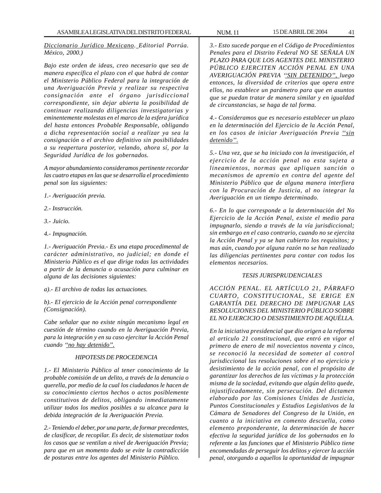*Diccionario Jurídico Mexicano. Editorial Porrúa. México, 2000.)*

*Bajo este orden de ideas, creo necesario que sea de manera específica el plazo con el que habrá de contar el Ministerio Público Federal para la integración de una Averiguación Previa y realizar su respectiva consignación ante el órgano jurisdiccional correspondiente, sin dejar abierta la posibilidad de continuar realizando diligencias investigatorias y eminentemente molestas en el marco de la esfera jurídica del hasta entonces Probable Responsable, obligando a dicha representación social a realizar ya sea la consignación o el archivo definitivo sin posibilidades a su reapertura posterior, velando, ahora sí, por la Seguridad Jurídica de los gobernados.*

*A mayor abundamiento consideramos pertinente recordar las cuatro etapas en las que se desarrolla el procedimiento penal son las siguientes:*

- *1.- Averiguación previa.*
- *2.- Instrucción.*
- *3.- Juicio.*
- *4.- Impugnación.*

*1.- Averiguación Previa.- Es una etapa procedimental de carácter administrativo, no judicial; en donde el Ministerio Público es el que dirige todas las actividades a partir de la denuncia o acusación para culminar en alguna de las decisiones siguientes:*

*a).- El archivo de todas las actuaciones.*

*b).- El ejercicio de la Acción penal correspondiente (Consignación).*

*Cabe señalar que no existe ningún mecanismo legal en cuestión de término cuando en la Averiguación Previa, para la integración y en su caso ejercitar la Acción Penal cuando ''no hay detenido''.*

### *HIPOTESIS DE PROCEDENCIA*

*1.- El Ministerio Público al tener conocimiento de la probable comisión de un delito, a través de la denuncia o querella, por medio de la cual los ciudadanos le hacen de su conocimiento ciertos hechos o actos posiblemente constitutivos de delitos, obligando inmediatamente utilizar todos los medios posibles a su alcance para la debida integración de la Averiguación Previa.*

*2.- Teniendo el deber, por una parte, de formar precedentes, de clasificar, de recopilar. Es decir, de sistematizar todos los casos que se ventilan a nivel de Averiguación Previa; para que en un momento dado se evite la contradicción de posturas entre los agentes del Ministerio Público.*

*3.- Esto sucede porque en el Código de Procedimientos Penales para el Distrito Federal NO SE SEÑALA UN PLAZO PARA QUE LOS AGENTES DEL MINISTERIO PÚBLICO EJERCITEN ACCIÓN PENAL EN UNA AVERIGUACIÓN PREVIA ''SIN DETENIDO'', luego entonces, la diversidad de criterios que opera entre ellos, no establece un parámetro para que en asuntos que se puedan tratar de manera similar y en igualdad de circunstancias, se haga de tal forma.*

*4.- Consideramos que es necesario establecer un plazo en la determinación del Ejercicio de la Acción Penal, en los casos de iniciar Averiguación Previa ''sin detenido''.*

*5.- Una vez, que se ha iniciado con la investigación, el ejercicio de la acción penal no esta sujeta a lineamientos, normas que apliquen sanción o mecanismos de apremio en contra del agente del Ministerio Público que de alguna manera interfiera con la Procuración de Justicia, al no integrar la Averiguación en un tiempo determinado.*

*6.- En lo que corresponde a la determinación del No Ejercicio de la Acción Penal, existe el medio para impugnarlo, siendo a través de la vía jurisdiccional; sin embargo en el caso contrario, cuando no se ejercita la Acción Penal y ya se han cubierto los requisitos; y mas aún, cuando por alguna razón no se han realizado las diligencias pertinentes para contar con todos los elementos necesarios.*

#### *TESIS JURISPRUDENCIALES*

*ACCIÓN PENAL. EL ARTÍCULO 21, PÁRRAFO CUARTO, CONSTITUCIONAL, SE ERIGE EN GARANTÍA DEL DERECHO DE IMPUGNAR LAS RESOLUCIONES DEL MINISTERIO PÚBLICO SOBRE EL NO EJERCICIO O DESISTIMIENTO DE AQUÉLLA.*

*En la iniciativa presidencial que dio origen a la reforma al articulo 21 constitucional, que entró en vigor el primero de enero de mil novecientos noventa y cinco, se reconoció la necesidad de someter al control jurisdiccional las resoluciones sobre el no ejercicio y desistimiento de la acción penal, con el propósito de garantizar los derechos de las víctimas y la protección misma de la sociedad, evitando que algún delito quede, injustificadamente, sin persecución. Del dictamen elaborado por las Comisiones Unidas de Justicia, Puntos Constitucionales y Estudios Legislativos de la Cámara de Senadores del Congreso de la Unión, en cuanto a la iniciativa en comento descuella, como elemento preponderante, la determinación de hacer efectiva la seguridad jurídica de los gobernados en lo referente a las funciones que el Ministerio Público tiene encomendadas de perseguir los delitos y ejercer la acción penal, otorgando a aquellos la oportunidad de impugnar*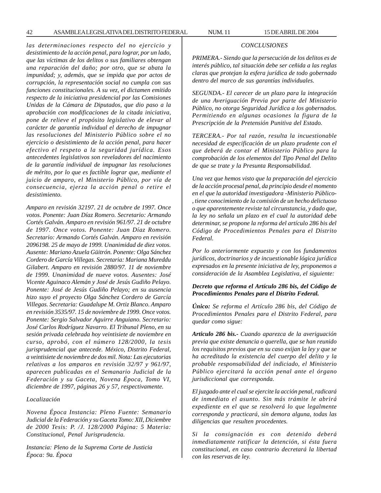42 ASAMBLEA LEGISLATIVA DEL DISTRITO FEDERAL NUM. 11 15 DE ABRIL DE 2004

# *CONCLUSIONES*

*PRIMERA.- Siendo que la persecución de los delitos es de interés público, tal situación debe ser ceñida a las reglas claras que protejan la esfera jurídica de todo gobernado dentro del marco de sus garantías individuales.*

*SEGUNDA.- El carecer de un plazo para la integración de una Averiguación Previa por parte del Ministerio Público, no otorga Seguridad Jurídica a los gobernados. Permitiendo en algunas ocasiones la figura de la Prescripción de la Pretensión Punitiva del Estado.*

*TERCERA.- Por tal razón, resulta la incuestionable necesidad de especificación de un plazo prudente con el que deberá de contar el Ministerio Público para la comprobación de los elementos del Tipo Penal del Delito de que se trate y la Presunta Responsabilidad.*

*Una vez que hemos visto que la preparación del ejercicio de la acción procesal penal, da principio desde el momento en el que la autoridad investigadora -Ministerio Público- , tiene conocimiento de la comisión de un hecho delictuoso o que aparentemente reviste tal circunstancia, y dado que, la ley no señala un plazo en el cual la autoridad debe determinar, se propone la reforma del artículo 286 bis del Código de Procedimientos Penales para el Distrito Federal.*

*Por lo anteriormente expuesto y con los fundamentos jurídicos, doctrinarios y de incuestionable lógica jurídica expresados en la presente iniciativa de ley, proponemos a consideración de la Asamblea Legislativa, el siguiente:*

## *Decreto que reforma el Artículo 286 bis, del Código de Procedimientos Penales para el Distrito Federal.*

*Único: Se reforma el Artículo 286 bis, del Código de Procedimientos Penales para el Distrito Federal, para quedar como sigue:*

*Articulo 286 bis.- Cuando aparezca de la averiguación previa que existe denuncia o querella, que se han reunido los requisitos previos que en su caso exijan la ley y que se ha acreditado la existencia del cuerpo del delito y la probable responsabilidad del indiciado, el Ministerio Público ejercitará la acción penal ante el órgano jurisdiccional que corresponda.*

*El juzgado ante el cual se ejercite la acción penal, radicará de inmediato el asunto. Sin más trámite le abrirá expediente en el que se resolverá lo que legalmente corresponda y practicará, sin demora alguna, todas las diligencias que resulten procedentes.*

*Si la consignación es con detenido deberá inmediatamente ratificar la detención, si ésta fuera constitucional, en caso contrario decretará la libertad con las reservas de ley.*

*las determinaciones respecto del no ejercicio y desistimiento de la acción penal, para lograr, por un lado, que las víctimas de los delitos o sus familiares obtengan una reparación del daño; por otro, que se abata la impunidad; y, además, que se impida que por actos de corrupción, la representación social no cumpla con sus funciones constitucionales. A su vez, el dictamen emitido respecto de la iniciativa presidencial por las Comisiones Unidas de la Cámara de Diputados, que dio paso a la aprobación con modificaciones de la citada iniciativa, pone de relieve el propósito legislativo de elevar al carácter de garantía individual el derecho de impugnar las resoluciones del Ministerio Público sobre el no ejercicio o desistimiento de la acción penal, para hacer efectivo el respeto a la seguridad jurídica. Esos antecedentes legislativos son reveladores del nacimiento de la garantía individual de impugnar las resoluciones de mérito, por lo que es factible lograr que, mediante el juicio de amparo, el Ministerio Público, por vía de consecuencia, ejerza la acción penal o retire el desistimiento.*

*Amparo en revisión 32197. 21 de octubre de 1997. Once votos. Ponente: Juan Díaz Romero. Secretario: Armando Cortés Galván. Amparo en revisión 961/97. 21 de octubre de 1997. Once votos. Ponente: Juan Díaz Romero. Secretario: Armando Cortés Galván. Amparo en revisión 2096198. 25 de mayo de 1999. Unanimidad de diez votos. Ausente: Mariano Azuela Güitrón. Ponente: Olga Sánchez Cordero de García Villegas. Secretaria: Mariana Mureddu Gilabert. Amparo en revisión 2880/97. 11 de noviembre de 1999. Unanimidad de nueve votos. Ausentes: José Vicente Aguinaco Alemán y José de Jesús Gudiño Pelayo. Ponente: José de Jesús Gudiño Pelayo; en su ausencia hizo suyo el proyecto Olga Sánchez Cordero de García Villegas. Secretaria: Guadalupe M. Ortiz Blanco. Amparo en revisión 3535/97. 15 de noviembre de 1999. Once votos. Ponente: Sergio Salvador Aguirre Anguiano. Secretario: José Carlos Rodríguez Navarro. El Tribunal Pleno, en su sesión privada celebrada hoy veintisiete de noviembre en curso, aprobó, con el número 128/2000, la tesis jurisprudencial que antecede. México, Distrito Federal, a veintisiete de noviembre de dos mil. Nota: Las ejecutorias relativas a los amparos en revisión 32/97 y 961/97, aparecen publicadas en el Semanario Judicial de la Federación y su Gaceta, Novena Época, Tomo VI, diciembre de 1997, páginas 26 y 57, respectivamente.*

#### *Localización*

*Novena Época Instancia: Pleno Fuente: Semanario Judicial de la Federación y su Gaceta Tomo: XII, Diciembre de 2000 Tesis: P. /J. 128/2000 Página: 5 Materia: Constitucional, Penal Jurisprudencia.*

*Instancia: Pleno de la Suprema Corte de Justicia Época: 9a. Época*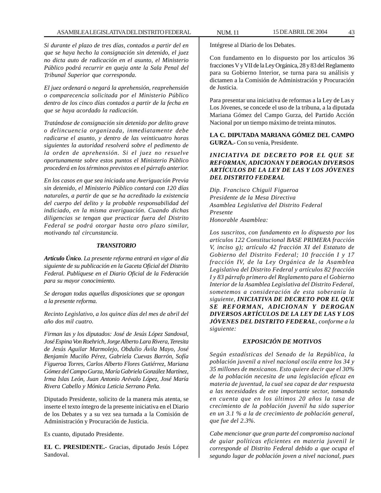*Si durante el plazo de tres días, contados a partir del en que se haya hecho la consignación sin detenido, el juez no dicta auto de radicación en el asunto, el Ministerio Público podrá recurrir en queja ante la Sala Penal del Tribunal Superior que corresponda.*

*El juez ordenará o negará la aprehensión, reaprehensión o comparecencia solicitada por el Ministerio Público dentro de los cinco días contados a partir de la fecha en que se haya acordado la radicación.*

*Tratándose de consignación sin detenido por delito grave o delincuencia organizada, inmediatamente debe radicarse el asunto, y dentro de las veinticuatro horas siguientes la autoridad resolverá sobre el pedimento de la orden de aprehensión. Si el juez no resuelve oportunamente sobre estos puntos el Ministerio Público procederá en los términos previstos en el párrafo anterior.*

*En los casos en que sea iniciada una Averiguación Previa sin detenido, el Ministerio Público contará con 120 días naturales, a partir de que se ha acreditado la existencia del cuerpo del delito y la probable responsabilidad del indiciado, en la misma averiguación. Cuando dichas diligencias se tengan que practicar fuera del Distrito Federal se podrá otorgar hasta otro plazo similar, motivando tal circunstancia.*

#### *TRANSITORIO*

*Artículo Único. La presente reforma entrará en vigor al día siguiente de su publicación en la Gaceta Oficial del Distrito Federal. Publíquese en el Diario Oficial de la Federación para su mayor conocimiento.*

*Se derogan todas aquellas disposiciones que se opongan a la presente reforma.*

*Recinto Legislativo, a los quince días del mes de abril del año dos mil cuatro.*

*Firman las y los diputados: José de Jesús López Sandoval, José Espina Von Roehrich, Jorge Alberto Lara Rivera, Teresita de Jesús Aguilar Marmolejo, Obdulio Ávila Mayo, José Benjamín Muciño Pérez, Gabriela Cuevas Barrón, Sofía Figueroa Torres, Carlos Alberto Flores Gutiérrez, Mariana Gómez del Campo Gurza, María Gabriela González Martínez, Irma Islas León, Juan Antonio Arévalo López, José María Rivera Cabello y Mónica Leticia Serrano Peña.*

Diputado Presidente, solicito de la manera más atenta, se inserte el texto íntegro de la presente iniciativa en el Diario de los Debates y a su vez sea turnada a la Comisión de Administración y Procuración de Justicia.

Es cuanto, diputado Presidente.

**EL C. PRESIDENTE.-** Gracias, diputado Jesús López Sandoval.

Con fundamento en lo dispuesto por los artículos 36 fracciones V y VII de la Ley Orgánica, 28 y 83 del Reglamento para su Gobierno Interior, se turna para su análisis y dictamen a la Comisión de Administración y Procuración de Justicia.

Para presentar una iniciativa de reformas a la Ley de Las y Los Jóvenes, se concede el uso de la tribuna, a la diputada Mariana Gómez del Campo Gurza, del Partido Acción Nacional por un tiempo máximo de treinta minutos.

**LA C. DIPUTADA MARIANA GÓMEZ DEL CAMPO GURZA.-** Con su venia, Presidente.

## *INICIATIVA DE DECRETO POR EL QUE SE REFORMAN, ADICIONAN Y DEROGAN DIVERSOS ARTÍCULOS DE LA LEY DE LAS Y LOS JÓVENES DEL DISTRITO FEDERAL*

*Dip. Francisco Chiguil Figueroa Presidente de la Mesa Directiva Asamblea Legislativa del Distrito Federal Presente Honorable Asamblea:*

*Los suscritos, con fundamento en lo dispuesto por los artículos 122 Constitucional BASE PRIMERA fracción V, inciso g); artículo 42 fracción XI del Estatuto de Gobierno del Distrito Federal; 10 fracción I y 17 fracción IV, de la Ley Orgánica de la Asamblea Legislativa del Distrito Federal y artículos 82 fracción I y 83 párrafo primero del Reglamento para el Gobierno Interior de la Asamblea Legislativa del Distrito Federal, sometemos a consideración de esta soberanía la siguiente, INICIATIVA DE DECRETO POR EL QUE SE REFORMAN, ADICIONAN Y DEROGAN DIVERSOS ARTÍCULOS DE LA LEY DE LAS Y LOS JÓVENES DEL DISTRITO FEDERAL, conforme a la siguiente:*

#### *EXPOSICIÓN DE MOTIVOS*

*Según estadísticas del Senado de la República, la población juvenil a nivel nacional oscila entre los 34 y 35 millones de mexicanos. Esto quiere decir que el 30% de la población necesita de una legislación eficaz en materia de juventud, la cual sea capaz de dar respuesta a las necesidades de este importante sector, tomando en cuenta que en los últimos 20 años la tasa de crecimiento de la población juvenil ha sido superior en un 3.1 % a la de crecimiento de población general, que fue del 2.3%.*

*Cabe mencionar que gran parte del compromiso nacional de guiar políticas eficientes en materia juvenil le corresponde al Distrito Federal debido a que ocupa el segundo lugar de población joven a nivel nacional, pues*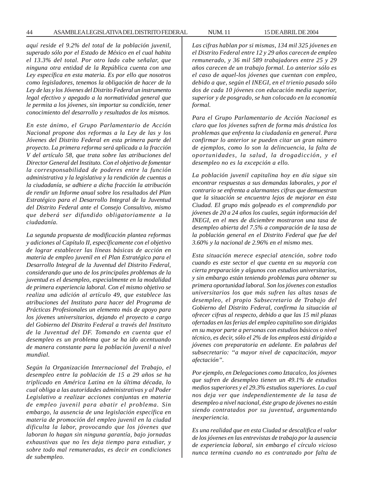*aquí reside el 9.2% del total de la población juvenil, superado sólo por el Estado de México en el cual habita el 13.3% del total. Por otro lado cabe señalar, que ninguna otra entidad de la República cuenta con una Ley específica en esta materia. Es por ello que nosotros como legisladores, tenemos la obligación de hacer de la Ley de las y los Jóvenes del Distrito Federal un instrumento legal efectivo y apegado a la normatividad general que le permita a los jóvenes, sin importar su condición, tener conocimiento del desarrollo y resultados de los mismos.*

*En este ánimo, el Grupo Parlamentario de Acción Nacional propone dos reformas a la Ley de las y los Jóvenes del Distrito Federal en esta primera parte del proyecto. La primera reforma será aplicada a la fracción V del artículo 58, que trata sobre las atribuciones del Director General del Instituto. Con el objetivo de fomentar la corresponsabilidad de poderes entre la función administrativa y la legislativa y la rendición de cuentas a la ciudadanía, se adhiere a dicha fracción la atribución de rendir un Informe anual sobre los resultados del Plan Estratégico para el Desarrollo Integral de la Juventud del Distrito Federal ante el Consejo Consultivo, mismo que deberá ser difundido obligatoriamente a la ciudadanía.*

*La segunda propuesta de modificación plantea reformas y adiciones al Capítulo II, específicamente con el objetivo de lograr establecer las líneas básicas de acción en materia de empleo juvenil en el Plan Estratégico para el Desarrollo Integral de la Juventud del Distrito Federal, considerando que uno de los principales problemas de la juventud es el desempleo, especialmente en la modalidad de primera experiencia laboral. Con el mismo objetivo se realiza una adición al artículo 49, que establece las atribuciones del Instituto para hacer del Programa de Prácticas Profesionales un elemento más de apoyo para los jóvenes universitarios, dejando el proyecto a cargo del Gobierno del Distrito Federal a través del Instituto de la Juventud del DF. Tomando en cuenta que el desempleo es un problema que se ha ido acentuando de manera constante para la población juvenil a nivel mundial.*

*Según la Organización Internacional del Trabajo, el desempleo entre la población de 15 a 29 años se ha triplicado en América Latina en la última década, lo cual obliga a las autoridades administrativas y al Poder Legislativo a realizar acciones conjuntas en materia de empleo juvenil para abatir el problema. Sin embargo, la ausencia de una legislación específica en materia de promoción del empleo juvenil en la ciudad dificulta la labor, provocando que los jóvenes que laboran lo hagan sin ninguna garantía, bajo jornadas exhaustivas que no les deja tiempo para estudiar, y sobre todo mal remuneradas, es decir en condiciones de subempleo.*

*Las cifras hablan por si mismas, 134 mil 325 jóvenes en el Distrito Federal entre 12 y 29 años carecen de empleo remunerado, y 36 mil 589 trabajadores entre 25 y 29 años carecen de un trabajo formal. Lo anterior sólo es el caso de aquel-los jóvenes que cuentan con empleo, debido a que, según el INEGI, en el trienio pasado sólo dos de cada 10 jóvenes con educación media superior, superior y de posgrado, se han colocado en la economía formal.*

*Para el Grupo Parlamentario de Acción Nacional es claro que los jóvenes sufren de forma más drástica los problemas que enfrenta la ciudadanía en general. Para confirmar lo anterior se pueden citar un gran número de ejemplos, como lo son la delincuencia, la falta de oportunidades, la salud, la drogadicción, y el desempleo no es la excepción a ello.*

*La población juvenil capitalina hoy en día sigue sin encontrar respuestas a sus demandas laborales, y por el contrario se enfrenta a alarmantes cifras que demuestran que la situación se encuentra lejos de mejorar en ésta Ciudad. El grupo más golpeado es el comprendido por jóvenes de 20 a 24 años los cuales, según información del INEGI, en el mes de diciembre mostraron una tasa de desempleo abierta del 7.5% a comparación de la tasa de la población general en el Distrito Federal que fue del 3.60% y la nacional de 2.96% en el mismo mes.*

*Esta situación merece especial atención, sobre todo cuando es este sector el que cuenta en su mayoría con cierta preparación y algunos con estudios universitarios, y sin embargo están teniendo problemas para obtener su primera oportunidad laboral. Son los jóvenes con estudios universitarios los que más sufren las altas tasas de desempleo, el propio Subsecretario de Trabajo del Gobierno del Distrito Federal, confirma la situación al ofrecer cifras al respecto, debido a que las 15 mil plazas ofertadas en las ferias del empleo capitalino son dirigidas en su mayor parte a personas con estudios básicos o nivel técnico, es decir, sólo el 2% de los empleos está dirigido a jóvenes con preparatoria en adelante. En palabras del subsecretario: ''a mayor nivel de capacitación, mayor afectación''.*

*Por ejemplo, en Delegaciones como Iztacalco, los jóvenes que sufren de desempleo tienen un 49.1% de estudios medios superiores y el 29.3% estudios superiores. Lo cual nos deja ver que independientemente de la tasa de desempleo a nivel nacional, éste grupo de jóvenes no están siendo contratados por su juventud, argumentando inexperiencia.*

*Es una realidad que en esta Ciudad se descalifica el valor de los jóvenes en las entrevistas de trabajo por la ausencia de experiencia laboral, sin embargo el círculo vicioso nunca termina cuando no es contratado por falta de*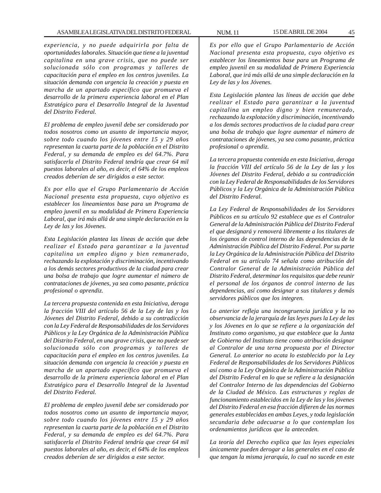*experiencia, y no puede adquirirla por falta de oportunidades laborales. Situación que tiene a la juventud capitalina en una grave crisis, que no puede ser solucionada sólo con programas y talleres de capacitación para el empleo en los centros juveniles. La situación demanda con urgencia la creación y puesta en marcha de un apartado específico que promueva el desarrollo de la primera experiencia laboral en el Plan Estratégico para el Desarrollo Integral de la Juventud del Distrito Federal.*

*El problema de empleo juvenil debe ser considerado por todos nosotros como un asunto de importancia mayor, sobre todo cuando los jóvenes entre 15 y 29 años representan la cuarta parte de la población en el Distrito Federal, y su demanda de empleo es del 64.7%. Para satisfacerla el Distrito Federal tendría que crear 64 mil puestos laborales al año, es decir, el 64% de los empleos creados deberían de ser dirigidos a este sector.*

*Es por ello que el Grupo Parlamentario de Acción Nacional presenta esta propuesta, cuyo objetivo es establecer los lineamientos base para un Programa de empleo juvenil en su modalidad de Primera Experiencia Laboral, que irá más allá de una simple declaración en la Ley de las y los Jóvenes.*

*Esta Legislación plantea las líneas de acción que debe realizar el Estado para garantizar a la juventud capitalina un empleo digno y bien remunerado, rechazando la explotación y discriminación, incentivando a los demás sectores productivos de la ciudad para crear una bolsa de trabajo que logre aumentar el número de contrataciones de jóvenes, ya sea como pasante, práctica profesional o aprendiz.*

*La tercera propuesta contenida en esta Iniciativa, deroga la fracción VIII del artículo 56 de la Ley de las y los Jóvenes del Distrito Federal, debido a su contradicción con la Ley Federal de Responsabilidades de los Servidores Públicos y la Ley Orgánica de la Administración Pública del Distrito Federal, en una grave crisis, que no puede ser solucionada sólo con programas y talleres de capacitación para el empleo en los centros juveniles. La situación demanda con urgencia la creación y puesta en marcha de un apartado específico que promueva el desarrollo de la primera experiencia laboral en el Plan Estratégico para el Desarrollo Integral de la Juventud del Distrito Federal.*

*El problema de empleo juvenil debe ser considerado por todos nosotros como un asunto de importancia mayor, sobre todo cuando los jóvenes entre 15 y 29 años representan la cuarta parte de la población en el Distrito Federal, y su demanda de empleo es del 64.7%. Para satisfacerla el Distrito Federal tendría que crear 64 mil puestos laborales al año, es decir, el 64% de los empleos creados deberían de ser dirigidos a este sector.*

*Es por ello que el Grupo Parlamentario de Acción Nacional presenta esta propuesta, cuyo objetivo es establecer los lineamientos base para un Programa de empleo juvenil en su modalidad de Primera Experiencia Laboral, que irá más allá de una simple declaración en la Ley de las y los Jóvenes.*

*Esta Legislación plantea las líneas de acción que debe realizar el Estado para garantizar a la juventud capitalina un empleo digno y bien remunerado, rechazando la explotación y discriminación, incentivando a los demás sectores productivos de la ciudad para crear una bolsa de trabajo que logre aumentar el número de contrataciones de jóvenes, ya sea como pasante, práctica profesional o aprendiz.*

*La tercera propuesta contenida en esta Iniciativa, deroga la fracción VIII del artículo 56 de la Ley de las y los Jóvenes del Distrito Federal, debido a su contradicción con la Ley Federal de Responsabilidades de los Servidores Públicos y la Ley Orgánica de la Administración Pública del Distrito Federal.*

*La Ley Federal de Responsabilidades de los Servidores Públicos en su artículo 92 establece que es el Contralor General de la Administración Pública del Distrito Federal el que designará y removerá libremente a los titulares de los órganos de control interno de las dependencias de la Administración Pública del Distrito Federal. Por su parte la Ley Orgánica de la Administración Pública del Distrito Federal en su artículo 74 señala como atribución del Contralor General de la Administración Pública del Distrito Federal, determinar los requisitos que debe reunir el personal de los órganos de control interno de las dependencias, así como designar a sus titulares y demás servidores públicos que los integren.*

*Lo anterior refleja una incongruencia jurídica y la no observancia de la jerarquía de las leyes pues la Ley de las y los Jóvenes en lo que se refiere a la organización del Instituto como organismo, ya que establece que la Junta de Gobierno del Instituto tiene como atribución designar al Contralor de una terna propuesta por el Director General. Lo anterior no acata lo establecido por la Ley Federal de Responsabilidades de los Servidores Públicos así como a la Ley Orgánica de la Administración Pública del Distrito Federal en lo que se refiere a la designación del Contralor Interno de las dependencias del Gobierno de la Ciudad de México. Las estructuras y reglas de funcionamiento establecidos en la Ley de las y los jóvenes del Distrito Federal en esa fracción difieren de las normas generales establecidas en ambas Leyes, y toda legislación secundaria debe adecuarse a lo que contemplan los ordenamientos jurídicos que la anteceden.*

*La teoría del Derecho explica que las leyes especiales únicamente pueden derogar a las generales en el caso de que tengan la misma jerarquía, lo cual no sucede en este*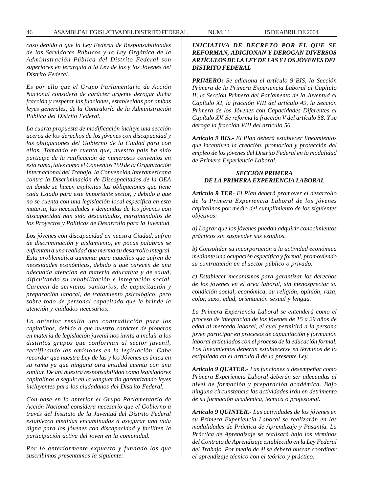*caso debido a que la Ley Federal de Responsabilidades de los Servidores Públicos y la Ley Orgánica de la Administración Pública del Distrito Federal son superiores en jerarquía a la Ley de las y los Jóvenes del Distrito Federal.*

*Es por ello que el Grupo Parlamentario de Acción Nacional considera de carácter urgente derogar dicha fracción y respetar las funciones, establecidas por ambas leyes generales, de la Contraloría de la Administración Pública del Distrito Federal.*

*La cuarta propuesta de modificación incluye una sección acerca de los derechos de los jóvenes con discapacidad y las obligaciones del Gobierno de la Ciudad para con ellos. Tomando en cuenta que, nuestro país ha sido participe de la ratificación de numerosos convenios en esta rama, tales como el Convenios 159 de la Organización Internacional del Trabajo, la Convención Interamericana contra la Discriminación de Discapacitados de la OEA en donde se hacen explícitas las obligaciones que tiene cada Estado para este importante sector, y debido a que no se cuenta con una legislación local específica en esta materia, las necesidades y demandas de los jóvenes con discapacidad han sido descuidadas, marginándolos de los Proyectos y Políticas de Desarrollo para la Juventud.*

*Los jóvenes con discapacidad en nuestra Ciudad, sufren de discriminación y aislamiento, en pocas palabras se enfrentan a una realidad que merma su desarrollo integral. Esta problemática aumenta para aquellos que sufren de necesidades económicas, debido a que carecen de una adecuada atención en materia educativa y de salud, dificultando su rehabilitación e integración social. Carecen de servicios sanitarios, de capacitación y preparación laboral, de tratamiento psicológico, pero sobre todo de personal capacitado que le brinde la atención y cuidados necesarios.*

*Lo anterior resulta una contradicción para los capitalinos, debido a que nuestro carácter de pioneros en materia de legislación juvenil nos invita a incluir a los distintos grupos que conforman al sector juvenil, rectificando las omisiones en la legislación. Cabe recordar que nuestra Ley de las y los Jóvenes es única en su rama ya que ninguna otra entidad cuenta con una similar. De ahí nuestra responsabilidad como legisladores capitalinos a seguir en la vanguardia garantizando leyes incluyentes para los ciudadanos del Distrito Federal.*

*Con base en lo anterior el Grupo Parlamentario de Acción Nacional considera necesario que el Gobierno a través del Instituto de la Juventud del Distrito Federal establezca medidas encaminadas a asegurar una vida digna para los jóvenes con discapacidad y faciliten la participación activa del joven en la comunidad.*

*Por lo anteriormente expuesto y fundado los que suscribimos presentamos la siguiente:*

*INICIATIVA DE DECRETO POR EL QUE SE REFORMAN, ADICIONAN Y DEROGAN DIVERSOS ARTÍCULOS DE LA LEY DE LAS Y LOS JÓVENES DEL DISTRITO FEDERAL*

*PRIMERO: Se adiciona el artículo 9 BIS, la Sección Primera de la Primera Experiencia Laboral al Capítulo II, la Sección Primera del Parlamento de la Juventud al Capítulo XI, la fracción VIII del artículo 49, la Sección Primera de los Jóvenes con Capacidades Diferentes al Capítulo XV. Se reforma la fracción V del artículo 58. Y se deroga la fracción VIII del artículo 56.*

*Artículo 9 BIS.- El Plan deberá establecer lineamientos que incentiven la creación, promoción y protección del empleo de los jóvenes del Distrito Federal en la modalidad de Primera Experiencia Laboral.*

## *SECCIÓN PRIMERA DE LA PRIMERA EXPERIENCIA LABORAL*

*Artículo 9 TER- El Plan deberá promover el desarrollo de la Primera Experiencia Laboral de los jóvenes capitalinos por medio del cumplimiento de los siguientes objetivos:*

*a) Lograr que los jóvenes puedan adquirir conocimientos prácticos sin suspender sus estudios.*

*b) Consolidar su incorporación a la actividad económica mediante una ocupación específica y formal, promoviendo su contratación en el sector público o privado.*

*c) Establecer mecanismos para garantizar los derechos de los jóvenes en el área laboral, sin menospreciar su condición social, económica, su religión, opinión, raza, color, sexo, edad, orientación sexual y lengua.*

*La Primera Experiencia Laboral se entenderá como el proceso de integración de los jóvenes de 15 a 29 años de edad al mercado laboral, el cual permitirá a la persona joven participar en procesos de capacitación y formación laboral articulados con el proceso de la educación formal. Los lineamientos deberán establecerse en términos de lo estipulado en el artículo 8 de la presente Ley.*

*Artículo 9 QUATER.- Las funciones a desempeñar como Primera Experiencia Laboral deberán ser adecuadas al nivel de formación y preparación académica. Bajo ninguna circunstancia las actividades irán en detrimento de su formación académica, técnica o profesional.*

*Artículo 9 QUINTER.- Las actividades de los jóvenes en su Primera Experiencia Laboral se realizarán en las modalidades de Práctica de Aprendizaje y Pasantía. La Práctica de Aprendizaje se realizará bajo los términos del Contrato de Aprendizaje establecido en la Ley Federal del Trabajo. Por medio de él se deberá buscar coordinar el aprendizaje técnico con el teórico y práctico.*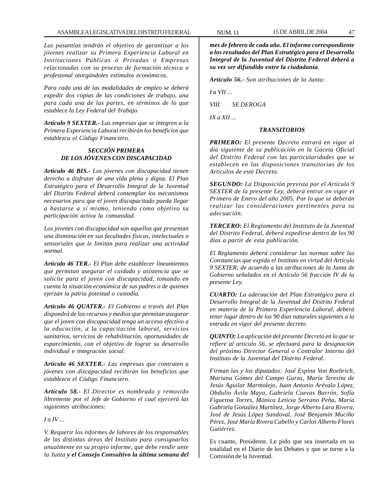*Las pasantías tendrán el objetivo de garantizar a los jóvenes realizar su Primera Experiencia Laboral en Instituciones Públicas ó Privadas ó Empresas relacionadas con su proceso de formación técnica o profesional otorgándoles estímulos económicos.*

*Para cada una de las modalidades de empleo se deberá expedir dos copias de las condiciones de trabajo, una para cada una de las partes, en términos de lo que establece la Ley Federal del Trabajo.*

*Artículo 9 SEXTER.- Las empresas que se integren a la Primera Experiencia Laboral recibirán los beneficios que establezca el Código Financiero.*

# *SECCIÓN PRIMERA DE LOS JÓVENES CON DISCAPACIDAD*

*Artículo 46 BIS.- Los jóvenes con discapacidad tienen derecho a disfrutar de una vida plena y digna. El Plan Estratégico para el Desarrollo Integral de la Juventud del Distrito Federal deberá contemplar los mecanismos necesarios para que el joven discapacitado pueda llegar a bastarse a sí mismo, teniendo como objetivo su participación activa la comunidad.*

*Los jóvenes con discapacidad son aquellos que presentan una disminución en sus facultades físicas, intelectuales o sensoriales que le limitan para realizar una actividad normal.*

*Artículo 46 TER.- El Plan debe establecer lineamientos que permitan asegurar el cuidado y asistencia que se solicite para el joven con discapacidad, tomando en cuenta la situación económica de sus padres o de quienes ejerzan la patria potestad o custodia.*

*Artículo 46 QUATER.- El Gobierno a través del Plan dispondrá de los recursos y medios que permitan asegurar que el joven con discapacidad tenga un acceso efectivo a la educación, a la capacitación laboral, servicios sanitarios, servicios de rehabilitación, oportunidades de esparcimiento, con el objetivo de lograr su desarrollo individual e integración social.*

*Artículo 46 SEXTER.- Las empresas que contraten a jóvenes con discapacidad recibirán los beneficios que establezca el Código Financiero.*

*Artículo 58.- El Director es nombrado y removido libremente por el Jefe de Gobierno el cual ejercerá las siguientes atribuciones:*

*I a IV ...*

*V. Requerir los informes de labores de los responsables de las distintas áreas del Instituto para consignarlos anualmente en su propio informe, que debe rendir ante la Junta y el Consejo Consultivo la última semana del* *mes de febrero de cada año. El informe correspondiente a los resultados del Plan Estratégico para el Desarrollo Integral de la Juventud del Distrito Federal deberá a su vez ser difundido entre la ciudadanía.*

*Artículo 56.- Son atribuciones de la Junta:*

*I a VII ...*

*VIII. SE DEROGA*

*IX a XII ...*

# *TRANSITORIOS*

*PRIMERO: El presente Decreto entrará en vigor al día siguiente de su publicación en la Gaceta Oficial del Distrito Federal con las particularidades que se establecen en las disposiciones transitorias de los Artículos de este Decreto.*

*SEGUNDO: La Disposición prevista por el Artículo 9 SEXTER de la presente Ley, deberá entrar en vigor el Primero de Enero del año 2005. Por lo que se deberán realizar las consideraciones pertinentes para su adecuación.*

*TERCERO: El Reglamento del Instituto de la Juventud del Distrito Federal, deberá expedirse dentro de los 90 días a partir de esta publicación.*

*El Reglamento deberá considerar las normas sobre las Constancias que expida el Instituto en virtud del Artículo 9 SEXTER; de acuerdo a las atribuciones de la Junta de Gobierno señalados en el Artículo 56 fracción IV de la presente Ley.*

*CUARTO: La adecuación del Plan Estratégico para el Desarrollo Integral de la Juventud del Distrito Federal en materia de la Primera Experiencia Laboral, deberá tener lugar dentro de los 90 días naturales siguientes a la entrada en vigor del presente decreto.*

*QUINTO: La aplicación del presente Decreto en lo que se refiere al artículo 56, se efectuará para la designación del próximo Director General o Contralor Interno del Instituto de la Juventud del Distrito Federal.*

*Firman las y los diputados: José Espina Von Roehrich, Mariana Gómez del Campo Gurza, María Teresita de Jesús Aguilar Marmolejo, Juan Antonio Arévalo López, Obdulio Ávila Mayo, Gabriela Cuevas Barrón, Sofía Figueroa Torres, Mónica Leticia Serrano Peña, María Gabriela González Martínez, Jorge Alberto Lara Rivera, José de Jesús López Sandoval, José Benjamín Muciño Pérez, José María Rivera Cabello y Carlos Alberto Flores Gutiérrez.*

Es cuanto, Presidente. Le pido que sea insertada en su totalidad en el Diario de los Debates y que se turne a la Comisión de la Juventud.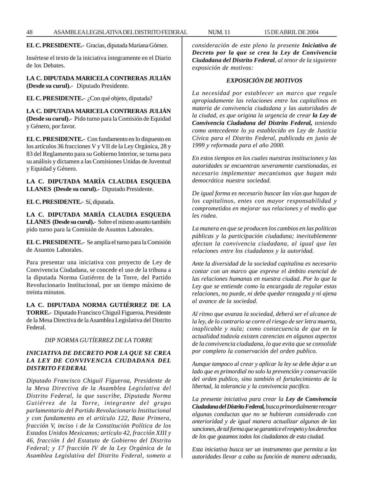**EL C. PRESIDENTE.-** Gracias, diputada Mariana Gómez.

Insértese el texto de la iniciativa íntegramente en el Diario de los Debates.

**LA C. DIPUTADA MARICELA CONTRERAS JULIÁN (Desde su curul).-** Diputado Presidente.

**EL C. PRESIDENTE.-** ¿Con qué objeto, diputada?

**LA C. DIPUTADA MARICELA CONTRERAS JULIÁN (Desde su curul).-** Pido turno para la Comisión de Equidad y Género, por favor.

**EL C. PRESIDENTE.-** Con fundamento en lo dispuesto en los artículos 36 fracciones V y VII de la Ley Orgánica, 28 y 83 del Reglamento para su Gobierno Interior, se turna para su análisis y dictamen a las Comisiones Unidas de Juventud y Equidad y Género.

**LA C. DIPUTADA MARÍA CLAUDIA ESQUEDA LLANES (Desde su curul).-** Diputado Presidente.

**EL C. PRESIDENTE.-** Sí, diputada.

**LA C. DIPUTADA MARÍA CLAUDIA ESQUEDA LLANES (Desde su curul).-** Sobre el mismo asunto también pido turno para la Comisión de Asuntos Laborales.

**EL C. PRESIDENTE.-** Se amplía el turno para la Comisión de Asuntos Laborales.

Para presentar una iniciativa con proyecto de Ley de Convivencia Ciudadana, se concede el uso de la tribuna a la diputada Norma Gutiérrez de la Torre, del Partido Revolucionario Institucional, por un tiempo máximo de treinta minutos.

**LA C. DIPUTADA NORMA GUTIÉRREZ DE LA TORRE.-** Diputado Francisco Chiguil Figueroa, Presidente de la Mesa Directiva de la Asamblea Legislativa del Distrito Federal.

*DIP NORMA GUTÍERREZ DE LA TORRE*

# *INICIATIVA DE DECRETO POR LA QUE SE CREA LA LEY DE CONVIVENCIA CIUDADANA DEL DISTRITO FEDERAL*

*Diputado Francisco Chiguil Figueroa, Presidente de la Mesa Directiva de la Asamblea Legislativa del Distrito Federal, la que suscribe, Diputada Norma Gutiérrez de la Torre, integrante del grupo parlamentario del Partido Revolucionario Institucional y con fundamento en el artículo 122, Base Primera, fracción V, inciso i de la Constitución Política de los Estados Unidos Mexicanos; artículo 42, fracción XIII y 46, fracción I del Estatuto de Gobierno del Distrito Federal; y 17 fracción IV de la Ley Orgánica de la Asamblea Legislativa del Distrito Federal, someto a* *consideración de este pleno la presente Iniciativa de Decreto por la que se crea la Ley de Convivencia Ciudadana del Distrito Federal, al tenor de la siguiente exposición de motivos:*

## *EXPOSICIÓN DE MOTIVOS*

*La necesidad por establecer un marco que regule apropiadamente las relaciones entre los capitalinos en materia de convivencia ciudadana y las autoridades de la ciudad, es que origina la urgencia de crear la Ley de Convivencia Ciudadana del Distrito Federal, teniendo como antecedente lo ya establecido en Ley de Justicia Cívica para el Distrito Federal, publicada en junio de 1999 y reformada para el año 2000.*

*En estos tiempos en los cuales nuestras instituciones y las autoridades se encuentran severamente cuestionadas, es necesario implementar mecanismos que hagan más democrática nuestra sociedad.*

*De igual forma es necesario buscar las vías que hagan de los capitalinos, entes con mayor responsabilidad y comprometidos en mejorar sus relaciones y el medio que les rodea.*

*La manera en que se producen los cambios en las políticas públicas y la participación ciudadana; inevitablemente afectan la convivencia ciudadana, al igual que las relaciones entre los ciudadanos y la autoridad.*

*Ante la diversidad de la sociedad capitalina es necesario contar con un marco que exprese el ámbito esencial de las relaciones humanas en nuestra ciudad. Por lo que la Ley que se entiende como la encargada de regular estas relaciones, no puede, ni debe quedar rezagada y ni ajena al avance de la sociedad.*

*Al ritmo que avanza la sociedad, deberá ser el alcance de la ley, de lo contrario se corre el riesgo de ser letra muerta, inaplicable y nula; como consecuencia de que en la actualidad todavía existen carencias en algunos aspectos de la convivencia ciudadana, lo que evita que se consolide por completo la conservación del orden publico.*

*Aunque tampoco al crear y aplicar la ley se debe dejar a un lado que es primordial no solo la prevención y conservación del orden publico, sino también el fortalecimiento de la libertad, la tolerancia y la convivencia pacifica.*

*La presente iniciativa para crear la Ley de Convivencia Ciudadana del Distrito Federal, busca primordialmente recoger algunas conductas que no se hubieran considerado con anterioridad y de igual manera actualizar algunas de las sanciones, de tal forma que se garantice el respeto y los derechos de los que gozamos todos los ciudadanos de esta ciudad.*

*Esta iniciativa busca ser un instrumento que permita a las autoridades llevar a cabo su función de manera adecuada,*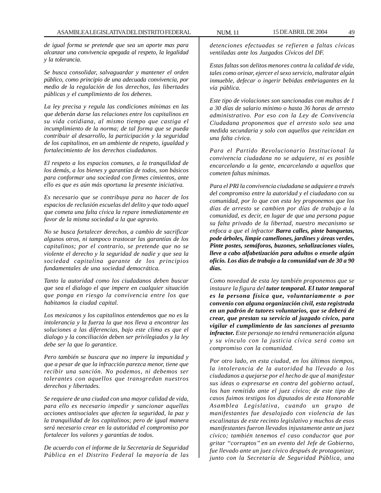*de igual forma se pretende que sea un aporte mas para alcanzar una convivencia apegada al respeto, la legalidad y la tolerancia.*

*Se busca consolidar, salvaguardar y mantener el orden público, como principio de una adecuada convivencia, por medio de la regulación de los derechos, las libertades públicas y el cumplimiento de los deberes.*

*La ley precisa y regula las condiciones mínimas en las que deberán darse las relaciones entre los capitalinos en su vida cotidiana, al mismo tiempo que castiga el incumplimiento de la norma; de tal forma que se pueda contribuir al desarrollo, la participación y la seguridad de los capitalinos, en un ambiente de respeto, igualdad y fortalecimiento de los derechos ciudadanos.*

*El respeto a los espacios comunes, a la tranquilidad de los demás, a los bienes y garantías de todos, son básicos para conformar una sociedad con firmes cimientos, ante ello es que es aún más oportuna la presente iniciativa.*

*Es necesario que se contribuya para no hacer de los espacios de reclusión escuelas del delito y que todo aquel que cometa una falta cívica la repare inmediatamente en favor de la misma sociedad a la que agravio.*

*No se busca fortalecer derechos, a cambio de sacrificar algunos otros, ni tampoco trastocar las garantías de los capitalinos; por el contrario, se pretende que no se violente el derecho y la seguridad de nadie y que sea la sociedad capitalina garante de los principios fundamentales de una sociedad democrática.*

*Tanto la autoridad como los ciudadanos deben buscar que sea el dialogo el que impere en cualquier situación que ponga en riesgo la convivencia entre los que habitamos la ciudad capital.*

*Los mexicanos y los capitalinos entendemos que no es la intolerancia y la fuerza la que nos lleva a encontrar las soluciones a las diferencias, bajo este clima es que el dialogo y la conciliación deben ser privilegiados y la ley debe ser la que lo garantice.*

*Pero también se buscara que no impere la impunidad y que a pesar de que la infracción parezca menor, tiene que recibir una sanción. No podemos, ni debemos ser tolerantes con aquellos que transgredan nuestros derechos y libertades.*

*Se requiere de una ciudad con una mayor calidad de vida, para ello es necesario impedir y sancionar aquellas acciones antisociales que afecten la seguridad, la paz y la tranquilidad de los capitalinos; pero de igual manera será necesario crear en la autoridad el compromiso por fortalecer los valores y garantías de todos.*

*De acuerdo con el informe de la Secretaría de Seguridad Pública en el Distrito Federal la mayoría de las*

*detenciones efectuadas se refieren a faltas cívicas ventiladas ante los Juzgados Cívicos del DF.*

*Estas faltas son delitos menores contra la calidad de vida, tales como orinar, ejercer el sexo servicio, maltratar algún inmueble, defecar o ingerir bebidas embriagantes en la vía pública.*

*Este tipo de violaciones son sancionadas con multas de 1 a 30 días de salario mínimo o hasta 36 horas de arresto administrativo. Por eso con la Ley de Convivencia Ciudadana proponemos que el arresto solo sea una medida secundaria y solo con aquellos que reincidan en una falta cívica.*

*Para el Partido Revolucionario Institucional la convivencia ciudadana no se adquiere, ni es posible encarcelando a la gente, encarcelando a aquellos que cometen faltas mínimas.*

*Para el PRI la convivencia ciudadana se adquiere a través del compromiso entre la autoridad y el ciudadano con su comunidad, por lo que con esta ley proponemos que los días de arresto se cambien por días de trabajo a la comunidad, es decir, en lugar de que una persona pague su falta privado de la libertad, nuestro mecanismo se enfoca a que el infractor Barra calles, pinte banquetas, pode árboles, limpie camellones, jardines y áreas verdes, Pinte postes, semáforos, buzones, señalizaciones viales, lleve a cabo alfabetización para adultos o enseñe algún oficio. Los días de trabajo a la comunidad van de 30 a 90 días.*

*Como novedad de esta ley también proponemos que se instaure la figura del tutor temporal. El tutor temporal es la persona física que, voluntariamente o por convenio con alguna organización civil, esta registrada en un padrón de tutores voluntarios, que se deberá de crear, que prestan su servicio al juzgado cívico, para vigilar el cumplimiento de las sanciones al presunto infractor. Este personaje no tendrá remuneración alguna y su vínculo con la justicia cívica será como un compromiso con la comunidad.*

*Por otro lado, en esta ciudad, en los últimos tiempos, la intolerancia de la autoridad ha llevado a los ciudadanos a quejarse por el hecho de que al manifestar sus ideas o expresarse en contra del gobierno actual, los han remitido ante el juez cívico; de este tipo de casos fuimos testigos los diputados de esta Honorable Asamblea Legislativa, cuando un grupo de manifestantes fue desalojado con violencia de las escalinatas de este recinto legislativo y muchos de esos manifestantes fueron llevados injustamente ante un juez cívico; también tenemos el caso conductor que por gritar ''corruptos'' en un evento del Jefe de Gobierno, fue llevado ante un juez cívico después de protagonizar, junto con la Secretaría de Seguridad Pública, una*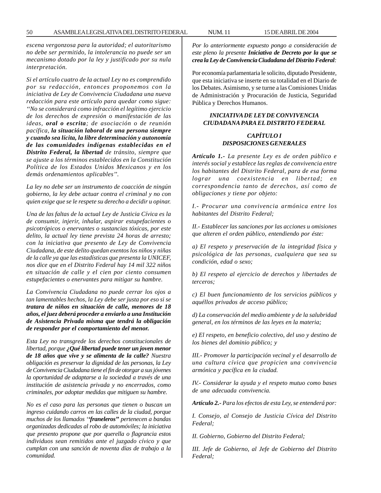*escena vergonzosa para la autoridad; el autoritarismo no debe ser permitido, la intolerancia no puede ser un mecanismo dotado por la ley y justificado por su nula interpretación.*

*Si el artículo cuatro de la actual Ley no es comprendido por su redacción, entonces proponemos con la iniciativa de Ley de Convivencia Ciudadana una nueva redacción para este artículo para quedar como sigue: ''No se considerará como infracción el legítimo ejercicio de los derechos de expresión o manifestación de las ideas, oral o escrita; de asociación o de reunión pacífica, la situación laboral de una persona siempre y cuando sea lícita, la libre determinación y autonomía de las comunidades indígenas establecidas en el Distrito Federal, la libertad de tránsito, siempre que se ajuste a los términos establecidos en la Constitución Política de los Estados Unidos Mexicanos y en los demás ordenamientos aplicables''.*

*La ley no debe ser un instrumento de coacción de ningún gobierno, la ley debe actuar contra el criminal y no con quien exige que se le respete su derecho a decidir u opinar.*

*Una de las faltas de la actual Ley de Justicia Cívica es la de consumir, injerir, inhalar, aspirar estupefacientes o psicotrópicos o enervantes o sustancias tóxicas, por este delito, la actual ley tiene prevista 24 horas de arresto; con la iniciativa que presento de Ley de Convivencia Ciudadana, de este delito quedan exentos los niños y niñas de la calle ya que las estadísticas que presenta la UNICEF, nos dice que en el Distrito Federal hay 14 mil 322 niños en situación de calle y el cien por ciento consumen estupefacientes o enervantes para mitigar su hambre.*

*La Convivencia Ciudadana no puede cerrar los ojos a tan lamentables hechos, la Ley debe ser justa por eso si se tratara de niños en situación de calle, menores de 18 años, el juez deberá proceder a enviarlo a una Institución de Asistencia Privada misma que tendrá la obligación de responder por el comportamiento del menor.*

*Esta Ley no transgrede los derechos constitucionales de libertad, porque ¿Qué libertad puede tener un joven menor de 18 años que vive y se alimenta de la calle? Nuestra obligación es preservar la dignidad de las personas, la Ley de Convivencia Ciudadana tiene el fin de otorgar a sus jóvenes la oportunidad de adaptarse a la sociedad a través de una institución de asistencia privada y no encerrados, como criminales, por adoptar medidas que mitiguen su hambre.*

*No es el caso para las personas que tienen o buscan un ingreso cuidando carros en las calles de la ciudad, porque muchos de los llamados ''franeleros'' pertenecen a bandas organizadas dedicadas al robo de automóviles; la iniciativa que presento propone que por querella o flagrancia estos individuos sean remitidos ante el juzgado cívico y que cumplan con una sanción de noventa días de trabajo a la comunidad.*

*Por lo anteriormente expuesto pongo a consideración de este pleno la presente Iniciativa de Decreto por la que se crea la Ley de Convivencia Ciudadana del Distrito Federal:*

Por economía parlamentaria le solicito, diputado Presidente, que esta iniciativa se inserte en su totalidad en el Diario de los Debates. Asimismo, y se turne a las Comisiones Unidas de Administración y Procuración de Justicia, Seguridad Pública y Derechos Humanos.

## *INICIATIVA DE LEY DE CONVIVENCIA CIUDADANA PARA EL DISTRITO FEDERAL*

### *CAPÍTULO I DISPOSICIONES GENERALES*

*Artículo 1.- La presente Ley es de orden público e interés social y establece las reglas de convivencia entre los habitantes del Distrito Federal, para de esa forma lograr una coexistencia en libertad; en correspondencia tanto de derechos, así como de obligaciones y tiene por objeto:*

*I.- Procurar una convivencia armónica entre los habitantes del Distrito Federal;*

*II.- Establecer las sanciones por las acciones u omisiones que alteren el orden público, entendiendo por éste:*

*a) El respeto y preservación de la integridad física y psicológica de las personas, cualquiera que sea su condición, edad o sexo;*

*b) El respeto al ejercicio de derechos y libertades de terceros;*

*c) El buen funcionamiento de los servicios públicos y aquéllos privados de acceso público;*

*d) La conservación del medio ambiente y de la salubridad general, en los términos de las leyes en la materia;*

*e) El respeto, en beneficio colectivo, del uso y destino de los bienes del dominio público; y*

*III.- Promover la participación vecinal y el desarrollo de una cultura cívica que propicien una convivencia armónica y pacífica en la ciudad.*

*IV.- Considerar la ayuda y el respeto mutuo como bases de una adecuada convivencia.*

*Artículo 2.- Para los efectos de esta Ley, se entenderá por:*

*I. Consejo, al Consejo de Justicia Cívica del Distrito Federal;*

*II. Gobierno, Gobierno del Distrito Federal;*

*III. Jefe de Gobierno, al Jefe de Gobierno del Distrito Federal;*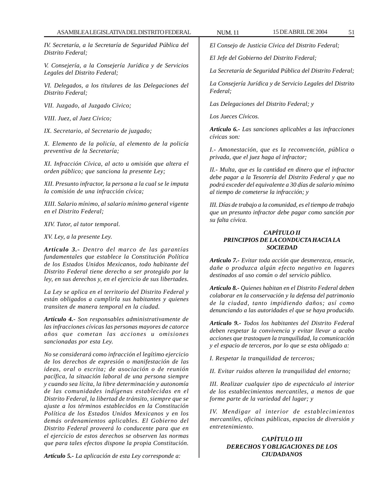*IV. Secretaría, a la Secretaría de Seguridad Pública del Distrito Federal;*

*V. Consejería, a la Consejería Jurídica y de Servicios Legales del Distrito Federal;*

*VI. Delegados, a los titulares de las Delegaciones del Distrito Federal;*

*VII. Juzgado, al Juzgado Cívico;*

*VIII. Juez, al Juez Cívico;*

*IX. Secretario, al Secretario de juzgado;*

*X. Elemento de la policía, al elemento de la policía preventiva de la Secretaría;*

*XI. Infracción Cívica, al acto u omisión que altera el orden público; que sanciona la presente Ley;*

*XII. Presunto infractor, la persona a la cual se le imputa la comisión de una infracción cívica;*

*XIII. Salario mínimo, al salario mínimo general vigente en el Distrito Federal;*

*XIV. Tutor, al tutor temporal.*

*XV. Ley, a la presente Ley.*

*Artículo 3.- Dentro del marco de las garantías fundamentales que establece la Constitución Política de los Estados Unidos Mexicanos, todo habitante del Distrito Federal tiene derecho a ser protegido por la ley, en sus derechos y, en el ejercicio de sus libertades.*

*La Ley se aplica en el territorio del Distrito Federal y están obligados a cumplirla sus habitantes y quienes transiten de manera temporal en la ciudad.*

*Artículo 4.- Son responsables administrativamente de las infracciones cívicas las personas mayores de catorce años que cometan las acciones u omisiones sancionadas por esta Ley.*

*No se considerará como infracción el legítimo ejercicio de los derechos de expresión o manifestación de las ideas, oral o escrita; de asociación o de reunión pacífica, la situación laboral de una persona siempre y cuando sea lícita, la libre determinación y autonomía de las comunidades indígenas establecidas en el Distrito Federal, la libertad de tránsito, siempre que se ajuste a los términos establecidos en la Constitución Política de los Estados Unidos Mexicanos y en los demás ordenamientos aplicables. El Gobierno del Distrito Federal proveerá lo conducente para que en el ejercicio de estos derechos se observen las normas que para tales efectos dispone la propia Constitución.*

*El Consejo de Justicia Cívica del Distrito Federal;*

*El Jefe del Gobierno del Distrito Federal;*

*La Secretaría de Seguridad Pública del Distrito Federal;*

*La Consejería Jurídica y de Servicio Legales del Distrito Federal;*

*Las Delegaciones del Distrito Federal; y*

*Los Jueces Cívicos.*

*Artículo 6.- Las sanciones aplicables a las infracciones cívicas son:*

*I.- Amonestación, que es la reconvención, pública o privada, que el juez haga al infractor;*

*II.- Multa, que es la cantidad en dinero que el infractor debe pagar a la Tesorería del Distrito Federal y que no podrá exceder del equivalente a 30 días de salario mínimo al tiempo de cometerse la infracción; y*

*III. Días de trabajo a la comunidad, es el tiempo de trabajo que un presunto infractor debe pagar como sanción por su falta cívica.*

# *CAPÍTULO II PRINCIPIOS DE LA CONDUCTA HACIA LA SOCIEDAD*

*Articulo 7.- Evitar toda acción que desmerezca, ensucie, dañe o produzca algún efecto negativo en lugares destinados al uso común o del servicio público.*

*Artículo 8.- Quienes habitan en el Distrito Federal deben colaborar en la conservación y la defensa del patrimonio de la ciudad, tanto impidiendo daños; así como denunciando a las autoridades el que se haya producido.*

*Artículo 9.- Todos los habitantes del Distrito Federal deben respetar la convivencia y evitar llevar a acabo acciones que trastoquen la tranquilidad, la comunicación y el espacio de terceros, por lo que se esta obligado a:*

*I. Respetar la tranquilidad de terceros;*

*II. Evitar ruidos alteren la tranquilidad del entorno;*

*III. Realizar cualquier tipo de espectáculo al interior de los establecimientos mercantiles, a menos de que forme parte de la variedad del lugar; y*

*IV. Mendigar al interior de establecimientos mercantiles, oficinas públicas, espacios de diversión y entretenimiento.*

# *CAPÍTULO III DERECHOS Y OBLIGACIONES DE LOS CIUDADANOS*

*Artículo 5.- La aplicación de esta Ley corresponde a:*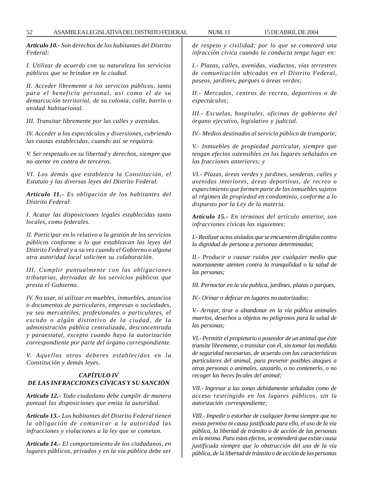*Artículo 10.- Son derechos de los habitantes del Distrito Federal:*

*I. Utilizar de acuerdo con su naturaleza los servicios públicos que se brindan en la ciudad.*

*II. Acceder libremente a los servicios públicos, tanto para el beneficio personal, así como el de su demarcación territorial, de su colonia, calle, barrio o unidad habitacional.*

*III. Transitar libremente por las calles y avenidas.*

*IV. Acceder a los espectáculos y diversiones, cubriendo las cuotas establecidas, cuando así se requiera.*

*V. Ser respetado en su libertad y derechos, siempre que no atente en contra de terceros.*

*VI. Los demás que establezca la Constitución, el Estatuto y las diversas leyes del Distrito Federal.*

*Artículo 11.- Es obligación de los habitantes del Distrito Federal:*

*I. Acatar las disposiciones legales establecidas tanto locales, como federales.*

*II. Participar en lo relativo a la gestión de los servicios públicos conforme a lo que establezcan las leyes del Distrito Federal y a su vez cuando el Gobierno o alguna otra autoridad local soliciten su colaboración.*

*III. Cumplir puntualmente con las obligaciones tributarias, derivadas de los servicios públicos que presta el Gobierno.*

*IV. No usar, ni utilizar en muebles, inmuebles, anuncios o documentos de particulares, empresas o sociedades, ya sea mercantiles, profesionales o particulares, el escudo o algún distintivo de la ciudad, de la administración pública centralizada, desconcentrada y paraestatal, excepto cuando haya la autorización correspondiente por parte del órgano correspondiente.*

*V. Aquellos otros deberes establecidos en la Constitución y demás leyes.*

#### *CAPÍTULO IV DE LAS INFRACCIONES CÍVICAS Y SU SANCIÓN*

*Artículo 12.- Todo ciudadano debe cumplir de manera puntual las disposiciones que emita la autoridad.*

*Artículo 13.- Los habitantes del Distrito Federal tienen la obligación de comunicar a la autoridad las infracciones y violaciones a la ley que se cometan.*

*Artículo 14.- El comportamiento de los ciudadanos, en lugares públicos, privados y en la vía pública debe ser* *de respeto y civilidad; por lo que se cometerá una infracción cívica cuando la conducta tenga lugar en:*

*I.- Plazas, calles, avenidas, viaductos, vías terrestres de comunicación ubicadas en el Distrito Federal, paseos, jardines, parques o áreas verdes;*

*II.- Mercados, centros de recreo, deportivos o de espectáculos;*

*III.- Escuelas, hospitales, oficinas de gobierno del órgano ejecutivo, legislativo y judicial.*

*IV.- Medios destinados al servicio público de transporte;*

*V.- Inmuebles de propiedad particular, siempre que tengan efectos ostensibles en los lugares señalados en las fracciones anteriores; y*

*VI.- Plazas, áreas verdes y jardines, senderos, calles y avenidas interiores, áreas deportivas, de recreo o esparcimiento que formen parte de los inmuebles sujetos al régimen de propiedad en condominio, conforme a lo dispuesto por la Ley de la materia.*

*Artículo 15.- En términos del artículo anterior, son infracciones cívicas las siguientes:*

*I.- Realizar actos aislados que se encuentren dirigidos contra la dignidad de persona a personas determinadas;*

*II.- Producir o causar ruidos por cualquier medio que notoriamente atenten contra la tranquilidad o la salud de las personas;*

*III. Pernoctar en la vía publica, jardines, plazas o parques,*

*IV.- Orinar o defecar en lugares no autorizados;*

*V.- Arrojar, tirar o abandonar en la vía pública animales muertos, desechos u objetos no peligrosos para la salud de las personas;*

*VI.- Permitir el propietario o poseedor de un animal que éste transite libremente, o transitar con él, sin tomar las medidas de seguridad necesarias, de acuerdo con las características particulares del animal, para prevenir posibles ataques a otras personas o animales, azuzarlo, o no contenerlo, o no recoger las heces fecales del animal;*

*VII.- Ingresar a las zonas debidamente señaladas como de acceso restringido en los lugares públicos, sin la autorización correspondiente;*

*VIII.- Impedir o estorbar de cualquier forma siempre que no exista permiso ni causa justificada para ello, el uso de la vía pública, la libertad de tránsito o de acción de las personas en la misma. Para estos efectos, se entenderá que existe causa justificada siempre que la obstrucción del uso de la vía pública, de la libertad de tránsito o de acción de las personas*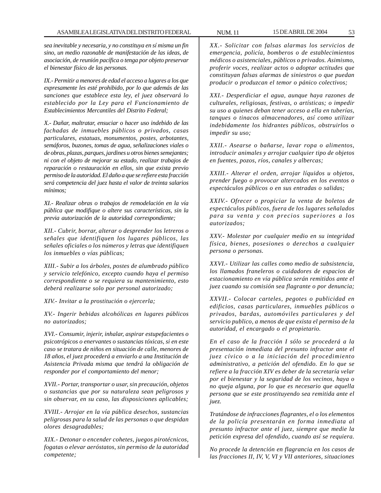*sea inevitable y necesaria, y no constituya en sí misma un fin sino, un medio razonable de manifestación de las ideas, de asociación, de reunión pacífica o tenga por objeto preservar el bienestar físico de las personas.*

*IX.- Permitir a menores de edad el acceso a lugares a los que expresamente les esté prohibido, por lo que además de las sanciones que establece esta ley, el juez observará lo establecido por la Ley para el Funcionamiento de Establecimientos Mercantiles del Distrito Federal;*

*X.- Dañar, maltratar, ensuciar o hacer uso indebido de las fachadas de inmuebles públicos o privados, casas particulares, estatuas, monumentos, postes, arbotantes, semáforos, buzones, tomas de agua, señalizaciones viales o de obras, plazas, parques, jardines u otros bienes semejantes; ni con el objeto de mejorar su estado, realizar trabajos de reparación o restauración en ellos, sin que exista previo permiso de la autoridad. El daño a que se refiere esta fracción será competencia del juez hasta el valor de treinta salarios mínimos;*

*XI.- Realizar obras o trabajos de remodelación en la vía pública que modifique o altere sus características, sin la previa autorización de la autoridad correspondiente;*

*XII.- Cubrir, borrar, alterar o desprender los letreros o señales que identifiquen los lugares públicos, las señales oficiales o los números y letras que identifiquen los inmuebles o vías públicas;*

*XIII.- Subir a los árboles, postes de alumbrado público y servicio telefónico, excepto cuando haya el permiso correspondiente o se requiera su mantenimiento, esto deberá realizarse solo por personal autorizado;*

*XIV.- Invitar a la prostitución o ejercerla;*

*XV.- Ingerir bebidas alcohólicas en lugares públicos no autorizados;*

*XVI.- Consumir, injerir, inhalar, aspirar estupefacientes o psicotrópicos o enervantes o sustancias tóxicas, si en este caso se tratara de niños en situación de calle, menores de 18 años, el juez procederá a enviarlo a una Institución de Asistencia Privada misma que tendrá la obligación de responder por el comportamiento del menor;*

*XVII.- Portar, transportar o usar, sin precaución, objetos o sustancias que por su naturaleza sean peligrosos y sin observar, en su caso, las disposiciones aplicables;*

*XVIII.- Arrojar en la vía pública desechos, sustancias peligrosas para la salud de las personas o que despidan olores desagradables;*

*XIX.- Detonar o encender cohetes, juegos pirotécnicos, fogatas o elevar aeróstatos, sin permiso de la autoridad competente;*

*XX.- Solicitar con falsas alarmas los servicios de emergencia, policía, bomberos o de establecimientos médicos o asistenciales, públicos o privados. Asimismo, proferir voces, realizar actos o adoptar actitudes que constituyan falsas alarmas de siniestros o que puedan producir o produzcan el temor o pánico colectivos;*

*XXI.- Desperdiciar el agua, aunque haya razones de culturales, religiosas, festivas, o artísticas; o impedir su uso a quienes deban tener acceso a ella en tuberías, tanques o tinacos almacenadores, así como utilizar indebidamente los hidrantes públicos, obstruirlos o impedir su uso;*

*XXII.- Asearse o bañarse, lavar ropa o alimentos, introducir animales y arrojar cualquier tipo de objetos en fuentes, pozos, ríos, canales y albercas;*

*XXIII.- Alterar el orden, arrojar líquidos u objetos, prender fuego o provocar altercados en los eventos o espectáculos públicos o en sus entradas o salidas;*

*XXIV.- Ofrecer o propiciar la venta de boletos de espectáculos públicos, fuera de los lugares señalados para su venta y con precios superiores a los autorizados;*

*XXV.- Molestar por cualquier medio en su integridad física, bienes, posesiones o derechos a cualquier persona o personas.*

*XXVI.- Utilizar las calles como medio de subsistencia, los llamados franeleros o cuidadores de espacios de estacionamiento en vía pública serán remitidos ante el juez cuando su comisión sea flagrante o por denuncia;*

*XXVII.- Colocar carteles, pegotes o publicidad en edificios, casas particulares, inmuebles públicos o privados, bardas, automóviles particulares y del servicio publico, a menos de que exista el permiso de la autoridad, el encargado o el propietario.*

*En el caso de la fracción I sólo se procederá a la presentación inmediata del presunto infractor ante el juez cívico o a la iniciación del procedimiento administrativo, a petición del ofendido. En lo que se refiere a la fracción XIV es deber de la secretaría velar por el bienestar y la seguridad de los vecinos, haya o no queja alguna, por lo que es necesario que aquella persona que se este prostituyendo sea remitida ante el juez.*

*Tratándose de infracciones flagrantes, el o los elementos de la policía presentarán en forma inmediata al presunto infractor ante el juez, siempre que medie la petición expresa del ofendido, cuando así se requiera.*

*No procede la detención en flagrancia en los casos de las fracciones II, IV, V, VI y VII anteriores, situaciones*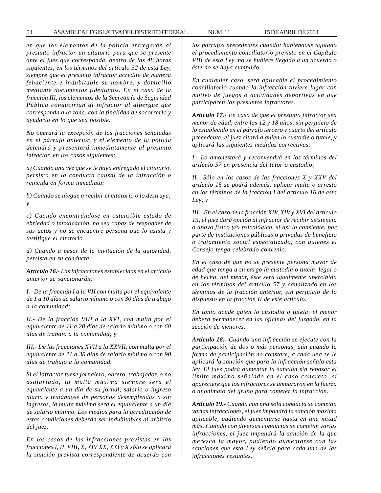*en que los elementos de la policía entregarán al presunto infractor un citatorio para que se presente ante el juez que corresponda, dentro de las 48 horas siguientes, en los términos del artículo 32 de esta Ley, siempre que el presunto infractor acredite de manera fehaciente e indubitable su nombre, y domicilio mediante documentos fidedignos. En el caso de la fracción III, los elementos de la Secretaría de Seguridad Pública conducirían al infractor al albergue que corresponda a la zona, con la finalidad de socorrerlo y ayudarlo en lo que sea posible.*

*No operará la excepción de las fracciones señaladas en el párrafo anterior, y el elemento de la policía detendrá y presentará inmediatamente al presunto infractor, en los casos siguientes:*

*a) Cuando una vez que se le haya entregado el citatorio, persista en la conducta causal de la infracción o reincida en forma inmediata;*

*b) Cuando se niegue a recibir el citatorio o lo destruya; y*

*c) Cuando encontrándose en ostensible estado de ebriedad o intoxicación, no sea capaz de responder de sus actos y no se encuentre persona que lo asista y testifique el citatorio.*

*d) Cuando a pesar de la invitación de la autoridad, persista en su conducta.*

*Artículo 16.- Las infracciones establecidas en el artículo anterior se sancionarán:*

*I.- De la fracción I a la VII con multa por el equivalente de 1 a 10 días de salario mínimo o con 30 días de trabajo a la comunidad;*

*II.- De la fracción VIII a la XVI, con multa por el equivalente de 11 a 20 días de salario mínimo o con 60 días de trabajo a la comunidad; y*

*III.- De las fracciones XVII a la XXVII, con multa por el equivalente de 21 a 30 días de salario mínimo o con 90 días de trabajo a la comunidad.*

*Si el infractor fuese jornalero, obrero, trabajador, o no asalariado, la multa máxima siempre será el equivalente a un día de su jornal, salario o ingreso diario y tratándose de personas desempleadas o sin ingresos, la multa máxima será el equivalente a un día de salario mínimo. Los medios para la acreditación de estas condiciones deberán ser indubitables al arbitrio del juez.*

*En los casos de las infracciones previstas en las fracciones I, II, VIII, X, XIV XX, XXI y X sólo se aplicará la sanción prevista correspondiente de acuerdo con* *los párrafos precedentes cuando; habiéndose agotado el procedimiento conciliatorio previsto en el Capítulo VIII de esta Ley, no se hubiere llegado a un acuerdo o éste no se haya cumplido.*

*En cualquier caso, será aplicable el procedimiento conciliatorio cuando la infracción tuviere lugar con motivo de juegos o actividades deportivas en que participaren los presuntos infractores.*

*Artículo 17.- En caso de que el presunto infractor sea menor de edad, entre los 12 y 18 años, sin perjuicio de lo establecido en el párrafo tercero y cuarto del artículo precedente, el juez citará a quien lo custodie o tutele, y aplicará las siguientes medidas correctivas:*

*I.- Lo amonestará y reconvendrá en los términos del artículo 57 en presencia del tutor o custodio;*

*II.- Sólo en los casos de las fracciones X y XXV del artículo 15 se podrá además, aplicar multa o arresto en los términos de la fracción I del artículo 16 de esta Ley; y*

*III.- En el caso de la fracción XIV, XIV y XVI del artículo 15, el juez dará opción al infractor de recibir asistencia o apoyo físico y/o psicológico, si así lo consiente, por parte de instituciones públicas o privadas de beneficio o tratamiento social especializado, con quienes el Consejo tenga celebrado convenio.*

*En el caso de que no se presente persona mayor de edad que tenga a su cargo la custodia o tutela, legal o de hecho, del menor, éste será igualmente apercibido en los términos del artículo 57 y canalizado en los términos de la fracción anterior, sin perjuicio de lo dispuesto en la fracción II de este artículo.*

*En tanto acude quien lo custodia o tutela, el menor deberá permanecer en las oficinas del juzgado, en la sección de menores.*

*Artículo 18.- Cuando una infracción se ejecute con la participación de dos o más personas, aún cuando la forma de participación no constare, a cada una se le aplicará la sanción que para la infracción señala esta ley. El juez podrá aumentar la sanción sin rebasar el límite máximo señalado en el caso concreto, si apareciere que los infractores se ampararon en la fuerza o anonimato del grupo para cometer la infracción.*

*Artículo 19.- Cuando con una sola conducta se cometan varias infracciones, el juez impondrá la sanción máxima aplicable, pudiendo aumentarse hasta en una mitad más. Cuando con diversas conductas se cometan varias infracciones, el juez impondrá la sanción de la que merezca la mayor, pudiendo aumentarse con las sanciones que esta Ley señala para cada una de las infracciones restantes.*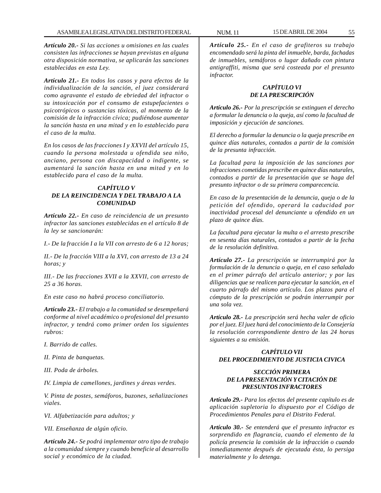*Artículo 20.- Si las acciones u omisiones en las cuales consisten las infracciones se hayan previstas en alguna otra disposición normativa, se aplicarán las sanciones establecidas en esta Ley.*

*Artículo 21.- En todos los casos y para efectos de la individualización de la sanción, el juez considerará como agravante el estado de ebriedad del infractor o su intoxicación por el consumo de estupefacientes o psicotrópicos o sustancias tóxicas, al momento de la comisión de la infracción cívica; pudiéndose aumentar la sanción hasta en una mitad y en lo establecido para el caso de la multa.*

*En los casos de las fracciones I y XXVII del artículo 15, cuando la persona molestada u ofendida sea niño, anciano, persona con discapacidad o indigente, se aumentará la sanción hasta en una mitad y en lo establecido para el caso de la multa.*

#### *CAPÍTULO V DE LA REINCIDENCIA Y DEL TRABAJO A LA COMUNIDAD*

*Artículo 22.- En caso de reincidencia de un presunto infractor las sanciones establecidas en el artículo 8 de la ley se sancionarán:*

*I.- De la fracción I a la VII con arresto de 6 a 12 horas;*

*II.- De la fracción VIII a la XVI, con arresto de 13 a 24 horas; y*

*III.- De las fracciones XVII a la XXVII, con arresto de 25 a 36 horas.*

*En este caso no habrá proceso conciliatorio.*

*Artículo 23.- El trabajo a la comunidad se desempeñará conforme al nivel académico o profesional del presunto infractor, y tendrá como primer orden los siguientes rubros:*

*I. Barrido de calles.*

*II. Pinta de banquetas.*

*III. Poda de árboles.*

*IV. Limpia de camellones, jardines y áreas verdes.*

*V. Pinta de postes, semáforos, buzones, señalizaciones viales.*

*VI. Alfabetización para adultos; y*

*VII. Enseñanza de algún oficio.*

*Artículo 24.- Se podrá implementar otro tipo de trabajo a la comunidad siempre y cuando beneficie al desarrollo social y económico de la ciudad.*

*Artículo 25.- En el caso de grafiteros su trabajo encomendado será la pinta del inmueble, barda, fachadas de inmuebles, semáforos o lugar dañado con pintura antigraffiti, misma que será costeada por el presunto infractor.*

## *CAPÍTULO VI DE LA PRESCRIPCIÓN*

*Artículo 26.- Por la prescripción se extinguen el derecho a formular la denuncia o la queja, así como la facultad de imposición y ejecución de sanciones.*

*El derecho a formular la denuncia o la queja prescribe en quince días naturales, contados a partir de la comisión de la presunta infracción.*

*La facultad para la imposición de las sanciones por infracciones cometidas prescribe en quince días naturales, contados a partir de la presentación que se haga del presunto infractor o de su primera comparecencia.*

*En caso de la presentación de la denuncia, queja o de la petición del ofendido, operará la caducidad por inactividad procesal del denunciante u ofendido en un plazo de quince días.*

*La facultad para ejecutar la multa o el arresto prescribe en sesenta días naturales, contados a partir de la fecha de la resolución definitiva.*

*Artículo 27.- La prescripción se interrumpirá por la formulación de la denuncia o queja, en el caso señalado en el primer párrafo del artículo anterior; y por las diligencias que se realicen para ejecutar la sanción, en el cuarto párrafo del mismo artículo. Los plazos para el cómputo de la prescripción se podrán interrumpir por una sola vez.*

*Artículo 28.- La prescripción será hecha valer de oficio por el juez. El juez hará del conocimiento de la Consejería la resolución correspondiente dentro de las 24 horas siguientes a su emisión.*

## *CAPÍTULO VII DEL PROCEDIMIENTO DE JUSTICIA CIVICA*

### *SECCIÓN PRIMERA DE LA PRESENTACIÓN Y CITACIÓN DE PRESUNTOS INFRACTORES*

*Artículo 29.- Para los efectos del presente capítulo es de aplicación supletoria lo dispuesto por el Código de Procedimientos Penales para el Distrito Federal.*

*Artículo 30.- Se entenderá que el presunto infractor es sorprendido en flagrancia, cuando el elemento de la policía presencia la comisión de la infracción o cuando inmediatamente después de ejecutada ésta, lo persiga materialmente y lo detenga.*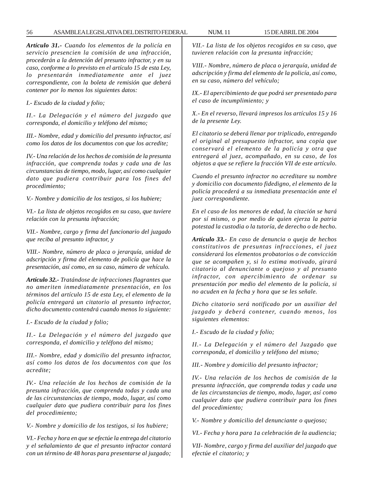*Artículo 31.- Cuando los elementos de la policía en servicio presencien la comisión de una infracción, procederán a la detención del presunto infractor, y en su caso, conforme a lo previsto en el artículo 15 de esta Ley, lo presentarán inmediatamente ante el juez correspondiente, con la boleta de remisión que deberá contener por lo menos los siguientes datos:*

*I.- Escudo de la ciudad y folio;*

*II.- La Delegación y el número del juzgado que corresponda, el domicilio y teléfono del mismo;*

*III.- Nombre, edad y domicilio del presunto infractor, así como los datos de los documentos con que los acredite;*

*IV.- Una relación de los hechos de comisión de la presunta infracción, que comprenda todas y cada una de las circunstancias de tiempo, modo, lugar, así como cualquier dato que pudiera contribuir para los fines del procedimiento;*

*V.- Nombre y domicilio de los testigos, si los hubiere;*

*VI.- La lista de objetos recogidos en su caso, que tuviere relación con la presunta infracción;*

*VII.- Nombre, cargo y firma del funcionario del juzgado que reciba al presunto infractor, y*

*VIII.- Nombre, número de placa o jerarquía, unidad de adscripción y firma del elemento de policía que hace la presentación, así como, en su caso, número de vehículo.*

*Artículo 32.- Tratándose de infracciones flagrantes que no ameriten inmediatamente presentación, en los términos del artículo 15 de esta Ley, el elemento de la policía entregará un citatorio al presunto infractor, dicho documento contendrá cuando menos lo siguiente:*

*I.- Escudo de la ciudad y folio;*

*II.- La Delegación y el número del juzgado que corresponda, el domicilio y teléfono del mismo;*

*III.- Nombre, edad y domicilio del presunto infractor, así como los datos de los documentos con que los acredite;*

*IV.- Una relación de los hechos de comisión de la presunta infracción, que comprenda todas y cada una de las circunstancias de tiempo, modo, lugar, así como cualquier dato que pudiera contribuir para los fines del procedimiento;*

*V.- Nombre y domicilio de los testigos, si los hubiere;*

*VI.- Fecha y hora en que se efectúe la entrega del citatorio y el señalamiento de que el presunto infractor contará con un término de 48 horas para presentarse al juzgado;*

*VII.- La lista de los objetos recogidos en su caso, que tuvieren relación con la presunta infracción;*

*VIII.- Nombre, número de placa o jerarquía, unidad de adscripción y firma del elemento de la policía, así como, en su caso, número del vehículo;*

*IX.- El apercibimiento de que podrá ser presentado para el caso de incumplimiento; y*

*X.- En el reverso, llevará impresos los artículos 15 y 16 de la presente Ley.*

*El citatorio se deberá llenar por triplicado, entregando el original al presupuesto infractor, una copia que conservará el elemento de la policía y otra que entregará al juez, acompañado, en su caso, de los objetos a que se refiere la fracción VII de este artículo.*

*Cuando el presunto infractor no acreditare su nombre y domicilio con documento fidedigno, el elemento de la policía procederá a su inmediata presentación ante el juez correspondiente.*

*En el caso de los menores de edad, la citación se hará por sí mismo, o por medio de quien ejerza la patria potestad la custodia o la tutoría, de derecho o de hecho.*

*Artículo 33.- En caso de denuncia o queja de hechos constitutivos de presuntas infracciones, el juez considerará los elementos probatorios o de convicción que se acompañen y, si lo estima motivado, girará citatorio al denunciante o quejoso y al presunto infractor, con apercibimiento de ordenar su presentación por medio del elemento de la policía, si no acuden en la fecha y hora que se les señale.*

*Dicho citatorio será notificado por un auxiliar del juzgado y deberá contener, cuando menos, los siguientes elementos:*

*I.- Escudo de la ciudad y folio;*

*II.- La Delegación y el número del Juzgado que corresponda, el domicilio y teléfono del mismo;*

*III.- Nombre y domicilio del presunto infractor;*

*IV.- Una relación de los hechos de comisión de la presunta infracción, que comprenda todas y cada una de las circunstancias de tiempo, modo, lugar, así como cualquier dato que pudiera contribuir para los fines del procedimiento;*

*V.- Nombre y domicilio del denunciante o quejoso;*

*VI.- Fecha y hora para 1a celebración de la audiencia;*

*VII- Nombre, cargo y firma del auxiliar del juzgado que efectúe el citatorio; y*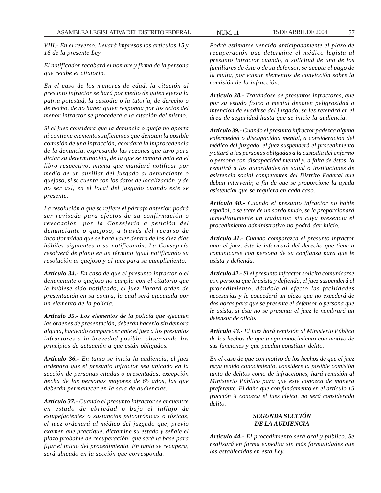*VIII.- En el reverso, llevará impresos los artículos 15 y 16 de la presente Ley.*

*El notificador recabará el nombre y firma de la persona que recibe el citatorio.*

*En el caso de los menores de edad, la citación al presunto infractor se hará por medio de quien ejerza la patria potestad, la custodia o la tutoría, de derecho o de hecho, de no haber quien responda por los actos del menor infractor se procederá a la citación del mismo.*

*Si el juez considera que la denuncia o queja no aporta ni contiene elementos suficientes que denoten la posible comisión de una infracción, acordará la improcedencia de la denuncia, expresando las razones que tuvo para dictar su determinación, de la que se tomará nota en el libro respectivo, misma que mandará notificar por medio de un auxiliar del juzgado al denunciante o quejoso, si se cuenta con los datos de localización, y de no ser así, en el local del juzgado cuando éste se presente.*

*La resolución a que se refiere el párrafo anterior, podrá ser revisada para efectos de su confirmación o revocación, por la Consejería a petición del denunciante o quejoso, a través del recurso de inconformidad que se hará valer dentro de los diez días hábiles siguientes a su notificación. La Consejería resolverá de plano en un término igual notificando su resolución al quejoso y al juez para su cumplimiento.*

*Artículo 34.- En caso de que el presunto infractor o el denunciante o quejoso no cumpla con el citatorio que le hubiese sido notificado, el juez librará orden de presentación en su contra, la cual será ejecutada por un elemento de la policía.*

*Artículo 35.- Los elementos de la policía que ejecuten las órdenes de presentación, deberán hacerlo sin demora alguna, haciendo comparecer ante el juez a los presuntos infractores a la brevedad posible, observando los principios de actuación a que están obligados.*

*Artículo 36.- En tanto se inicia la audiencia, el juez ordenará que el presunto infractor sea ubicado en la sección de personas citadas o presentadas, excepción hecha de las personas mayores de 65 años, las que deberán permanecer en la sala de audiencias.*

*Artículo 37.- Cuando el presunto infractor se encuentre en estado de ebriedad o bajo el influjo de estupefacientes o sustancias psicotrópicas o tóxicas, el juez ordenará al médico del juzgado que, previo examen que practique, dictamine su estado y señale el plazo probable de recuperación, que será la base para fijar el inicio del procedimiento. En tanto se recupera, será ubicado en la sección que corresponda.*

*Podrá estimarse vencido anticipadamente el plazo de recuperación que determine el médico legista al presunto infractor cuando, a solicitud de uno de los familiares de éste o de su defensor, se acepta el pago de la multa, por existir elementos de convicción sobre la comisión de la infracción.*

*Artículo 38.- Tratándose de presuntos infractores, que por su estado físico o mental denoten peligrosidad o intención de evadirse del juzgado, se les retendrá en el área de seguridad hasta que se inicie la audiencia.*

*Artículo 39.- Cuando el presunto infractor padezca alguna enfermedad o discapacidad mental, a consideración del médico del juzgado, el juez suspenderá el procedimiento y citará a las personas obligadas a la custodia del enfermo o persona con discapacidad mental y, a falta de éstos, lo remitirá a las autoridades de salud o instituciones de asistencia social competentes del Distrito Federal que deban intervenir, a fin de que se proporcione la ayuda asistencial que se requiera en cada caso.*

*Artículo 40.- Cuando el presunto infractor no hable español, o se trate de un sordo mudo, se le proporcionará inmediatamente un traductor, sin cuya presencia el procedimiento administrativo no podrá dar inicio.*

*Artículo 41.- Cuando comparezca el presunto infractor ante el juez, éste le informará del derecho que tiene a comunicarse con persona de su confianza para que le asista y defienda.*

*Artículo 42.- Si el presunto infractor solicita comunicarse con persona que le asista y defienda, el juez suspenderá el procedimiento, dándole al efecto las facilidades necesarias y le concederá un plazo que no excederá de dos horas para que se presente el defensor o persona que le asista, si éste no se presenta el juez le nombrará un defensor de oficio.*

*Artículo 43.- El juez hará remisión al Ministerio Público de los hechos de que tenga conocimiento con motivo de sus funciones y que puedan constituir delito.*

*En el caso de que con motivo de los hechos de que el juez haya tenido conocimiento, considere la posible comisión tanto de delitos como de infracciones, hará remisión al Ministerio Público para que éste conozca de manera preferente. El daño que con fundamento en el artículo 15 fracción X conozca el juez cívico, no será considerado delito.*

### *SEGUNDA SECCIÓN DE LA AUDIENCIA*

*Artículo 44.- El procedimiento será oral y público. Se realizará en forma expedita sin más formalidades que las establecidas en esta Ley.*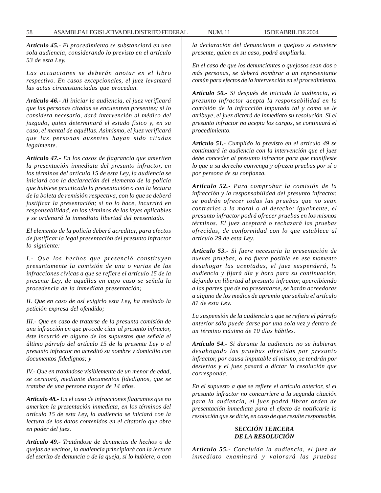*Artículo 45.- El procedimiento se substanciará en una sola audiencia, considerando lo previsto en el artículo 53 de esta Ley.*

*Las actuaciones se deberán anotar en el libro respectivo. En casos excepcionales, el juez levantará las actas circunstanciadas que procedan.*

*Artículo 46.- Al iniciar la audiencia, el juez verificará que las personas citadas se encuentren presentes; si lo considera necesario, dará intervención al médico del juzgado, quien determinará el estado físico y, en su caso, el mental de aquéllas. Asimismo, el juez verificará que las personas ausentes hayan sido citadas legalmente.*

*Artículo 47.- En los casos de flagrancia que ameriten la presentación inmediata del presunto infractor, en los términos del artículo 15 de esta Ley, la audiencia se iniciará con la declaración del elemento de la policía que hubiese practicado la presentación o con la lectura de la boleta de remisión respectiva, con lo que se deberá justificar la presentación; si no lo hace, incurrirá en responsabilidad, en los términos de las leyes aplicables y se ordenará la inmediata libertad del presentado.*

*El elemento de la policía deberá acreditar, para efectos de justificar la legal presentación del presunto infractor lo siguiente:*

*I.- Que los hechos que presenció constituyen presuntamente la comisión de una o varias de las infracciones cívicas a que se refiere el artículo 15 de la presente Ley, de aquéllas en cuyo caso se señala la procedencia de la inmediata presentación;*

*II. Que en caso de así exigirlo esta Ley, ha mediado la petición expresa del ofendido;*

*III.- Que en caso de tratarse de la presunta comisión de una infracción en que procede citar al presunto infractor, éste incurrió en alguno de los supuestos que señala el último párrafo del artículo 15 de la presente Ley o el presunto infractor no acreditó su nombre y domicilio con documentos fidedignos; y*

*IV.- Que en tratándose visiblemente de un menor de edad, se cercioró, mediante documentos fidedignos, que se trataba de una persona mayor de 14 años.*

*Artículo 48.- En el caso de infracciones flagrantes que no ameriten la presentación inmediata, en los términos del artículo 15 de esta Ley, la audiencia se iniciará con la lectura de los datos contenidos en el citatorio que obre en poder del juez.*

*Artículo 49.- Tratándose de denuncias de hechos o de quejas de vecinos, la audiencia principiará con la lectura del escrito de denuncia o de la queja, si lo hubiere, o con* *la declaración del denunciante o quejoso si estuviere presente, quien en su caso, podrá ampliarla.*

*En el caso de que los denunciantes o quejosos sean dos o más personas, se deberá nombrar a un representante común para efectos de la intervención en el procedimiento.*

*Artículo 50.- Si después de iniciada la audiencia, el presunto infractor acepta la responsabilidad en la comisión de la infracción imputada tal y como se le atribuye, el juez dictará de inmediato su resolución. Si el presunto infractor no acepta los cargos, se continuará el procedimiento.*

*Artículo 51.- Cumplido lo previsto en el artículo 49 se continuará la audiencia con la intervención que el juez debe conceder al presunto infractor para que manifieste lo que a su derecho convenga y ofrezca pruebas por sí o por persona de su confianza.*

*Artículo 52.- Para comprobar la comisión de la infracción y la responsabilidad del presunto infractor, se podrán ofrecer todas las pruebas que no sean contrarias a la moral o al derecho; igualmente, el presunto infractor podrá ofrecer pruebas en los mismos términos. El juez aceptará o rechazará las pruebas ofrecidas, de conformidad con lo que establece al artículo 29 de esta Ley.*

*Artículo 53.- Si fuere necesaria la presentación de nuevas pruebas, o no fuera posible en ese momento desahogar las aceptadas, el juez suspenderá, la audiencia y fijará día y hora para su continuación, dejando en libertad al presunto infractor, apercibiendo a las partes que de no presentarse, se harán acreedoras a alguno de los medios de apremio que señala el artículo 81 de esta Ley.*

*La suspensión de la audiencia a que se refiere el párrafo anterior sólo puede darse por una sola vez y dentro de un término máximo de 10 días hábiles.*

*Artículo 54.- Si durante la audiencia no se hubieran desahogado las pruebas ofrecidas por presunto infractor, por causa imputable al mismo, se tendrán por desiertas y el juez pasará a dictar la resolución que corresponda.*

*En el supuesto a que se refiere el artículo anterior, si el presunto infractor no concurriere a la segunda citación para la audiencia, el juez podrá librar orden de presentación inmediata para el efecto de notificarle la resolución que se dicte, en caso de que resulte responsable.*

## *SECCIÓN TERCERA DE LA RESOLUCIÓN*

*Artículo 55.- Concluida la audiencia, el juez de inmediato examinará y valorará las pruebas*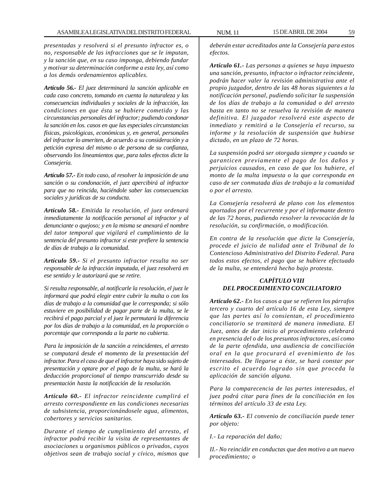*presentadas y resolverá si el presunto infractor es, o no, responsable de las infracciones que se le imputan, y la sanción que, en su caso imponga, debiendo fundar y motivar su determinación conforme a esta ley, así como a los demás ordenamientos aplicables.*

*Artículo 56.- El juez determinará la sanción aplicable en cada caso concreto, tomando en cuenta la naturaleza y las consecuencias individuales y sociales de la infracción, las condiciones en que ésta se hubiere cometido y las circunstancias personales del infractor; pudiendo condonar la sanción en los. casos en que las especiales circunstancias físicas, psicológicas, económicas y, en general, personales del infractor lo ameriten, de acuerdo a su consideración y a petición expresa del mismo o de persona de su confianza, observando los lineamientos que, para tales efectos dicte la Consejería.*

*Artículo 57.- En todo caso, al resolver la imposición de una sanción o su condonación, el juez apercibirá al infractor para que no reincida, haciéndole saber las consecuencias sociales y jurídicas de su conducta.*

*Artículo 58.- Emitida la resolución, el juez ordenará inmediatamente la notificación personal al infractor y al denunciante o quejoso; y en la misma se anexará el nombre del tutor temporal que vigilará el cumplimiento de la sentencia del presunto infractor si este prefiere la sentencia de días de trabajo a la comunidad.*

*Artículo 59.- Si el presunto infractor resulta no ser responsable de la infracción imputada, el juez resolverá en ese sentido y le autorizará que se retire.*

*Si resulta responsable, al notificarle la resolución, el juez le informará que podrá elegir entre cubrir la multa o con los días de trabajo a la comunidad que le corresponda; si sólo estuviere en posibilidad de pagar parte de la multa, se le recibirá el pago parcial y el juez le permutará la diferencia por los días de trabajo a la comunidad, en la proporción o porcentaje que corresponda a la parte no cubierta.*

*Para la imposición de la sanción a reincidentes, el arresto se computará desde el momento de la presentación del infractor. Para el caso de que el infractor haya sido sujeto de presentación y optare por el pago de la multa, se hará la deducción proporcional al tiempo transcurrido desde su presentación hasta la notificación de la resolución.*

*Artículo 60.- El infractor reincidente cumplirá el arresto correspondiente en las condiciones necesarias de subsistencia, proporcionándosele agua, alimentos, cobertores y servicios sanitarios.*

*Durante el tiempo de cumplimiento del arresto, el infractor podrá recibir la visita de representantes de asociaciones u organismos públicos o privados, cuyos objetivos sean de trabajo social y cívico, mismos que*

*deberán estar acreditados ante la Consejería para estos efectos.*

*Artículo 61.- Las personas a quienes se haya impuesto una sanción, presunto, infractor o infractor reincidente, podrán hacer valer la revisión administrativa ante el propio juzgador, dentro de las 48 horas siguientes a la notificación personal, pudiendo solicitar la suspensión de los días de trabajo a la comunidad o del arresto hasta en tanto no se resuelva la revisión de manera definitiva. El juzgador resolverá este aspecto de inmediato y remitirá a la Consejería el recurso, su informe y la resolución de suspensión que hubiese dictado, en un plazo de 72 horas.*

*La suspensión podrá ser otorgada siempre y cuando se garanticen previamente el pago de los daños y perjuicios causados, en caso de que los hubiere, el monto de la multa impuesta o la que corresponda en caso de ser conmutada días de trabajo a la comunidad o por el arresto.*

*La Consejería resolverá de plano con los elementos aportados por el recurrente y por el informante dentro de las 72 horas, pudiendo resolver la revocación de la resolución, su confirmación, o modificación.*

*En contra de la resolución que dicte la Consejería, procede el juicio de nulidad ante el Tribunal de lo Contencioso Administrativo del Distrito Federal. Para todos estos efectos, el pago que se hubiere efectuado de la multa, se entenderá hecho bajo protesta.*

# *CAPÍTULO VIII DEL PROCEDIMIENTO CONCILIATORIO*

*Artículo 62.- En los casos a que se refieren los párrafos tercero y cuarto del artículo 16 de esta Ley, siempre que las partes así lo consientan, el procedimiento conciliatorio se tramitará de manera inmediata. El Juez, antes de dar inicio al procedimiento celebrará en presencia del o de los presuntos infractores, así como de la parte ofendida, una audiencia de conciliación oral en la que procurará el avenimiento de los interesados. De llegarse a éste, se hará constar por escrito el acuerdo logrado sin que proceda la aplicación de sanción alguna.*

*Para la comparecencia de las partes interesadas, el juez podrá citar para fines de la conciliación en los términos del artículo 33 de esta Ley.*

*Artículo 63.- El convenio de conciliación puede tener por objeto:*

*I.- La reparación del daño;*

*II.- No reincidir en conductas que den motivo a un nuevo procedimiento; o*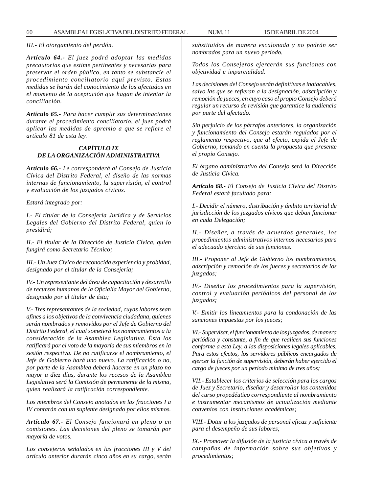*III.- El otorgamiento del perdón.*

*Artículo 64.- El juez podrá adoptar las medidas precautorias que estime pertinentes y necesarias para preservar el orden público, en tanto se substancie el procedimiento conciliatorio aquí previsto. Estas medidas se harán del conocimiento de los afectados en el momento de la aceptación que hagan de intentar la conciliación.*

*Artículo 65.- Para hacer cumplir sus determinaciones durante el procedimiento conciliatorio, el juez podrá aplicar las medidas de apremio a que se refiere el artículo 81 de esta ley.*

## *CAPÍTULO IX DE LA ORGANIZACIÓN ADMINISTRATIVA*

*Artículo 66.- Le corresponderá al Consejo de Justicia Cívica del Distrito Federal, el diseño de las normas internas de funcionamiento, la supervisión, el control y evaluación de los juzgados cívicos.*

*Estará integrado por:*

*I.- El titular de la Consejería Jurídica y de Servicios Legales del Gobierno del Distrito Federal, quien lo presidirá;*

*II.- El titular de la Dirección de Justicia Cívica, quien fungirá como Secretario Técnico;*

*III.- Un Juez Cívico de reconocida experiencia y probidad, designado por el titular de la Consejería;*

*IV.- Un representante del área de capacitación y desarrollo de recursos humanos de la Oficialía Mayor del Gobierno, designado por el titular de ésta;*

*V.- Tres representantes de la sociedad, cuyas labores sean afines a los objetivos de la convivencia ciudadana, quienes serán nombrados y removidos por el Jefe de Gobierno del Distrito Federal, el cual someterá los nombramientos a la consideración de la Asamblea Legislativa. Ésta los ratificará por el voto de la mayoría de sus miembros en la sesión respectiva. De no ratificarse el nombramiento, el Jefe de Gobierno hará uno nuevo. La ratificación o no, por parte de la Asamblea deberá hacerse en un plazo no mayor a diez días, durante los recesos de la Asamblea Legislativa será la Comisión de permanente de la misma, quien realizará la ratificación correspondiente.*

*Los miembros del Consejo anotados en las fracciones I a IV contarán con un suplente designado por ellos mismos.*

*Artículo 67.- El Consejo funcionará en pleno o en comisiones. Las decisiones del pleno se tomarán por mayoría de votos.*

*Los consejeros señalados en las fracciones III y V del artículo anterior durarán cinco años en su cargo, serán* *substituidos de manera escalonada y no podrán ser nombrados para un nuevo período.*

*Todos los Consejeros ejercerán sus funciones con objetividad e imparcialidad.*

*Las decisiones del Consejo serán definitivas e inatacables, salvo las que se refieran a la designación, adscripción y remoción de jueces, en cuyo caso el propio Consejo deberá regular un recurso de revisión que garantice la audiencia por parte del afectado.*

*Sin perjuicio de los párrafos anteriores, la organización y funcionamiento del Consejo estarán regulados por el reglamento respectivo, que al efecto, expida el Jefe de Gobierno, tomando en cuenta la propuesta que presente el propio Consejo.*

*El órgano administrativo del Consejo será la Dirección de Justicia Cívica.*

*Artículo 68.- El Consejo de Justicia Cívica del Distrito Federal estará facultado para:*

*I.- Decidir el número, distribución y ámbito territorial de jurisdicción de los juzgados cívicos que deban funcionar en cada Delegación;*

*II.- Diseñar, a través de acuerdos generales, los procedimientos administrativos internos necesarios para el adecuado ejercicio de sus funciones.*

*III.- Proponer al Jefe de Gobierno los nombramientos, adscripción y remoción de los jueces y secretarios de los juzgados;*

*IV.- Diseñar los procedimientos para la supervisión, control y evaluación periódicos del personal de los juzgados;*

*V.- Emitir los lineamientos para la condonación de las sanciones impuestas por los jueces;*

*VI.- Supervisar, el funcionamiento de los juzgados, de manera periódica y constante, a fin de que realicen sus funciones conforme a esta Ley, a las disposiciones legales aplicables. Para estos efectos, los servidores públicos encargados de ejercer la función de supervisión, deberán haber ejercido el cargo de jueces por un período mínimo de tres años;*

*VII.- Establecer los criterios de selección para los cargos de Juez y Secretario, diseñar y desarrollar los contenidos del curso propedéutico correspondiente al nombramiento e instrumentar mecanismos de actualización mediante convenios con instituciones académicas;*

*VIII.- Dotar a los juzgados de personal eficaz y suficiente para el desempeño de sus labores;*

*IX.- Promover la difusión de la justicia cívica a través de campañas de información sobre sus objetivos y procedimientos;*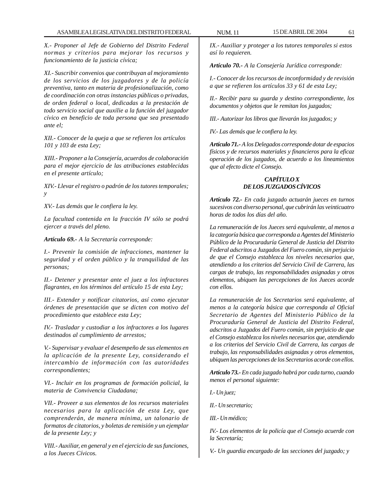*X.- Proponer al Jefe de Gobierno del Distrito Federal normas y criterios para mejorar los recursos y funcionamiento de la justicia cívica;*

*XI.- Suscribir convenios que contribuyan al mejoramiento de los servicios de los juzgadores y de la policía preventiva, tanto en materia de profesionalización, como de coordinación con otras instancias públicas o privadas, de orden federal o local, dedicadas a la prestación de todo servicio social que auxilie a la función del juzgador cívico en beneficio de toda persona que sea presentado ante el;*

*XII.- Conocer de la queja a que se refieren los artículos 101 y 103 de esta Ley;*

*XIII.- Proponer a la Consejería, acuerdos de colaboración para el mejor ejercicio de las atribuciones establecidas en el presente artículo;*

*XIV.- Llevar el registro o padrón de los tutores temporales; y*

*XV.- Las demás que le confiera la ley.*

*La facultad contenida en la fracción IV sólo se podrá ejercer a través del pleno.*

*Artículo 69.- A la Secretaría corresponde:*

*I.- Prevenir la comisión de infracciones, mantener la seguridad y el orden público y la tranquilidad de las personas;*

*II.- Detener y presentar ante el juez a los infractores flagrantes, en los términos del artículo 15 de esta Ley;*

*III.- Extender y notificar citatorios, así como ejecutar órdenes de presentación que se dicten con motivo del procedimiento que establece esta Ley;*

*IV.- Trasladar y custodiar a los infractores a los lugares destinados al cumplimiento de arrestos;*

*V.- Supervisar y evaluar el desempeño de sus elementos en la aplicación de la presente Ley, considerando el intercambio de información con las autoridades correspondientes;*

*VI.- Incluir en los programas de formación policial, la materia de Convivencia Ciudadana;*

*VII.- Proveer a sus elementos de los recursos materiales necesarios para la aplicación de esta Ley, que comprenderán, de manera mínima, un talonario de formatos de citatorios, y boletas de remisión y un ejemplar de la presente Ley; y*

*VIII.- Auxiliar, en general y en el ejercicio de sus funciones, a los Jueces Cívicos.*

*IX.- Auxiliar y proteger a los tutores temporales si estos así lo requieren.*

*Artículo 70.- A la Consejería Jurídica corresponde:*

*I.- Conocer de los recursos de inconformidad y de revisión a que se refieren los artículos 33 y 61 de esta Ley;*

*II.- Recibir para su guarda y destino correspondiente, los documentos y objetos que le remitan los juzgados;*

*III.- Autorizar los libros que llevarán los juzgados; y*

*IV.- Las demás que le confiera la ley.*

*Artículo 71.- A los Delegados corresponde dotar de espacios físicos y de recursos materiales y financieros para la eficaz operación de los juzgados, de acuerdo a los lineamientos que al efecto dicte el Consejo.*

# *CAPÍTULO X DE LOS JUZGADOS CÍVICOS*

*Artículo 72.- En cada juzgado actuarán jueces en turnos sucesivos con diverso personal, que cubrirán las veinticuatro horas de todos los días del año.*

*La remuneración de los Jueces será equivalente, al menos a la categoría básica que corresponda a Agentes del Ministerio Público de la Procuraduría General de Justicia del Distrito Federal adscritos a Juzgados del Fuero común, sin perjuicio de que el Consejo establezca los niveles necesarios que, atendiendo a los criterios del Servicio Civil de Carrera, las cargas de trabajo, las responsabilidades asignadas y otros elementos, ubiquen las percepciones de los Jueces acorde con ellos.*

*La remuneración de los Secretarios será equivalente, al menos a la categoría básica que corresponda al Oficial Secretario de Agentes del Ministerio Público de la Procuraduría General de Justicia del Distrito Federal, adscritos a Juzgados del Fuero común, sin perjuicio de que el Consejo establezca los niveles necesarios que, atendiendo a los criterios del Servicio Civil de Carrera, las cargas de trabajo, las responsabilidades asignadas y otros elementos, ubiquen las percepciones de los Secretarios acorde con ellos.*

*Artículo 73.- En cada juzgado habrá por cada turno, cuando menos el personal siguiente:*

*I.- Un juez;*

*II.- Un secretario;*

*III.- Un médico;*

*IV.- Los elementos de la policía que el Consejo acuerde con la Secretaría;*

*V.- Un guardia encargado de las secciones del juzgado; y*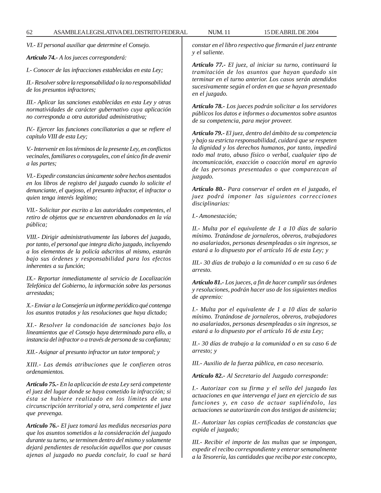*VI.- El personal auxiliar que determine el Consejo.*

*Artículo 74.- A los jueces corresponderá:*

*I.- Conocer de las infracciones establecidas en esta Ley;*

*II.- Resolver sobre la responsabilidad o la no responsabilidad de los presuntos infractores;*

*III.- Aplicar las sanciones establecidas en esta Ley y otras normatividades de carácter gubernativo cuya aplicación no corresponda a otra autoridad administrativa;*

*IV.- Ejercer las funciones conciliatorias a que se refiere el capítulo VIII de esta Ley;*

*V.- Intervenir en los términos de la presente Ley, en conflictos vecinales, familiares o conyugales, con el único fin de avenir a las partes;*

*VI.- Expedir constancias únicamente sobre hechos asentados en los libros de registro del juzgado cuando lo solicite el denunciante, el quejoso, el presunto infractor, el infractor o quien tenga interés legítimo;*

*VII.- Solicitar por escrito a las autoridades competentes, el retiro de objetos que se encuentren abandonados en la vía pública;*

*VIII.- Dirigir administrativamente las labores del juzgado, por tanto, el personal que integra dicho juzgado, incluyendo a los elementos de la policía adscritos al mismo, estarán bajo sus órdenes y responsabilidad para los efectos inherentes a su función;*

*IX.- Reportar inmediatamente al servicio de Localización Telefónica del Gobierno, la información sobre las personas arrestadas;*

*X.- Enviar a la Consejería un informe periódico qué contenga los asuntos tratados y las resoluciones que haya dictado;*

*XI.- Resolver la condonación de sanciones bajo los lineamientos que el Consejo haya determinado para ello, a instancia del infractor o a través de persona de su confianza;*

*XII.- Asignar al presunto infractor un tutor temporal; y*

*XIII.- Las demás atribuciones que le confieren otros ordenamientos.*

*Artículo 75.- En la aplicación de esta Ley será competente el juez del lugar donde se haya cometido la infracción; si ésta se hubiere realizado en los límites de una circunscripción territorial y otra, será competente el juez que prevenga.*

*Artículo 76.- El juez tomará las medidas necesarias para que los asuntos sometidos a la consideración del juzgado durante su turno, se terminen dentro del mismo y solamente dejará pendientes de resolución aquéllos que por causas ajenas al juzgado no pueda concluir, lo cual se hará* *constar en el libro respectivo que firmarán el juez entrante y el saliente.*

*Artículo 77.- El juez, al iniciar su turno, continuará la tramitación de los asuntos que hayan quedado sin terminar en el turno anterior. Los casos serán atendidos sucesivamente según el orden en que se hayan presentado en el juzgado.*

*Artículo 78.- Los jueces podrán solicitar a los servidores públicos los datos e informes o documentos sobre asuntos de su competencia, para mejor proveer.*

*Artículo 79.- El juez, dentro del ámbito de su competencia y bajo su estricta responsabilidad, cuidará que se respeten la dignidad y los derechos humanos, por tanto, impedirá todo mal trato, abuso físico o verbal, cualquier tipo de incomunicación, exacción o coacción moral en agravio de las personas presentadas o que comparezcan al juzgado.*

*Artículo 80.- Para conservar el orden en el juzgado, el juez podrá imponer las siguientes correcciones disciplinarias:*

*I.- Amonestación;*

*II.- Multa por el equivalente de 1 a 10 días de salario mínimo. Tratándose de jornaleros, obreros, trabajadores no asalariados, personas desempleadas o sin ingresos, se estará a lo dispuesto por el artículo 16 de esta Ley; y*

*III.- 30 días de trabajo a la comunidad o en su caso 6 de arresto.*

*Artículo 81.- Los jueces, a fin de hacer cumplir sus órdenes y resoluciones, podrán hacer uso de los siguientes medios de apremio:*

*I.- Multa por el equivalente de 1 a 10 días de salario mínimo. Tratándose de jornaleros, obreros, trabajadores no asalariados, personas desempleadas o sin ingresos, se estará a lo dispuesto por el artículo 16 de esta Ley;*

*II.- 30 días de trabajo a la comunidad o en su caso 6 de arresto; y*

*III.- Auxilio de la fuerza pública, en caso necesario.*

*Artículo 82.- Al Secretario del Juzgado corresponde:*

*I.- Autorizar con su firma y el sello del juzgado las actuaciones en que intervenga el juez en ejercicio de sus funciones y, en caso de actuar supliéndolo, las actuaciones se autorizarán con dos testigos de asistencia;*

*II.- Autorizar las copias certificadas de constancias que expida el juzgado;*

*III.- Recibir el importe de las multas que se impongan, expedir el recibo correspondiente y enterar semanalmente a la Tesorería, las cantidades que reciba por este concepto,*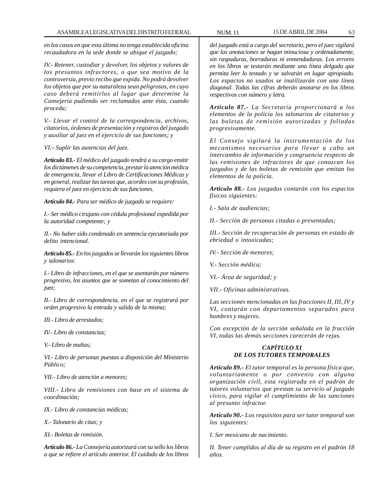*en los casos en que esta última no tenga establecida oficina recaudadora en la sede donde se ubique el juzgado;*

*IV.- Retener, custodiar y devolver, los objetos y valores de los presuntos infractores, o que sea motivo de la controversia, previo recibo que expida. No podrá devolver los objetos que por su naturaleza sean peligrosos, en cuyo caso deberá remitirlos al lugar que determine la Consejería pudiendo ser reclamados ante ésta, cuando proceda;*

*V.- Llevar el control de la correspondencia, archivos, citatorios, órdenes de presentación y registros del juzgado y auxiliar al juez en el ejercicio de sus funciones; y*

*VI:- Suplir las ausencias del juez.*

*Artículo 83.- El médico del juzgado tendrá a su cargo emitir los dictámenes de su competencia, prestar la atención médica de emergencia, llevar el Libro de Certificaciones Médicas y en general, realizar las tareas que, acordes con su profesión, requiera el juez en ejercicio de sus funciones.*

*Artículo 84.- Para ser médico de juzgado se requiere:*

*I.- Ser médico cirujano con cédula profesional expedida por la autoridad competente; y*

*II.- No haber sido condenado en sentencia ejecutoriada por delito intencional.*

*Artículo 85.- En los juzgados se llevarán los siguientes libros y talonarios:*

*I.- Libro de infracciones, en el que se asentarán por número progresivo, los asuntos que se sometan al conocimiento del juez;*

*II.- Libro de correspondencia, en el que se registrará por orden progresivo la entrada y salida de la misma;*

*III.- Libro de arrestados;*

*IV.- Libro de constancias;*

*V.- Libro de multas;*

*VI.- Libro de personas puestas a disposición del Ministerio Público;*

*VII.- Libro de atención a menores;*

*VIII.- Libro de remisiones con base en el sistema de coordinación;*

*IX.- Libro de constancias médicas;*

*X.- Talonario de citas; y*

*XI.- Boletas de remisión.*

*Artículo 86.- La Consejería autorizará con su sello los libros a que se refiere el artículo anterior. El cuidado de los libros*

*del juzgado está a cargo del secretario, pero el juez vigilará que las anotaciones se hagan minuciosa y ordenadamente, sin raspaduras, borraduras ni enmendaduras. Los errores en los libros se testarán mediante una línea delgada que permita leer lo testado y se salvarán en lugar apropiado. Los espacios no usados se inutilizarán con una línea diagonal. Todas las cifras deberán anotarse en los libros respectivos con número y letra.*

*Artículo 87.- La Secretaría proporcionará a los elementos de la policía los talonarios de citatorios y las boletas de remisión autorizadas y foliadas progresivamente.*

*El Consejo vigilará la instrumentación de los mecanismos necesarios para llevar a cabo un intercambio de información y congruencia respecto de las remisiones de infractores de que conozcan los juzgados y de las boletas de remisión que emitan los elementos de la policía.*

*Artículo 88.- Los juzgados contarán con los espacios físicos siguientes:*

*I.- Sala de audiencias;*

*II.- Sección de personas citadas o presentadas;*

*III.- Sección de recuperación de personas en estado de ebriedad o intoxicadas;*

*IV.- Sección de menores;*

*V.- Sección médica;*

*VI.- Área de seguridad; y*

*VII.- Oficinas administrativas.*

*Las secciones mencionadas en las fracciones II, III, IV y VI, contarán con departamentos separados para hombres y mujeres.*

*Con excepción de la sección señalada en la fracción VI, todas las demás secciones carecerán de rejas.*

## *CAPÍTULO XI DE LOS TUTORES TEMPORALES*

*Artículo 89.- El tutor temporal es la persona física que, voluntariamente o por convenio con alguna organización civil, esta registrada en el padrón de tutores voluntarios que prestan su servicio al juzgado cívico, para vigilar el cumplimiento de las sanciones al presunto infractor.*

*Artículo 90.- Los requisitos para ser tutor temporal son los siguientes:*

*I. Ser mexicano de nacimiento.*

*II. Tener cumplidos al día de su registro en el padrón 18 años.*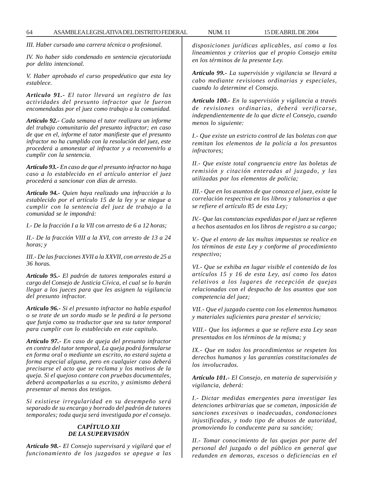*III. Haber cursado una carrera técnica o profesional.*

*IV. No haber sido condenado en sentencia ejecutoriada por delito intencional.*

*V. Haber aprobado el curso propedéutico que esta ley establece.*

*Articulo 91.- El tutor llevará un registro de las actividades del presunto infractor que le fueron encomendadas por el juez como trabajo a la comunidad.*

*Artículo 92.- Cada semana el tutor realizara un informe del trabajo comunitario del presunto infractor; en caso de que en el, informe el tutor manifieste que el presunto infractor no ha cumplido con la resolución del juez, este procederá a amonestar al infractor y a reconvenirlo a cumplir con la sentencia.*

*Artículo 93.- En caso de que el presunto infractor no haga caso a lo establecido en el artículo anterior el juez procederá a sancionar con días de arresto.*

*Artículo 94.- Quien haya realizado una infracción a lo establecido por el artículo 15 de la ley y se niegue a cumplir con la sentencia del juez de trabajo a la comunidad se le impondrá:*

*I.- De la fracción I a la VII con arresto de 6 a 12 horas;*

*II.- De la fracción VIII a la XVI, con arresto de 13 a 24 horas; y*

*III.- De las fracciones XVII a la XXVII, con arresto de 25 a 36 horas.*

*Artículo 95.- El padrón de tutores temporales estará a cargo del Consejo de Justicia Cívica, el cual se lo harán llegar a los jueces para que les asignen la vigilancia del presunto infractor.*

*Artículo 96.- Si el presunto infractor no habla español o se trate de un sordo mudo se le pedirá a la persona que funja como su traductor que sea su tutor temporal para cumplir con lo establecido en este capitulo.*

*Artículo 97.- En caso de queja del presunto infractor en contra del tutor temporal, La queja podrá formularse en forma oral o mediante un escrito, no estará sujeta a forma especial alguna, pero en cualquier caso deberá precisarse el acto que se reclama y los motivos de la queja. Si el quejoso contare con pruebas documentales, deberá acompañarlas a su escrito, y asimismo deberá presentar al menos dos testigos.*

*Si existiese irregularidad en su desempeño será separado de su encargo y borrado del padrón de tutores temporales; toda queja será investigada por el consejo.*

#### *CAPÍTULO XII DE LA SUPERVISIÓN*

*Artículo 98.- El Consejo supervisará y vigilará que el funcionamiento de los juzgados se apegue a las* *disposiciones jurídicas aplicables, así como a los lineamientos y criterios que el propio Consejo emita en los términos de la presente Ley.*

*Artículo 99.- La supervisión y vigilancia se llevará a cabo mediante revisiones ordinarias y especiales, cuando lo determine el Consejo.*

*Artículo 100.- En la supervisión y vigilancia a través de revisiones ordinarias, deberá verificarse, independientemente de lo que dicte el Consejo, cuando menos lo siguiente:*

*I.- Que existe un estricto control de las boletas con que remitan los elementos de la policía a los presuntos infractores;*

*II.- Que existe total congruencia entre las boletas de remisión y citación enteradas al juzgado, y las utilizadas por los elementos de policía;*

*III.- Que en los asuntos de que conozca el juez, existe la correlación respectiva en los libros y talonarios a que se refiere el artículo 85 de esta Ley;*

*IV.- Que las constancias expedidas por el juez se refieren a hechos asentados en los libros de registro a su cargo;*

*V.- Que el entero de las multas impuestas se realice en los términos de esta Ley y conforme al procedimiento respectivo;*

*VI.- Que se exhiba en lugar visible el contenido de los artículos 15 y 16 de esta Ley, así como los datos relativos a los lugares de recepción de quejas relacionadas con el despacho de los asuntos que son competencia del juez;*

*VII.- Que el juzgado cuenta con los elementos humanos y materiales suficientes para prestar el servicio;*

*VIII.- Que los informes a que se refiere esta Ley sean presentados en los términos de la misma; y*

*IX.- Que en todos los procedimientos se respeten los derechos humanos y las garantías constitucionales de los involucrados.*

*Artículo 101.- El Consejo, en materia de supervisión y vigilancia, deberá:*

*I.- Dictar medidas emergentes para investigar las detenciones arbitrarias que se cometan, imposición de sanciones excesivas o inadecuadas, condonaciones injustificadas, y todo tipo de abusos de autoridad, promoviendo lo conducente para su sanción;*

*II.- Tomar conocimiento de las quejas por parte del personal del juzgado o del público en general que redunden en demoras, excesos o deficiencias en el*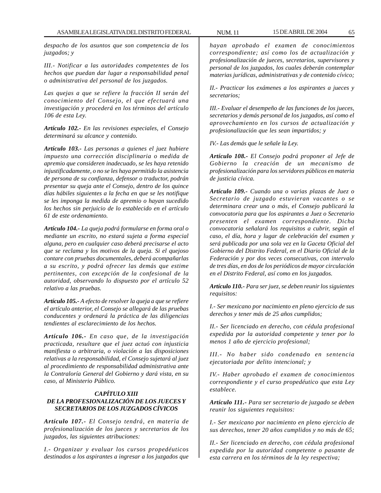*despacho de los asuntos que son competencia de los juzgados; y*

*III.- Notificar a las autoridades competentes de los hechos que puedan dar lugar a responsabilidad penal o administrativa del personal de los juzgados.*

*Las quejas a que se refiere la fracción II serán del conocimiento del Consejo, el que efectuará una investigación y procederá en los términos del artículo 106 de esta Ley.*

*Artículo 102.- En las revisiones especiales, el Consejo determinará su alcance y contenido.*

*Artículo 103.- Las personas a quienes el juez hubiere impuesto una corrección disciplinaria o medida de apremio que consideren inadecuado, se les haya retenido injustificadamente, o no se les haya permitido la asistencia de persona de su confianza, defensor o traductor, podrán presentar su queja ante el Consejo, dentro de los quince días hábiles siguientes a la fecha en que se les notifique se les imponga la medida de apremio o hayan sucedido los hechos sin perjuicio de lo establecido en el artículo 61 de este ordenamiento.*

*Artículo 104.- La queja podrá formularse en forma oral o mediante un escrito, no estará sujeta a forma especial alguna, pero en cualquier caso deberá precisarse el acto que se reclama y los motivos de la queja. Si el quejoso contare con pruebas documentales, deberá acompañarlas a su escrito, y podrá ofrecer las demás que estime pertinentes, con excepción de la confesional de la autoridad, observando lo dispuesto por el artículo 52 relativo a las pruebas.*

*Artículo 105.- A efecto de resolver la queja a que se refiere el artículo anterior, el Consejo se allegará de las pruebas conducentes y ordenará la práctica de las diligencias tendientes al esclarecimiento de los hechos.*

*Artículo 106.- En caso que, de la investigación practicada, resultare que el juez actuó con injusticia manifiesta o arbitraria, o violación a las disposiciones relativas a la responsabilidad, el Consejo sujetará al juez al procedimiento de responsabilidad administrativa ante la Contraloría General del Gobierno y dará vista, en su caso, al Ministerio Público.*

## *CAPÍTULO XIII DE LA PROFESIONALIZACIÓN DE LOS JUECES Y SECRETARIOS DE LOS JUZGADOS CÍVICOS*

*Artículo 107.- El Consejo tendrá, en materia de profesionalización de los jueces y secretarios de los juzgados, las siguientes atribuciones:*

*I.- Organizar y evaluar los cursos propedéuticos destinados a los aspirantes a ingresar a los juzgados que*

*hayan aprobado el examen de conocimientos correspondiente; así como los de actualización y profesionalización de jueces, secretarios, supervisores y personal de los juzgados, los cuales deberán contemplar materias jurídicas, administrativas y de contenido cívico;*

*II.- Practicar los exámenes a los aspirantes a jueces y secretarios;*

*III.- Evaluar el desempeño de las funciones de los jueces, secretarios y demás personal de los juzgados, así como el aprovechamiento en los cursos de actualización y profesionalización que les sean impartidos; y*

*IV.- Las demás que le señale la Ley.*

*Artículo 108.- El Consejo podrá proponer al Jefe de Gobierno la creación de un mecanismo de profesionalización para los servidores públicos en materia de justicia cívica.*

*Artículo 109.- Cuando una o varias plazas de Juez o Secretario de juzgado estuvieran vacantes o se determinara crear una o más, el Consejo publicará la convocatoria para que los aspirantes a Juez o Secretario presenten el examen correspondiente. Dicha convocatoria señalará los requisitos a cubrir, según el caso, el día, hora y lugar de celebración del examen y será publicada por una sola vez en la Gaceta Oficial del Gobierno del Distrito Federal, en el Diario Oficial de la Federación y por dos veces consecutivas, con intervalo de tres días, en dos de los periódicos de mayor circulación en el Distrito Federal, así como en los juzgados.*

*Artículo 110.- Para ser juez, se deben reunir los siguientes requisitos:*

*I.- Ser mexicano por nacimiento en pleno ejercicio de sus derechos y tener más de 25 años cumplidos;*

*II.- Ser licenciado en derecho, con cédula profesional expedida por la autoridad competente y tener por lo menos 1 año de ejercicio profesional;*

*III.- No haber sido condenado en sentencia ejecutoriada por delito intencional; y*

*IV.- Haber aprobado el examen de conocimientos correspondiente y el curso propedéutico que esta Ley establece.*

*Artículo 111.- Para ser secretario de juzgado se deben reunir los siguientes requisitos:*

*I.- Ser mexicano por nacimiento en pleno ejercicio de sus derechos, tener 20 años cumplidos y no más de 65;*

*II.- Ser licenciado en derecho, con cédula profesional expedida por la autoridad competente o pasante de esta carrera en los términos de la ley respectiva;*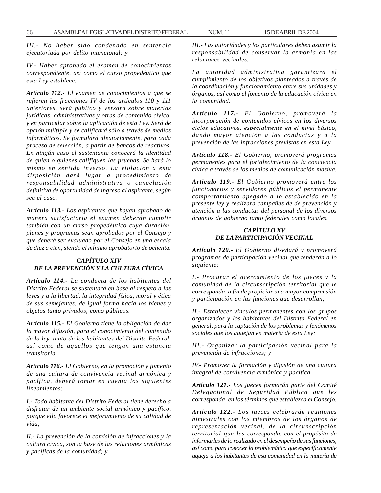*III.- No haber sido condenado en sentencia ejecutoriada por delito intencional; y*

*IV.- Haber aprobado el examen de conocimientos correspondiente, así como el curso propedéutico que esta Ley establece.*

*Artículo 112.- El examen de conocimientos a que se refieren las fracciones IV de los artículos 110 y 111 anteriores, será público y versará sobre materias jurídicas, administrativas y otras de contenido cívico, y en particular sobre la aplicación de esta Ley. Será de opción múltiple y se calificará sólo a través de medios informáticos. Se formulará aleatoriamente, para cada proceso de selección, a partir de bancos de reactivos. En ningún caso el sustentante conocerá la identidad de quien o quienes califiquen las pruebas. Se hará lo mismo en sentido inverso. La violación a esta disposición dará lugar a procedimiento de responsabilidad administrativa o cancelación definitiva de oportunidad de ingreso al aspirante, según sea el caso.*

*Artículo 113.- Los aspirantes que hayan aprobado de manera satisfactoria el examen deberán cumplir también con un curso propedéutico cuya duración, planes y programas sean aprobados por el Consejo y que deberá ser evaluado por el Consejo en una escala de diez a cien, siendo el mínimo aprobatorio de ochenta.*

## *CAPÍTULO XIV DE LA PREVENCIÓN Y LA CULTURA CÍVICA*

*Artículo 114.- La conducta de los habitantes del Distrito Federal se sustentará en base al respeto a las leyes y a la libertad, la integridad física, moral y ética de sus semejantes, de igual forma hacia los bienes y objetos tanto privados, como públicos.*

*Artículo 115.- El Gobierno tiene la obligación de dar la mayor difusión, para el conocimiento del contenido de la ley, tanto de los habitantes del Distrito Federal, así como de aquellos que tengan una estancia transitoria.*

*Artículo 116.- El Gobierno, en la promoción y fomento de una cultura de convivencia vecinal armónica y pacífica, deberá tomar en cuenta los siguientes lineamientos:*

*I.- Todo habitante del Distrito Federal tiene derecho a disfrutar de un ambiente social armónico y pacífico, porque ello favorece el mejoramiento de su calidad de vida;*

*II.- La prevención de la comisión de infracciones y la cultura cívica, son la base de las relaciones armónicas y pacíficas de la comunidad; y*

*III.- Las autoridades y los particulares deben asumir la responsabilidad de conservar la armonía en las relaciones vecinales.*

*La autoridad administrativa garantizará el cumplimiento de los objetivos planteados a través de la coordinación y funcionamiento entre sus unidades y órganos, así como el fomento de la educación cívica en la comunidad.*

*Artículo 117.- El Gobierno, promoverá la incorporación de contenidos cívicos en los diversos ciclos educativos, especialmente en el nivel básico, dando mayor atención a las conductas y a la prevención de las infracciones previstas en esta Ley.*

*Artículo 118.- El Gobierno, promoverá programas permanentes para el fortalecimiento de la conciencia cívica a través de los medios de comunicación masiva.*

*Articulo 119.- El Gobierno promoverá entre los funcionarios y servidores públicos el permanente comportamiento apegado a lo establecido en la presente ley y realizara campañas de de prevención y atención a las conductas del personal de los diversos órganos de gobierno tanto federales como locales.*

### *CAPÍTULO XV DE LA PARTICIPACIÓN VECINAL*

*Artículo 120.- El Gobierno diseñará y promoverá programas de participación vecinal que tenderán a lo siguiente:*

*I.- Procurar el acercamiento de los jueces y la comunidad de la circunscripción territorial que le corresponda, a fin de propiciar una mayor comprensión y participación en las funciones que desarrollan;*

*II.- Establecer vínculos permanentes con los grupos organizados y los habitantes del Distrito Federal en general, para la captación de los problemas y fenómenos sociales que los aquejan en materia de esta Ley;*

*III.- Organizar la participación vecinal para la prevención de infracciones; y*

*IV.- Promover la formación y difusión de una cultura integral de convivencia armónica y pacífica.*

*Artículo 121.- Los jueces formarán parte del Comité Delegacional de Seguridad Pública que les corresponda, en los términos que establezca el Consejo.*

*Artículo 122.- Los jueces celebrarán reuniones bimestrales con los miembros de los órganos de representación vecinal, de la circunscripción territorial que les corresponda, con el propósito de informarles de lo realizado en el desempeño de sus funciones, así como para conocer la problemática que específicamente aqueja a los habitantes de esa comunidad en la materia de*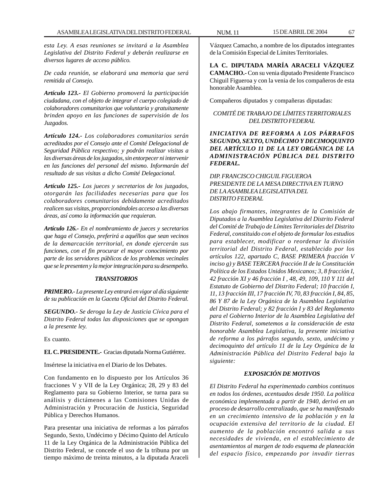*esta Ley. A esas reuniones se invitará a la Asamblea Legislativa del Distrito Federal y deberán realizarse en diversos lugares de acceso público.*

*De cada reunión, se elaborará una memoria que será remitida al Consejo.*

*Artículo 123.- El Gobierno promoverá la participación ciudadana, con el objeto de integrar el cuerpo colegiado de colaboradores comunitarios que voluntaria y gratuitamente brinden apoyo en las funciones de supervisión de los Juzgados.*

*Artículo 124.- Los colaboradores comunitarios serán acreditados por el Consejo ante el Comité Delegacional de Seguridad Pública respectivo; y podrán realizar visitas a las diversas áreas de los juzgados, sin entorpecer ni intervenir en las funciones del personal del mismo. Informarán del resultado de sus visitas a dicho Comité Delegacional.*

*Artículo 125.- Los jueces y secretarios de los juzgados, otorgarán las facilidades necesarias para que los colaboradores comunitarios debidamente acreditados realicen sus visitas, proporcionándoles acceso a las diversas áreas, así como la información que requieran.*

*Artículo 126.- En el nombramiento de jueces y secretarios que haga el Consejo, preferirá a aquéllos que sean vecinos de la demarcación territorial, en donde ejercerán sus funciones, con el fin procurar el mayor conocimiento por parte de los servidores públicos de los problemas vecinales que se le presenten y la mejor integración para su desempeño.*

#### *TRANSITORIOS*

*PRIMERO.- La presente Ley entrará en vigor al día siguiente de su publicación en la Gaceta Oficial del Distrito Federal.*

*SEGUNDO.- Se deroga la Ley de Justicia Cívica para el Distrito Federal todas las disposiciones que se opongan a la presente ley.*

Es cuanto.

**EL C. PRESIDENTE.-** Gracias diputada Norma Gutiérrez.

Insértese la iniciativa en el Diario de los Debates.

Con fundamento en lo dispuesto por los Artículos 36 fracciones V y VII de la Ley Orgánica; 28, 29 y 83 del Reglamento para su Gobierno Interior, se turna para su análisis y dictámenes a las Comisiones Unidas de Administración y Procuración de Justicia, Seguridad Pública y Derechos Humanos.

Para presentar una iniciativa de reformas a los párrafos Segundo, Sexto, Undécimo y Décimo Quinto del Artículo 11 de la Ley Orgánica de la Administración Pública del Distrito Federal, se concede el uso de la tribuna por un tiempo máximo de treinta minutos, a la diputada Araceli

Vázquez Camacho, a nombre de los diputados integrantes de la Comisión Especial de Límites Territoriales.

**LA C. DIPUTADA MARÍA ARACELI VÁZQUEZ CAMACHO.-** Con su venia diputado Presidente Francisco Chiguil Figueroa y con la venia de los compañeros de esta honorable Asamblea.

Compañeros diputados y compañeras diputadas:

## *COMITÉ DE TRABAJO DE LÍMITES TERRITORIALES DEL DISTRITO FEDERAL*

# *INICIATIVA DE REFORMA A LOS PÁRRAFOS SEGUNDO, SEXTO, UNDÉCIMO Y DECIMOQUINTO DEL ARTÍCULO 11 DE LA LEY ORGÁNICA DE LA ADMINISTRACIÓN PÚBLICA DEL DISTRITO FEDERAL.*

*DIP. FRANCISCO CHIGUIL FIGUEROA PRESIDENTE DE LA MESA DIRECTIVA EN TURNO DE LA ASAMBLEA LEGISLATIVA DEL DISTRITO FEDERAL*

*Los abajo firmantes, integrantes de la Comisión de Diputados a la Asamblea Legislativa del Distrito Federal del Comité de Trabajo de Límites Territoriales del Distrito Federal, constituido con el objeto de formular los estudios para establecer, modificar o reordenar la división territorial del Distrito Federal, establecido por los artículos 122, apartado C, BASE PRIMERA fracción V inciso g) y BASE TERCERA fracción II de la Constitución Política de los Estados Unidos Mexicanos; 3, 8 fracción I, 42 fracción XI y 46 fracción I , 48, 49, 109, 110 Y 111 del Estatuto de Gobierno del Distrito Federal; 10 fracción I, 11, 13 fracción III, 17 fracción IV, 70, 83 fracción I, 84, 85, 86 Y 87 de la Ley Orgánica de la Asamblea Legislativa del Distrito Federal; y 82 fracción I y 83 del Reglamento para el Gobierno Interior de la Asamblea Legislativa del Distrito Federal, sometemos a la consideración de esta honorable Asamblea Legislativa, la presente iniciativa de reforma a los párrafos segundo, sexto, undécimo y decimoquinto del artículo 11 de la Ley Orgánica de la Administración Pública del Distrito Federal bajo la siguiente:*

# *EXPOSICIÓN DE MOTIVOS*

*El Distrito Federal ha experimentado cambios continuos en todos los órdenes, acentuados desde 1950. La política económica implementada a partir de 1940, derivó en un proceso de desarrollo centralizado, que se ha manifestado en un crecimiento intensivo de la población y en la ocupación extensiva del territorio de la ciudad. El aumento de la población encontró salida a sus necesidades de vivienda, en el establecimiento de asentamientos al margen de todo esquema de planeación del espacio físico, empezando por invadir tierras*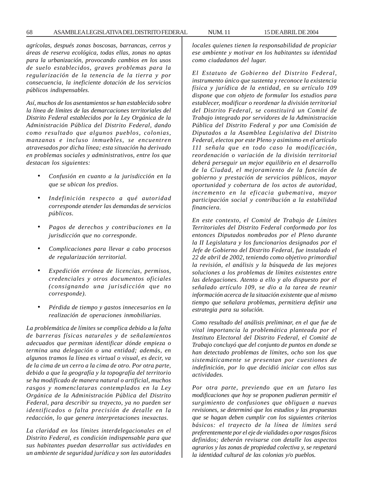*agrícolas, después zonas boscosas, barrancas, cerros y áreas de reserva ecológica, todas ellas, zonas no aptas para la urbanización, provocando cambios en los usos de suelo establecidos, graves problemas para la regularización de la tenencia de la tierra y por consecuencia, la ineficiente dotación de los servicios públicos indispensables.*

*Así, muchos de los asentamientos se han establecido sobre la línea de límites de las demarcaciones territoriales del Distrito Federal establecidos por la Ley Orgánica de la Administración Pública del Distrito Federal, dando como resultado que algunos pueblos, colonias, manzanas e incluso inmuebles, se encuentren atravesados por dicha línea; esta situación ha derivado en problemas sociales y administrativos, entre los que destacan los siguientes:*

- *Confusión en cuanto a la jurisdicción en la que se ubican los predios.*
- *Indefinición respecto a qué autoridad corresponde atender las demandas de servicios públicos.*
- *Pagos de derechos y contribuciones en la jurisdicción que no corresponde.*
- *Complicaciones para llevar a cabo procesos de regularización territorial.*
- *Expedición errónea de licencias, permisos, credenciales y otros documentos oficiales (consignando una jurisdicción que no corresponde).*
- *Pérdida de tiempo y gastos innecesarios en la realización de operaciones inmobiliarias.*

*La problemática de límites se complica debido a la falta de barreras físicas naturales y de señalamientos adecuados que permitan identificar dónde empieza o termina una delegación o una entidad; además, en algunos tramos la línea es virtual o visual, es decir, va de la cima de un cerro a la cima de otro. Por otra parte, debido a que la geografía y la topografía del territorio se ha modificado de manera natural o artificial, muchos rasgos y nomenclaturas contemplados en la Ley Orgánica de la Administración Pública del Distrito Federal, para describir su trayecto, ya no pueden ser identificados o falta precisión de detalle en la redacción, lo que genera interpretaciones inexactas.*

*La claridad en los límites interdelegacionales en el Distrito Federal, es condición indispensable para que sus habitantes puedan desarrollar sus actividades en un ambiente de seguridad jurídica y son las autoridades*

*locales quienes tienen la responsabilidad de propiciar ese ambiente y motivar en los habitantes su identidad como ciudadanos del lugar.*

*El Estatuto de Gobierno del Distrito Federal, instrumento único que sustenta y reconoce la existencia física y jurídica de la entidad, en su artículo 109 dispone que con objeto de formular los estudios para establecer, modificar o reordenar la división territorial del Distrito Federal, se constituirá un Comité de Trabajo integrado por servidores de la Administración Pública del Distrito Federal y por una Comisión de Diputados a la Asamblea Legislativa del Distrito Federal, electos por este Pleno y asimismo en el artículo 111 señala que en todo caso la modificación, reordenación o variación de la división territorial deberá perseguir un mejor equilibrio en el desarrollo de la Ciudad, el mejoramiento de la función de gobierno y prestación de servicios públicos, mayor oportunidad y cobertura de los actos de autoridad, incremento en la eficacia gubemativa, mayor participación social y contribución a la estabilidad financiera.*

*En este contexto, el Comité de Trabajo de Límites Territoriales del Distrito Federal conformado por los entonces Diputados nombrados por el Pleno durante la II Legislatura y los funcionarios designados por el Jefe de Gobierno del Distrito Federal, fue instalado el 22 de abril de 2002, teniendo como objetivo primordial la revisión, el análisis y la búsqueda de las mejores soluciones a los problemas de límites existentes entre las delegaciones. Atento a ello y alo dispuesto por el señalado artículo 109, se dio a la tarea de reunir información acerca de la situación existente que al mismo tiempo que señalara problemas, permitiera definir una estrategia para su solución.*

*Como resultado del análisis preliminar, en el que fue de vital importancia la problemática planteada por el Instituto Electoral del Distrito Federal, el Comité de Trabajo concluyó que del conjunto de puntos en donde se han detectado problemas de límites, ocho son los que sistemáticamente se presentan por cuestiones de indefinición, por lo que decidió iniciar con ellos sus actividades.*

*Por otra parte, previendo que en un futuro las modificaciones que hoy se proponen pudieran permitir el surgimiento de confusiones que obliguen a nuevas revisiones, se determinó que los estudios y las propuestas que se hagan deben cumplir con los siguientes criterios básicos: el trayecto de la línea de límites será preferentemente por el eje de vialidades o por rasgos físicos definidos; deberán revisarse con detalle los aspectos agrarios y las zonas de propiedad colectiva y, se respetará la identidad cultural de las colonias y/o pueblos.*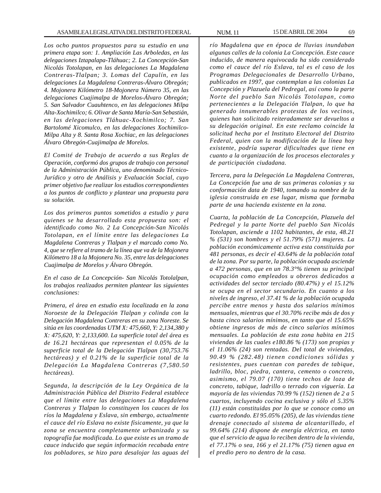*Los ocho puntos propuestos para su estudio en una primera etapa son: 1. Ampliación Las Arboledas, en las delegaciones Iztapalapa-Tláhuac; 2. La Concepción-San Nicolás Totolapan, en las delegaciones La Magdalena Contreras-Tlalpan; 3. Lomas del Capulín, en las delegaciones La Magdalena Contreras-Álvaro Obregón; 4. Mojonera Kilómetro 18-Mojonera Número 35, en las delegaciones Cuajimalpa de Morelos-Álvaro Obregón; 5. San Salvador Cuauhtenco, en las delegaciones Milpa Alta-Xochimilco; 6. Olivar de Santa María-San Sebastián, en las delegaciones Tláhuac-Xochimilco; 7. San Bartolomé Xicomulco, en las delegaciones Xochimilco-Milpa Alta y 8. Santa Rosa Xochiac, en las delegaciones Álvaro Obregón-Cuajimalpa de Morelos.*

*El Comité de Trabajo de acuerdo a sus Reglas de Operación, conformó dos grupos de trabajo con personal de la Administración Pública, uno denominado Técnico-Jurídico y otro de Análisis y Evaluación Social, cuyo primer objetivo fue realizar los estudios correspondientes a los puntos de conflicto y plantear una propuesta para su solución.*

*Los dos primeros puntos sometidos a estudio y para quienes se ha desarrollado esta propuesta son: el identificado como No. 2 La Concepción-San Nicolás Totolapan, en el límite entre las delegaciones La Magdalena Contreras y Tlalpan y el marcado como No. 4, que se refiere al tramo de la línea que va de la Mojonera Kilómetro 18 a la Mojonera No. 35, entre las delegaciones Cuajimalpa de Morelos y Álvaro Obregón.*

*En el caso de La Concepción- San Nicolás Totolalpan, los trabajos realizados permiten plantear las siguientes conclusiones:*

*Primera, el área en estudio esta localizada en la zona Noroeste de la Delegación Tlalpan y colinda con la Delegación Magdalena Contreras en su zona Noreste. Se sitúa en las coordenadas UTM X: 475,660, Y: 2,134,380 y X: 475,620, Y: 2,133,600. La superficie total del área es de 16.21 hectáreas que representan el 0.05% de la superficie total de la Delegación Tlalpan (30,753.76 hectáreas) y el 0.21% de la superficie total de la Delegación La Magdalena Contreras (7,580.50 hectáreas).*

*Segunda, la descripción de la Ley Orgánica de la Administración Pública del Distrito Federal establece que el límite entre las delegaciones La Magdalena Contreras y Tlalpan lo constituyen los cauces de los ríos la Magdalena y Eslava, sin embargo, actualmente el cauce del río Eslava no existe físicamente, ya que la zona se encuentra completamente urbanizada y su topografía fue modificada. Lo que existe es un tramo de cauce inducido que según información recabada entre los pobladores, se hizo para desalojar las aguas del* *río Magdalena que en época de lluvias inundaban algunas calles de la colonia La Concepción. Este cauce inducido, de manera equivocada ha sido considerado como el cauce del río Eslava, tal es el caso de los Programas Delegacionales de Desarrollo Urbano, publicados en 1997, que contemplan a las colonias La Concepción y Plazuela del Pedregal, así como la parte Norte del pueblo San Nicolás Totolapan, como pertenecientes a la Delegación Tlalpan, lo que ha generado innumerables protestas de los vecinos, quienes han solicitado reiteradamente ser devueltos a su delegación original. En este reclamo coincide la solicitud hecha por el Instituto Electoral del Distrito Federal, quien con la modificación de la línea hoy existente, podría superar dificultades que tiene en cuanto a la organización de los procesos electorales y de participación ciudadana.*

*Tercera, para la Delegación La Magdalena Contreras, La Concepción fue una de sus primeras colonias y su conformación data de 1940, tomando su nombre de la iglesia construida en ese lugar, misma que formaba parte de una hacienda existente en la zona.*

*Cuarta, la población de La Concepción, Plazuela del Pedregal y la parte Norte del pueblo San Nicolás Totolapan, asciende a 1102 habitantes, de esta, 48.21 % (531) son hombres y el 51.79% (571) mujeres. La población económicamente activa esta constituida por 481 personas, es decir el 43.64% de la población total de la zona. Por su parte, la población ocupada asciende a 472 personas, que en un 78.3°% tienen su principal ocupación como empleados u obreros dedicados a actividades del sector terciado (80.47%) y el 15.12% se ocupa en el sector secundario. En cuanto a los niveles de ingreso, el 37.41 % de la población ocupada percibe entre menos y hasta dos salarios mínimos mensuales, mientras que el 30.70% recibe más de dos y hasta cinco salarios mínimos, en tanto que el 15.65% obtiene ingresos de más de cinco salarios mínimos mensuales. La población de esta zona habita en 215 viviendas de las cuales e180.86 % (173) son propias y el 11.06% (24) son rentadas. Del total de viviendas, 90.49 % (282.48) tienen condiciones sólidas y resistentes, pues cuentan con paredes de tabique, ladrillo, bloc, piedra, cantera, cemento o concreto, asimismo, el 79.07 (170) tiene techos de loza de concreto, tabique, ladrillo o terrado con viguería. La mayoría de las viviendas 70.99 % (152) tienen de 2 a 5 cuartos, incluyendo cocina exclusiva y sólo el 5.35% (11) están constituidas por lo que se conoce como un cuarto redondo. El 95.05% (205), de las viviendas tiene drenaje conectado al sistema de alcantarillado, el 99.64% (214) dispone de energía eléctrica, en tanto que el servicio de agua lo reciben dentro de la vivienda, el 77.17% o sea, 166 y el 21.17% (75) tienen agua en el predio pero no dentro de la casa.*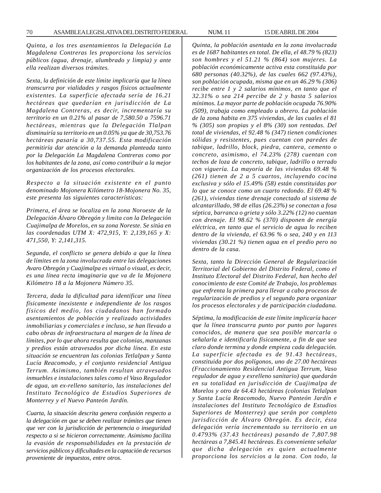*Quinta, a los tres asentamientos la Delegación La Magdalena Contreras les proporciona los servicios públicos (agua, drenaje, alumbrado y limpia) y ante ella realizan diversos trámites.*

*Sexta, la definición de este límite implicaría que la línea transcurra por vialidades y rasgos físicos actualmente existentes. La superficie afectada sería de 16.21 hectáreas que quedarían en jurisdicción de La Magdalena Contreras, es decir, incrementaría su territorio en un 0.21% al pasar de 7,580.50 a 7596.71 hectáreas, mientras que la Delegación Tlalpan disminuiría su territorio en un 0.05% ya que de 30,753.76 hectáreas pasaría a 30,737.55. Esta modificación permitiría dar atención a la demanda planteada tanto por la Delegación La Magdalena Contreras como por los habitantes de la zona, así como contribuir a la mejor organización de los procesos electorales.*

*Respecto a la situación existente en el punto denominado Mojonera Kilómetro 18-Mojonera No. 35, este presenta las siguientes características:*

*Primera, el área se localiza en la zona Noroeste de la Delegación Álvaro Obregón y limita con la Delegación Cuajimalpa de Morelos, en su zona Noreste. Se sitúa en las coordenadas UTM X: 472,915, Y: 2,139,165 y X: 471,550, Y: 2,141,315.*

*Segunda, el conflicto se genera debido a que la línea de límites en la zona involucrada entre las delegaciones Avaro Obregón y Cuajimalpa es virtual o visual, es decir, es una línea recta imaginaria que va de la Mojonera Kilómetro 18 a la Mojonera Número 35.*

*Tercera, dada la dificultad para identificar una línea físicamente inexistente e independiente de los rasgos físicos del medio, los ciudadanos han formado asentamientos de población y realizado actividades inmobiliarias y comerciales e incluso, se han llevado a cabo obras de infraestructura al margen de la línea de límites, por lo que ahora resulta que colonias, manzanas y predios están atravesados por dicha línea. En esta situación se encuentran las colonias Tetlalpan y Santa Lucía Reacomodo, y el conjunto residencial Antigua Terrum. Asimismo, también resultan atravesados inmuebles e instalaciones tales como el Vaso Regulador de agua, un ex-relleno sanitario, las instalaciones del Instituto Tecnológico de Estudios Superiores de Monterrey y el Nuevo Panteón Jardín.*

*Cuarta, la situación descrita genera confusión respecto a la delegación en que se deben realizar trámites que tienen que ver con la jurisdicción de pertenencia o inseguridad respecto a si se hicieron correctamente. Asimismo facilita la evasión de responsabilidades en la prestación de servicios públicos y dificultades en la captación de recursos proveniente de impuestos, entre otros.*

*Quinta, la población asentada en la zona involucrada es de 1687 habitantes en total. De ella, el 48.79 % (823) son hombres y el 51.21 % (864) son mujeres. La población económicamente activa esta constituida por 680 personas (40.32%), de las cuales 662 (97.43%), son población ocupada, misma que en un 46.29 % (306) recibe entre 1 y 2 salarios mínimos, en tanto que el 32.31% o sea 214 percibe de 2 y hasta 5 salarios mínimos. La mayor parte de población ocupada 76.90% (509), trabaja como empleado u obrero. La población de la zona habita en 375 viviendas, de las cuales el 81 % (305) son propias y el 8% (30) son rentadas. Del total de viviendas, el 92.48 % (347) tienen condiciones sólidas y resistentes, pues cuentan con paredes de tabique, ladrillo, block, piedra, cantera, cemento o concreto, asimismo, el 74.23% (278) cuentan con techos de loza de concreto, tabique, ladrillo o terrado con viguería. La mayoría de las viviendas 69.48 % (261) tienen de 2 a 5 cuartos, incluyendo cocina exclusiva y sólo el 15.49% (58) están constituidas por lo que se conoce como un cuarto redondo. El 69.48 % (261), viviendas tiene drenaje conectado al sistema de alcantarillado, 98 de ellas (26.23%) se conectan a fosa séptica, barranca o grieta y sólo 3.22% (12) no cuentan con drenaje. El 98.62 % (370) disponen de energía eléctrica, en tanto que el servicio de agua lo reciben dentro de la vivienda, el 63.96 % o sea, 240 y en 113 viviendas (30.21 %) tienen agua en el predio pero no dentro de la casa.*

*Sexta, tanto la Dirección General de Regularización Territorial del Gobierno del Distrito Federal, como el Instituto Electoral del Distrito Federal, han hecho del conocimiento de este Comité de Trabajo, los problemas que enfrenta la primera para llevar a cabo procesos de regularización de predios y el segundo para organizar los procesos electorales y de participación ciudadana.*

*Séptima, la modificación de este límite implicaría hacer que la línea transcurra punto por punto por lugares conocidos, de manera que sea posible marcarla o señalarla e identificarla físicamente, a fin de que sea claro donde termina y donde empieza cada delegación. La superficie afectada es de 91.43 hectáreas, constituida por dos polígonos, uno de 27.00 hectáreas (Fraccionamiento Residencial Antigua Terrum, Vaso regulador de agua y exrelleno sanitario) que quedarán en su totalidad en jurisdicción de Cuajimalpa de Morelos y otro de 64.43 hectáreas (colonias Tetlalpan y Santa Lucía Reacomodo, Nuevo Panteón Jardín e instalaciones del Instituto Tecnológico de Estudios Superiores de Monterrey) que serán por completo jurisdicción de Álvaro Obregón. Es decir, ésta delegación vería incrementado su territorio en un 0.4793% (37.43 hectáreas) pasando de 7,807.98 hectáreas a 7,845.41 hectáreas. Es conveniente señalar que dicha delegación es quien actualmente proporciona los servicios a la zona. Con todo, la*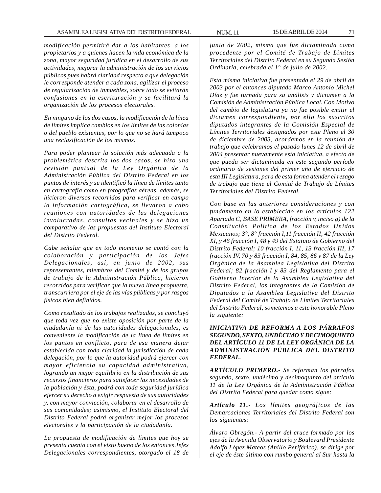### ASAMBLEA LEGISLATIVA DEL DISTRITO FEDERAL NUM. 11 15 DE ABRIL DE 2004 71

*modificación permitirá dar a los habitantes, a los propietarios y a quienes hacen la vida económica de la zona, mayor seguridad jurídica en el desarrollo de sus actividades, mejorar la administración de los servicios públicos pues habrá claridad respecto a que delegación le corresponde atender a cada zona, agilizar el proceso de regularización de inmuebles, sobre todo se evitarán confusiones en la escrituración y se facilitará la organización de los procesos electorales.*

*En ninguno de los dos casos, la modificación de la línea de límites implica cambios en los límites de las colonias o del pueblo existentes, por lo que no se hará tampoco una reclasificación de los mismos.*

*Para poder plantear la solución más adecuada a la problemática descrita los dos casos, se hizo una revisión puntual de la Ley Orgánica de la Administración Pública del Distrito Federal en los puntos de interés y se identificó la línea de límites tanto en cartografía como en fotografías aéreas, además, se hicieron diversos recorridos para verificar en campo la información cartográfica, se llevaron a cabo reuniones con autoridades de las delegaciones involucradas, consultas vecinales y se hizo un comparativo de las propuestas del Instituto Electoral del Distrito Federal.*

*Cabe señalar que en todo momento se contó con la colaboración y participación de los Jefes Delegacionales, así, en junio de 2002, sus representantes, miembros del Comité y de los grupos de trabajo de la Administración Pública, hicieron recorridos para verificar que la nueva línea propuesta, transcurriera por el eje de las vías públicas y por rasgos físicos bien definidos.*

*Como resultado de los trabajos realizados, se concluyó que toda vez que no existe oposición por parte de la ciudadanía ni de las autoridades delegacionales, es conveniente la modificación de la línea de límites en los puntos en conflicto, para de esa manera dejar establecida con toda claridad la jurisdicción de cada delegación, por lo que la autoridad podrá ejercer con mayor eficiencia su capacidad administrativa, logrando un mejor equilibrio en la distribución de sus recursos financieros para satisfacer las necesidades de la población y ésta, podrá con toda seguridad jurídica ejercer su derecho a exigir respuesta de sus autoridades y, con mayor convicción, colaborar en el desarrollo de sus comunidades; asimismo, el Instituto Electoral del Distrito Federal podrá organizar mejor los procesos electorales y la participación de la ciudadanía.*

*La propuesta de modificación de límites que hoy se presenta cuenta con el visto bueno de los entonces Jefes Delegacionales correspondientes, otorgado el 18 de*

*junio de 2002, misma que fue dictaminada como procedente por el Comité de Trabajo de Límites Territoriales del Distrito Federal en su Segunda Sesión Ordinaria, celebrada el 1° de julio de 2002.*

*Esta misma iniciativa fue presentada el 29 de abril de 2003 por el entonces diputado Marco Antonio Michel Díaz y fue turnada para su análisis y dictamen a la Comisión de Administración Pública Local. Con Motivo del cambio de legislatura ya no fue posible emitir el dictamen correspondiente, por ello los suscritos diputados integrantes de la Comisión Especial de Límites Territoriales designados por este Pleno el 30 de diciembre de 2003, acordamos en la reunión de trabajo que celebramos el pasado lunes 12 de abril de 2004 presentar nuevamente esta iniciativa, a efecto de que pueda ser dictaminada en este segundo período ordinario de sesiones del primer año de ejercicio de esta III Legislatura, para de esta forma atender el rezago de trabajo que tiene el Comité de Trabajo de Límites Territoriales del Distrito Federal.*

*Con base en las anteriores consideraciones y con fundamento en lo establecido en los artículos 122 Apartado C, BASE PRIMERA, fracción v, inciso g) de la Constitución Política de los Estados Unidos Mexicanos; 3°, 8° fracción I,11 fracción II, 42 fracción XI, y 46 fracción I, 48 y 49 del Estatuto de Gobierno del Distrito Federal; 10 fracción I, 11, 13 fracción III, 17 fracción IV, 70 y 83 fracción I, 84, 85, 86 y 87 de la Ley Orgánica de la Asamblea Legislativa del Distrito Federal; 82 fracción I y 83 del Reglamento para el Gobierno Interior de la Asamblea Legislativa del Distrito Federal, los integrantes de la Comisión de Diputados a la Asamblea Legislativa del Distrito Federal del Comité de Trabajo de Límites Territoriales del Distrito Federal, sometemos a este honorable Pleno la siguiente:*

# *INICIATIVA DE REFORMA A LOS PÁRRAFOS SEGUNDO, SEXTO, UNDÉCIMO Y DECIMOQUINTO DEL ARTÍCULO 11 DE LA LEY ORGÁNICA DE LA ADMINISTRACIÓN PÚBLICA DEL DISTRITO FEDERAL.*

*ARTÍCULO PRIMERO.- Se reforman los párrafos segundo, sexto, undécimo y decimoquinto del artículo 11 de la Ley Orgánica de la Administración Pública del Distrito Federal para quedar como sigue:*

*Artículo 11.- Los límites geográficos de las Demarcaciones Territoriales del Distrito Federal son los siguientes:*

*Álvaro Obregón.- A partir del cruce formado por los ejes de la Avenida Observatorio y Boulevard Presidente Adolfo López Mateos (Anillo Periférico), se dirige por el eje de éste último con rumbo general al Sur hasta la*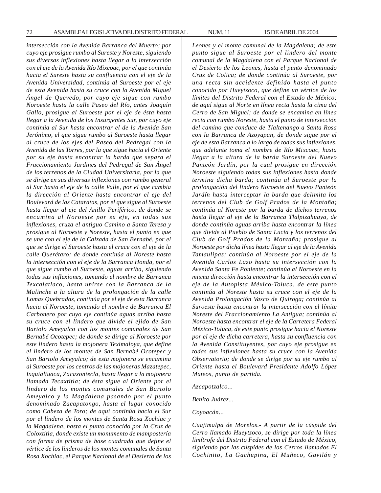*intersección con la Avenida Barranca del Muerto; por cuyo eje prosigue rumbo al Sureste y Noreste, siguiendo sus diversas inflexiones hasta llegar a la intersección con el eje de la Avenida Río Mixcoac, por el que continúa hacia el Sureste hasta su confluencia con el eje de la Avenida Universidad, continúa al Suroeste por el eje de esta Avenida hasta su cruce con la Avenida Miguel Ángel de Quevedo, por cuyo eje sigue con rumbo Noroeste hasta la calle Paseo del Río, antes Joaquín Gallo, prosigue al Suroeste por el eje de ésta hasta llegar a la Avenida de los Insurgentes Sur, por cuyo eje continúa al Sur hasta encontrar el de la Avenida San Jerónimo, el que sigue rumbo al Suroeste hasta llegar al cruce de los ejes del Paseo del Pedregal con la Avenida de las Torres, por la que sigue hacia el Oriente por su eje hasta encontrar la barda que separa el Fraccionamiento Jardines del Pedregal de San Ángel de los terrenos de la Ciudad Universitaria, por la que se dirige en sus diversas inflexiones con rumbo general al Sur hasta el eje de la calle Valle, por el que cambia la dirección al Oriente hasta encontrar el eje del Boulevard de las Cataratas, por el que sigue al Suroeste hasta llegar al eje del Anillo Periférico, de donde se encamina al Noroeste por su eje, en todas sus inflexiones, cruza el antiguo Camino a Santa Teresa y prosigue al Noroeste y Noreste, hasta el punto en que se une con el eje de la Calzada de San Bernabé, por el que se dirige el Suroeste hasta el cruce con el eje de la calle Querétaro; de donde continúa al Noreste hasta la intersección con el eje de la Barranca Honda, por el que sigue rumbo al Suroeste, aguas arriba, siguiendo todas sus inflexiones, tomando el nombre de Barranca Texcalatlaco, hasta unirse con la Barranca de la Malinche a la altura de la prolongación de la calle Lomas Quebradas, continúa por el eje de esta Barranca hacia el Noroeste, tomando el nombre de Barranca El Carbonero por cuyo eje continúa aguas arriba hasta su cruce con el lindero que divide el ejido de San Bartolo Ameyalco con los montes comunales de San Bernabé Ocotepec; de donde se dirige al Noroeste por este lindero hasta la mojonera Teximaloya, que define el lindero de los montes de San Bernabé Ocotepec y San Bartolo Ameyalco; de esta mojonera se encamina al Suroeste por los centros de las mojoneras Mazatepec, Ixquialtuaca, Zacaxontecla, hasta llegar a la mojonera llamada Tecaxtitla; de ésta sigue al Oriente por el lindero de los montes comunales de San Bartolo Ameyalco y la Magdalena pasando por el punto denominado Zacapatongo, hasta el lugar conocido como Cabeza de Toro; de aquí continúa hacia el Sur por el lindero de los montes de Santa Rosa Xochiac y la Magdalena, hasta el punto conocido por la Cruz de Coloxtitla, donde existe un monumento de mampostería con forma de prisma de base cuadrada que define el vértice de los linderos de los montes comunales de Santa Rosa Xochiac, el Parque Nacional de el Desierto de los*

*Leones y el monte comunal de la Magdalena; de este punto sigue al Suroeste por el lindero del monte comunal de la Magdalena con el Parque Nacional de el Desierto de los Leones, hasta el punto denominado Cruz de Colica; de donde continúa al Suroeste, por una recta sin accidente definido hasta el punto conocido por Hueytzoco, que define un vértice de los límites del Distrito Federal con el Estado de México; de aquí sigue al Norte en línea recta hasta la cima del Cerro de San Miguel; de donde se encamina en línea recta con rumbo Noreste, hasta el punto de intersección del camino que conduce de Tlaltenango a Santa Rosa con la Barranca de Azoyapan, de donde sigue por el eje de esta Barranca a lo largo de todas sus inflexiones, que adelante toma el nombre de Río Mixcoac, hasta llegar a la altura de la barda Suroeste del Nuevo Panteón Jardín, por la cual prosigue en dirección Noroeste siguiendo todas sus inflexiones hasta donde termina dicha barda; continúa al Suroeste por la prolongación del lindero Noroeste del Nuevo Panteón Jardín hasta interceptar la barda que delimita los terrenos del Club de Golf Prados de la Montaña; continúa al Noreste por la barda de dichos terrenos hasta llegar al eje de la Barranca Tlalpizahuaya, de donde continúa aguas arriba hasta encontrar la línea que divide al Pueblo de Santa Lucia y los terrenos del Club de Golf Prados de la Montaña; prosigue al Noroeste por dicha línea hasta llegar al eje de la Avenida Tamaulipas; continúa al Noroeste por el eje de la Avenida Carlos Lazo hasta su intersección con la Avenida Santa Fe Poniente; continúa al Noroeste en la misma dirección hasta encontrar la intersección con el eje de la Autopista México-Toluca, de este punto continúa al Noreste hasta su cruce con el eje de la Avenida Prolongación Vasco de Quiroga; continúa al Suroeste hasta encontrar la intersección con el límite Noreste del Fraccionamiento La Antigua; continúa al Noroeste hasta encontrar el eje de la Carretera Federal México-Toluca, de este punto prosigue hacia el Noreste por el eje de dicha carretera, hasta su confluencia con la Avenida Constituyentes, por cuyo eje prosigue en todas sus inflexiones hasta su cruce con la Avenida Observatorio; de donde se dirige por su eje rumbo al Oriente hasta el Boulevard Presidente Adolfo López Mateos, punto de partida.*

*Azcapotzalco...*

*Benito Juárez...*

*Coyoacán...*

*Cuajimalpa de Morelos.- A partir de la cúspide del Cerro llamado Hueytzoco, se dirige por toda la línea limítrofe del Distrito Federal con el Estado de México, siguiendo por las cúspides de los Cerros llamados El Cochinito, La Gachupina, El Muñeco, Gavilán y*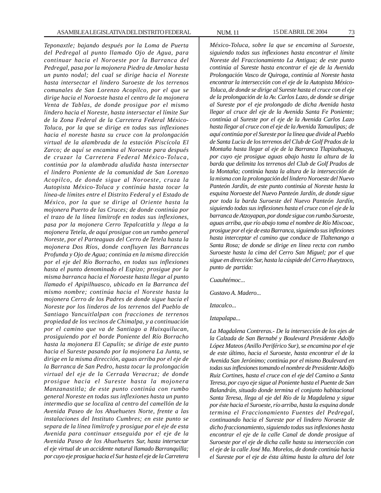*Teponaxtle; bajando después por la Loma de Puerta del Pedregal al punto llamado Ojo de Agua, para continuar hacia el Noroeste por la Barranca del Pedregal, pasa por la mojonera Piedra de Amolar hasta un punto nodal; del cual se dirige hacia el Noreste hasta intersectar el lindero Suroeste de los terrenos comunales de San Lorenzo Acopilco, por el que se dirige hacia el Noroeste hasta el centro de la mojonera Venta de Tablas, de donde prosigue por el mismo lindero hacia el Noreste, hasta intersectar el límite Sur de la Zona Federal de la Carretera Federal México-Toluca, por la que se dirige en todas sus inflexiones hacia el noreste hasta su cruce con la prolongación virtual de la alambrada de la estación Piscícola El Zarco; de aquí se encamina al Noroeste para después de cruzar la Carretera Federal México-Toluca, continúa por la alambrada aludida hasta intersectar el lindero Poniente de la comunidad de San Lorenzo Acopilco, de donde sigue al Noroeste, cruza la Autopista México-Toluca y continúa hasta tocar la línea-de límites entre el Distrito Federal y el Estado de México, por la que se dirige al Oriente hasta la mojonera Puerto de las Cruces; de donde continúa por el trazo de la línea limítrofe en todas sus inflexiones, pasa por la mojonera Cerro Tepalcatitla y llega a la mojonera Tetela, de aquí prosigue con un rumbo general Noreste, por el Parteaguas del Cerro de Tetela hasta la mojonera Dos Ríos, donde confluyen las Barrancas Profunda y Ojo de Agua; continúa en la misma dirección por el eje del Río Borracho, en todas sus inflexiones hasta el punto denominado el Espizo; prosigue por la misma barranca hacia el Noroeste hasta llegar al punto llamado el Apipilhuasco, ubicado en la Barranca del mismo nombre; continúa hacia el Noreste hasta la mojonera Cerro de los Padres de donde sigue hacia el Noreste por los linderos de los terrenos del Pueblo de Santiago Yancuitlalpan con fracciones de terrenos propiedad de los vecinos de Chimalpa, y a continuación por el camino que va de Santiago a Huixquilucan, prosiguiendo por el borde Poniente del Río Borracho hasta la mojonera El Capulín; se dirige de este punto hacia el Sureste pasando por la mojonera La Junta, se dirige en la misma dirección, aguas arriba por el eje de la Barranca de San Pedro, hasta tocar la prolongación virtual del eje de la Cerrada Veracruz; de donde prosigue hacia el Sureste hasta la mojonera Manzanastitla; de este punto continúa con rumbo general Noreste en todas sus inflexiones hasta un punto intermedio que se localiza al centro del camellón de la Avenida Paseo de los Ahuehuetes Norte, frente a las instalaciones del Instituto Cumbres; en este punto se separa de la línea limítrofe y prosigue por el eje de esta Avenida para continuar enseguida por el eje de la Avenida Paseo de los Ahuehuetes Sur, hasta intersectar el eje virtual de un accidente natural llamado Barranquilla; por cuyo eje prosigue hacia el Sur hasta el eje de la Carretera*

*México-Toluca, sobre la que se encamina al Suroeste, siguiendo todas sus inflexiones hasta encontrar el límite Noreste del Fraccionamiento La Antigua; de este punto continúa al Sureste hasta encontrar el eje de la Avenida Prolongación Vasco de Quiroga, continúa al Noreste hasta encontrar la intersección con el eje de la Autopista México-Toluca, de donde se dirige al Sureste hasta el cruce con el eje de la prolongación de la Av. Carlos Lazo, de donde se dirige al Sureste por el eje prolongado de dicha Avenida hasta llegar al cruce del eje de la Avenida Santa Fe Poniente; continúa al Sureste por el eje de la Avenida Carlos Lazo hasta llegar al cruce con el eje de la Avenida Tamaulipas; de aquí continúa por el Sureste por la línea que divide al Pueblo de Santa Lucia de los terrenos del Club de Golf Prados de la Montaña hasta llegar al eje de la Barranca Tlapizahuaya, por cuyo eje prosigue aguas abajo hasta la altura de la barda que delimita los terrenos del Club de Golf Prados de la Montaña; continúa hasta la altura de la intersección de la misma con la prolongación del lindero Noroeste del Nuevo Panteón Jardín, de este punto continúa al Noreste hasta la esquina Noroeste del Nuevo Panteón Jardín, de donde sigue por toda la barda Suroeste del Nuevo Panteón Jardín, siguiendo todas sus inflexiones hasta el cruce con el eje de la barranca de Atzoyapan, por donde sigue con rumbo Suroeste, aguas arriba, que río abajo toma el nombre de Río Mixcoac, prosigue por el eje de esta Barranca, siguiendo sus inflexiones hasta interceptar el camino que conduce de Tlaltenango a Santa Rosa; de donde se dirige en línea recta con rumbo Suroeste hasta la cima del Cerro San Miguel; por el que sigue en dirección Sur, hasta la cúspide del Cerro Hueytzoco, punto de partida:*

*Cuauhtémoc...*

*Gustavo A. Madero...*

*Iztacalco...*

*Iztapalapa...*

*La Magdalena Contreras.- De la intersección de los ejes de la Calzada de San Bernabé y Boulevard Presidente Adolfo López Mateos (Anillo Periférico Sur), se encamina por el eje de este último, hacia el Suroeste, hasta encontrar el de la Avenida San Jerónimo; continúa por el mismo Boulevard en todas sus inflexiones tomando el nombre de Presidente Adolfo Ruiz Cortines, hasta el cruce con el eje del Camino a Santa Teresa, por cuyo eje sigue al Poniente hasta el Puente de San Balandrán, situado donde termina el conjunto habitacional Santa Teresa, llega al eje del Río de la Magdalena y sigue por éste hacia el Suroeste, río arriba, hasta la esquina donde termina el Fraccionamiento Fuentes del Pedregal, continuando hacia el Sureste por el lindero Noroeste de dicho fraccionamiento, siguiendo todas sus inflexiones hasta encontrar el eje de la calle Canal de donde prosigue al Suroeste por el eje de dicha calle hasta su intersección con el eje de la calle José Ma. Morelos, de donde continúa hacia el Sureste por el eje de ésta última hasta la altura del lote*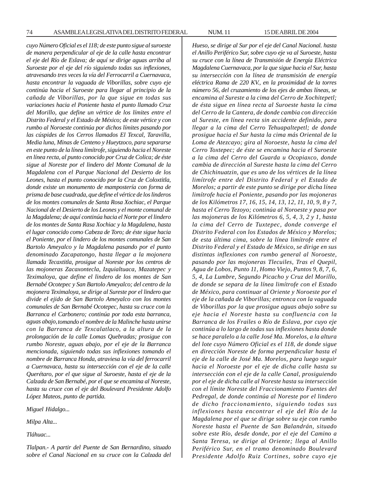*cuyo Número Oficial es el 118; de este punto sigue al suroeste de manera perpendicular al eje de la calle hasta encontrar el eje del Río de Eslava; de aquí se dirige aguas arriba al Suroeste por el eje del río siguiendo todas sus inflexiones, atravesando tres veces la vía del Ferrocarril a Cuernavaca, hasta encontrar la vaguada de Viborillas, sobre cuyo eje continúa hacia el Suroeste para llegar al principio de la cañada de Viborillas, por la que sigue en todas sus variaciones hacia el Poniente hasta el punto llamado Cruz del Morillo, que define un vértice de los límites entre el Distrito Federal y el Estado de México; de este vértice y con rumbo al Noroeste continúa por dichos límites pasando por las cúspides de los Cerros llamados El Texcal, Taravilla, Media luna, Minas de Centeno y Hueytzoco, para separarse en este punto de la línea limítrofe, siguiendo hacia el Noreste en línea recta, al punto conocido por Cruz de Colica; de éste sigue al Noreste por el lindero del Monte Comunal de la Magdalena con el Parque Nacional del Desierto de los Leones, hasta el punto conocido por la Cruz de Coloxtitla, donde existe un monumento de mampostería con forma de prisma de base cuadrada, que define el vértice de los linderos de los montes comunales de Santa Rosa Xochiac, el Parque Nacional de el Desierto de los Leones y el monte comunal de la Magdalena; de aquí continúa hacia el Norte por el lindero de los montes de Santa Rasa Xochiac y la Magdalena, hasta el lugar conocido como Cabeza de Toro; de éste sigue hacia el Poniente, por el lindero de los montes comunales de San Bartolo Ameyalco y la Magdalena pasando por el punto denominado Zacapatongo, hasta llegar a la mojonera llamada Tecaxtitla, prosigue al Noreste por los centros de las mojoneras Zacaxontecla, Izquialtuaca, Mazatepec y Teximaloya, que define el lindero de los montes de San Bernabé Ocotepec y San Bartolo Ameyalco; del centro de la mojonera Teximaloya, se dirige al Sureste por el lindero que divide el ejido de San Bartolo Ameyalco con los montes comunales de San Bernabé Ocotepec, hasta su cruce con la Barranca el Carbonero; continúa por toda esta barranca, aguas abajo,tomando el nombre de la Malinche hasta unirse con la Barranca de Texcalatlaco, a la altura de la prolongación de la calle Lomas Quebradas; prosigue con rumbo Noreste, aguas abajo, por el eje de la Barranca mencionada, siguiendo todas sus inflexiones tomando el nombre de Barranca Honda, atraviesa la vía del ferrocarril a Cuernavaca, hasta su intersección con el eje de la calle Querétaro, por el que sigue al Suroeste, hasta el eje de la Calzada de San Bernabé, por el que se encamina al Noreste, hasta su cruce con el eje del Boulevard Presidente Adolfo López Mateos, punto de partida.*

*Miguel Hidalgo...*

*Milpa Alta...*

*Tláhuac...*

*Tlalpan.- A partir del Puente de San Bernardino, situado sobre el Canal Nacional en su cruce con la Calzada del* *Hueso, se dirige al Sur por el eje del Canal Nacional. hasta el Anillo Periférico Sur, sobre cuyo eje va al Suroeste, hasta su cruce con la línea de Transmisión de Energía Eléctrica Magdalena Cuernavaca, por la que sigue hacia el Sur, hasta su intersección con la línea de transmisión de energía eléctrica Rama de 220 KV., en la proximidad de la torres número 56, del cruzamiento de los ejes de ambas líneas, se encamina al Sureste a la cima del Cerro de Xochitepetl; de ésta sigue en línea recta al Suroeste hasta la cima del Cerro de la Cantera, de donde cambia con dirección al Sureste, en línea recta sin accidente definido, para llegar a la cima del Cerro Tehuapaltepetl; de donde prosigue hacia el Sur hasta la cima más Oriental de la Loma de Atezcayo; gira al Noroeste, hasta la cima del Cerro Toxtepec; de éste se encamina hacia el Suroeste a la cima del Cerro del Guarda u Ocopiaxco, donde cambia de dirección al Sureste hasta la cima del Cerro de Chichinuatzin, que es uno de los vértices de la línea limítrofe entre del Distrito Federal y el Estado de Morelos; a partir de este punto se dirige por dicha línea limítrofe hacia el Poniente, pasando por las mojoneras de los Kilómetros 17, 16, 15, 14, 13, 12, 11, 10, 9, 8 y 7, hasta el Cerro Tezoyo; continúa al Noroeste y pasa por las mojoneras de los Kilómetros 6, 5, 4, 3, 2 y 1, hasta la cima del Cerro de Tuxtepec, donde converge el Distrito Federal con los Estados de México y Morelos; de esta última cima, sobre la línea limítrofe entre el Distrito Federal y el Estado de México, se dirige en sus distintas inflexiones con rumbo general al Noroeste, pasando por las mojoneras Tlecuiles, Tras el Quepil, Agua de Lobos, Punto 11, Homo Viejo, Puntos 9, 8, 7, 6, 5, 4, La Lumbre, Segundo Picacho y Cruz del Morillo, de donde se separa de la línea limítrofe con el Estado de México, para continuar al Oriente y Noroeste por el eje de la cañada de Viborillas; entronca con la vaguada de Viborillas por la que prosigue aguas abajo sobre su eje hacia el Noreste hasta su confluencia con la Barranca de los Frailes o Río de Eslava, por cuyo eje continúa a lo largo de todas sus inflexiones hasta donde se hace paralelo a la calle José Ma. Morelos, a la altura del lote cuyo Número Oficial es el 118, de donde sigue en dirección Noreste de forma perpendicular hasta el eje de la calle de José Ma. Morelos, para luego seguir hacia el Noroeste por el eje de dicha calle hasta su intersección con el eje de la calle Canal, prosiguiendo por el eje de dicha calle al Noreste hasta su intersección con el límite Noreste del Fraccionamiento Fuentes del Pedregal, de donde continúa al Noreste por el lindero de dicho fraccionamiento, siguiendo todas sus inflexiones hasta encontrar el eje del Río de la Magdalena por el que se dirige sobre su eje con rumbo Noreste hasta el Puente de San Balandrán, situado sobre este Río, desde donde, por el eje del Camino a Santa Teresa, se dirige al Oriente; llega al Anillo Periférico Sur, en el tramo denominado Boulevard Presidente Adolfo Ruiz Cortines, sobre cuyo eje*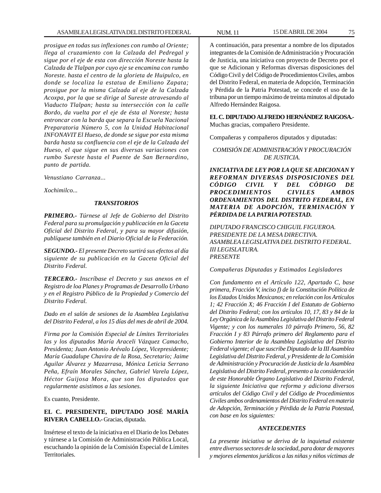*prosigue en todas sus inflexiones con rumbo al Oriente; llega al cruzamiento con la Calzada del Pedregal y sigue por el eje de esta con dirección Noreste hasta la Calzada de Tlalpan por cuyo eje se encamina con rumbo Noreste. hasta el centro de la glorieta de Huipulco, en donde se localiza la estatua de Emiliano Zapata; prosigue por la misma Calzada al eje de la Calzada Acoxpa, por la que se dirige al Sureste atravesando al Viaducto Tlalpan; hasta su intersección con la calle Bordo, da vuelta por el eje de ésta al Noreste; hasta entroncar con la barda que separa la Escuela Nacional Preparatoria Número 5, con la Unidad Habitacional INFONAVIT El Hueso, de donde se sigue por esta misma barda hasta su confluencia con el eje de la Calzada del Hueso, el que sigue en sus diversas variaciones con rumbo Sureste hasta el Puente de San Bernardino, punto de partida.*

*Venustiano Carranza...*

*Xochimilco...*

#### *TRANSITORIOS*

*PRIMERO.- Túrnese al Jefe de Gobierno del Distrito Federal para su promulgación y publicación en la Gaceta Oficial del Distrito Federal, y para su mayor difusión, publíquese también en el Diario Oficial de la Federación.*

*SEGUNDO.- El presente Decreto surtirá sus efectos al día siguiente de su publicación en la Gaceta Oficial del Distrito Federal.*

*TERCERO.- Inscríbase el Decreto y sus anexos en el Registro de loa Planes y Programas de Desarrollo Urbano y en el Registro Público de la Propiedad y Comercio del Distrito Federal.*

*Dado en el salón de sesiones de la Asamblea Legislativa del Distrito Federal, a los 15 días del mes de abril de 2004.*

*Firma por la Comisión Especial de Límites Territoriales las y los diputados María Araceli Vázquez Camacho, Presidenta; Juan Antonio Arévalo López, Vicepresidente; María Guadalupe Chavira de la Rosa, Secretario; Jaime Aguilar Álvarez y Mazarrasa, Mónica Leticia Serrano Peña, Efraín Morales Sánchez, Gabriel Varela López, Héctor Guijosa Mora, que son los diputados que regularmente asistimos a las sesiones.*

Es cuanto, Presidente.

# **EL C. PRESIDENTE, DIPUTADO JOSÉ MARÍA RIVERA CABELLO.-** Gracias, diputada.

Insértese el texto de la iniciativa en el Diario de los Debates y túrnese a la Comisión de Administración Pública Local, escuchando la opinión de la Comisión Especial de Límites Territoriales.

A continuación, para presentar a nombre de los diputados integrantes de la Comisión de Administración y Procuración de Justicia, una iniciativa con proyecto de Decreto por el que se Adicionan y Reformas diversas disposiciones del Código Civil y del Código de Procedimientos Civiles, ambos del Distrito Federal, en materia de Adopción, Terminación y Pérdida de la Patria Potestad, se concede el uso de la tribuna por un tiempo máximo de treinta minutos al diputado Alfredo Hernández Raigosa.

### **EL C. DIPUTADO ALFREDO HERNÁNDEZ RAIGOSA.-** Muchas gracias, compañero Presidente.

Compañeras y compañeros diputados y diputadas:

# *COMISIÓN DE ADMINISTRACIÓN Y PROCURACIÓN DE JUSTICIA.*

*INICIATIVA DE LEY POR LA QUE SE ADICIONAN Y REFORMAN DIVERSAS DISPOSICIONES DEL CÓDIGO CIVIL Y DEL CÓDIGO DE PROCEDIMIENTOS CIVILES AMBOS ORDENAMIENTOS DEL DISTRITO FEDERAL, EN MATERIA DE ADOPCIÓN, TERMINACIÓN Y PÉRDIDA DE LA PATRIA POTESTAD.*

*DIPUTADO FRANCISCO CHIGUIL FIGUEROA. PRESIDENTE DE LA MESA DIRECTIVA. ASAMBLEA LEGISLATIVA DEL DISTRITO FEDERAL. III LEGISLATURA. PRESENTE*

*Compañeras Diputadas y Estimados Legisladores*

*Con fundamento en el Artículo 122, Apartado C, base primera, Fracción V, inciso f) de la Constitución Política de los Estados Unidos Mexicanos; en relación con los Artículos 1; 42 Fracción X; 46 Fracción I del Estatuto de Gobierno del Distrito Federal; con los artículos 10, 17, 83 y 84 de la Ley Orgánica de la Asamblea Legislativa del Distrito Federal Vigente; y con los numerales 10 párrafo Primero, 56, 82 Fracción I y 83 Párrafo primero del Reglamento para el Gobierno Interior de la Asamblea Legislativa del Distrito Federal vigente; el que suscribe Diputado de la III Asamblea Legislativa del Distrito Federal, y Presidente de la Comisión de Administración y Procuración de Justicia de la Asamblea Legislativa del Distrito Federal, presento a la consideración de este Honorable Órgano Legislativo del Distrito Federal, la siguiente Iniciativa que reforma y adiciona diversos artículos del Código Civil y del Código de Procedimientos Civiles ambos ordenamientos del Distrito Federal en materia de Adopción, Terminación y Pérdida de la Patria Potestad, con base en los siguientes:*

# *ANTECEDENTES*

*La presente iniciativa se deriva de la inquietud existente entre diversos sectores de la sociedad, para dotar de mayores y mejores elementos jurídicos a las niñas y niños víctimas de*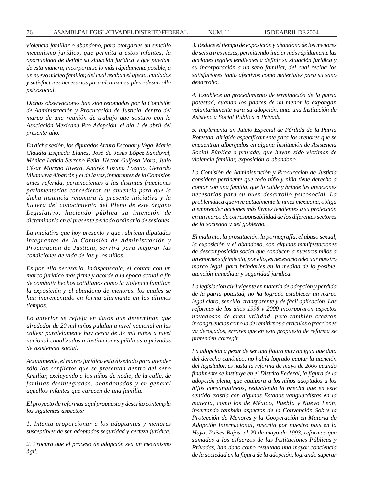#### 76 ASAMBLEA LEGISLATIVA DEL DISTRITO FEDERAL NUM. 11 15 DE ABRIL DE 2004

*violencia familiar o abandono, para otorgarles un sencillo mecanismo jurídico, que permita a estos infantes, la oportunidad de definir su situación jurídica y que puedan, de esta manera, incorporarse lo más rápidamente posible, a un nuevo núcleo familiar, del cual reciban el afecto, cuidados y satisfactores necesarios para alcanzar su pleno desarrollo psicosocial.*

*Dichas observaciones han sido retomadas por la Comisión de Administración y Procuración de Justicia, dentro del marco de una reunión de trabajo que sostuvo con la Asociación Mexicana Pro Adopción, el día 1 de abril del presente año.*

*En dicha sesión, los diputados Arturo Escobar y Vega, María Claudia Esqueda Llanes, José de Jesús López Sandoval, Mónica Leticia Serrano Peña, Héctor Guijosa Mora, Julio César Moreno Rivera, Andrés Lozano Lozano, Gerardo Villanueva Albarrán y el de la voz, integrantes de la Comisión antes referida, pertenecientes a las distintas fracciones parlamentarias concedieron su anuencia para que la dicha instancia retomara la presente iniciativa y la hiciera del conocimiento del Pleno de éste órgano Legislativo, haciendo pública su intención de dictaminarla en el presente período ordinario de sesiones.*

*La iniciativa que hoy presento y que rubrican diputados integrantes de la Comisión de Administración y Procuración de Justicia, servirá para mejorar las condiciones de vida de las y los niños.*

*Es por ello necesario, indispensable, el contar con un marco jurídico más firme y acorde a la época actual a fin de combatir hechos cotidianos como la violencia familiar, la exposición y el abandono de menores, los cuales se han incrementado en forma alarmante en los últimos tiempos.*

*Lo anterior se refleja en datos que determinan que alrededor de 20 mil niños pululan a nivel nacional en las calles; paralelamente hay cerca de 37 mil niños a nivel nacional canalizados a instituciones públicas o privadas de asistencia social.*

*Actualmente, el marco jurídico esta diseñado para atender sólo los conflictos que se presentan dentro del seno familiar, excluyendo a los niños de nadie, de la calle, de familias desintegradas, abandonados y en general aquellos infantes que carecen de una familia.*

*El proyecto de reformas aquí propuesto y descrito contempla los siguientes aspectos:*

*1. Intenta proporcionar a los adoptantes y menores susceptibles de ser adoptados seguridad y certeza jurídica.*

*2. Procura que el proceso de adopción sea un mecanismo ágil.*

*3. Reduce el tiempo de exposición y abandono de los menores de seis a tres meses, permitiendo iniciar más rápidamente las acciones legales tendientes a definir su situación jurídica y su incorporación a un seno familiar, del cual reciba los satisfactores tanto afectivos como materiales para su sano desarrollo.*

*4. Establece un procedimiento de terminación de la patria potestad, cuando los padres de un menor lo expongan voluntariamente para su adopción, ante una Institución de Asistencia Social Pública o Privada.*

*5. Implementa un Juicio Especial de Pérdida de la Patria Potestad, dirigido específicamente para los menores que se encuentran albergados en alguna Institución de Asistencia Social Pública o privada, que hayan sido víctimas de violencia familiar, exposición o abandono.*

*La Comisión de Administración y Procuración de Justicia considera pertinente que todo niño y niña tiene derecho a contar con una familia, que lo cuide y brinde las atenciones necesarias para su buen desarrollo psicosocial. La problemática que vive actualmente la niñez mexicana, obliga a emprender acciones más firmes tendientes a su protección en un marco de corresponsabilidad de los diferentes sectores de la sociedad y del gobierno.*

*El maltrato, la prostitución, la pornografía, el abuso sexual, la exposición y el abandono, son algunas manifestaciones de descomposición social que conducen a nuestros niños a un enorme sufrimiento, por ello, es necesario adecuar nuestro marco legal, para brindarles en la medida de lo posible, atención inmediata y seguridad jurídica.*

*La legislación civil vigente en materia de adopción y pérdida de la patria potestad, no ha logrado establecer un marco legal claro, sencillo, transparente y de fácil aplicación. Las reformas de los años 1998 y 2000 incorporaron aspectos novedosos de gran utilidad, pero también crearon incongruencias como la de remitirnos a artículos o fracciones ya derogados, errores que en esta propuesta de reforma se pretenden corregir.*

*La adopción a pesar de ser una figura muy antigua que data del derecho canónico, no había logrado captar la atención del legislador, es hasta la reforma de mayo de 2000 cuando finalmente se instituye en el Distrito Federal, la figura de la adopción plena, que equipara a los niños adoptados a los hijos consanguíneos, reduciendo la brecha que en este sentido existía con algunos Estados vanguardistas en la materia, como los de México, Puebla y Nuevo León, insertando también aspectos de la Convención Sobre la Protección de Menores y la Cooperación en Materia de Adopción Internacional, suscrita por nuestro país en la Haya, Países Bajos, el 29 de mayo de 1993, reformas que sumadas a los esfuerzos de las Instituciones Públicas y Privadas, han dado como resultado una mayor conciencia de la sociedad en la figura de la adopción, logrando superar*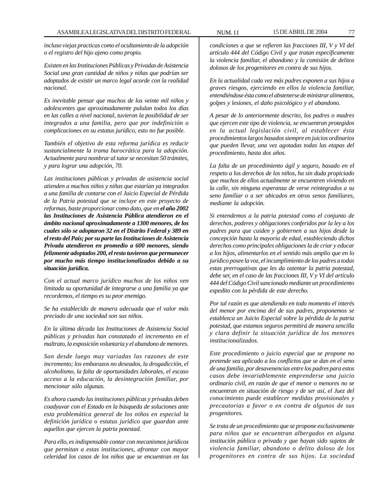*incluso viejas practicas como el ocultamiento de la adopción o el registro del hijo ajeno como propio.*

*Existen en las Instituciones Públicas y Privadas de Asistencia Social una gran cantidad de niños y niñas que podrían ser adoptados de existir un marco legal acorde con la realidad nacional.*

*Es inevitable pensar que muchos de los veinte mil niños y adolescentes que aproximadamente pululan todos los días en las calles a nivel nacional, tuvieron la posibilidad de ser integrados a una familia, pero que por indefinición o complicaciones en su estatus jurídico, esto no fue posible.*

*También el objetivo de esta reforma jurídica es reducir sustancialmente la trama burocrática para la adopción. Actualmente para nombrar al tutor se necesitan 50 trámites, y para lograr una adopción, 70.*

*Las instituciones públicas y privadas de asistencia social atienden a muchos niños y niñas que estarían ya integrados a una familia de contarse con el Juicio Especial de Pérdida de la Patria potestad que se incluye en este proyecto de reformas, baste proporcionar como dato, que en el año 2002 las Instituciones de Asistencia Pública atendieron en el ámbito nacional aproximadamente a 1300 menores, de los cuales sólo se adoptaron 32 en el Distrito Federal y 389 en el resto del País; por su parte las Instituciones de Asistencia Privada atendieron en promedio a 600 menores, siendo felizmente adoptados 200, el resto tuvieron que permanecer por mucho más tiempo institucionalizados debido a su situación jurídica.*

*Con el actual marco jurídico muchos de los niños ven limitada su oportunidad de integrarse a una familia ya que recordemos, el tiempo es su peor enemigo.*

*Se ha establecido de manera adecuada que el valor más preciado de una sociedad son sus niños.*

*En la última década las Instituciones de Asistencia Social públicas y privadas han constatado el incremento en el maltrato, la exposición voluntaria y el abandono de menores.*

*Son desde luego muy variadas las razones de este incremento; los embarazos no deseados, la drogadicción, el alcoholismo, la falta de oportunidades laborales, el escaso acceso a la educación, la desintegración familiar, por mencionar sólo algunas.*

*Es ahora cuando las instituciones públicas y privadas deben coadyuvar con el Estado en la búsqueda de soluciones ante esta problemática general de los niños en especial la definición jurídica o estatus jurídico que guardan ante aquellos que ejercen la patria potestad.*

*Para ello, es indispensable contar con mecanismos jurídicos que permitan a estas instituciones, afrontar con mayor celeridad los casos de los niños que se encuentran en las* *condiciones a que se refieren las fracciones III, V y VI del artículo 444 del Código Civil y que tratan específicamente la violencia familiar, el abandono y la comisión de delitos dolosos de los progenitores en contra de sus hijos.*

*En la actualidad cada vez más padres exponen a sus hijos a graves riesgos, ejerciendo en ellos la violencia familiar, entendiéndose ésta como el abstenerse de ministrar alimentos, golpes y lesiones, el daño psicológico y el abandono.*

*A pesar de lo anteriormente descrito, los padres o madres que ejercen este tipo de violencia, se encuentran protegidos en la actual legislación civil, al establecer ésta procedimientos largos basados siempre en juicios ordinarios que pueden llevar, una vez agotadas todas las etapas del procedimiento, hasta dos años.*

*La falta de un procedimiento ágil y seguro, basado en el respeto a los derechos de los niños, ha sin duda propiciado que muchos de ellos actualmente se encuentren viviendo en la calle, sin ninguna esperanza de verse reintegrados a su seno familiar o a ser ubicados en otros senos familiares, mediante la adopción.*

*Si entendemos a la patria potestad como el conjunto de derechos, poderes y obligaciones conferidos por la ley a los padres para que cuiden y gobiernen a sus hijos desde la concepción hasta la mayoría de edad, estableciendo dichos derechos como principales obligaciones la de criar y educar a los hijos, alimentarlos en el sentido más amplio que en lo jurídico posee la voz, el incumplimiento de los padres a todas estas prerrogativas que les da ostentar la patria potestad, debe ser, en el caso de las fracciones III, V y VI del artículo 444 del Código Civil sancionado mediante un procedimiento expedito con la pérdida de este derecho.*

*Por tal razón es que atendiendo en todo momento el interés del menor por encima del de sus padres, proponemos se establezca un Juicio Especial sobre la pérdida de la patria potestad, que estamos seguros permitirá de manera sencilla y clara definir la situación jurídica de los menores institucionalizados.*

*Este procedimiento o juicio especial que se propone no pretende sea aplicado a los conflictos que se dan en el seno de una familia, por desavenencias entre los padres para estos casos debe invariablemente emprenderse una juicio ordinario civil, en razón de que el menor o menores no se encuentran en situación de riesgo y de ser así, el Juez del conocimiento puede establecer medidas provisionales y precautorias a favor o en contra de algunos de sus progenitores.*

*Se trata de un procedimiento que se propone exclusivamente para niños que se encuentran albergados en alguna institución pública o privada y que hayan sido sujetos de violencia familiar, abandono o delito doloso de los progenitores en contra de sus hijos. La sociedad*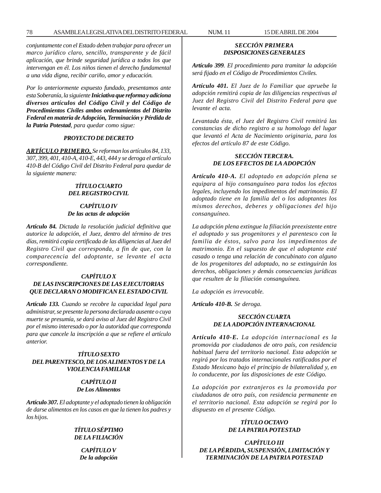*conjuntamente con el Estado deben trabajar para ofrecer un marco jurídico claro, sencillo, transparente y de fácil aplicación, que brinde seguridad jurídica a todos los que intervengan en él. Los niños tienen el derecho fundamental a una vida digna, recibir cariño, amor y educación.*

*Por lo anteriormente expuesto fundado, presentamos ante esta Soberanía, la siguiente Iniciativa que reforma y adiciona diversos artículos del Código Civil y del Código de Procedimientos Civiles ambos ordenamientos del Distrito Federal en materia de Adopción, Terminación y Pérdida de la Patria Potestad, para quedar como sigue:*

## *PROYECTO DE DECRETO*

*ARTÍCULO PRIMERO, Se reforman los artículos 84, 133, 307, 399, 401, 410-A, 410-E, 443, 444 y se deroga el artículo 410-B del Código Civil del Distrito Federal para quedar de la siguiente manera:*

## *TÍTULO CUARTO DEL REGISTRO CIVIL*

## *CAPÍTULO IV De las actas de adopción*

*Artículo 84. Dictada la resolución judicial definitiva que autorice la adopción, el Juez, dentro del término de tres días, remitirá copia certificada de las diligencias al Juez del Registro Civil que corresponda, a fin de que, con la comparecencia del adoptante, se levante el acta correspondiente.*

## *CAPÍTULO X DE LAS INSCRIPCIONES DE LAS EJECUTORIAS QUE DECLARAN O MODIFICAN EL ESTADO CIVIL*

*Artículo 133. Cuando se recobre la capacidad legal para administrar, se presente la persona declarada ausente o cuya muerte se presumía, se dará aviso al Juez del Registro Civil por el mismo interesado o por la autoridad que corresponda para que cancele la inscripción a que se refiere el artículo anterior.*

## *TÍTULO SEXTO DEL PARENTESCO, DE LOS ALIMENTOS Y DE LA VIOLENCIA FAMILIAR*

## *CAPÍTULO II De Los Alimentos*

*Artículo 307. El adoptante y el adoptado tienen la obligación de darse alimentos en los casos en que la tienen los padres y los hijos.*

> *TÍTULO SÉPTIMO DE LA FILIACIÓN*

*CAPÍTULO V De la adopción*

# *SECCIÓN PRIMERA DISPOSICIONES GENERALES*

*Artículo 399. El procedimiento para tramitar la adopción será fijado en el Código de Procedimientos Civiles.*

*Artículo 401. El Juez de lo Familiar que apruebe la adopción remitirá copia de las diligencias respectivas al Juez del Registro Civil del Distrito Federal para que levante el acta.*

*Levantada ésta, el Juez del Registro Civil remitirá las constancias de dicho registro a su homologo del lugar que levantó el Acta de Nacimiento originaria, para los efectos del artículo 87 de este Código.*

## *SECCIÓN TERCERA. DE LOS EFECTOS DE LA ADOPCIÓN*

*Artículo 410-A. El adoptado en adopción plena se equipara al hijo consanguíneo para todos los efectos legales, incluyendo los impedimentos del matrimonio. El adoptado tiene en la familia del o los adoptantes los mismos derechos, deberes y obligaciones del hijo consanguíneo.*

*La adopción plena extingue la filiación preexistente entre el adoptado y sus progenitores y el parentesco con la familia de éstos, salvo para los impedimentos de matrimonio. En el supuesto de que el adoptante esté casado o tenga una relación de concubinato con alguno de los progenitores del adoptado, no se extinguirán los derechos, obligaciones y demás consecuencias jurídicas que resulten de la filiación consanguínea.*

*La adopción es irrevocable.*

*Artículo 410-B. Se deroga.*

# *SECCIÓN CUARTA DE LA ADOPCIÓN INTERNACIONAL*

*Artículo 410-E. La adopción internacional es la promovida por ciudadanos de otro país, con residencia habitual fuera del territorio nacional. Esta adopción se regirá por los tratados internacionales ratificados por el Estado Mexicano bajo el principio de bilateralidad y, en lo conducente, por las disposiciones de este Código.*

*La adopción por extranjeros es la promovida por ciudadanos de otro país, con residencia permanente en el territorio nacional. Esta adopción se regirá por lo dispuesto en el presente Código.*

# *TÍTULO OCTAVO DE LA PATRIA POTESTAD*

*CAPÍTULO III DE LA PÉRDIDA, SUSPENSIÓN, LIMITACIÓN Y TERMINACIÓN DE LA PATRIA POTESTAD*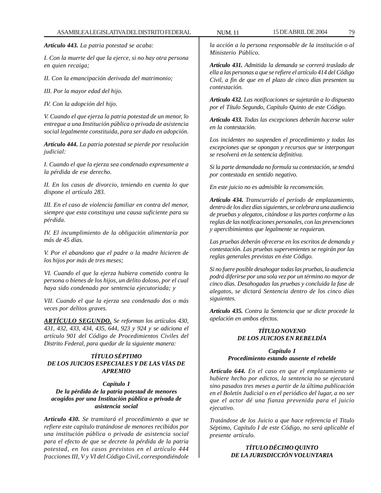*Artículo 443. La patria potestad se acaba:*

*I. Con la muerte del que la ejerce, si no hay otra persona en quien recaiga;*

*II. Con la emancipación derivada del matrimonio;*

*III. Por la mayor edad del hijo.*

*IV. Con la adopción del hijo.*

*V. Cuando el que ejerza la patria potestad de un menor, lo entregue a una Institución pública o privada de asistencia social legalmente constituida, para ser dado en adopción.*

*Artículo 444. La patria potestad se pierde por resolución judicial:*

*I. Cuando el que la ejerza sea condenado expresamente a la pérdida de ese derecho.*

*II. En los casos de divorcio, teniendo en cuenta lo que dispone el artículo 283.*

*III. En el caso de violencia familiar en contra del menor, siempre que esta constituya una causa suficiente para su pérdida.*

*IV. El incumplimiento de la obligación alimentaría por más de 45 días.*

*V. Por el abandono que el padre o la madre hicieren de los hijos por más de tres meses;*

*VI. Cuando el que la ejerza hubiera cometido contra la persona o bienes de los hijos, un delito doloso, por el cual haya sido condenado por sentencia ejecutoriada; y*

*VII. Cuando el que la ejerza sea condenado dos o más veces por delitos graves.*

*ARTÍCULO SEGUNDO. Se reforman los artículos 430, 431, 432, 433, 434, 435, 644, 923 y 924 y se adiciona el artículo 901 del Código de Procedimientos Civiles del Distrito Federal, para quedar de la siguiente manera:*

# *TÍTULO SÉPTIMO DE LOS JUICIOS ESPECIALES Y DE LAS VÍAS DE APREMIO*

# *Capítulo I De la pérdida de la patria potestad de menores acogidos por una Institución pública o privada de asistencia social*

*Artículo 430. Se tramitará el procedimiento a que se refiere este capítulo tratándose de menores recibidos por una institución pública o privada de asistencia social para el efecto de que se decrete la pérdida de la patria potestad, en los casos previstos en el artículo 444 fracciones III, V y VI del Código Civil, correspondiéndole*

*la acción a la persona responsable de la institución o al Ministerio Público.*

*Artículo 431. Admitida la demanda se correrá traslado de ella a las personas a que se refiere el artículo 414 del Código Civil, a fin de que en el plazo de cinco días presenten su contestación.*

*Artículo 432. Las notificaciones se sujetarán a lo dispuesto por el Título Segundo, Capítulo Quinto de este Código.*

*Artículo 433. Todas las excepciones deberán hacerse valer en la contestación.*

*Los incidentes no suspenden el procedimiento y todas las excepciones que se opongan y recursos que se interpongan se resolverá en la sentencia definitiva.*

*Si la parte demandada no formula su contestación, se tendrá por contestada en sentido negativo.*

*En este juicio no es admisible la reconvención.*

*Artículo 434. Transcurrido el período de emplazamiento, dentro de los diez días siguientes, se celebrara una audiencia de pruebas y alegatos, citándose a las partes conforme a las reglas de las notificaciones personales, con las prevenciones y apercibimientos que legalmente se requieran.*

*Las pruebas deberán ofrecerse en los escritos de demanda y contestación. Las pruebas supervenientes se regirán por las reglas generales previstas en éste Código.*

*Si no fuere posible desahogar todas las pruebas, la audiencia podrá diferirse por una sola vez por un término no mayor de cinco días. Desahogadas las pruebas y concluida la fase de alegatos, se dictará Sentencia dentro de los cinco días siguientes.*

*Artículo 435. Contra la Sentencia que se dicte procede la apelación en ambos efectos.*

## *TÍTULO NOVENO DE LOS JUICIOS EN REBELDÍA*

#### *Capítulo I Procedimiento estando ausente el rebelde*

*Artículo 644. En el caso en que el emplazamiento se hubiere hecho por edictos, la sentencia no se ejecutará sino pasados tres meses a partir de la última publicación en el Boletín Judicial o en el periódico del lugar, a no ser que el actor dé una fianza prevenida para el juicio ejecutivo.*

*Tratándose de los Juicio a que hace referencia el Titulo Séptimo, Capítulo I de este Código, no será aplicable el presente artículo.*

## *TÍTULO DÉCIMO QUINTO DE LA JURISDICCIÓN VOLUNTARIA*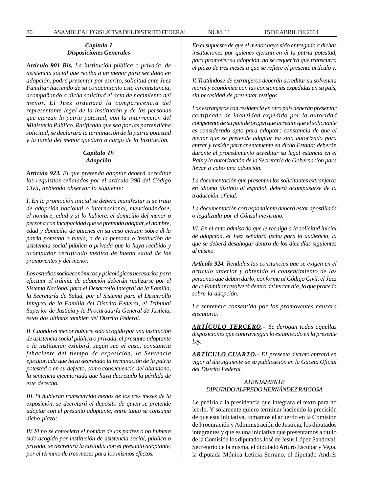#### *Capítulo I Disposiciones Generales*

*Artículo 901 Bis. La institución pública o privada, de asistencia social que reciba a un menor para ser dado en adopción, podrá presentar por escrito, solicitud ante Juez Familiar haciendo de su conocimiento esta circunstancia, acompañando a dicha solicitud el acta de nacimiento del menor. El Juez ordenará la comparecencia del representante legal de la institución y de las personas que ejerzan la patria potestad, con la intervención del Ministerio Público. Ratificada que sea por las partes dicha solicitud, se declarará la terminación de la patria potestad y la tutela del menor quedará a cargo de la Institución.*

## *Capítulo IV Adopción*

*Artículo 923. El que pretenda adoptar deberá acreditar los requisitos señalados por el artículo 390 del Código Civil, debiendo observar lo siguiente:*

*I. En la promoción inicial se deberá manifestar si se trata de adopción nacional o internacional, mencionándose, el nombre, edad y si lo hubiere, el domicilio del menor o persona con incapacidad que se pretenda adoptar, el nombre, edad y domicilio de quienes en su caso ejerzan sobre él la patria potestad o tutela, o de la persona o institución de asistencia social pública o privada que lo haya recibido y acompañar certificado médico de buena salud de los promoventes y del menor.*

*Los estudios socioeconómicos y psicológicos necesarios para efectuar el trámite de adopción deberán realizarse por el Sistema Nacional para el Desarrollo Integral de la Familia, la Secretaría de Salud, por el Sistema para el Desarrollo Integral de la Familia del Distrito Federal, el Tribunal Superior de Justicia y la Procuraduría General de Justicia, estas dos últimas también del Distrito Federal.*

*II. Cuando el menor hubiere sido acogido por una institución de asistencia social pública o privada, el presunto adoptante o la institución exhibirá, según sea el caso, constancia fehaciente del tiempo de exposición, la Sentencia ejecutoriada que haya decretado la terminación de la patria potestad o en su defecto, como consecuencia del abandono, la sentencia ejecutoriada que haya decretado la pérdida de este derecho.*

*III. Si hubieran transcurrido menos de los tres meses de la exposición, se decretará el depósito de quien se pretende adoptar con el presunto adoptante, entre tanto se consuma dicho plazo;*

*IV. Si no se conociera el nombre de los padres o no hubiere sido acogido por institución de asistencia social, pública o privada, se decretará la custodia con el presunto adoptante, por el término de tres meses para los mismos efectos.*

*En el supuesto de que el menor haya sido entregado a dichas instituciones por quienes ejerzan en él la patria potestad, para promover su adopción, no se requerirá que transcurra el plazo de tres meses a que se refiere el presente artículo y,*

*V. Tratándose de extranjeros deberán acreditar su solvencia moral y económica con las constancias expedidas en su país, sin necesidad de presentar testigos.*

*Los extranjeros con residencia en otro país deberán presentar certificado de idoneidad expedido por la autoridad competente de su país de origen que acredite que el solicitante es considerado apto para adoptar; constancia de que el menor que se pretende adoptar ha sido autorizado para entrar y residir permanentemente en dicho Estado; deberán durante el procedimiento acreditar su legal estancia en el País y la autorización de la Secretaría de Gobernación para llevar a cabo una adopción.*

*La documentación que presenten los solicitantes extranjeros en idioma distinto al español, deberá acompasarse de la traducción oficial.*

*La documentación correspondiente deberá estar apostillada o legalizada por el Cónsul mexicano.*

*VI. En el auto admisorio que le recaiga a la solicitud inicial de adopción, el Juez señalará fecha para la audiencia, la que se deberá desahogar dentro de los diez días siguientes al mismo.*

*Artículo 924. Rendidas las constancias que se exigen en el artículo anterior y obtenido el consentimiento de las personas que deban darlo, conforme al Código Civil, el Juez de lo Familiar resolverá dentro del tercer día, lo que proceda sobre la adopción.*

*La sentencia consentida por los promoventes causara ejecutoria.*

*ARTÍCULO TERCERO.- Se derogan todas aquellas disposiciones que contravengan lo establecido en la presente Ley.*

*ARTÍCULO CUARTO.- El presente decreto entrará en vigor al día siguiente de su publicación en la Gaceta Oficial del Distrito Federal.*

# *ATENTAMENTE DIPUTADO ALFREDO HERNÁNDEZ RAIGOSA*

Le pediría a la presidencia que integrara el texto para no leerlo. Y solamente quiero terminar haciendo la precisión de que esta iniciativa, tomamos el acuerdo en la Comisión de Procuración y Administración de Justicia, los diputados integrantes y que es una iniciativa que presentamos a título de la Comisión los diputados José de Jesús López Sandoval, Secretario de la misma, el diputado Arturo Escobar y Vega, la diputada Mónica Leticia Serrano, el diputado Andrés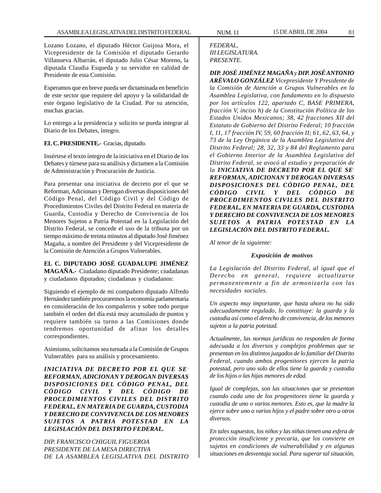Lozano Lozano, el diputado Héctor Guijosa Mora, el Vicepresidente de la Comisión el diputado Gerardo Villanueva Albarrán, el diputado Julio César Moreno, la diputada Claudia Esqueda y su servidor en calidad de Presidente de esta Comisión.

Esperamos que en breve pueda ser dictaminada en beneficio de este sector que requiere del apoyo y la solidaridad de este órgano legislativo de la Ciudad. Por su atención, muchas gracias.

Lo entrego a la presidencia y solicito se pueda integrar al Diario de los Debates, íntegro.

**EL C. PRESIDENTE.-** Gracias, diputado.

Insértese el texto íntegro de la iniciativa en el Diario de los Debates y túrnese para su análisis y dictamen a la Comisión de Administración y Procuración de Justicia.

Para presentar una iniciativa de decreto por el que se Reforman, Adicionan y Derogan diversas disposiciones del Código Penal, del Código Civil y del Código de Procedimientos Civiles del Distrito Federal en materia de Guarda, Custodia y Derecho de Convivencia de los Menores Sujetos a Patria Potestad en la Legislación del Distrito Federal, se concede el uso de la tribuna por un tiempo máximo de treinta minutos al diputado José Jiménez Magaña, a nombre del Presidente y del Vicepresidente de la Comisión de Atención a Grupos Vulnerables.

## **EL C. DIPUTADO JOSÉ GUADALUPE JIMÉNEZ**

**MAGAÑA.-** Ciudadano diputado Presidente; ciudadanas y ciudadanos diputados; ciudadanas y ciudadanos:

Siguiendo el ejemplo de mi compañero diputado Alfredo Hernández también procuraremos la economía parlamentaria en consideración de los compañeros y sobre todo porque también el orden del día está muy acumulado de puntos y requiere también su turno a las Comisiones donde tendremos oportunidad de afinar los detalles correspondientes.

Asimismo, solicitamos sea turnada a la Comisión de Grupos Vulnerables para su análisis y procesamiento.

*INICIATIVA DE DECRETO POR EL QUE SE-REFORMAN, ADICIONAN Y DEROGAN DIVERSAS DISPOSICIONES DEL CÓDIGO PENAL, DEL CÓDIGO CIVIL Y DEL CÓDIGO DE PROCEDIMIENTOS CIVILES DEL DISTRITO FEDERAL, EN MATERIA DE GUARDA, CUSTODIA Y DERECHO DE CONVIVENCIA DE LOS MENORES SUJETOS A PATRIA POTESTAD EN LA LEGISLACIÓN DEL DISTRITO FEDERAL.*

*DIP. FRANCISCO CHIGUIL FIGUEROA PRESIDENTE DE LA MESA DIRECTIVA DE LA ASAMBLEA LEGISLATIVA DEL DISTRITO*

## *FEDERAL, III LEGISLATURA. PRESENTE.*

*DIP. JOSÉ JIMÉNEZ MAGAÑA y DIP. JOSÉ ANTONIO ARÉVALO GONZÁLEZ Vicepresidente Y Presidente de la Comisión de Atención a Grupos Vulnerables en la Asamblea Legislativa, con fundamento en lo dispuesto por los artículos 122, apartado C, BASE PRIMERA, fracción V, inciso h) de la Constitución Política de los Estados Unidos Mexicanos; 38, 42 fracciones XII del Estatuto de Gobierno del Distrito Federal; 10 fracción I, 11, 17 fracción IV, 59, 60 fracción II; 61, 62, 63, 64, y 73 de la Ley Orgánica de la Asamblea Legislativa del Distrito Federal; 28, 32, 33 y 84 del Reglamento para el Gobierno Interior de la Asamblea Legislativa del Distrito Federal, se avocó al estudio y preparación de la INICIATIVA DE DECRETO POR EL QUE SE-REFORMAN, ADICIONAN Y DEROGAN DIVERSAS DISPOSICIONES DEL CÓDIGO PENAL, DEL CÓDIGO CIVIL Y DEL CÓDIGO DE PROCEDIMIENTOS CIVILES DEL DISTRITO FEDERAL, EN MATERIA DE GUARDA, CUSTODIA Y DERECHO DE CONVIVENCIA DE LOS MENORES SUJETOS A PATRIA POTESTAD EN LA LEGISLACIÓN DEL DISTRITO FEDERAL.*

*Al tenor de la siguiente:*

#### *Exposición de motivos*

*La Legislación del Distrito Federal, al igual que el Derecho en general, requiere actualizarse permanentemente a fin de armonizarla con las necesidades sociales.*

*Un aspecto muy importante, que hasta ahora no ha sido adecuadamente regulado, lo constituye: la guarda y la custodia así como el derecho de convivencia, de los menores sujetos a la patria potestad.*

*Actualmente, las normas jurídicas no responden de forma adecuada a los diversos y complejos problemas que se presentan en los distintos juzgados de lo familiar del Distrito Federal, cuando ambos progenitores ejercen la patria potestad, pero uno solo de ellos tiene la guarda y custodia de los hijos o las hijas menores de edad.*

*Igual de complejas, son las situaciones que se presentan cuando cada uno de los progenitores tiene la guarda y custodia de uno o varios menores. Esto es, que la madre la ejerce sobre uno o varios hijos y el padre sobre otro u otros diversos.*

*En tales supuestos, los niños y las niñas tienen una esfera de protección insuficiente y precaria, que los convierte en sujetos en condiciones de vulnerabilidad y en algunas situaciones en desventaja social. Para superar tal situación,*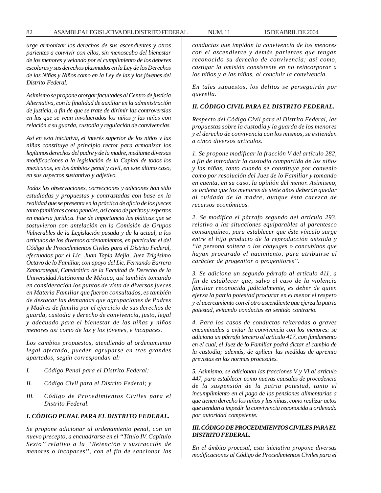*urge armonizar los derechos de sus ascendientes y otros parientes a convivir con ellos, sin menoscabo del bienestar de los menores y velando por el cumplimiento de los deberes escolares y sus derechos plasmados en la Ley de los Derechos de las Niñas y Niños como en la Ley de las y los jóvenes del Distrito Federal.*

*Asimismo se propone otorgar facultades al Centro de justicia Alternativa, con la finalidad de auxiliar en la administración de justicia, a fin de que se trate de dirimir las controversias en las que se vean involucrados los niños y las niñas con relación a su guarda, custodia y regulación de convivencias.*

*Así en esta iniciativa, el interés superior de los niños y las niñas constituye el principio rector para armonizar los legítimos derechos del padre y de la madre, mediante diversas modificaciones a la legislación de la Capital de todos los mexicanos, en los ámbitos penal y civil, en este último caso, en sus aspectos sustantivo y adjetivo.*

*Todas las observaciones, correcciones y adiciones han sido estudiadas y propuestas y contrastadas con base en la realidad que se presenta en la práctica de oficio de los jueces tanto familiares como penales, así como de peritos y expertos en materia jurídica. Fue de importancia las pláticas que se sostuvieron con antelación en la Comisión de Grupos Vulnerables de la Legislación pasada y de la actual, a los artículos de los diversos ordenamientos, en particular el del Código de Procedimientos Civiles para el Distrito Federal, efectuados por el Lic. Juan Tapia Mejía, Juez Trigésimo Octavo de lo Familiar, con apoyo del Lic. Fernando Barrera Zamorategui, Catedrático de la Facultad de Derecho de la Universidad Autónoma de México, así también tomando en consideración los puntos de vista de diversos jueces en Materia Familiar que fueron consultados, es también de destacar las demandas que agrupaciones de Padres y Madres de familia por el ejercicio de sus derechos de guarda, custodia y derecho de convivencia, justo, legal y adecuado para el bienestar de las niñas y niños menores así como de las y los jóvenes, e incapaces.*

*Los cambios propuestos, atendiendo al ordenamiento legal afectado, pueden agruparse en tres grandes apartados, según correspondan al:*

- *I. Código Penal para el Distrito Federal;*
- *II. Código Civil para el Distrito Federal; y*
- *III. Código de Procedimientos Civiles para el Distrito Federal.*

#### *I. CÓDIGO PENAL PARA EL DISTRITO FEDERAL.*

*Se propone adicionar al ordenamiento penal, con un nuevo precepto, a encuadrarse en el ''Título IV. Capítulo Sexto'' relativo a la ''Retención y sustracción de menores o incapaces'', con el fin de sancionar las* *conductas que impidan la convivencia de los menores con el ascendiente y demás parientes que tengan reconocido su derecho de convivencia; así como, castigar la omisión consistente en no reincorporar a los niños y a las niñas, al concluir la convivencia.*

*En tales supuestos, los delitos se perseguirán por querella.*

## *II. CÓDIGO CIVIL PARA EL DISTRITO FEDERAL.*

*Respecto del Código Civil para el Distrito Federal, las propuestas sobre la custodia y la guarda de los menores y el derecho de convivencia con los mismos, se extienden a cinco diversos artículos.*

*1. Se propone modificar la fracción V del artículo 282, a fin de introducir la custodia compartida de los niños y las niñas, tanto cuando se constituya por convenio como por resolución del Juez de lo Familiar y tomando en cuenta, en su caso, la opinión del menor. Asimismo, se ordena que los menores de siete años deberán quedar al cuidado de la madre, aunque ésta carezca de recursos económicos.*

*2. Se modifica el párrafo segundo del artículo 293, relativo a las situaciones equiparables al parentesco consanguíneo, para establecer que éste vínculo surge entre el hijo producto de la reproducción asistida y ''la persona soltera o los cónyuges o concubinos que hayan procurado el nacimiento, para atribuirse el carácter de progenitor o progenitores''.*

*3. Se adiciona un segundo párrafo al artículo 411, a fin de establecer que, salvo el caso de la violencia familiar reconocida judicialmente, es deber de quien ejerza la patria potestad procurar en el menor el respeto y el acercamiento con el otro ascendiente que ejerza la patria potestad, evitando conductas en sentido contrario.*

*4. Para los casos de conductas reiteradas o graves encaminadas a evitar la convivencia con los menores: se adiciona un párrafo tercero al artículo 417, con fundamento en el cual, el Juez de lo Familiar podrá dictar el cambio de la custodia; además, de aplicar las medidas de apremio previstas en las normas procesales.*

*5. Asimismo, se adicionan las fracciones V y VI al artículo 447, para establecer como nuevas causales de procedencia de la suspensión de la patria potestad, tanto el incumplimiento en el pago de las pensiones alimentarias a que tienen derecho los niños y las niñas, como realizar actos que tiendan a impedir la convivencia reconocida u ordenada por autoridad competente.*

## *III. CÓDIGO DE PROCEDIMIENTOS CIVILES PARA EL DISTRITO FEDERAL.*

*En el ámbito procesal, esta iniciativa propone diversas modificaciones al Código de Procedimientos Civiles para el*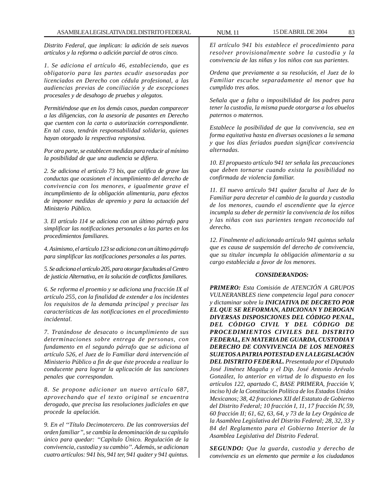*Distrito Federal, que implican: la adición de seis nuevos artículos y la reforma o adición parcial de otros cinco.*

*1. Se adiciona el artículo 46, estableciendo, que es obligatorio para las partes acudir asesoradas por licenciados en Derecho con cédula profesional, a las audiencias previas de conciliación y de excepciones procesales y de desahogo de pruebas y alegatos.*

*Permitiéndose que en los demás casos, puedan comparecer a las diligencias, con la asesoría de pasantes en Derecho que cuenten con la carta o autorización correspondiente. En tal caso, tendrán responsabilidad solidaria, quienes hayan otorgado la respectiva responsiva.*

*Por otra parte, se establecen medidas para reducir al mínimo la posibilidad de que una audiencia se difiera.*

*2. Se adiciona el artículo 73 bis, que califica de grave las conductas que ocasionen el incumplimiento del derecho de convivencia con los menores, e igualmente grave el incumplimiento de la obligación alimentaria, para efectos de imponer medidas de apremio y para la actuación del Ministerio Público.*

*3. El artículo 114 se adiciona con un último párrafo para simplificar las notificaciones personales a las partes en los procedimientos familiares.*

*4. Asimismo, el artículo 123 se adiciona con un último párrafo para simplificar las notificaciones personales a las partes.*

*5. Se adiciona el artículo 205, para otorgar facultades al Centro de justicia Alternativa, en la solución de conflictos familiares.*

*6. Se reforma el proemio y se adiciona una fracción IX al artículo 255, con la finalidad de extender a los incidentes los requisitos de la demanda principal y precisar las características de las notificaciones en el procedimiento incidental.*

*7. Tratándose de desacato o incumplimiento de sus determinaciones sobre entrega de personas, con fundamento en el segundo párrafo que se adiciona al artículo 526, el Juez de lo Familiar dará intervención al Ministerio Público a fin de que éste proceda a realizar lo conducente para lograr la aplicación de las sanciones penales que correspondan.*

*8. Se propone adicionar un nuevo artículo 687, aprovechando que el texto original se encuentra derogado, que precisa las resoluciones judiciales en que procede la apelación.*

*9. En el ''Título Decimotercero. De las controversias del orden familiar'', se cambia la denominación de su capítulo único para quedar: ''Capítulo Único. Regulación de la convivencia, custodia y su cambio''. Además, se adicionan cuatro artículos: 941 bis, 941 ter, 941 quáter y 941 quintus.*

*El artículo 941 bis establece el procedimiento para resolver provisionalmente sobre la custodia y la convivencia de las niñas y los niños con sus parientes.*

*Ordena que previamente a su resolución, el Juez de lo Familiar escuche separadamente al menor que ha cumplido tres años.*

*Señala que a falta o imposibilidad de los padres para tener la custodia, la misma puede otorgarse a los abuelos paternos o maternos.*

*Establece la posibilidad de que la convivencia, sea en forma equitativa hasta en diversas ocasiones a la semana y que los días feriados puedan significar convivencia alternadas.*

*10. El propuesto artículo 941 ter señala las precauciones que deben tornarse cuando exista la posibilidad no confirmada de violencia familiar.*

*11. El nuevo artículo 941 quáter faculta al Juez de lo Familiar para decretar el cambio de la guarda y custodia de los menores, cuando el ascendiente que la ejerce incumpla su deber de permitir la convivencia de los niños y las niñas con sus parientes tengan reconocido tal derecho.*

*12. Finalmente el adicionado artículo 941 quintus señala que es causa de suspensión del derecho de convivencia, que su titular incumpla la obligación alimentaria a su cargo establecida a favor de los menores.*

#### *CONSIDERANDOS:*

*PRIMERO: Esta Comisión de ATENCIÓN A GRUPOS VULNERANBLES tiene competencia legal para conocer y dictaminar sobre la INICIATIVA DE DECRETO POR EL QUE SE REFORMAN, ADICIONAN Y DEROGAN DIVERSAS DISPOSICIONES DEL CÓDIGO PENAL, DEL CÓDIGO CIVIL Y DEL CÓDIGO DE PROCEDIMIENTOS CIVILES DEL DISTRITO FEDERAL, EN MATERIA DE GUARDA, CUSTODIA Y DERECHO DE CONVIVENCIA DE LOS MENORES SUJETOS A PATRIA POTESTAD EN LA LEGISLACIÓN DEL DISTRITO FEDERAL. Presentada por el Diputado José Jiménez Magaña y el Dip. José Antonio Arévalo González, lo anterior en virtud de lo dispuesto en los artículos 122, apartado C, BASE PRIMERA, fracción V, inciso h) de la Constitución Política de los Estados Unidos Mexicanos; 38, 42 fracciones XII del Estatuto de Gobierno del Distrito Federal; 10 fracción I, 11, 17 fracción IV, 59, 60 fracción II; 61, 62, 63, 64, y 73 de la Ley Orgánica de la Asamblea Legislativa del Distrito Federal; 28, 32, 33 y 84 del Reglamento para el Gobierno Interior de la Asamblea Legislativa del Distrito Federal.*

*SEGUNDO: Que la guarda, custodia y derecho de convivencia es un elemento que permite a los ciudadanos*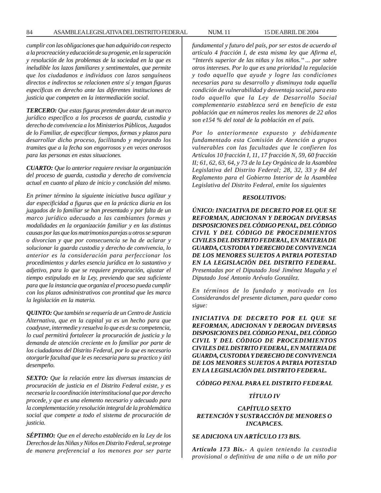*cumplir con las obligaciones que han adquirido con respecto a la procreación y educación de su progenie, en la superación y resolución de los problemas de la sociedad en la que es ineludible los lazos familiares y sentimentales, que permite que los ciudadanos e individuos con lazos sanguíneos directos e indirectos se relacionen entre sí y tengan figuras específicas en derecho ante las diferentes instituciones de justicia que competen en la intermediación social.*

*TERCERO: Que estas figuras pretenden dotar de un marco jurídico específico a los procesos de guarda, custodia y derecho de convivencia a los Ministerios Públicos, Juzgados de lo Familiar, de especificar tiempos, formas y plazos para desarrollar dicho proceso, facilitando y mejorando los tramites que a la fecha son engorrosos y en veces onerosos para las personas en estas situaciones.*

*CUARTO: Que lo anterior requiere revisar la organización del proceso de guarda, custodia y derecho de convivencia actual en cuanto al plazo de inicio y conclusión del mismo.*

*En primer término la siguiente iniciativa busca agilizar y dar especificidad a figuras que en la práctica diaria en los juzgados de lo familiar se han presentado y por falta de un marco jurídico adecuado a las cambiantes formas y modalidades en la organización familiar y en las distintas causas por las que los matrimonios parejas u otros se separan o divorcian y que por consecuencia se ha de aclarar y solucionar la guarda custodia y derecho de convivencia, lo anterior es la consideración para perfeccionar los procedimientos y darles esencia jurídica en lo sustantivo y adjetivo, para lo que se requiere preparación, ajustar el tiempo estipulado en la Ley, previendo que sea suficiente para que la instancia que organiza el proceso pueda cumplir con los plazos administrativos con prontitud que les marca la legislación en la materia.*

*QUINTO: Que también se requería de un Centro de Justicia Alternativa, que en la capital ya es un hecho para que coadyuve, intermedie y resuelva lo que es de su competencia, lo cual permitirá fortalecer la procuración de justicia y la demanda de atención creciente en lo familiar por parte de los ciudadanos del Distrito Federal, por lo que es necesario otorgarle facultad que le es necesaria para su practico y útil desempeño.*

*SEXTO: Que la relación entre las diversas instancias de procuración de justicia en el Distrito Federal existe, y es necesaria la coordinación interinstitucional que por derecho procede, y que es una elemento necesario y adecuado para la complementación y resolución integral de la problemática social que compete a todo el sistema de procuración de justicia.*

*SÉPTIMO: Que en el derecho establecido en la Ley de los Derechos de las Niñas y Niños en Distrito Federal, se protege de manera preferencial a los menores por ser parte* *fundamental y futuro del país, por ser estos de acuerdo al artículo 4 fracción I, de esta misma ley que Afirma el, ''Interés superior de las niñas y los niños.'' ... por sobre otros intereses. Por lo que es una prioridad la regulación y todo aquello que ayude y logre las condiciones necesarias para su desarrollo y disminuya toda aquella condición de vulnerabilidad y desventaja social, para esto todo aquello que la Ley de Desarrollo Social complementario establezca será en beneficio de esta población que en números reales los menores de 22 años son e154 % del total de la población en el país.*

*Por lo anteriormente expuesto y debidamente fundamentado esta Comisión de Atención a grupos vulnerables con las facultades que le confieren los Artículos 10 fracción I, 11, 17 fracción N, 59, 60 fracción II; 61, 62, 63, 64, y 73 de la Ley Orgánica de la Asamblea Legislativa del Distrito Federal; 28, 32, 33 y 84 del Reglamento para el Gobierno Interior de la Asamblea Legislativa del Distrito Federal, emite los siguientes*

#### *RESOLUTIVOS:*

*ÚNICO: INICIATIVA DE DECRETO POR EL QUE SE REFORMAN, ADICIONAN Y DEROGAN DIVERSAS DISPOSICIONES DEL CÓDIGO PENAL, DEL CÓDIGO CIVIL Y DEL CÓDIGO DE PROCEDIMIENTOS CIVILES DEL DISTRITO FEDERAL, EN MATERIA DE GUARDA, CUSTODIA Y DERECHO DE CONVIVENCIA DE LOS MENORES SUJETOS A PATRIA POTESTAD EN LA LEGISLACIÓN DEL DISTRITO FEDERAL. Presentadas por el Diputado José Jiménez Magaña y el Diputado José Antonio Arévalo González.*

*En términos de lo fundado y motivado en los Considerandos del presente dictamen, para quedar como sigue:*

*INICIATIVA DE DECRETO POR EL QUE SE REFORMAN, ADICIONAN Y DEROGAN DIVERSAS DISPOSICIONES DEL CÓDIGO PENAL, DEL CÓDIGO CIVIL Y DEL CÓDIGO DE PROCEDIMIENTOS CIVILES DEL DISTRITO FEDERAL, EN MATERIA DE GUARDA, CUSTODIA Y DERECHO DE CONVIVENCIA DE LOS MENORES SUJETOS A PATRIA POTESTAD EN LA LEGISLACIÓN DEL DISTRITO FEDERAL.*

#### *CÓDIGO PENAL PARA EL DISTRITO FEDERAL*

#### *TÍTULO IV*

# *CAPÍTULO SEXTO RETENCIÓN Y SUSTRACCIÓN DE MENORES O INCAPACES.*

# *SE ADICIONA UN ARTÍCULO 173 BIS.*

*Artículo 173 Bis.- A quien teniendo la custodia provisional o definitiva de una niña o de un niño por*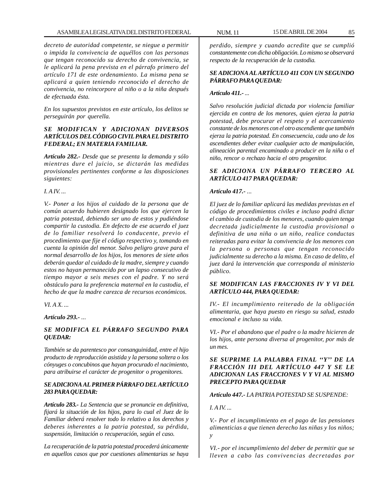*decreto de autoridad competente, se niegue a permitir o impida la convivencia de aquéllos con las personas que tengan reconocido su derecho de convivencia, se le aplicará la pena prevista en el párrafo primero del artículo 171 de este ordenamiento. La misma pena se aplicará a quien teniendo reconocido el derecho de convivencia, no reincorpore al niño o a la niña después de efectuada ésta.*

*En los supuestos previstos en este artículo, los delitos se perseguirán por querella.*

# *SE MODIFICAN Y ADICIONAN DIVERSOS ARTÍCULOS DEL CÓDIGO CIVIL PARA EL DISTRITO FEDERAL; EN MATERIA FAMILIAR.*

*Artículo 282.- Desde que se presenta la demanda y sólo mientras dure el juicio, se dictarán las medidas provisionales pertinentes conforme a las disposiciones siguientes:*

*I. A IV. ...*

*V.- Poner a los hijos al cuidado de la persona que de común acuerdo hubieren designado los que ejercen la patria potestad, debiendo ser uno de estos y pudiéndose compartir la custodia. En defecto de ese acuerdo el juez de lo familiar resolverá lo conducente, previo el procedimiento que fije el código respectivo y, tomando en cuenta la opinión del menor. Salvo peligro grave para el normal desarrollo de los hijos, los menores de siete años deberán quedar al cuidado de la madre, siempre y cuando estos no hayan permanecido por un lapso consecutivo de tiempo mayor a seis meses con el padre. Y no será obstáculo para la preferencia maternal en la custodia, el hecho de que la madre carezca de recursos económicos.*

*VI. A X. ...*

*Artículo 293.- ...*

# *SE MODIFICA EL PÁRRAFO SEGUNDO PARA QUEDAR:*

*También se da parentesco por consanguinidad, entre el hijo producto de reproducción asistida y la persona soltera o los cónyuges o concubinos que hayan procurado el nacimiento, para atribuirse el carácter de progenitor o progenitores.*

# *SE ADICIONA AL PRIMER PÁRRAFO DEL ARTÍCULO 283 PARA QUEDAR:*

*Artículo 283.- La Sentencia que se pronuncie en definitiva, fijará la situación de los hijos, para lo cual el Juez de lo Familiar deberá resolver todo lo relativo a los derechos y deberes inherentes a la patria potestad, su pérdida, suspensión, limitación o recuperación, según el caso.*

*La recuperación de la patria potestad procederá únicamente en aquellos casos que por cuestiones alimentarias se haya*

*perdido, siempre y cuando acredite que se cumplió constantemente con dicha obligación. Lo mismo se observará respecto de la recuperación de la custodia.*

# *SE ADICIONA AL ARTÍCULO 411 CON UN SEGUNDO PÁRRAFO PARA QUEDAR:*

# *Artículo 411.- ...*

*Salvo resolución judicial dictada por violencia familiar ejercida en contra de los menores, quien ejerza la patria potestad, debe procurar el respeto y el acercamiento constante de los menores con el otro ascendiente que también ejerza la patria potestad. En consecuencia, cada uno de los ascendientes deber evitar cualquier acto de manipulación, alineación parental encaminado a producir en la niña o el niño, rencor o rechazo hacia el otro progenitor.*

# *SE ADICIONA UN PÁRRAFO TERCERO AL ARTÍCULO 417 PARA QUEDAR:*

# *Artículo 417.- ...*

*El juez de lo familiar aplicará las medidas previstas en el código de procedimientos civiles e incluso podrá dictar el cambio de custodia de los menores, cuando quien tenga decretada judicialmente la custodia provisional o definitiva de una niña o un niño, realice conductas reiteradas para evitar la convivencia de los menores con la persona o personas que tengan reconocido judicialmente su derecho a la misma. En caso de delito, el juez dará la intervención que corresponda al ministerio público.*

# *SE MODIFICAN LAS FRACCIONES IV Y VI DEL ARTÍCULO 444, PARA QUEDAR:*

*IV.- El incumplimiento reiterado de la obligación alimentaria, que haya puesto en riesgo su salud, estado emocional e incluso su vida.*

*VI.- Por el abandono que el padre o la madre hicieren de los hijos, ante persona diversa al progenitor, por más de un mes.*

# *SE SUPRIME LA PALABRA FINAL ''Y'' DE LA FRACCIÓN III DEL ARTÍCULO 447 Y SE LE ADICIONAN LAS FRACCIONES V Y VI AL MISMO PRECEPTO PARA QUEDAR*

*Artículo 447.- LA PATRIA POTESTAD SE SUSPENDE:*

*I. A IV. ...*

*V.- Por el incumplimiento en el pago de las pensiones alimenticias a que tienen derecho las niñas y los niños; y*

*VI.- por el incumplimiento del deber de permitir que se lleven a cabo las convivencias decretadas por*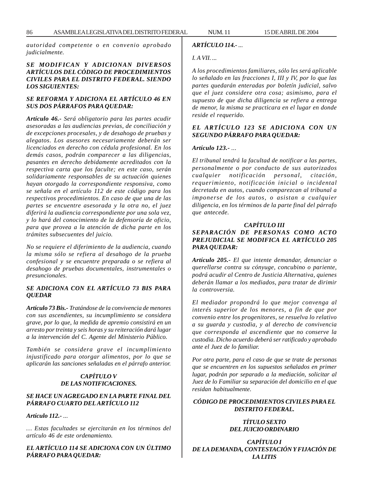*autoridad competente o en convenio aprobado judicialmente.*

## *SE MODIFICAN Y ADICIONAN DIVERSOS ARTÍCULOS DEL CÓDIGO DE PROCEDIMIENTOS CIVILES PARA EL DISTRITO FEDERAL. SIENDO LOS SIGUIENTES:*

## *SE REFORMA Y ADICIONA EL ARTÍCULO 46 EN SUS DOS PÁRRAFOS PARA QUEDAR:*

*Artículo 46.- Será obligatorio para las partes acudir asesoradas a las audiencias previas, de conciliación y de excepciones procesales, y de desahogo de pruebas y alegatos. Los asesores necesariamente deberán ser licenciados en derecho con cédula profesional. En los demás casos, podrán comparecer a las diligencias, pasantes en derecho debidamente acreditados con la respectiva carta que los faculte; en este caso, serán solidariamente responsables de su actuación quienes hayan otorgado la correspondiente responsiva, como se señala en el artículo 112 de este código para los respectivos procedimientos. En caso de que una de las partes se encuentre asesorada y la otra no, el juez diferirá la audiencia correspondiente por una sola vez, y lo hará del conocimiento de la defensoría de oficio, para que provea a la atención de dicha parte en los trámites subsecuentes del juicio.*

*No se requiere el diferimiento de la audiencia, cuando la misma sólo se refiera al desahogo de la prueba confesional y se encuentre preparada o se refiera al desahogo de pruebas documentales, instrumentales o presuncionales.*

# *SE ADICIONA CON EL ARTÍCULO 73 BIS PARA QUEDAR*

*Artículo 73 Bis.- Tratándose de la convivencia de menores con sus ascendientes, su incumplimiento se considera grave, por lo que, la medida de apremio consistirá en un arresto por treinta y seis horas y su reiteración dará lugar a la intervención del C. Agente del Ministerio Público.*

*También se considera grave el incumplimiento injustificado para otorgar alimentos, por lo que se aplicarán las sanciones señaladas en el párrafo anterior.*

# *CAPÍTULO V DE LAS NOTIFICACIONES.*

#### *SE HACE UN AGREGADO EN LA PARTE FINAL DEL PÁRRAFO CUARTO DEL ARTÍCULO 112*

#### *Artículo 112.- ...*

*… Estas facultades se ejercitarán en los términos del artículo 46 de este ordenamiento.*

*EL ARTÍCULO 114 SE ADICIONA CON UN ÚLTIMO PÁRRAFO PARA QUEDAR:*

# *ARTÍCULO 114.- ...*

## *I. A VII. ...*

*A los procedimientos familiares, sólo les será aplicable lo señalado en las fracciones I, III y IV, por lo que las partes quedarán enteradas por boletín judicial, salvo que el juez considere otra cosa; asimismo, para el supuesto de que dicha diligencia se refiera a entrega de menor, la misma se practicara en el lugar en donde reside el requerido.*

## *EL ARTÍCULO 123 SE ADICIONA CON UN SEGUNDO PÁRRAFO PARA QUEDAR:*

#### *Artículo 123.- ...*

*El tribunal tendrá la facultad de notificar a las partes, personalmente o por conducto de sus autorizados cualquier notificación personal, citación, requerimiento, notificación inicial o incidental decretada en autos, cuando comparezcan al tribunal a imponerse de los autos, o asistan a cualquier diligencia, en los términos de la parte final del párrafo que antecede.*

# *CAPÍTULO III SEPARACIÓN DE PERSONAS COMO ACTO PREJUDICIAL SE MODIFICA EL ARTÍCULO 205 PARA QUEDAR:*

*Artículo 205.- El que intente demandar, denunciar o querellarse contra su cónyuge, concubino o pariente, podrá acudir al Centro de Justicia Alternativa, quienes deberán llamar a los mediados, para tratar de dirimir la controversia.*

*El mediador propondrá lo que mejor convenga al interés superior de los menores, a fin de que por convenio entre los progenitores, se resuelva lo relativo a su guarda y custodia, y al derecho de convivencia que corresponda al ascendiente que no conserve la custodia. Dicho acuerdo deberá ser ratificado y aprobado ante el Juez de lo familiar.*

*Por otra parte, para el caso de que se trate de personas que se encuentren en los supuestos señalados en primer lugar, podrán por separado a la mediación, solicitar al Juez de lo Familiar su separación del domicilio en el que residan habitualmente.*

## *CÓDIGO DE PROCEDIMIENTOS CIVILES PARA EL DISTRITO FEDERAL.*

#### *TÍTULO SEXTO DEL JUICIO ORDINARIO*

*CAPÍTULO I DE LA DEMANDA, CONTESTACIÓN Y FIJACIÓN DE LA LITIS*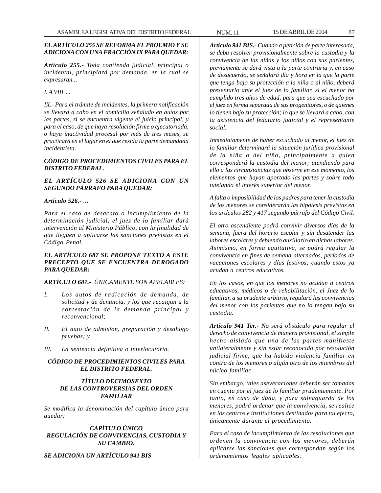# *EL ARTÍCULO 255 SE REFORMA EL PROEMIO Y SE ADICIONA CON UNA FRACCIÓN IX PARA QUEDAR:*

*Artículo 255.- Toda contienda judicial, principal o incidental, principiará por demanda, en la cual se expresaran...*

*I. A VIII. ...*

*IX.- Para el trámite de incidentes, la primera notificación se llevará a cabo en el domicilio señalado en autos por las partes, si se encuentra vigente el juicio principal, y para el caso, de que haya resolución firme o ejecutoriada, o haya inactividad procesal por más de tres meses, se practicará en el lugar en el que resida la parte demandada incidentista.*

## *CÓDIGO DE PROCEDIMIENTOS CIVILES PARA EL DISTRITO FEDERAL.*

## *EL ARTÍCULO 526 SE ADICIONA CON UN SEGUNDO PÁRRAFO PARA QUEDAR:*

#### *Artículo 526.- ...*

*Para el caso de desacato o incumplimiento de la determinación judicial, el juez de lo familiar dará intervención al Ministerio Público, con la finalidad de que lleguen a aplicarse las sanciones previstas en el Código Penal.*

# *EL ARTÍCULO 687 SE PROPONE TEXTO A ESTE PRECEPTO QUE SE ENCUENTRA DEROGADO PARA QUEDAR:*

*ARTÍCULO 687.- ÚNICAMENTE SON APELABLES:*

- *I. Los autos de radicación de demanda, de solicitud y de denuncia, y los que recaigan a la contestación de la demanda principal y reconvencional;*
- *II. El auto de admisión, preparación y desahogo pruebas; y*
- *III. La sentencia definitiva o interlocutoria.*

## *CÓDIGO DE PROCEDIMIENTOS CIVILES PARA EL DISTRITO FEDERAL.*

# *TÍTULO DECIMOSEXTO DE LAS CONTROVERSIAS DEL ORDEN FAMILIAR*

*Se modifica la denominación del capítulo único para quedar:*

# *CAPÍTULO ÚNICO REGULACIÓN DE CONVIVENCIAS, CUSTODIA Y SU CAMBIO.*

*SE ADICIONA UN ARTÍCULO 941 BIS*

*Artículo 941 BIS.- Cuando a petición de parte interesada, se deba resolver provisionalmente sobre la custodia y la convivencia de las niñas y los niños con sus parientes, previamente se dará vista a la parte contraria y, en caso de desacuerdo, se señalará día y hora en la que la parte que tenga bajo su protección a la niña o al niño, deberá presentarlo ante el juez de lo familiar, si el menor ha cumplido tres años de edad, para que sea escuchado por el juez en forma separada de sus progenitores, o de quienes lo tienen bajo su protección; lo que se llevará a cabo, con la asistencia del fedatario judicial y el representante social.*

*Inmediatamente de haber escuchado al menor, el juez de lo familiar determinará la situación jurídica provisional de la niña o del niño, principalmente a quien corresponderá la custodia del menor; atendiendo para ello a las circunstancias que observe en ese momento, los elementos que hayan aportado las partes y sobre todo tutelando el interés superior del menor.*

*A falta o imposibilidad de los padres para tener la custodia de los menores se considerarán las hipótesis previstas en los artículos 282 y 417 segundo párrafo del Código Civil.*

*El otro ascendiente podrá convivir diversos días de la semana, fuera del horario escolar y sin desatender las labores escolares y debiendo auxiliarlo en dichas labores. Asimismo, en forma equitativa, se podrá regular la convivencia en fines de semana alternados, períodos de vacaciones escolares y días festivos; cuando estos ya acudan a centros educativos.*

*En los casos, en que los menores no acudan a centros educativos, médicos o de rehabilitación, el Juez de lo familiar, a su prudente arbitrio, regulará las convivencias del menor con los parientes que no lo tengan bajo su custodia.*

*Artículo 941 Ter.- No será obstáculo para regular el derecho de convivencia de manera provisional, el simple hecho aislado que una de las partes manifieste unilateralmente y sin estar reconocido por resolución judicial firme, que ha habido violencia familiar en contra de los menores o algún otro de los miembros del núcleo familiar.*

*Sin embargo, tales aseveraciones deberán ser tomadas en cuenta por el juez de lo familiar prudentemente. Por tanto, en caso de duda, y para salvaguarda de los menores, podrá ordenar que la convivencia, se realice en los centros e instituciones destinados para tal efecto, únicamente durante el procedimiento.*

*Para el caso de incumplimiento de las resoluciones que ordenen la convivencia con los menores, deberán aplicarse las sanciones que correspondan según los ordenamientos legales aplicables.*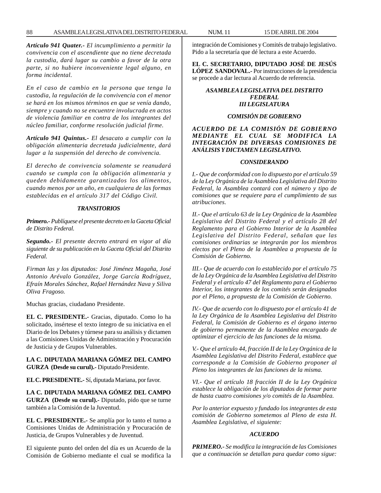*Artículo 941 Quater.- El incumplimiento a permitir la convivencia con el ascendiente que no tiene decretada la custodia, dará lugar su cambio a favor de la otra parte, si no hubiere inconveniente legal alguno, en forma incidental.*

*En el caso de cambio en la persona que tenga la custodia, la regulación de la convivencia con el menor se hará en los mismos términos en que se venía dando, siempre y cuando no se encuentre involucrada en actos de violencia familiar en contra de los integrantes del núcleo familiar, conforme resolución judicial firme.*

*Artículo 941 Quintus.- El desacato a cumplir con la obligación alimentaria decretada judicialmente, dará lugar a la suspensión del derecho de convivencia.*

*El derecho de convivencia solamente se reanudará cuando se cumpla con la obligación alimentaria y queden debidamente garantizados los alimentos, cuando menos por un año, en cualquiera de las formas establecidas en el artículo 317 del Código Civil.*

#### *TRANSITORIOS*

*Primero.- Publíquese el presente decreto en la Gaceta Oficial de Distrito Federal.*

*Segundo.- El presente decreto entrará en vigor al día siguiente de su publicación en la Gaceta Oficial del Distrito Federal.*

*Firman las y los diputados: José Jiménez Magaña, José Antonio Arévalo González, Jorge García Rodríguez, Efraín Morales Sánchez, Rafael Hernández Nava y Siliva Oliva Fragoso.*

Muchas gracias, ciudadano Presidente.

**EL C. PRESIDENTE.-** Gracias, diputado. Como lo ha solicitado, insértese el texto íntegro de su iniciativa en el Diario de los Debates y túrnese para su análisis y dictamen a las Comisiones Unidas de Administración y Procuración de Justicia y de Grupos Vulnerables.

**LA C. DIPUTADA MARIANA GÓMEZ DEL CAMPO GURZA (Desde su curul).-** Diputado Presidente.

**EL C. PRESIDENTE.-** Sí, diputada Mariana, por favor.

**LA C. DIPUTADA MARIANA GÓMEZ DEL CAMPO GURZA (Desde su curul).-** Diputado, pido que se turne también a la Comisión de la Juventud.

**EL C. PRESIDENTE.-** Se amplía por lo tanto el turno a Comisiones Unidas de Administración y Procuración de Justicia, de Grupos Vulnerables y de Juventud.

El siguiente punto del orden del día es un Acuerdo de la Comisión de Gobierno mediante el cual se modifica la integración de Comisiones y Comités de trabajo legislativo. Pido a la secretaría que dé lectura a este Acuerdo.

**EL C. SECRETARIO, DIPUTADO JOSÉ DE JESÚS LÓPEZ SANDOVAL.-** Por instrucciones de la presidencia se procede a dar lectura al Acuerdo de referencia.

## *ASAMBLEA LEGISLATIVA DEL DISTRITO FEDERAL III LEGISLATURA*

# *COMISIÓN DE GOBIERNO*

#### *ACUERDO DE LA COMISIÓN DE GOBIERNO MEDIANTE EL CUAL SE MODIFICA LA INTEGRACIÓN DE DIVERSAS COMISIONES DE ANÁLISIS Y DICTAMEN LEGISLATIVO.*

#### *CONSIDERANDO*

*I.- Que de conformidad con lo dispuesto por el artículo 59 de la Ley Orgánica de la Asamblea Legislativa del Distrito Federal, la Asamblea contará con el número y tipo de comisiones que se requiere para el cumplimiento de sus atribuciones.*

*II.- Que el artículo 63 de la Ley Orgánica de la Asamblea Legislativa del Distrito Federal y el artículo 28 del Reglamento para el Gobierno Interior de la Asamblea Legislativa del Distrito Federal, señalan que las comisiones ordinarias se integrarán por los miembros electos por el Pleno de la Asamblea a propuesta de la Comisión de Gobierno.*

*III.- Que de acuerdo con lo establecido por el artículo 75 de la Ley Orgánica de la Asamblea Legislativa del Distrito Federal y el artículo 47 del Reglamento para el Gobierno Interior, los integrantes de los comités serán designados por el Pleno, a propuesta de la Comisión de Gobierno.*

*IV.- Que de acuerdo con lo dispuesto por el artículo 41 de la Ley Orgánica de la Asamblea Legislativa del Distrito Federal, la Comisión de Gobierno es el órgano interno de gobierno permanente de la Asamblea encargado de optimizar el ejercicio de las funciones de la misma.*

*V.- Que el artículo 44, fracción II de la Ley Orgánica de la Asamblea Legislativa del Distrito Federal, establece que corresponde a la Comisión de Gobierno proponer al Pleno los integrantes de las funciones de la misma.*

*VI.- Que el artículo 18 fracción II de la Ley Orgánica establece la obligación de los diputados de formar parte de hasta cuatro comisiones y/o comités de la Asamblea.*

*Por lo anterior expuesto y fundado los integrantes de esta comisión de Gobierno sometemos al Pleno de esta H. Asamblea Legislativa, el siguiente:*

#### *ACUERDO*

*PRIMERO.- Se modifica la integración de las Comisiones que a continuación se detallan para quedar como sigue:*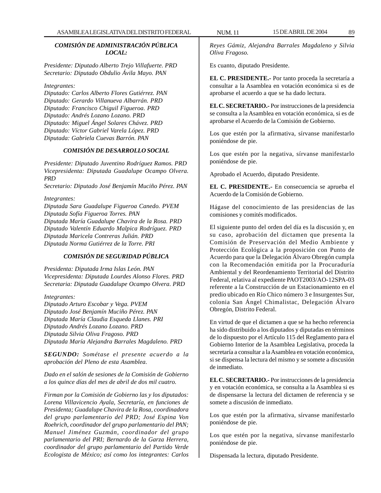# *COMISIÓN DE ADMINISTRACIÓN PÚBLICA LOCAL:*

*Presidente: Diputado Alberto Trejo Villafuerte. PRD Secretario: Diputado Obdulio Ávila Mayo. PAN*

*Integrantes:*

*Diputado: Carlos Alberto Flores Gutiérrez. PAN Diputado: Gerardo Villanueva Albarrán. PRD Diputado: Francisco Chiguil Figueroa. PRD Diputado: Andrés Lozano Lozano. PRD Diputado: Miguel Ángel Solares Chávez. PRD Diputado: Víctor Gabriel Varela López. PRD Diputada: Gabriela Cuevas Barrón. PAN*

## *COMISIÓN DE DESARROLLO SOCIAL*

*Presidente: Diputado Juventino Rodríguez Ramos. PRD Vicepresidenta: Diputada Guadalupe Ocampo Olvera. PRD*

*Secretario: Diputado José Benjamín Muciño Pérez. PAN*

*Integrantes:*

*Diputada Sara Guadalupe Figueroa Canedo. PVEM Diputada Sofía Figueroa Torres. PAN Diputada María Guadalupe Chavira de la Rosa. PRD Diputado Valentín Eduardo Malpica Rodríguez. PRD Diputada Maricela Contreras Julián. PRD Diputada Norma Gutiérrez de la Torre. PRI*

### *COMISIÓN DE SEGURIDAD PÚBLICA*

*Presidenta: Diputada Irma Islas León. PAN Vicepresidenta: Diputada Lourdes Alonso Flores. PRD Secretaria: Diputada Guadalupe Ocampo Olvera. PRD*

*Integrantes:*

*Diputado Arturo Escobar y Vega. PVEM Diputado José Benjamín Muciño Pérez. PAN Diputada María Claudia Esqueda Llanes. PRI Diputado Andrés Lozano Lozano. PRD Diputada Silvia Oliva Fragoso. PRD Diputada María Alejandra Barrales Magdaleno. PRD*

*SEGUNDO: Sométase el presente acuerdo a la aprobación del Pleno de esta Asamblea.*

*Dado en el salón de sesiones de la Comisión de Gobierno a los quince días del mes de abril de dos mil cuatro.*

*Firman por la Comisión de Gobierno las y los diputados: Lorena Villavicencio Ayala, Secretaría, en funciones de Presidenta; Guadalupe Chavira de la Rosa, coordinadora del grupo parlamentario del PRD; José Espina Von Roehrich, coordinador del grupo parlamentario del PAN; Manuel Jiménez Guzmán, coordinador del grupo parlamentario del PRI; Bernardo de la Garza Herrera, coordinador del grupo parlamentario del Partido Verde Ecologista de México; así como los integrantes: Carlos*

*Reyes Gámiz, Alejandra Barrales Magdaleno y Silvia Oliva Fragoso.*

Es cuanto, diputado Presidente.

**EL C. PRESIDENTE.-** Por tanto proceda la secretaría a consultar a la Asamblea en votación económica si es de aprobarse el acuerdo a que se ha dado lectura.

**EL C. SECRETARIO.-** Por instrucciones de la presidencia se consulta a la Asamblea en votación económica, si es de aprobarse el Acuerdo de la Comisión de Gobierno.

Los que estén por la afirmativa, sírvanse manifestarlo poniéndose de pie.

Los que estén por la negativa, sírvanse manifestarlo poniéndose de pie.

Aprobado el Acuerdo, diputado Presidente.

**EL C. PRESIDENTE.-** En consecuencia se aprueba el Acuerdo de la Comisión de Gobierno.

Hágase del conocimiento de las presidencias de las comisiones y comités modificados.

El siguiente punto del orden del día es la discusión y, en su caso, aprobación del dictamen que presenta la Comisión de Preservación del Medio Ambiente y Protección Ecológica a la proposición con Punto de Acuerdo para que la Delegación Álvaro Obregón cumpla con la Recomendación emitida por la Procuraduría Ambiental y del Reordenamiento Territorial del Distrito Federal, relativa al expediente PAOT2003/AO-12SPA-03 referente a la Construcción de un Estacionamiento en el predio ubicado en Río Chico número 3 e Insurgentes Sur, colonia San Ángel Chimalistac, Delegación Álvaro Obregón, Distrito Federal.

En virtud de que el dictamen a que se ha hecho referencia ha sido distribuido a los diputados y diputadas en términos de lo dispuesto por el Artículo 115 del Reglamento para el Gobierno Interior de la Asamblea Legislativa, proceda la secretaría a consultar a la Asamblea en votación económica, si se dispensa la lectura del mismo y se somete a discusión de inmediato.

**EL C. SECRETARIO.-** Por instrucciones de la presidencia y en votación económica, se consulta a la Asamblea si es de dispensarse la lectura del dictamen de referencia y se somete a discusión de inmediato.

Los que estén por la afirmativa, sírvanse manifestarlo poniéndose de pie.

Los que estén por la negativa, sírvanse manifestarlo poniéndose de pie.

Dispensada la lectura, diputado Presidente.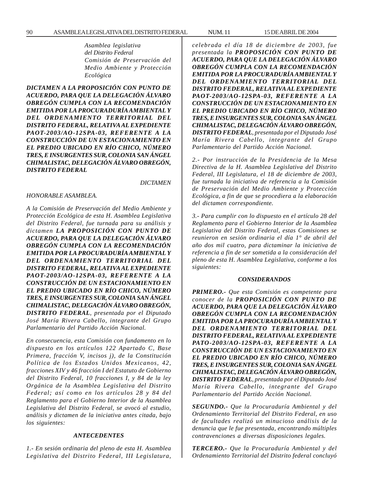*Asamblea legislativa del Distrito Federal Comisión de Preservación del Medio Ambiente y Protección Ecológica*

*DICTAMEN A LA PROPOSICIÓN CON PUNTO DE ACUERDO, PARA QUE LA DELEGACIÓN ÁLVARO OBREGÓN CUMPLA CON LA RECOMENDACIÓN EMITIDA POR LA PROCURADURÍA AMBIENTAL Y DEL ORDENAMIENTO TERRITORIAL DEL DISTRITO FEDERAL, RELATIVA AL EXPEDIENTE PAOT-2003/AO-12SPA-03, REFERENTE A LA CONSTRUCCIÓN DE UN ESTACIONAMIENTO EN EL PREDIO UBICADO EN RÍO CHICO, NÚMERO TRES, E INSURGENTES SUR, COLONIA SAN ÁNGEL CHIMALISTAC, DELEGACIÓN ÁLVARO OBREGÓN, DISTRITO FEDERAL*

*DICTAMEN*

#### *HONORABLE ASAMBLEA.*

*A la Comisión de Preservación del Medio Ambiente y Protección Ecológica de esta H. Asamblea Legislativa del Distrito Federal, fue turnada para su análisis y dictamen LA PROPOSICIÓN CON PUNTO DE ACUERDO, PARA QUE LA DELEGACIÓN ÁLVARO OBREGÓN CUMPLA CON LA RECOMENDACIÓN EMITIDA POR LA PROCURADURÍA AMBIENTAL Y DEL ORDENAMIENTO TERRITORIAL DEL DISTRITO FEDERAL, RELATIVA AL EXPEDIENTE PAOT-2003/AO-12SPA-03, REFERENTE A LA CONSTRUCCIÓN DE UN ESTACIONAMIENTO EN EL PREDIO UBICADO EN RÍO CHICO, NÚMERO TRES, E INSURGENTES SUR, COLONIA SAN ÁNGEL CHIMALISTAC, DELEGACIÓN ÁLVARO OBREGÓN, DISTRITO FEDERAL, presentada por el Diputado José María Rivera Cabello, integrante del Grupo Parlamentario del Partido Acción Nacional.*

*En consecuencia, esta Comisión con fundamento en lo dispuesto en los artículos 122 Apartado C, Base Primera, fracción V, incisos j), de la Constitución Política de los Estados Unidos Mexicanos, 42, fracciones XIV y 46 fracción I del Estatuto de Gobierno del Distrito Federal, 10 fracciones I, y 84 de la ley Orgánica de la Asamblea Legislativa del Distrito Federal; así como en los artículos 28 y 84 del Reglamento para el Gobierno Interior de la Asamblea Legislativa del Distrito Federal, se avocó al estudio, análisis y dictamen de la iniciativa antes citada, bajo los siguientes:*

#### *ANTECEDENTES*

*1.- En sesión ordinaria del pleno de esta H. Asamblea Legislativa del Distrito Federal, III Legislatura,*

*celebrada el día 18 de diciembre de 2003, fue presentada la PROPOSICIÓN CON PUNTO DE ACUERDO, PARA QUE LA DELEGACIÓN ÁLVARO OBREGÓN CUMPLA CON LA RECOMENDACIÓN EMITIDA POR LA PROCURADURÍA AMBIENTAL Y DEL ORDENAMIENTO TERRITORIAL DEL DISTRITO FEDERAL, RELATIVA AL EXPEDIENTE PAOT-2003/AO-12SPA-03, REFERENTE A LA CONSTRUCCIÓN DE UN ESTACIONAMIENTO EN EL PREDIO UBICADO EN RÍO CHICO, NÚMERO TRES, E INSURGENTES SUR, COLONIA SAN ÁNGEL CHIMALISTAC, DELEGACIÓN ÁLVARO OBREGÓN, DISTRITO FEDERAL, presentada por el Diputado José María Rivera Cabello, integrante del Grupo Parlamentario del Partido Acción Nacional.*

*2.- Por instrucción de la Presidencia de la Mesa Directiva de la H. Asamblea Legislativa del Distrito Federal, III Legislatura, el 18 de diciembre de 2003, fue turnada la iniciativa de referencia a la Comisión de Preservación del Medio Ambiente y Protección Ecológica, a fin de que se procediera a la elaboración del dictamen correspondiente.*

*3.- Para cumplir con lo dispuesto en el artículo 28 del Reglamento para el Gobierno Interior de la Asamblea Legislativa del Distrito Federal, estas Comisiones se reunieron en sesión ordinaria el día 1° de abril del año dos mil cuatro, para dictaminar la iniciativa de referencia a fin de ser sometida a la consideración del pleno de esta H. Asamblea Legislativa, conforme a los siguientes:*

#### *CONSIDERANDOS*

*PRIMERO.- Que esta Comisión es competente para conocer de la PROPOSICIÓN CON PUNTO DE ACUERDO, PARA QUE LA DELEGACIÓN ÁLVARO OBREGÓN CUMPLA CON LA RECOMENDACIÓN EMITIDA POR LA PROCURADURÍA AMBIENTAL Y DEL ORDENAMIENTO TERRITORIAL DEL DISTRITO FEDERAL, RELATIVA AL EXPEDIENTE PATO-2003/AO-12SPA-03, REFERENTE A LA CONSTRUCCIÓN DE UN ESTACIONAMIENTO EN EL PREDIO UBICADO EN RÍO CHICO, NÚMERO TRES, E INSURGENTES SUR, COLONIA SAN ÁNGEL CHIMALISTAC, DELEGACIÓN ÁLVARO OBREGÓN, DISTRITO FEDERAL, presentada por el Diputado José María Rivera Cabello, integrante del Grupo Parlamentario del Partido Acción Nacional.*

*SEGUNDO.- Que la Procuraduría Ambiental y del Ordenamiento Territorial del Distrito Federal, en uso de facultades realizó un minucioso análisis de la denuncia que le fue presentada, encontrando múltiples contravenciones a diversas disposiciones legales.*

*TERCERO.- Que la Procuraduría Ambiental y del Ordenamiento Territorial del Distrito federal concluyó*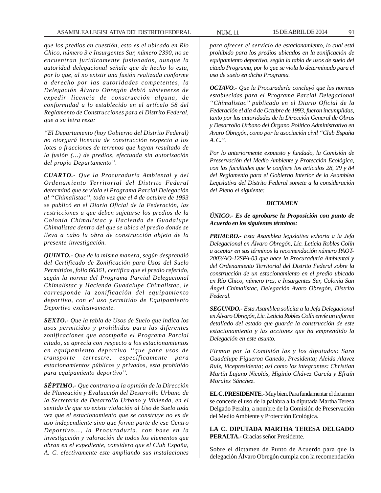*que los predios en cuestión, esto es el ubicado en Río Chico, número 3 e Insurgentes Sur, número 2390, no se encuentran jurídicamente fusionados, aunque la autoridad delegacional señale que de hecho lo esta, por lo que, al no existir una fusión realizada conforme a derecho por las autoridades competentes, la Delegación Álvaro Obregón debió abstenerse de expedir licencia de construcción alguna, de conformidad a lo establecido en el artículo 58 del Reglamento de Construcciones para el Distrito Federal, que a su letra reza:*

*''El Departamento (hoy Gobierno del Distrito Federal) no otorgará licencia de construcción respecto a los lotes o fracciones de terrenos que hayan resultado de la fusión (…) de predios, efectuada sin autorización del propio Departamento''.*

*CUARTO.- Que la Procuraduría Ambiental y del Ordenamiento Territorial del Distrito Federal determinó que se viola el Programa Parcial Delegación al ''Chimalistac'', toda vez que el 4 de octubre de 1993 se publicó en el Diario Oficial de la Federación, las restricciones a que deben sujetarse los predios de la Colonia Chimalistac y Hacienda de Guadalupe Chimalistac dentro del que se ubica el predio donde se lleva a cabo la obra de construcción objeto de la presente investigación.*

*QUINTO.- Que de la misma manera, según desprendió del Certificado de Zonificación para Usos del Suelo Permitidos, folio 66361, certifica que el predio referido, según la norma del Programa Parcial Delegacional Chimalistac y Hacienda Guadalupe Chimalistac, le corresponde la zonificación del equipamiento deportivo, con el uso permitido de Equipamiento Deportivo exclusivamente.*

*SEXTO.- Que la tabla de Usos de Suelo que indica los usos permitidos y prohibidos para las diferentes zonificaciones que acompaña el Programa Parcial citado, se aprecia con respecto a los estacionamientos en equipamiento deportivo ''que para usos de transporte terrestre, específicamente para estacionamientos públicos y privados, esta prohibido para equipamiento deportivo''.*

*SÉPTIMO.- Que contrario a la opinión de la Dirección de Planeación y Evaluación del Desarrollo Urbano de la Secretaría de Desarrollo Urbano y Vivienda, en el sentido de que no existe violación al Uso de Suelo toda vez que el estacionamiento que se construye no es de uso independiente sino que forma parte de ese Centro Deportivo..., la Procuraduría, con base en la investigación y valoración de todos los elementos que obran en el expediente, considero que el Club España, A. C. efectivamente este ampliando sus instalaciones*

*para ofrecer el servicio de estacionamiento, lo cual está prohibido para los predios ubicados en la zonificación de equipamiento deportivo, según la tabla de usos de suelo del citado Programa, por lo que se viola lo determinado para el uso de suelo en dicho Programa.*

*OCTAVO.- Que la Procuraduría concluyó que las normas establecidas para el Programa Parcial Delegacional ''Chimalistac'' publicado en el Diario Oficial de la Federación el día 4 de Octubre de 1993, fueron incumplidas, tanto por las autoridades de la Dirección General de Obras y Desarrollo Urbano del Órgano Político Administrativo en Avaro Obregón, como por la asociación civil ''Club España A. C.''.*

*Por lo anteriormente expuesto y fundado, la Comisión de Preservación del Medio Ambiente y Protección Ecológica, con las facultades que le confiere los artículos 28, 29 y 84 del Reglamento para el Gobierno Interior de la Asamblea Legislativa del Distrito Federal somete a la consideración del Pleno el siguiente:*

#### *DICTAMEN*

## *ÚNICO.- Es de aprobarse la Proposición con punto de Acuerdo en los siguientes términos:*

*PRIMERO.- Esta Asamblea legislativa exhorta a la Jefa Delegacional en Álvaro Obregón, Lic. Leticia Robles Colín a aceptar en sus términos la recomendación número PAOT-2003/AO-12SPA-03 que hace la Procuraduría Ambiental y del Ordenamiento Territorial del Distrito Federal sobre la construcción de un estacionamiento en el predio ubicado en Río Chico, número tres, e Insurgentes Sur, Colonia San Ángel Chimalistac, Delegación Avaro Obregón, Distrito Federal.*

*SEGUNDO.- Esta Asamblea solicita a la Jefa Delegacional en Álvaro Obregón, Lic. Leticia Robles Colín envíe un informe detallado del estado que guarda la construcción de este estacionamiento y las acciones que ha emprendido la Delegación en este asunto.*

*Firman por la Comisión las y los diputados: Sara Guadalupe Figueroa Canedo, Presidenta; Aleida Alavez Ruíz, Vicepresidenta; así como los integrantes: Christian Martín Lujano Nicolás, Higinio Chávez García y Efraín Morales Sánchez.*

**EL C. PRESIDENTE.-** Muy bien. Para fundamentar el dictamen se concede el uso de la palabra a la diputada Martha Teresa Delgado Peralta, a nombre de la Comisión de Preservación del Medio Ambiente y Protección Ecológica.

**LA C. DIPUTADA MARTHA TERESA DELGADO PERALTA.-** Gracias señor Presidente.

Sobre el dictamen de Punto de Acuerdo para que la delegación Álvaro Obregón cumpla con la recomendación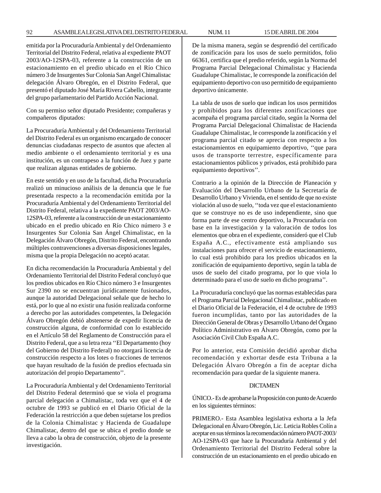emitida por la Procuraduría Ambiental y del Ordenamiento Territorial del Distrito Federal, relativa al expediente PAOT 2003/AO-12SPA-03, referente a la construcción de un estacionamiento en el predio ubicado en el Río Chico número 3 de Insurgentes Sur Colonia San Angel Chimalistac delegación Álvaro Obregón, en el Distrito Federal, que presentó el diputado José María Rivera Cabello, integrante del grupo parlamentario del Partido Acción Nacional.

Con su permiso señor diputado Presidente; compañeras y compañeros diputados:

La Procuraduría Ambiental y del Ordenamiento Territorial del Distrito Federal es un organismo encargado de conocer denuncias ciudadanas respecto de asuntos que afecten al medio ambiente o el ordenamiento territorial y es una institución, es un contrapeso a la función de Juez y parte que realizan algunas entidades de gobierno.

En este sentido y en uso de la facultad, dicha Procuraduría realizó un minucioso análisis de la denuncia que le fue presentada respecto a la recomendación emitida por la Procuraduría Ambiental y del Ordenamiento Territorial del Distrito Federal, relativa a la expediente PAOT 2003/AO-12SPA-03, referente a la construcción de un estacionamiento ubicado en el predio ubicado en Río Chico número 3 e Insurgentes Sur Colonia San Ángel Chimalistac, en la Delegación Álvaro Obregón, Distrito Federal, encontrando múltiples contravenciones a diversas disposiciones legales, misma que la propia Delegación no aceptó acatar.

En dicha recomendación la Procuraduría Ambiental y del Ordenamiento Territorial del Distrito Federal concluyó que los predios ubicados en Río Chico número 3 e Insurgentes Sur 2390 no se encuentran jurídicamente fusionados, aunque la autoridad Delegacional señale que de hecho lo está, por lo que al no existir una fusión realizada conforme a derecho por las autoridades competentes, la Delegación Álvaro Obregón debió abstenerse de expedir licencia de construcción alguna, de conformidad con lo establecido en el Artículo 58 del Reglamento de Construcción para el Distrito Federal, que a su letra reza ''El Departamento (hoy del Gobierno del Distrito Federal) no otorgará licencia de construcción respecto a los lotes o fracciones de terrenos que hayan resultado de la fusión de predios efectuada sin autorización del propio Departamento''.

La Procuraduría Ambiental y del Ordenamiento Territorial del Distrito Federal determinó que se viola el programa parcial delegación a Chimalistac, toda vez que el 4 de octubre de 1993 se publicó en el Diario Oficial de la Federación la restricción a que deben sujetarse los predios de la Colonia Chimalistac y Hacienda de Guadalupe Chimalistac, dentro del que se ubica el predio donde se lleva a cabo la obra de construcción, objeto de la presente investigación.

De la misma manera, según se desprendió del certificado de zonificación para los usos de suelo permitidos, folio 66361, certifica que el predio referido, según la Norma del Programa Parcial Delegacional Chimalistac y Hacienda Guadalupe Chimalistac, le corresponde la zonificación del equipamiento deportivo con uso permitido de equipamiento deportivo únicamente.

La tabla de usos de suelo que indican los usos permitidos y prohibidos para los diferentes zonificaciones que acompaña el programa parcial citado, según la Norma del Programa Parcial Delegacional Chimalistac de Hacienda Guadalupe Chimalistac, le corresponde la zonificación y el programa parcial citado se aprecia con respecto a los estacionamientos en equipamiento deportivo, ''que para usos de transporte terrestre, específicamente para estacionamientos públicos y privados, está prohibido para equipamiento deportivos''.

Contrario a la opinión de la Dirección de Planeación y Evaluación del Desarrollo Urbano de la Secretaría de Desarrollo Urbano y Vivienda, en el sentido de que no existe violación al uso de suelo, ''toda vez que el estacionamiento que se construye no es de uso independiente, sino que forma parte de ese centro deportivo, la Procuraduría con base en la investigación y la valoración de todos los elementos que obra en el expediente, consideró que el Club España A.C., efectivamente está ampliando sus instalaciones para ofrecer el servicio de estacionamiento, lo cual está prohibido para los predios ubicados en la zonificación de equipamiento deportivo, según la tabla de usos de suelo del citado programa, por lo que viola lo determinado para el uso de suelo en dicho programa''.

La Procuraduría concluyó que las normas establecidas para el Programa Parcial Delegacional Chimalistac, publicado en el Diario Oficial de la Federación, el 4 de octubre de 1993 fueron incumplidas, tanto por las autoridades de la Dirección General de Obras y Desarrollo Urbano del Órgano Político Administrativo en Álvaro Obregón, como por la Asociación Civil Club España A.C.

Por lo anterior, esta Comisión decidió aprobar dicha recomendación y exhortar desde esta Tribuna a la Delegación Álvaro Obregón a fin de aceptar dicha recomendación para quedar de la siguiente manera.

#### DICTAMEN

ÚNICO.- Es de aprobarse la Proposición con punto de Acuerdo en los siguientes términos:

PRIMERO.- Esta Asamblea legislativa exhorta a la Jefa Delegacional en Álvaro Obregón, Lic. Leticia Robles Colín a aceptar en sus términos la recomendación número PAOT-2003/ AO-12SPA-03 que hace la Procuraduría Ambiental y del Ordenamiento Territorial del Distrito Federal sobre la construcción de un estacionamiento en el predio ubicado en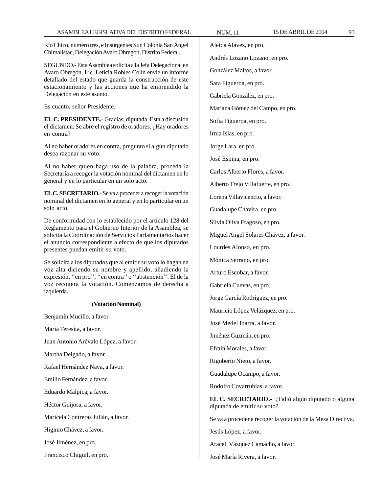Río Chico, número tres, e Insurgentes Sur, Colonia San Ángel Chimalistac, Delegación Avaro Obregón, Distrito Federal.

SEGUNDO.- Esta Asamblea solicita a la Jefa Delegacional en Avaro Obregón, Lic. Leticia Robles Colín envíe un informe detallado del estado que guarda la construcción de este estacionamiento y las acciones que ha emprendido la Delegación en este asunto.

Es cuanto, señor Presidente.

**EL C. PRESIDENTE.-** Gracias, diputada. Esta a discusión el dictamen. Se abre el registro de oradores. ¿Hay oradores en contra?

Al no haber oradores en contra, pregunto si algún diputado desea razonar su voto.

Al no haber quien haga uso de la palabra, proceda la Secretaría a recoger la votación nominal del dictamen en lo general y en lo particular en un solo acto.

**EL C. SECRETARIO.-** Se va a proceder a recoger la votación nominal del dictamen en lo general y en lo particular en un solo acto.

De conformidad con lo establecido por el artículo 128 del Reglamento para el Gobierno Interior de la Asamblea, se solicita la Coordinación de Servicios Parlamentarios hacer el anuncio correspondiente a efecto de que los diputados presentes puedan emitir su voto.

Se solicita a los diputados que al emitir su voto lo hagan en voz alta diciendo su nombre y apellido, añadiendo la expresión, ''en pro'', ''en contra'' o ''abstención''. El de la voz recogerá la votación. Comenzamos de derecha a izquierda.

# **(Votación Nominal)**

Benjamín Muciño, a favor.

María Teresita, a favor.

Juan Antonio Arévalo López, a favor.

Martha Delgado, a favor.

Rafael Hernández Nava, a favor.

Emilio Fernández, a favor.

Eduardo Malpica, a favor.

Héctor Guijosa, a favor.

Maricela Contreras Julián, a favor.

Higinio Chávez, a favor.

José Jiménez, en pro.

Francisco Chiguil, en pro.

Aleida Alavez, en pro.

González Maltos, a favor.

Gabriela González, en pro.

Mariana Gómez del Campo, en pro.

Sara Figueroa, en pro.

Andrés Lozano Lozano, en pro.

José María Rivera, a favor.

Irma Islas, en pro. Jorge Lara, en pro.

Sofía Figueroa, en pro.

José Espina, en pro.

Carlos Alberto Flores, a favor.

Alberto Trejo Villafuerte, en pro.

Lorena Villavicencio, a favor.

Guadalupe Chavira, en pro.

Silvia Oliva Fragoso, en pro.

Miguel Angel Solares Chávez, a favor.

Lourdes Alonso, en pro.

Mónica Serrano, en pro.

Arturo Escobar, a favor.

Gabriela Cuevas, en pro.

Jorge García Rodríguez, en pro.

Mauricio López Velázquez, en pro.

José Medel Ibarra, a favor.

Jiménez Guzmán, en pro.

Efraín Morales, a favor.

Rigoberto Nieto, a favor.

Guadalupe Ocampo, a favor.

Rodolfo Covarrubias, a favor.

**EL C. SECRETARIO.-** ¿Faltó algún diputado o alguna diputada de emitir su voto?

Se va a proceder a recoger la votación de la Mesa Directiva.

Jesús López, a favor.

Araceli Vázquez Camacho, a favor.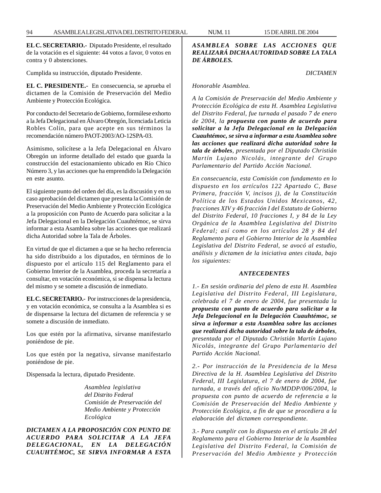**EL C. SECRETARIO.-** Diputado Presidente, el resultado de la votación es el siguiente: 44 votos a favor, 0 votos en contra y 0 abstenciones.

Cumplida su instrucción, diputado Presidente.

**EL C. PRESIDENTE.-** En consecuencia, se aprueba el dictamen de la Comisión de Preservación del Medio Ambiente y Protección Ecológica.

Por conducto del Secretario de Gobierno, formúlese exhorto a la Jefa Delegacional en Álvaro Obregón, licenciada Leticia Robles Colín, para que acepte en sus términos la recomendación número PAOT-2003/AO-12SPA-03.

Asimismo, solicítese a la Jefa Delegacional en Álvaro Obregón un informe detallado del estado que guarda la construcción del estacionamiento ubicado en Río Chico Número 3, y las acciones que ha emprendido la Delegación en este asunto.

El siguiente punto del orden del día, es la discusión y en su caso aprobación del dictamen que presenta la Comisión de Preservación del Medio Ambiente y Protección Ecológica a la proposición con Punto de Acuerdo para solicitar a la Jefa Delegacional en la Delegación Cuauhtémoc, se sirva informar a esta Asamblea sobre las acciones que realizará dicha Autoridad sobre la Tala de Árboles.

En virtud de que el dictamen a que se ha hecho referencia ha sido distribuido a los diputados, en términos de lo dispuesto por el artículo 115 del Reglamento para el Gobierno Interior de la Asamblea, proceda la secretaría a consultar, en votación económica, si se dispensa la lectura del mismo y se somete a discusión de inmediato.

**EL C. SECRETARIO.-** Por instrucciones de la presidencia, y en votación económica, se consulta a la Asamblea si es de dispensarse la lectura del dictamen de referencia y se somete a discusión de inmediato.

Los que estén por la afirmativa, sírvanse manifestarlo poniéndose de pie.

Los que estén por la negativa, sírvanse manifestarlo poniéndose de pie.

Dispensada la lectura, diputado Presidente.

*Asamblea legislativa del Distrito Federal Comisión de Preservación del Medio Ambiente y Protección Ecológica*

*DICTAMEN A LA PROPOSICIÓN CON PUNTO DE ACUERDO PARA SOLICITAR A LA JEFA DELEGACIONAL, EN LA DELEGACIÓN CUAUHTÉMOC, SE SIRVA INFORMAR A ESTA*

## *ASAMBLEA SOBRE LAS ACCIONES QUE REALIZARÁ DICHA AUTORIDAD SOBRE LA TALA DE ÁRBOLES.*

*DICTAMEN*

*Honorable Asamblea.*

*A la Comisión de Preservación del Medio Ambiente y Protección Ecológica de esta H. Asamblea Legislativa del Distrito Federal, fue turnada el pasado 7 de enero de 2004, la propuesta con punto de acuerdo para solicitar a la Jefa Delegacional en la Delegación Cuauhtémoc, se sirva a informar a esta Asamblea sobre las acciones que realizará dicha autoridad sobre la tala de árboles, presentada por el Diputado Christián Martín Lujano Nicolás, integrante del Grupo Parlamentario del Partido Acción Nacional.*

*En consecuencia, esta Comisión con fundamento en lo dispuesto en los artículos 122 Apartado C, Base Primera, fracción V, incisos j), de la Constitución Política de los Estados Unidos Mexicanos, 42, fracciones XIV y 46 fracción I del Estatuto de Gobierno del Distrito Federal, 10 fracciones I, y 84 de la Ley Orgánica de la Asamblea Legislativa del Distrito Federal; así como en los artículos 28 y 84 del Reglamento para el Gobierno Interior de la Asamblea Legislativa del Distrito Federal, se avocó al estudio, análisis y dictamen de la iniciativa antes citada, bajo los siguientes:*

#### *ANTECEDENTES*

*1.- En sesión ordinaria del pleno de esta H. Asamblea Legislativa del Distrito Federal, III Legislatura, celebrada el 7 de enero de 2004, fue presentada la propuesta con punto de acuerdo para solicitar a la Jefa Delegacional en la Delegación Cuauhtémoc, se sirva a informar a esta Asamblea sobre las acciones que realizará dicha autoridad sobre la tala de árboles, presentada por el Diputado Christián Martín Lujano Nicolás, integrante del Grupo Parlamentario del Partido Acción Nacional.*

*2.- Por instrucción de la Presidencia de la Mesa Directiva de la H. Asamblea Legislativa del Distrito Federal, III Legislatura, el 7 de enero de 2004, fue turnada, a través del oficio No/MDDP/006/2004, la propuesta con punto de acuerdo de referencia a la Comisión de Preservación del Medio Ambiente y Protección Ecológica, a fin de que se procediera a la elaboración del dictamen correspondiente.*

*3.- Para cumplir con lo dispuesto en el artículo 28 del Reglamento para el Gobierno Interior de la Asamblea Legislativa del Distrito Federal, la Comisión de Preservación del Medio Ambiente y Protección*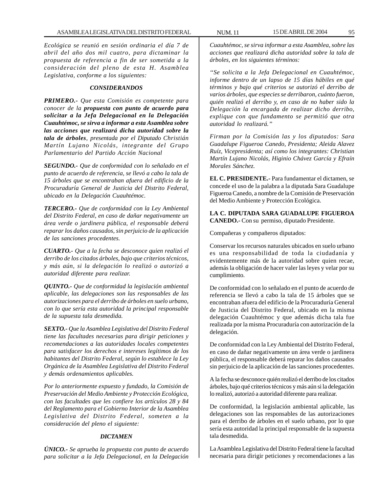*Ecológica se reunió en sesión ordinaria el día 7 de abril del año dos mil cuatro, para dictaminar la propuesta de referencia a fin de ser sometida a la consideración del pleno de esta H. Asamblea Legislativa, conforme a los siguientes:*

#### *CONSIDERANDOS*

*PRIMERO.- Que esta Comisión es competente para conocer de la propuesta con punto de acuerdo para solicitar a la Jefa Delegacional en la Delegación Cuauhtémoc, se sirva a informar a esta Asamblea sobre las acciones que realizará dicha autoridad sobre la tala de árboles, presentada por el Diputado Christián Martín Lujano Nicolás, integrante del Grupo Parlamentario del Partido Acción Nacional*

*SEGUNDO.- Que de conformidad con lo señalado en el punto de acuerdo de referencia, se llevó a cabo la tala de 15 árboles que se encontraban afuera del edificio de la Procuraduría General de Justicia del Distrito Federal, ubicado en la Delegación Cuauhtémoc.*

*TERCERO.- Que de conformidad con la Ley Ambiental del Distrito Federal, en caso de dañar negativamente un área verde o jardinera pública, el responsable deberá reparar los daños causados, sin perjuicio de la aplicación de las sanciones procedentes.*

*CUARTO.- Que a la fecha se desconoce quien realizó el derribo de los citados árboles, bajo que criterios técnicos, y más aún, si la delegación lo realizó o autorizó a autoridad diferente para realizar.*

*QUINTO.- Que de conformidad la legislación ambiental aplicable, las delegaciones son las responsables de las autorizaciones para el derribo de árboles en suelo urbano, con lo que sería esta autoridad la principal responsable de la supuesta tala desmedida.*

*SEXTO.- Que la Asamblea Legislativa del Distrito Federal tiene las facultades necesarias para dirigir peticiones y recomendaciones a las autoridades locales competentes para satisfacer los derechos e intereses legítimos de los habitantes del Distrito Federal, según lo establece la Ley Orgánica de la Asamblea Legislativa del Distrito Federal y demás ordenamientos aplicables.*

*Por lo anteriormente expuesto y fundado, la Comisión de Preservación del Medio Ambiente y Protección Ecológica, con las facultades que les confiere los artículos 28 y 84 del Reglamento para el Gobierno Interior de la Asamblea Legislativa del Distrito Federal, someten a la consideración del pleno el siguiente:*

#### *DICTAMEN*

*ÚNICO.- Se aprueba la propuesta con punto de acuerdo para solicitar a la Jefa Delegacional, en la Delegación* *Cuauhtémoc, se sirva informar a esta Asamblea, sobre las acciones que realizará dicha autoridad sobre la tala de árboles, en los siguientes términos:*

*''Se solicita a la Jefa Delegacional en Cuauhtémoc, informe dentro de un lapso de 15 días hábiles en qué términos y bajo qué criterios se autorizó el derribo de varios árboles, que especies se derribaron, cuánto fueron, quién realizó el derribo y, en caso de no haber sido la Delegación la encargada de realizar dicho derribo, explique con que fundamento se permitió que otra autoridad lo realizará.''*

*Firman por la Comisión las y los diputados: Sara Guadalupe Figueroa Canedo, Presidenta; Aleida Alavez Ruíz, Vicepresidenta; así como los integrantes: Christian Martín Lujano Nicolás, Higinio Chávez García y Efraín Morales Sánchez.*

**EL C. PRESIDENTE.-** Para fundamentar el dictamen, se concede el uso de la palabra a la diputada Sara Guadalupe Figueroa Canedo, a nombre de la Comisión de Preservación del Medio Ambiente y Protección Ecológica.

**LA C. DIPUTADA SARA GUADALUPE FIGUEROA CANEDO.-** Con su permiso, diputado Presidente.

Compañeras y compañeros diputados:

Conservar los recursos naturales ubicados en suelo urbano es una responsabilidad de toda la ciudadanía y evidentemente más de la autoridad sobre quien recae, además la obligación de hacer valer las leyes y velar por su cumplimiento.

De conformidad con lo señalado en el punto de acuerdo de referencia se llevó a cabo la tala de 15 árboles que se encontraban afuera del edificio de la Procuraduría General de Justicia del Distrito Federal, ubicado en la misma delegación Cuauhtémoc y que además dicha tala fue realizada por la misma Procuraduría con autorización de la delegación.

De conformidad con la Ley Ambiental del Distrito Federal, en caso de dañar negativamente un área verde o jardinera pública, el responsable deberá reparar los daños causados sin perjuicio de la aplicación de las sanciones procedentes.

A la fecha se desconoce quién realizó el derribo de los citados árboles, bajo qué criterios técnicos y más aún si la delegación lo realizó, autorizó a autoridad diferente para realizar.

De conformidad, la legislación ambiental aplicable, las delegaciones son las responsables de las autorizaciones para el derribo de árboles en el suelo urbano, por lo que sería esta autoridad la principal responsable de la supuesta tala desmedida.

La Asamblea Legislativa del Distrito Federal tiene la facultad necesaria para dirigir peticiones y recomendaciones a las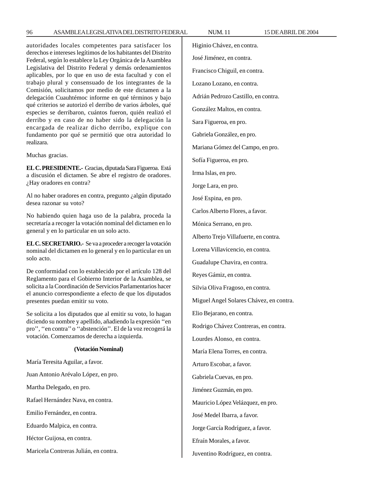autoridades locales competentes para satisfacer los derechos e intereses legítimos de los habitantes del Distrito Federal, según lo establece la Ley Orgánica de la Asamblea Legislativa del Distrito Federal y demás ordenamientos aplicables, por lo que en uso de esta facultad y con el trabajo plural y consensuado de los integrantes de la Comisión, solicitamos por medio de este dictamen a la delegación Cuauhtémoc informe en qué términos y bajo qué criterios se autorizó el derribo de varios árboles, qué especies se derribaron, cuántos fueron, quién realizó el derribo y en caso de no haber sido la delegación la encargada de realizar dicho derribo, explique con fundamento por qué se permitió que otra autoridad lo realizara.

Muchas gracias.

**EL C. PRESIDENTE.-** Gracias, diputada Sara Figueroa. Está a discusión el dictamen. Se abre el registro de oradores. ¿Hay oradores en contra?

Al no haber oradores en contra, pregunto ¿algún diputado desea razonar su voto?

No habiendo quien haga uso de la palabra, proceda la secretaría a recoger la votación nominal del dictamen en lo general y en lo particular en un solo acto.

**EL C. SECRETARIO.-** Se va a proceder a recoger la votación nominal del dictamen en lo general y en lo particular en un solo acto.

De conformidad con lo establecido por el artículo 128 del Reglamento para el Gobierno Interior de la Asamblea, se solicita a la Coordinación de Servicios Parlamentarios hacer el anuncio correspondiente a efecto de que los diputados presentes puedan emitir su voto.

Se solicita a los diputados que al emitir su voto, lo hagan diciendo su nombre y apellido, añadiendo la expresión ''en pro'', ''en contra'' o ''abstención''. El de la voz recogerá la votación. Comenzamos de derecha a izquierda.

## **(Votación Nominal)**

María Teresita Aguilar, a favor.

Juan Antonio Arévalo López, en pro.

Martha Delegado, en pro.

Rafael Hernández Nava, en contra.

Emilio Fernández, en contra.

Eduardo Malpica, en contra.

Héctor Guijosa, en contra.

Maricela Contreras Julián, en contra.

Higinio Chávez, en contra. José Jiménez, en contra. Francisco Chiguil, en contra. Lozano Lozano, en contra. Adrián Pedrozo Castillo, en contra. González Maltos, en contra. Sara Figueroa, en pro. Gabriela González, en pro. Mariana Gómez del Campo, en pro. Sofía Figueroa, en pro. Irma Islas, en pro. Jorge Lara, en pro. José Espina, en pro. Carlos Alberto Flores, a favor. Mónica Serrano, en pro. Alberto Trejo Villafuerte, en contra. Lorena Villavicencio, en contra. Guadalupe Chavira, en contra. Reyes Gámiz, en contra. Silvia Oliva Fragoso, en contra. Miguel Angel Solares Chávez, en contra. Elio Bejarano, en contra. Rodrigo Chávez Contreras, en contra. Lourdes Alonso, en contra. María Elena Torres, en contra. Arturo Escobar, a favor. Gabriela Cuevas, en pro. Jiménez Guzmán, en pro. Mauricio López Velázquez, en pro. José Medel Ibarra, a favor. Jorge García Rodríguez, a favor. Efraín Morales, a favor. Juventino Rodríguez, en contra.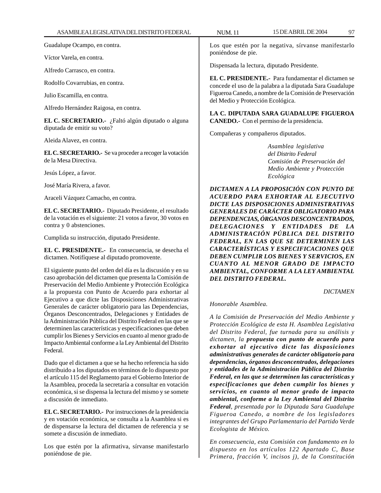Guadalupe Ocampo, en contra.

Víctor Varela, en contra.

Alfredo Carrasco, en contra.

Rodolfo Covarrubias, en contra.

Julio Escamilla, en contra.

Alfredo Hernández Raigosa, en contra.

**EL C. SECRETARIO.-** ¿Faltó algún diputado o alguna diputada de emitir su voto?

Aleida Alavez, en contra.

**EL C. SECRETARIO.-** Se va proceder a recoger la votación de la Mesa Directiva.

Jesús López, a favor.

José María Rivera, a favor.

Araceli Vázquez Camacho, en contra.

**EL C. SECRETARIO.-** Diputado Presidente, el resultado de la votación es el siguiente: 21 votos a favor, 30 votos en contra y 0 abstenciones.

Cumplida su instrucción, diputado Presidente.

**EL C. PRESIDENTE.-** En consecuencia, se desecha el dictamen. Notifíquese al diputado promovente.

El siguiente punto del orden del día es la discusión y en su caso aprobación del dictamen que presenta la Comisión de Preservación del Medio Ambiente y Protección Ecológica a la propuesta con Punto de Acuerdo para exhortar al Ejecutivo a que dicte las Disposiciones Administrativas Generales de carácter obligatorio para las Dependencias, Órganos Desconcentrados, Delegaciones y Entidades de la Administración Pública del Distrito Federal en las que se determinen las características y especificaciones que deben cumplir los Bienes y Servicios en cuanto al menor grado de Impacto Ambiental conforme a la Ley Ambiental del Distrito Federal.

Dado que el dictamen a que se ha hecho referencia ha sido distribuido a los diputados en términos de lo dispuesto por el artículo 115 del Reglamento para el Gobierno Interior de la Asamblea, proceda la secretaría a consultar en votación económica, si se dispensa la lectura del mismo y se somete a discusión de inmediato.

**EL C. SECRETARIO.-** Por instrucciones de la presidencia y en votación económica, se consulta a la Asamblea si es de dispensarse la lectura del dictamen de referencia y se somete a discusión de inmediato.

Los que estén por la afirmativa, sírvanse manifestarlo poniéndose de pie.

Los que estén por la negativa, sírvanse manifestarlo poniéndose de pie.

Dispensada la lectura, diputado Presidente.

**EL C. PRESIDENTE.-** Para fundamentar el dictamen se concede el uso de la palabra a la diputada Sara Guadalupe Figueroa Canedo, a nombre de la Comisión de Preservación del Medio y Protección Ecológica.

**LA C. DIPUTADA SARA GUADALUPE FIGUEROA CANEDO.-** Con el permiso de la presidencia.

Compañeras y compañeros diputados.

*Asamblea legislativa del Distrito Federal Comisión de Preservación del Medio Ambiente y Protección Ecológica*

*DICTAMEN A LA PROPOSICIÓN CON PUNTO DE ACUERDO PARA EXHORTAR AL EJECUTIVO DICTE LAS DISPOSICIONES ADMINISTRATIVAS GENERALES DE CARÁCTER OBLIGATORIO PARA DEPENDENCIAS, ÓRGANOS DESCONCENTRADOS, DELEGACIONES Y ENTIDADES DE LA ADMINISTRACIÓN PÚBLICA DEL DISTRITO FEDERAL, EN LAS QUE SE DETERMINEN LAS CARACTERÍSTICAS Y ESPECIFICACIONES QUE DEBEN CUMPLIR LOS BIENES Y SERVICIOS, EN CUANTO AL MENOR GRADO DE IMPACTO AMBIENTAL, CONFORME A LA LEY AMBIENTAL DEL DISTRITO FEDERAL.*

*DICTAMEN*

*Honorable Asamblea.*

*A la Comisión de Preservación del Medio Ambiente y Protección Ecológica de esta H. Asamblea Legislativa del Distrito Federal, fue turnada para su análisis y dictamen, la propuesta con punto de acuerdo para exhortar al ejecutivo dicte las disposiciones administrativas generales de carácter obligatorio para dependencias, órganos desconcentrados, delegaciones y entidades de la Administración Pública del Distrito Federal, en las que se determinen las características y especificaciones que deben cumplir los bienes y servicios, en cuanto al menor grado de impacto ambiental, conforme a la Ley Ambiental del Distrito Federal, presentada por la Diputada Sara Guadalupe Figueroa Canedo, a nombre de los legisladores integrantes del Grupo Parlamentario del Partido Verde Ecologista de México.*

*En consecuencia, esta Comisión con fundamento en lo dispuesto en los artículos 122 Apartado C, Base Primera, fracción V, incisos j), de la Constitución*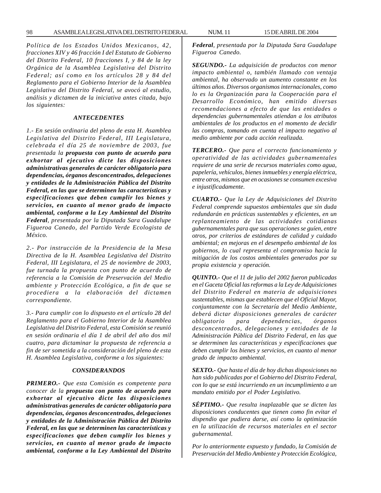*Política de los Estados Unidos Mexicanos, 42, fracciones XIV y 46 fracción I del Estatuto de Gobierno del Distrito Federal, 10 fracciones I, y 84 de la ley Orgánica de la Asamblea Legislativa del Distrito Federal; así como en los artículos 28 y 84 del Reglamento para el Gobierno Interior de la Asamblea Legislativa del Distrito Federal, se avocó al estudio, análisis y dictamen de la iniciativa antes citada, bajo los siguientes:*

#### *ANTECEDENTES*

*1.- En sesión ordinaria del pleno de esta H. Asamblea Legislativa del Distrito Federal, III Legislatura, celebrada el día 25 de noviembre de 2003, fue presentada la propuesta con punto de acuerdo para exhortar al ejecutivo dicte las disposiciones administrativas generales de carácter obligatorio para dependencias, órganos desconcentrados, delegaciones y entidades de la Administración Pública del Distrito Federal, en las que se determinen las características y especificaciones que deben cumplir los bienes y servicios, en cuanto al menor grado de impacto ambiental, conforme a la Ley Ambiental del Distrito Federal, presentada por la Diputada Sara Guadalupe Figueroa Canedo, del Partido Verde Ecologista de México.*

*2.- Por instrucción de la Presidencia de la Mesa Directiva de la H. Asamblea Legislativa del Distrito Federal, III Legislatura, el 25 de noviembre de 2003, fue turnada la propuesta con punto de acuerdo de referencia a la Comisión de Preservación del Medio ambiente y Protección Ecológica, a fin de que se procediera a la elaboración del dictamen correspondiente.*

*3.- Para cumplir con lo dispuesto en el artículo 28 del Reglamento para el Gobierno Interior de la Asamblea Legislativa del Distrito Federal, esta Comisión se reunió en sesión ordinaria el día 1 de abril del año dos mil cuatro, para dictaminar la propuesta de referencia a fin de ser sometida a la consideración del pleno de esta H. Asamblea Legislativa, conforme a los siguientes:*

#### *CONSIDERANDOS*

*PRIMERO.- Que esta Comisión es competente para conocer de la propuesta con punto de acuerdo para exhortar al ejecutivo dicte las disposiciones administrativas generales de carácter obligatorio para dependencias, órganos desconcentrados, delegaciones y entidades de la Administración Pública del Distrito Federal, en las que se determinen las características y especificaciones que deben cumplir los bienes y servicios, en cuanto al menor grado de impacto ambiental, conforme a la Ley Ambiental del Distrito* *Federal, presentada por la Diputada Sara Guadalupe Figueroa Canedo.*

*SEGUNDO.- La adquisición de productos con menor impacto ambiental o, también llamado con ventaja ambiental, ha observado un aumento constante en los últimos años. Diversos organismos internacionales, como lo es la Organización para la Cooperación para el Desarrollo Económico, han emitido diversas recomendaciones a efecto de que las entidades o dependencias gubernamentales atiendan a los atributos ambientales de los productos en el momento de decidir las compras, tomando en cuenta el impacto negativo al medio ambiente por cada acción realizada.*

*TERCERO.- Que para el correcto funcionamiento y operatividad de las actividades gubernamentales requiere de una serie de recursos materiales como agua, papelería, vehículos, bienes inmuebles y energía eléctrica, entre otros, mismos que en ocasiones se consumen excesiva e injustificadamente.*

*CUARTO.- Que la Ley de Adquisiciones del Distrito Federal comprende supuestos ambientales que sin duda redundarán en prácticas sustentables y eficientes, en un replanteamiento de las actividades cotidianas gubernamentales para que sus operaciones se guíen, entre otros, por criterios de estándares de calidad y cuidado ambiental; en mejoras en el desempeño ambiental de los gobiernos, lo cual representa el compromiso hacia la mitigación de los costos ambientales generados por su propia existencia y operación.*

*QUINTO.- Que el 11 de julio del 2002 fueron publicadas en el Gaceta Oficial las reformas a la Ley de Adquisiciones del Distrito Federal en materia de adquisiciones sustentables, mismas que establecen que el Oficial Mayor, conjuntamente con la Secretaría del Medio Ambiente, deberá dictar disposiciones generales de carácter obligatorio para dependencias, órganos desconcentrados, delegaciones y entidades de la Administración Pública del Distrito Federal, en las que se determinen las características y especificaciones que deben cumplir los bienes y servicios, en cuanto al menor grado de impacto ambiental.*

*SEXTO.- Que hasta el día de hoy dichas disposiciones no han sido publicadas por el Gobierno del Distrito Federal, con lo que se está incurriendo en un incumplimiento a un mandato emitido por el Poder Legislativo.*

*SÉPTIMO.- Que resulta inaplazable que se dicten las disposiciones conducentes que tienen como fin evitar el dispendio que pudiera darse, así como la optimización en la utilización de recursos materiales en el sector gubernamental.*

*Por lo anteriormente expuesto y fundado, la Comisión de Preservación del Medio Ambiente y Protección Ecológica,*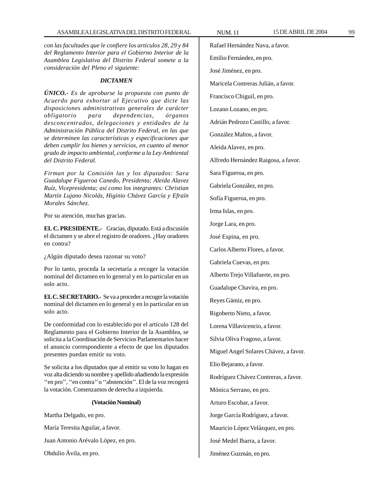*con las facultades que le confiere los artículos 28, 29 y 84 del Reglamento Interior para el Gobierno Interior de la Asamblea Legislativa del Distrito Federal somete a la consideración del Pleno el siguiente:*

#### *DICTAMEN*

*ÚNICO.- Es de aprobarse la propuesta con punto de Acuerdo para exhortar al Ejecutivo que dicte las disposiciones administrativas generales de carácter obligatorio para dependencias, órganos desconcentrados, delegaciones y entidades de la Administración Pública del Distrito Federal, en las que se determinen las características y especificaciones que deben cumplir los bienes y servicios, en cuanto al menor grado de impacto ambiental, conforme a la Ley Ambiental del Distrito Federal.*

*Firman por la Comisión las y los diputados: Sara Guadalupe Figueroa Canedo, Presidenta; Aleida Alavez Ruíz, Vicepresidenta; así como los integrantes: Christian Martín Lujano Nicolás, Higinio Chávez García y Efraín Morales Sánchez.*

Por su atención, muchas gracias.

**EL C. PRESIDENTE.-** Gracias, diputado. Está a discusión el dictamen y se abre el registro de oradores. ¿Hay oradores en contra?

¿Algún diputado desea razonar su voto?

Por lo tanto, proceda la secretaría a recoger la votación nominal del dictamen en lo general y en lo particular en un solo acto.

**EL C. SECRETARIO.-** Se va a proceder a recoger la votación nominal del dictamen en lo general y en lo particular en un solo acto.

De conformidad con lo establecido por el artículo 128 del Reglamento para el Gobierno Interior de la Asamblea, se solicita a la Coordinación de Servicios Parlamentarios hacer el anuncio correspondiente a efecto de que los diputados presentes puedan emitir su voto.

Se solicita a los diputados que al emitir su voto lo hagan en voz alta diciendo su nombre y apellido añadiendo la expresión "en pro", "en contra" o "abstención". El de la voz recogerá la votación. Comenzamos de derecha a izquierda.

#### **(Votación Nominal)**

Martha Delgado, en pro.

María Teresita Aguilar, a favor.

Juan Antonio Arévalo López, en pro.

Obdulio Ávila, en pro.

Rafael Hernández Nava, a favor. Emilio Fernández, en pro. José Jiménez, en pro. Maricela Contreras Julián, a favor. Francisco Chiguil, en pro.

Lozano Lozano, en pro.

Adrián Pedrozo Castillo, a favor.

González Maltos, a favor.

Aleida Alavez, en pro.

Alfredo Hernández Raigosa, a favor.

Sara Figueroa, en pro.

Gabriela González, en pro.

Sofía Figueroa, en pro.

Irma Islas, en pro.

Jorge Lara, en pro.

José Espina, en pro.

Carlos Alberto Flores, a favor.

Gabriela Cuevas, en pro.

Alberto Trejo Villafuerte, en pro.

Guadalupe Chavira, en pro.

Reyes Gámiz, en pro.

Rigoberto Nieto, a favor.

Lorena Villavicencio, a favor.

Silvia Oliva Fragoso, a favor.

Miguel Angel Solares Chávez, a favor.

Elio Bejarano, a favor.

Rodríguez Chávez Contreras, a favor.

Mónica Serrano, en pro.

Arturo Escobar, a favor.

Jorge García Rodríguez, a favor.

Mauricio López Velázquez, en pro.

José Medel Ibarra, a favor.

Jiménez Guzmán, en pro.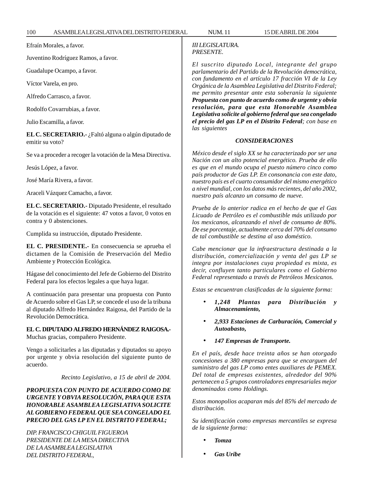Efraín Morales, a favor.

Juventino Rodríguez Ramos, a favor.

Guadalupe Ocampo, a favor.

Víctor Varela, en pro.

Alfredo Carrasco, a favor.

Rodolfo Covarrubias, a favor.

Julio Escamilla, a favor.

**EL C. SECRETARIO.-** ¿Faltó alguna o algún diputado de emitir su voto?

Se va a proceder a recoger la votación de la Mesa Directiva.

Jesús López, a favor.

José María Rivera, a favor.

Araceli Vázquez Camacho, a favor.

**EL C. SECRETARIO.-** Diputado Presidente, el resultado de la votación es el siguiente: 47 votos a favor, 0 votos en contra y 0 abstenciones.

Cumplida su instrucción, diputado Presidente.

**EL C. PRESIDENTE.-** En consecuencia se aprueba el dictamen de la Comisión de Preservación del Medio Ambiente y Protección Ecológica.

Hágase del conocimiento del Jefe de Gobierno del Distrito Federal para los efectos legales a que haya lugar.

A continuación para presentar una propuesta con Punto de Acuerdo sobre el Gas LP, se concede el uso de la tribuna al diputado Alfredo Hernández Raigosa, del Partido de la Revolución Democrática.

**EL C. DIPUTADO ALFREDO HERNÁNDEZ RAIGOSA.-** Muchas gracias, compañero Presidente.

Vengo a solicitarles a las diputadas y diputados su apoyo por urgente y obvia resolución del siguiente punto de acuerdo.

#### *Recinto Legislativo, a 15 de abril de 2004.*

# *PROPUESTA CON PUNTO DE ACUERDO COMO DE URGENTE Y OBVIA RESOLUCIÓN, PARA QUE ESTA HONORABLE ASAMBLEA LEGISLATIVA SOLICITE AL GOBIERNO FEDERAL QUE SEA CONGELADO EL PRECIO DEL GAS LP EN EL DISTRITO FEDERAL;*

*DIP. FRANCISCO CHIGUIL FIGUEROA PRESIDENTE DE LA MESA DIRECTIVA DE LA ASAMBLEA LEGISLATIVA DEL DISTRITO FEDERAL,*

# *III LEGISLATURA. PRESENTE.*

*El suscrito diputado Local, integrante del grupo parlamentario del Partido de la Revolución democrática, con fundamento en el artículo 17 fracción VI de la Ley Orgánica de la Asamblea Legislativa del Distrito Federal; me permito presentar ante esta soberanía la siguiente Propuesta con punto de acuerdo como de urgente y obvia resolución, para que esta Honorable Asamblea Legislativa solicite al gobierno federal que sea congelado el precio del gas LP en el Distrito Federal; con base en las siguientes*

#### *CONSIDERACIONES*

*México desde el siglo XX se ha caracterizado por ser una Nación con un alto potencial energético. Prueba de ello es que en el mundo ocupa el puesto número cinco como país productor de Gas LP. En consonancia con este dato, nuestro país es el cuarto consumidor del mismo energético a nivel mundial, con los datos más recientes, del año 2002, nuestro país alcanzo un consumo de nueve.*

*Prueba de lo anterior radica en el hecho de que el Gas Licuado de Petróleo es el combustible más utilizado por los mexicanos, alcanzando el nivel de consumo de 80%. De ese porcentaje, actualmente cerca del 70% del consumo de tal combustible se destina al uso doméstico.*

*Cabe mencionar que la infraestructura destinada a la distribución, comercialización y venta del gas LP se integra por instalaciones cuya propiedad es mixta, es decir, confluyen tanto particulares como el Gobierno Federal representado a través de Petróleos Mexicanos.*

*Estas se encuentran clasificadas de la siguiente forma:*

- *1,248 Plantas para Distribución y Almacenamiento,*
- *2,933 Estaciones de Carburación, Comercial y Autoabasto,*
- *147 Empresas de Transporte.*

*En el país, desde hace treinta años se han otorgado concesiones a 380 empresas para que se encarguen del suministro del gas LP como entes auxiliares de PEMEX. Del total de empresas existentes, alrededor del 90% pertenecen a 5 grupos controladores empresariales mejor denominados como Holdings.*

*Estos monopolios acaparan más del 85% del mercado de distribución.*

*Su identificación como empresas mercantiles se expresa de la siguiente forma:*

- *Tomza*
- *Gas Uribe*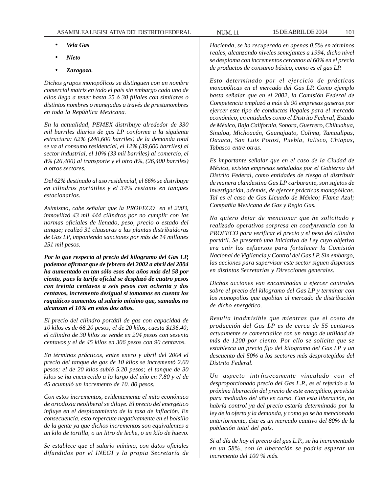- *Vela Gas*
- *Nieto*
- *Zaragoza.*

*Dichos grupos monopólicos se distinguen con un nombre comercial matriz en todo el país sin embargo cada uno de ellos llega a tener hasta 25 ó 30 filiales con similares o distintos nombres o manejadas a través de prestanombres en toda la República Mexicana.*

*En la actualidad, PEMEX distribuye alrededor de 330 mil barriles diarios de gas LP conforme a la siguiente estructura: 62% (240,600 barriles) de la demanda total se va al consumo residencial, el 12% (39,600 barriles) al sector industrial, el 10% (33 mil barriles) al comercio, el 8% (26,400) al transporte y el otro 8%, (26,400 barriles) a otros sectores.*

*Del 62% destinado al uso residencial, el 66% se distribuye en cilindros portátiles y el 34% restante en tanques estacionarios.*

*Asimismo, cabe señalar que la PROFECO en el 2003, inmovilizó 43 mil 444 cilindros por no cumplir con las normas oficiales de llenado, peso, precio o estado del tanque; realizó 31 clausuras a las plantas distribuidoras de Gas LP, imponiendo sanciones por más de 14 millones 251 mil pesos.*

*Por lo que respecta al precio del kilogramo del Gas LP, podemos afirmar que de febrero del 2002 a abril del 2004 ha aumentado en tan sólo esos dos años más del 58 por ciento, pues la tarifa oficial se desplazó de cuatro pesos con treinta centavos a seis pesos con ochenta y dos centavos, incremento desigual si tomamos en cuenta los raquíticos aumentos al salario mínimo que, sumados no alcanzan el 10% en estos dos años.*

*El precio del cilindro portátil de gas con capacidad de 10 kilos es de 68.20 pesos; el de 20 kilos, cuesta \$136.40; el cilindro de 30 kilos se vende en 204 pesos con sesenta centavos y el de 45 kilos en 306 pesos con 90 centavos.*

*En términos prácticos, entre enero y abril del 2004 el precio del tanque de gas de 10 kilos se incrementó 2.60 pesos; el de 20 kilos subió 5.20 pesos; el tanque de 30 kilos se ha encarecido a lo largo del año en 7.80 y el de 45 acumuló un incremento de 10. 80 pesos.*

*Con estos incrementos, evidentemente el mito económico de ortodoxia neoliberal se diluye. El precio del energético influye en el desplazamiento de la tasa de inflación. En consecuencia, esto repercute negativamente en el bolsillo de la gente ya que dichos incrementos son equivalentes a un kilo de tortilla, o un litro de leche, o un kilo de huevo.*

*Se establece que el salario mínimo, con datos oficiales difundidos por el INEGI y la propia Secretaría de*

*Hacienda, se ha recuperado en apenas 0.5% en términos reales, alcanzando niveles semejantes a 1994, dicho nivel se desploma con incrementos cercanos al 60% en el precio de productos de consumo básico, como es el gas LP.*

*Esto determinado por el ejercicio de prácticas monopólicas en el mercado del Gas LP. Como ejemplo basta señalar que en el 2002, la Comisión Federal de Competencia emplazó a más de 90 empresas gaseras por ejercer este tipo de conductas ilegales para el mercado económico, en entidades como el Distrito Federal, Estado de México, Baja California, Sonora, Guerrero, Chihuahua, Sinaloa, Michoacán, Guanajuato, Colima, Tamaulipas, Oaxaca, San Luis Potosí, Puebla, Jalisco, Chiapas, Tabasco entre otras.*

*Es importante señalar que en el caso de la Ciudad de México, existen empresas señaladas por el Gobierno del Distrito Federal, como entidades de riesgo al distribuir de manera clandestina Gas LP carburante, son sujetos de investigación, además, de ejercer prácticas monopólicas. Tal es el caso de Gas Licuado de México; Flama Azul; Compañía Mexicana de Gas y Regio Gas.*

*No quiero dejar de mencionar que he solicitado y realizado operativos sorpresa en coadyuvancia con la PROFECO para verificar el precio y el peso del cilindro portátil. Se presentó una Iniciativa de Ley cuyo objetivo era unir los esfuerzos para fortalecer la Comisión Nacional de Vigilancia y Control del Gas LP. Sin embargo, las acciones para supervisar este sector siguen dispersas en distintas Secretarías y Direcciones generales.*

*Dichas acciones van encaminadas a ejercer controles sobre el precio del kilogramo del Gas LP y terminar con los monopolios que agobian al mercado de distribución de dicho energético.*

*Resulta inadmisible que mientras que el costo de producción del Gas LP es de cerca de 55 centavos actualmente se comercialice con un rango de utilidad de más de 1200 por ciento. Por ello se solicita que se establezca un precio fijo del kilogramo del Gas LP y un descuento del 50% a los sectores más desprotegidos del Distrito Federal.*

*Un aspecto intrínsecamente vinculado con el desproporcionado precio del Gas L.P., es el referido a la próxima liberación del precio de este energético, prevista para mediados del año en curso. Con esta liberación, no habría control ya del precio estaría determinado por la ley de la oferta y la demanda, y como ya se ha mencionado anteriormente, éste es un mercado cautivo del 80% de la población total del país.*

*Si al día de hoy el precio del gas L.P., se ha incrementado en un 58%, con la liberación se podría esperar un incremento del 100 % más.*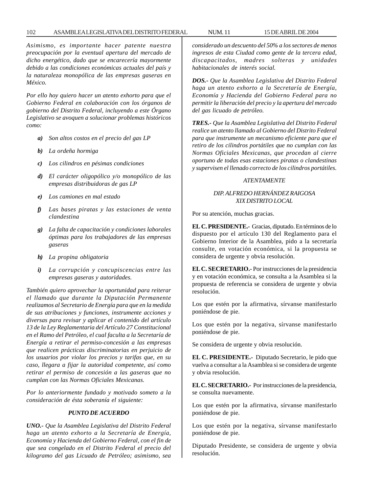## 102 ASAMBLEA LEGISLATIVA DEL DISTRITO FEDERAL NUM. 11 15 DE ABRIL DE 2004

*Asimismo, es importante hacer patente nuestra preocupación por la eventual apertura del mercado de dicho energético, dado que se encarecería mayormente debido a las condiciones económicas actuales del país y la naturaleza monopólica de las empresas gaseras en México.*

*Por ello hoy quiero hacer un atento exhorto para que el Gobierno Federal en colaboración con los órganos de gobierno del Distrito Federal, incluyendo a este Órgano Legislativo se avoquen a solucionar problemas históricos como:*

- *a) Son altos costos en el precio del gas LP*
- *b) La ordeña hormiga*
- *c) Los cilindros en pésimas condiciones*
- *d) El carácter oligopólico y/o monopólico de las empresas distribuidoras de gas LP*
- *e) Los camiones en mal estado*
- *f) Las bases piratas y las estaciones de venta clandestina*
- *g) La falta de capacitación y condiciones laborales óptimas para los trabajadores de las empresas gaseras*
- *h) La propina obligatoria*
- *i) La corrupción y concupiscencias entre las empresas gaseras y autoridades.*

*También quiero aprovechar la oportunidad para reiterar el llamado que durante la Diputación Permanente realizamos al Secretario de Energía para que en la medida de sus atribuciones y funciones, instrumente acciones y diversas para revisar y aplicar el contenido del artículo 13 de la Ley Reglamentaria del Artículo 27 Constitucional en el Ramo del Petróleo, el cual faculta a la Secretaría de Energía a retirar el permiso-concesión a las empresas que realicen prácticas discriminatorias en perjuicio de los usuarios por violar los precios y tarifas que, en su caso, llegara a fijar la autoridad competente, así como retirar el permiso de concesión a las gaseras que no cumplan con las Normas Oficiales Mexicanas.*

*Por lo anteriormente fundado y motivado someto a la consideración de ésta soberanía el siguiente:*

## *PUNTO DE ACUERDO*

*UNO.- Que la Asamblea Legislativa del Distrito Federal haga un atento exhorto a la Secretaría de Energía, Economía y Hacienda del Gobierno Federal, con el fin de que sea congelado en el Distrito Federal el precio del kilogramo del gas Licuado de Petróleo; asimismo, sea* *considerado un descuento del 50% a los sectores de menos ingresos de esta Ciudad como gente de la tercera edad, discapacitados, madres solteras y unidades habitacionales de interés social.*

*DOS.- Que la Asamblea Legislativa del Distrito Federal haga un atento exhorto a la Secretaría de Energía, Economía y Hacienda del Gobierno Federal para no permitir la liberación del precio y la apertura del mercado del gas licuado de petróleo.*

*TRES.- Que la Asamblea Legislativa del Distrito Federal realice un atento llamado al Gobierno del Distrito Federal para que instrumente un mecanismo eficiente para que el retiro de los cilindros portátiles que no cumplan con las Normas Oficiales Mexicanas, que procedan al cierre oportuno de todas esas estaciones piratas o clandestinas y supervisen el llenado correcto de los cilindros portátiles.*

#### *ATENTAMENTE*

# *DIP. ALFREDO HERNÁNDEZ RAIGOSA XIX DISTRITO LOCAL*

Por su atención, muchas gracias.

**EL C. PRESIDENTE.-** Gracias, diputado. En términos de lo dispuesto por el artículo 130 del Reglamento para el Gobierno Interior de la Asamblea, pido a la secretaría consulte, en votación económica, si la propuesta se considera de urgente y obvia resolución.

**EL C. SECRETARIO.-** Por instrucciones de la presidencia y en votación económica, se consulta a la Asamblea si la propuesta de referencia se considera de urgente y obvia resolución.

Los que estén por la afirmativa, sírvanse manifestarlo poniéndose de pie.

Los que estén por la negativa, sírvanse manifestarlo poniéndose de pie.

Se considera de urgente y obvia resolución.

**EL C. PRESIDENTE.-** Diputado Secretario, le pido que vuelva a consultar a la Asamblea si se considera de urgente y obvia resolución.

**EL C. SECRETARIO.-** Por instrucciones de la presidencia, se consulta nuevamente.

Los que estén por la afirmativa, sírvanse manifestarlo poniéndose de pie.

Los que estén por la negativa, sírvanse manifestarlo poniéndose de pie.

Diputado Presidente, se considera de urgente y obvia resolución.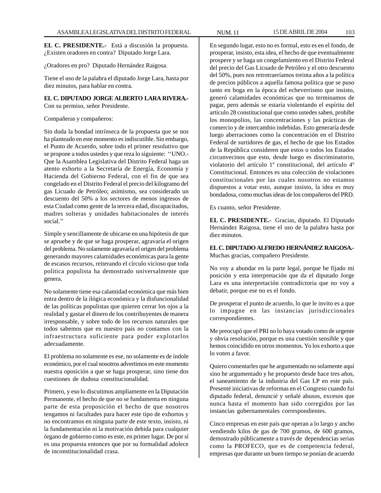**EL C. PRESIDENTE.-** Está a discusión la propuesta. ¿Existen oradores en contra? Diputado Jorge Lara.

¿Oradores en pro? Diputado Hernández Raigosa.

Tiene el uso de la palabra el diputado Jorge Lara, hasta por diez minutos, para hablar en contra.

# **EL C. DIPUTADO JORGE ALBERTO LARA RIVERA.-**

Con su permiso, señor Presidente.

## Compañeras y compañeros:

Sin duda la bondad intrínseca de la propuesta que se nos ha planteado en este momento es indiscutible. Sin embargo, el Punto de Acuerdo, sobre todo el primer resolutivo que se propone a todos ustedes y que reza lo siguiente: ''UNO.- Que la Asamblea Legislativa del Distrito Federal haga un atento exhorto a la Secretaría de Energía, Economía y Hacienda del Gobierno Federal, con el fin de que sea congelado en el Distrito Federal el precio del kilogramo del gas Licuado de Petróleo; asimismo, sea considerado un descuento del 50% a los sectores de menos ingresos de esta Ciudad como gente de la tercera edad, discapacitados, madres solteras y unidades habitacionales de interés social.''

Simple y sencillamente de ubicarse en una hipótesis de que se apruebe y de que se haga prosperar, agravaría el origen del problema. No solamente agravaría el origen del problema generando mayores calamidades económicas para la gente de escasos recursos, reiterando el círculo vicioso que toda política populista ha demostrado universalmente que genera.

No solamente tiene esa calamidad económica que más bien entra dentro de la ilógica económica y la disfuncionalidad de las políticas populistas que quieren cerrar los ojos a la realidad y gastar el dinero de los contribuyentes de manera irresponsable, y sobre todo de los recursos naturales que todos sabemos que en nuestro país no contamos con la infraestructura suficiente para poder explotarlos adecuadamente.

El problema no solamente es ese, no solamente es de índole económico, por el cual nosotros advertimos en este momento nuestra oposición a que se haga prosperar, sino tiene dos cuestiones de dudosa constitucionalidad.

Primero, y eso lo discutimos ampliamente en la Diputación Permanente, el hecho de que no se fundamenta en ninguna parte de esta proposición el hecho de que nosotros tengamos ni facultades para hacer este tipo de exhortos y no encontramos en ninguna parte de este texto, insisto, ni la fundamentación ni la motivación debida para cualquier órgano de gobierno como es este, en primer lugar. De por sí es una propuesta entonces que por su formalidad adolece de inconstitucionalidad crasa.

En segundo lugar, esto no es formal, esto es en el fondo, de prosperar, insisto, esta idea, el hecho de que eventualmente prospere y se haga un congelamiento en el Distrito Federal del precio del Gas Licuado de Petróleo y el otro descuento del 50%, pues nos retrotraeríamos treinta años a la política de precios públicos a aquella famosa política que se puso tanto en boga en la época del echeverrismo que insisto, generó calamidades económicas que no terminamos de pagar, pero además se estaría violentando el espíritu del artículo 28 constitucional que como ustedes saben, prohíbe los monopolios, las concentraciones y las prácticas de comercio y de intercambio indebidas. Esto generaría desde luego aberraciones como la concentración en el Distrito Federal de surtidores de gas, el hecho de que los Estados de la República consideren que estos o todos los Estados circunvecinos que esto, desde luego es discriminatorio, violatorio del artículo 1º constitucional, del artículo 4º Constitucional. Entonces es una colección de violaciones constitucionales por las cuales nosotros no estamos dispuestos a votar esto, aunque insisto, la idea es muy bondadosa, como muchas ideas de los compañeros del PRD.

Es cuanto, señor Presidente.

**EL C. PRESIDENTE.-** Gracias, diputado. El Diputado Hernández Raigosa, tiene el uso de la palabra hasta por diez minutos.

**EL C. DIPUTADO ALFREDO HERNÁNDEZ RAIGOSA.-** Muchas gracias, compañero Presidente.

No voy a abundar en la parte legal, porque he fijado mi posición y esta interpretación que da el diputado Jorge Lara es una interpretación contradictoria que no voy a debatir, porque ese no es el fondo.

De prosperar el punto de acuerdo, lo que le invito es a que lo impugne en las instancias jurisdiccionales correspondientes.

Me preocupó que el PRI no lo haya votado como de urgente y obvia resolución, porque es una cuestión sensible y que hemos coincidido en otros momentos. Yo los exhorto a que lo voten a favor.

Quiero comentarles que he argumentado no solamente aquí sino he argumentado y he propuesto desde hace tres años, el saneamiento de la industria del Gas LP en este país. Presenté iniciativas de reformas en el Congreso cuando fui diputado federal, denuncié y señalé abusos, excesos que nunca hasta el momento han sido corregidos por las instancias gubernamentales correspondientes.

Cinco empresas en este país que operan a lo largo y ancho vendiendo kilos de gas de 700 gramos, de 600 gramos, demostrado públicamente a través de dependencias serias como la PROFECO, que es de competencia federal, empresas que durante un buen tiempo se ponían de acuerdo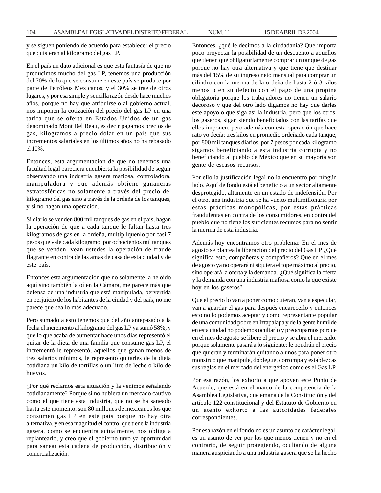104 ASAMBLEA LEGISLATIVA DEL DISTRITO FEDERAL NUM. 11 15 DE ABRIL DE 2004

y se siguen poniendo de acuerdo para establecer el precio que quisieran al kilogramo del gas LP.

En el país un dato adicional es que esta fantasía de que no producimos mucho del gas LP, tenemos una producción del 70% de lo que se consume en este país se produce por parte de Petróleos Mexicanos, y el 30% se trae de otros lugares, y por esa simple y sencilla razón desde hace muchos años, porque no hay que atribuírselo al gobierno actual, nos imponen la cotización del precio del gas LP en una tarifa que se oferta en Estados Unidos de un gas denominado Mont Bel Beau, es decir pagamos precios de gas, kilogramos a precio dólar en un país que sus incrementos salariales en los últimos años no ha rebasado el 10%.

Entonces, esta argumentación de que no tenemos una facultad legal pareciera encubierta la posibilidad de seguir observando una industria gasera mafiosa, controladora, manipuladora y que además obtiene ganancias estratosféricas no solamente a través del precio del kilogramo del gas sino a través de la ordeña de los tanques, y si no hagan una operación.

Si diario se venden 800 mil tanques de gas en el país, hagan la operación de que a cada tanque le faltan hasta tres kilogramos de gas en la ordeña, multiplíquenlo por casi 7 pesos que vale cada kilogramo, por ochocientos mil tanques que se venden, vean ustedes la operación de fraude flagrante en contra de las amas de casa de esta ciudad y de este país.

Entonces esta argumentación que no solamente la he oído aquí sino también la oí en la Cámara, me parece más que defensa de una industria que está manipulada, pervertida en perjuicio de los habitantes de la ciudad y del país, no me parece que sea lo más adecuado.

Pero sumado a esto tenemos que del año antepasado a la fecha el incremento al kilogramo del gas LP ya sumó 58%, y que lo que acaba de aumentar hace unos días representó el quitar de la dieta de una familia que consume gas LP, el incrementó le representó, aquellos que ganan menos de tres salarios mínimos, le representó quitarles de la dieta cotidiana un kilo de tortillas o un litro de leche o kilo de huevos.

¿Por qué reclamos esta situación y la venimos señalando cotidianamente? Porque si no hubiera un mercado cautivo como el que tiene esta industria, que no se ha saneado hasta este momento, son 80 millones de mexicanos los que consumen gas LP en este país porque no hay otra alternativa, y en esa magnitud el control que tiene la industria gasera, como se encuentra actualmente, nos obliga a replantearlo, y creo que el gobierno tuvo ya oportunidad para sanear esta cadena de producción, distribución y comercialización.

Entonces, ¿qué le decimos a la ciudadanía? Que importa poco proyectar la posibilidad de un descuento a aquellos que tienen qué obligatoriamente comprar un tanque de gas porque no hay otra alternativa y que tiene que destinar más del 15% de su ingreso neto mensual para comprar un cilindro con la merma de la ordeña de hasta 2 ó 3 kilos menos o en su defecto con el pago de una propina obligatoria porque los trabajadores no tienen un salario decoroso y que del otro lado digamos no hay que darles este apoyo o que siga así la industria, pero que los otros, los gaseros, sigan siendo beneficiados con las tarifas que ellos imponen, pero además con esta operación que hace rato yo decía: tres kilos en promedio ordeñado cada tanque, por 800 mil tanques diarios, por 7 pesos por cada kilogramo sigamos beneficiando a esta industria corrupta y no beneficiando al pueblo de México que en su mayoría son gente de escasos recursos.

Por ello la justificación legal no la encuentro por ningún lado. Aquí de fondo está el beneficio a un sector altamente desprotegido, altamente en un estado de indefensión. Por el otro, una industria que se ha vuelto multimillonaria por estas prácticas monopólicas, por estas prácticas fraudulentas en contra de los consumidores, en contra del pueblo que no tiene los suficientes recursos para no sentir la merma de esta industria.

Además hoy encontramos otro problema: En el mes de agosto se plantea la liberación del precio del Gas LP ¿Qué significa esto, compañeras y compañeros? Que en el mes de agosto ya no operará ni siquiera el tope máximo al precio, sino operará la oferta y la demanda. ¿Qué significa la oferta y la demanda con una industria mafiosa como la que existe hoy en los gaseros?

Que el precio lo van a poner como quieran, van a especular, van a guardar el gas para después encarecerlo y entonces esto no lo podemos aceptar y como representante popular de una comunidad pobre en Iztapalapa y de la gente humilde en esta ciudad no podemos ocultarlo y preocuparnos porque en el mes de agosto se libere el precio y se abra el mercado, porque solamente pasará a lo siguiente: le pondrán el precio que quieran y terminarán quitando a unos para poner otro monstruo que manipule, doblegue, corrompa y establezcas sus reglas en el mercado del energético como es el Gas LP.

Por esa razón, los exhorto a que apoyen este Punto de Acuerdo, que está en el marco de la competencia de la Asamblea Legislativa, que emana de la Constitución y del artículo 122 constitucional y del Estatuto de Gobierno en un atento exhorto a las autoridades federales correspondientes.

Por esa razón en el fondo no es un asunto de carácter legal, es un asunto de ver por los que menos tienen y no en el contrario, de seguir protegiendo, ocultando de alguna manera auspiciando a una industria gasera que se ha hecho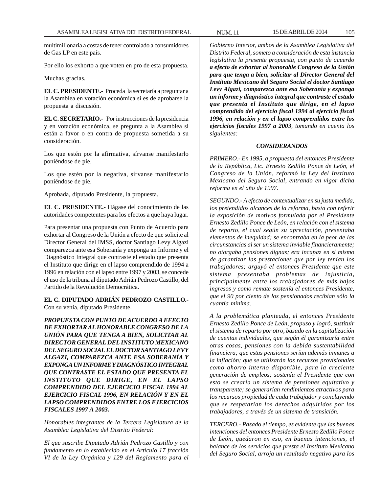multimillonaria a costas de tener controlado a consumidores de Gas LP en este país.

Por ello los exhorto a que voten en pro de esta propuesta.

Muchas gracias.

**EL C. PRESIDENTE.-** Proceda la secretaría a preguntar a la Asamblea en votación económica si es de aprobarse la propuesta a discusión.

**EL C. SECRETARIO.-** Por instrucciones de la presidencia y en votación económica, se pregunta a la Asamblea si están a favor o en contra de propuesta sometida a su consideración.

Los que estén por la afirmativa, sírvanse manifestarlo poniéndose de pie.

Los que estén por la negativa, sírvanse manifestarlo poniéndose de pie.

Aprobada, diputado Presidente, la propuesta.

**EL C. PRESIDENTE.-** Hágase del conocimiento de las autoridades competentes para los efectos a que haya lugar.

Para presentar una propuesta con Punto de Acuerdo para exhortar al Congreso de la Unión a efecto de que solicite al Director General del IMSS, doctor Santiago Levy Algazi comparezca ante esa Soberanía y exponga un Informe y el Diagnóstico Integral que contraste el estado que presenta el Instituto que dirige en el lapso comprendido de 1994 a 1996 en relación con el lapso entre 1997 y 2003, se concede el uso de la tribuna al diputado Adrián Pedrozo Castillo, del Partido de la Revolución Democrática.

**EL C. DIPUTADO ADRIÁN PEDROZO CASTILLO.-** Con su venia, diputado Presidente.

*PROPUESTA CON PUNTO DE ACUERDO A EFECTO DE EXHORTAR AL HONORABLE CONGRESO DE LA UNIÓN PARA QUE TENGA A BIEN, SOLICITAR AL DIRECTOR GENERAL DEL INSTITUTO MEXICANO DEL SEGURO SOCIAL EL DOCTOR SANTIAGO LEVY ALGAZI, COMPAREZCA ANTE ESA SOBERANÍA Y EXPONGA UN INFORME Y DIAGNÓSTICO INTEGRAL QUE CONTRASTE EL ESTADO QUE PRESENTA EL INSTITUTO QUE DIRIGE, EN EL LAPSO COMPRENDIDO DEL EJERCICIO FISCAL 1994 AL EJERCICIO FISCAL 1996, EN RELACIÓN Y EN EL LAPSO COMPRENDIDOS ENTRE LOS EJERCICIOS FISCALES 1997 A 2003.*

*Honorables integrantes de la Tercera Legislatura de la Asamblea Legislativa del Distrito Federal:*

*El que suscribe Diputado Adrián Pedrozo Castillo y con fundamento en lo establecido en el Artículo 17 fracción VI de la Ley Orgánica y 129 del Reglamento para el*

*Gobierno Interior, ambos de la Asamblea Legislativa del Distrito Federal, someto a consideración de esta instancia legislativa la presente propuesta, con punto de acuerdo a efecto de exhortar al honorable Congreso de la Unión para que tenga a bien, solicitar al Director General del Instituto Mexicano del Seguro Social el doctor Santiago Levy Algazi, comparezca ante esa Soberanía y exponga un informe y diagnóstico integral que contraste el estado que presenta el Instituto que dirige, en el lapso comprendido del ejercicio fiscal 1994 al ejercicio fiscal 1996, en relación y en el lapso comprendidos entre los ejercicios fiscales 1997 a 2003, tomando en cuenta los siguientes:*

#### *CONSIDERANDOS*

*PRIMERO.- En 1995, a propuesta del entonces Presidente de la República, Lic. Ernesto Zedillo Ponce de León, el Congreso de la Unión, reformó la Ley del Instituto Mexicano del Seguro Social, entrando en vigor dicha reforma en el año de 1997.*

*SEGUNDO.- A efecto de contextualizar en su justa medida, los pretendidos alcances de la reforma, basta con referir la exposición de motivos formulada por el Presidente Ernesto Zedillo Ponce de León, en relación con el sistema de reparto, el cual según su apreciación, presentaba elementos de inequidad; se encontraba en la peor de las circunstancias al ser un sistema inviable financieramente; no otorgaba pensiones dignas; era incapaz en sí mismo de garantizar las prestaciones que por ley tenían los trabajadores; arguyó el entonces Presidente que este sistema presentaba problemas de injusticia, principalmente entre los trabajadores de más bajos ingresos y como remate sostenía el entonces Presidente, que el 90 por ciento de los pensionados recibían sólo la cuantía mínima.*

*A la problemática planteada, el entonces Presidente Ernesto Zedillo Ponce de León, propuso y logró, sustituir el sistema de reparto por otro, basado en la capitalización de cuentas individuales, que según él garantizaría entre otras cosas, pensiones con la debida sustentabilidad financiera; que estas pensiones serían además inmunes a la inflación; que se utilizarán los recursos provisionales como ahorro interno disponible, para la creciente generación de empleos; sostenía el Presidente que con esto se crearía un sistema de pensiones equitativo y transparente; se generarían rendimientos atractivos para los recursos propiedad de cada trabajador y concluyendo que se respetarían los derechos adquiridos por los trabajadores, a través de un sistema de transición.*

*TERCERO.- Pasado el tiempo, es evidente que las buenas intenciones del entonces Presidente Ernesto Zedillo Ponce de León, quedaron en eso, en buenas intenciones, el balance de los servicios que presta el Instituto Mexicano del Seguro Social, arroja un resultado negativo para los*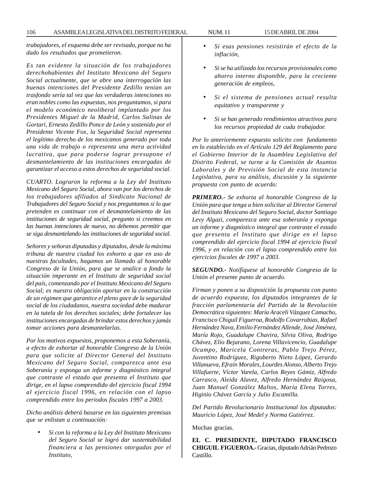*trabajadores, el esquema debe ser revisado, porque no ha dado los resultados que prometieron.*

*Es tan evidente la situación de los trabajadores derechohabientes del Instituto Mexicano del Seguro Social actualmente, que se abre una interrogación las buenas intenciones del Presidente Zedillo tenían un trasfondo sería tal vez que las verdaderas intenciones no eran nobles como las expuestas, nos preguntamos, si para el modelo económico neoliberal implantado por los Presidentes Miguel de la Madrid, Carlos Salinas de Gortari, Ernesto Zedillo Ponce de León y sostenido por el Presidente Vicente Fox, la Seguridad Social representa el legítimo derecho de los mexicanos generado por toda una vida de trabajo o representa una mera actividad lucrativa, que para poderse lograr presupone el desmantelamiento de las instituciones encargadas de garantizar el acceso a estos derechos de seguridad social.*

*CUARTO. Lograron la reforma a la Ley del Instituto Mexicano del Seguro Social, ahora van por los derechos de los trabajadores afiliados al Sindicato Nacional de Trabajadores del Seguro Social y nos preguntamos si lo que pretenden es continuar con el desmantelamiento de las instituciones de seguridad social, pregunto si creemos en las buenas intenciones de nuevo, no debemos permitir que se siga desmantelando las instituciones de seguridad social.*

*Señores y señoras diputadas y diputados, desde la máxima tribuna de nuestra ciudad los exhorto a que en uso de nuestras facultades, hagamos un llamado al honorable Congreso de la Unión, para que se analice a fondo la situación imperante en el Instituto de seguridad social del país, comenzando por el Instituto Mexicano del Seguro Social; es nuestra obligación aportar en la construcción de un régimen que garantice el pleno goce de la seguridad social de los ciudadanos, nuestra sociedad debe madurar en la tutela de los derechos sociales; debe fortalecer las instituciones encargadas de brindar estos derechos y jamás tomar acciones para desmantelarlas.*

*Por los motivos expuestos, proponemos a esta Soberanía, a efecto de exhortar al honorable Congreso de la Unión para que solicite al Director General del Instituto Mexicano del Seguro Social, comparezca ante esa Soberanía y exponga un informe y diagnóstico integral que contraste el estado que presenta el Instituto que dirige, en el lapso comprendido del ejercicio fiscal 1994 al ejercicio fiscal 1996, en relación con el lapso comprendido entre los periodos fiscales 1997 a 2003.*

*Dicho análisis deberá basarse en las siguientes premisas que se enlistan a continuación:*

• *Si con la reforma a la Ley del Instituto Mexicano del Seguro Social se logró dar sustentabilidad financiera a las pensiones otorgadas por el Instituto,*

- *Si esas pensiones resistirán el efecto de la inflación,*
- *Si se ha utilizado los recursos provisionales como ahorro interno disponible, para la creciente generación de empleos,*
- *Si el sistema de pensiones actual resulta equitativo y transparente y*
- *Si se han generado rendimientos atractivos para los recursos propiedad de cada trabajador.*

*Por lo anteriormente expuesto solicito con fundamento en lo establecido en el Artículo 129 del Reglamento para el Gobierno Interior de la Asamblea Legislativa del Distrito Federal, se turne a la Comisión de Asuntos Laborales y de Previsión Social de esta instancia Legislativa, para su análisis, discusión y la siguiente propuesta con punto de acuerdo:*

*PRIMERO.- Se exhorta al honorable Congreso de la Unión para que tenga a bien solicitar al Director General del Instituto Mexicano del Seguro Social, doctor Santiago Levy Algazi, comparezca ante esa soberanía y exponga un informe y diagnóstico integral que contraste el estado que presenta el Instituto que dirige en el lapso comprendido del ejercicio fiscal 1994 al ejercicio fiscal 1996, y en relación con el lapso comprendido entre los ejercicios fiscales de 1997 a 2003.*

*SEGUNDO.- Notifíquese al honorable Congreso de la Unión el presente punto de acuerdo.*

*Firman y ponen a su disposición la propuesta con punto de acuerdo expuesta, los diputados integrantes de la fracción parlamentaria del Partido de la Revolución Democrática siguientes: María Araceli Vázquez Camacho, Francisco Chiguil Figueroa, Rodolfo Covarrubias, Rafael Hernández Nava, Emilio Fernández Allende, José Jiménez, María Rojo, Guadalupe Chavira, Silvia Oliva, Rodrigo Chávez, Elio Bejarano, Lorena Villavicencio, Guadalupe Ocampo, Maricela Contreras, Pablo Trejo Pérez, Juventino Rodríguez, Rigoberto Nieto López, Gerardo Villanueva, Efraín Morales, Lourdes Alonso, Alberto Trejo Villafuerte, Víctor Varela, Carlos Reyes Gámiz, Alfredo Carrasco, Aleida Alavez, Alfredo Hernández Raigosa, Juan Manuel González Maltos, María Elena Torres, Higinio Chávez García y Julio Escamilla.*

*Del Partido Revolucionario Institucional los diputados: Mauricio López, José Medel y Norma Gutiérrez.*

Muchas gracias.

**EL C. PRESIDENTE, DIPUTADO FRANCISCO CHIGUIL FIGUEROA.-** Gracias, diputado Adrián Pedrozo Castillo.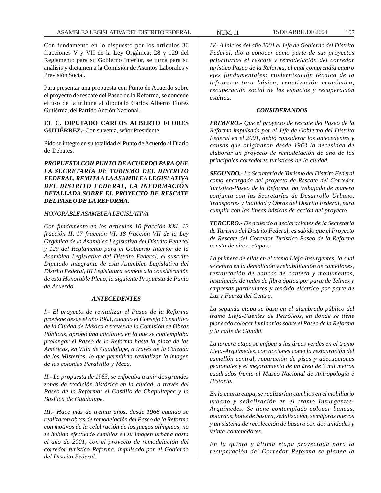Con fundamento en lo dispuesto por los artículos 36 fracciones V y VII de la Ley Orgánica; 28 y 129 del Reglamento para su Gobierno Interior, se turna para su análisis y dictamen a la Comisión de Asuntos Laborales y Previsión Social.

Para presentar una propuesta con Punto de Acuerdo sobre el proyecto de rescate del Paseo de la Reforma, se concede el uso de la tribuna al diputado Carlos Alberto Flores Gutiérrez, del Partido Acción Nacional.

**EL C. DIPUTADO CARLOS ALBERTO FLORES GUTIÉRREZ.-** Con su venia, señor Presidente.

Pido se integre en su totalidad el Punto de Acuerdo al Diario de Debates.

*PROPUESTA CON PUNTO DE ACUERDO PARA QUE LA SECRETARÍA DE TURISMO DEL DISTRITO FEDERAL, REMITA A LA ASAMBLEA LEGISLATIVA DEL DISTRITO FEDERAL, LA INFORMACIÓN DETALLADA SOBRE EL PROYECTO DE RESCATE DEL PASEO DE LA REFORMA.*

#### *HONORABLE ASAMBLEA LEGISLATIVA*

*Con fundamento en los artículos 10 fracción XXI, 13 fracción II, 17 fracción VI, 18 fracción VII de la Ley Orgánica de la Asamblea Legislativa del Distrito Federal y 129 del Reglamento para el Gobierno Interior de la Asamblea Legislativa del Distrito Federal, el suscrito Diputado integrante de esta Asamblea Legislativa del Distrito Federal, III Legislatura, somete a la consideración de esta Honorable Pleno, la siguiente Propuesta de Punto de Acuerdo.*

#### *ANTECEDENTES*

*I.- El proyecto de revitalizar el Paseo de la Reforma proviene desde el año 1963, cuando el Consejo Consultivo de la Ciudad de México a través de la Comisión de Obras Públicas, aprobó una iniciativa en la que se contemplaba prolongar el Paseo de la Reforma hasta la plaza de las Américas, en Villa de Guadalupe, a través de la Calzada de los Misterios, lo que permitiría revitalizar la imagen de las colonias Peralvillo y Maza.*

*II.- La propuesta de 1963, se enfocaba a unir dos grandes zonas de tradición histórica en la ciudad, a través del Paseo de la Reforma: el Castillo de Chapultepec y la Basílica de Guadalupe.*

*III.- Hace más de treinta años, desde 1968 cuando se realizaron obras de remodelación del Paseo de la Reforma con motivos de la celebración de los juegos olímpicos, no se habían efectuado cambios en su imagen urbana hasta el año de 2001, con el proyecto de remodelación del corredor turístico Reforma, impulsado por el Gobierno del Distrito Federal.*

*IV.- A inicios del año 2001 el Jefe de Gobierno del Distrito Federal, dio a conocer como parte de sus proyectos prioritarios el rescate y remodelación del corredor turístico Paseo de la Reforma, el cual comprendía cuatro ejes fundamentales: modernización técnica de la infraestructura básica, reactivación económica, recuperación social de los espacios y recuperación estética.*

#### *CONSIDERANDOS*

*PRIMERO.- Que el proyecto de rescate del Paseo de la Reforma impulsado por el Jefe de Gobierno del Distrito Federal en el 2001, debió considerar los antecedentes y causas que originaron desde 1963 la necesidad de elaborar un proyecto de remodelación de uno de los principales corredores turísticos de la ciudad.*

*SEGUNDO.- La Secretaría de Turismo del Distrito Federal como encargada del proyecto de Rescate del Corredor Turístico-Paseo de la Reforma, ha trabajado de manera conjunta con las Secretarías de Desarrollo Urbano, Transportes y Vialidad y Obras del Distrito Federal, para cumplir con las líneas básicas de acción del proyecto.*

*TERCERO.- De acuerdo a declaraciones de la Secretaria de Turismo del Distrito Federal, es sabido que el Proyecto de Rescate del Corredor Turístico Paseo de la Reforma consta de cinco etapas:*

*La primera de ellas en el tramo Lieja-Insurgentes, la cual se centra en la demolición y rehabilitación de camellones, restauración de bancas de cantera y monumentos, instalación de redes de fibra óptica por parte de Telmex y empresas particulares y tendido eléctrico por parte de Luz y Fuerza del Centro.*

*La segunda etapa se basa en el alumbrado público del tramo Lieja-Fuentes de Petróleos, en donde se tiene planeado colocar luminarias sobre el Paseo de la Reforma y la calle de Gandhi.*

*La tercera etapa se enfoca a las áreas verdes en el tramo Lieja-Arquímedes, con acciones como la restauración del camellón central, reparación de pisos y adecuaciones peatonales y el mejoramiento de un área de 3 mil metros cuadrados frente al Museo Nacional de Antropología e Historia.*

*En la cuarta etapa, se realizarían cambios en el mobiliario urbano y señalización en el tramo Insurgentes-Arquímedes. Se tiene contemplado colocar bancas, bolardos, botes de basura, señalización, semáforos nuevos y un sistema de recolección de basura con dos unidades y veinte contenedores.*

*En la quinta y última etapa proyectada para la recuperación del Corredor Reforma se planea la*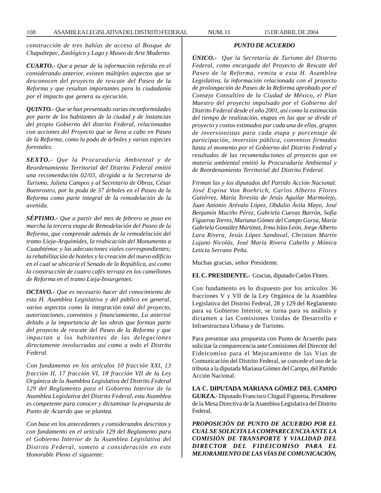*construcción de tres bahías de acceso al Bosque de Chapultepec, Zoológico y Lago y Museo de Arte Moderno.*

*CUARTO.- Que a pesar de la información referida en el considerando anterior, existen múltiples aspectos que se desconocen del proyecto de rescate del Paseo de la Reforma y que resultan importantes para la ciudadanía por el impacto que genera su ejecución.*

*QUINTO.- Que se han presentado varias inconformidades por parte de los habitantes de la ciudad y de instancias del propio Gobierno del distrito Federal, relacionadas con acciones del Proyecto que se lleva a cabo en Paseo de la Reforma, como la poda de árboles y varias especies forestales.*

*SEXTO.- Que la Procuraduría Ambiental y de Reordenamiento Territorial del Distrito Federal emitió una recomendación 02/03, dirigida a la Secretaria de Turismo, Julieta Campos y al Secretario de Obras, César Buenrostro, por la poda de 37 árboles en el Paseo de la Reforma como parte integral de la remodelación de la avenida.*

*SÉPTIMO.- Que a partir del mes de febrero se puso en marcha la tercera etapa de Remodelación del Paseo de la Reforma, que comprende además de la remodelación del tramo Lieja-Arquímides, la reubicación del Monumento a Cuauhtémoc y las adecuaciones viales correspondientes; la rehabilitación de hoteles y la creación del nuevo edificio en el cual se ubicaría el Senado de la República, así como la construcción de cuatro cafés terraza en los camellones de Reforma en el tramo Lieja-Insurgentes.*

*OCTAVO.- Que es necesario hacer del conocimiento de esta H. Asamblea Legislativa y del público en general, varios aspectos como la integración total del proyecto, autorizaciones, convenios y financiamiento. Lo anterior debido a la importancia de las obras que forman parte del proyecto de rescate del Paseo de la Reforma y que impactan a los habitantes de las delegaciones directamente involucradas así como a todo el Distrito Federal.*

*Con fundamento en los artículos 10 fracción XXI, 13 fracción II, 17 fracción VI, 18 fracción VII de la Ley Orgánica de la Asamblea Legislativa del Distrito Federal 129 del Reglamento para el Gobierno Interior de la Asamblea Legislativa del Distrito Federal, esta Asamblea es competente para conocer y dictaminar la propuesta de Punto de Acuerdo que se plantea.*

*Con base en los antecedentes y considerandos descritos y con fundamento en el artículo 129 del Reglamento para el Gobierno Interior de la Asamblea Legislativa del Distrito Federal, someto a consideración en este Honorable Pleno el siguiente:*

#### *PUNTO DE ACUERDO*

*ÚNICO.- Que la Secretaría de Turismo del Distrito Federal, como encargada del Proyecto de Rescate del Paseo de la Reforma, remita a esta H. Asamblea Legislativa, la información relacionada con el proyecto de prolongación de Paseo de la Reforma aprobado por el Consejo Consultivo de la Ciudad de México, el Plan Maestro del proyecto impulsado por el Gobierno del Distrito Federal desde el año 2001, así como la estimación del tiempo de realización, etapas en las que se divide el proyecto y costos estimados por cada una de ellas, grupos de inversionistas para cada etapa y porcentaje de participación, inversión pública, convenios firmados hasta el momento por el Gobierno del Distrito Federal y resultados de las recomendaciones al proyecto que en materia ambiental emitió la Procuraduría Ambiental y de Reordenamiento Territorial del Distrito Federal.*

*Firman las y los diputados del Partido Acción Nacional: José Espina Von Roehrich, Carlos Alberto Flores Gutiérrez, María Teresita de Jesús Aguilar Marmolejo, Juan Antonio Arévalo López, Obdulio Ávila Mayo, José Benjamín Muciño Pérez, Gabriela Cuevas Barrón, Sofía Figueroa Torres, Mariana Gómez del Campo Gurza, María Gabriela González Martínez, Irma Islas León, Jorge Alberto Lara Rivera, Jesús López Sandoval, Christian Martín Lujano Nicolás, José María Rivera Cabello y Mónica Leticia Serrano Peña.*

Muchas gracias, señor Presidente.

**EL C. PRESIDENTE.-** Gracias, diputado Carlos Flores.

Con fundamento en lo dispuesto por los artículos 36 fracciones V y VII de la Ley Orgánica de la Asamblea Legislativa del Distrito Federal, 28 y 129 del Reglamento para su Gobierno Interior, se turna para su análisis y dictamen a las Comisiones Unidas de Desarrollo e Infraestructura Urbana y de Turismo.

Para presentar una propuesta con Punto de Acuerdo para solicitar la comparecencia ante Comisiones del Director del Fideicomiso para el Mejoramiento de las Vías de Comunicación del Distrito Federal, se concede el uso de la tribuna a la diputada Mariana Gómez del Campo, del Partido Acción Nacional.

**LA C. DIPUTADA MARIANA GÓMEZ DEL CAMPO GURZA.-** Diputado Francisco Chiguil Figueroa, Presidente de la Mesa Directiva de la Asamblea Legislativa del Distrito Federal.

*PROPOSICIÓN DE PUNTO DE ACUERDO POR EL CUAL SE SOLICITA LA COMPARECENCIA ANTE LA COMISIÓN DE TRANSPORTE Y VIALIDAD DEL DIRECTOR DEL FIDEICOMISO PARA EL MEJORAMIENTO DE LAS VÍAS DE COMUNICACIÓN,*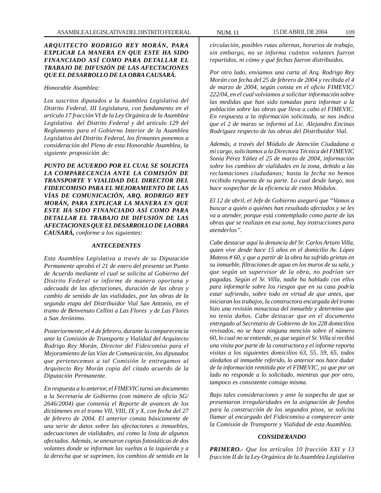# *ARQUITECTO RODRIGO REY MORÁN, PARA EXPLICAR LA MANERA EN QUE ESTE HA SIDO FINANCIADO ASÍ COMO PARA DETALLAR EL TRABAJO DE DIFUSIÓN DE LAS AFECTACIONES QUE EL DESARROLLO DE LA OBRA CAUSARÁ.*

#### *Honorable Asamblea:*

*Los suscritos diputados a la Asamblea Legislativa del Distrito Federal, III Legislatura, con fundamento en el artículo 17 fracción VI de la Ley Orgánica de la Asamblea Legislativa del Distrito Federal y del artículo 129 del Reglamento para el Gobierno Interior de la Asamblea Legislativa del Distrito Federal, los firmantes ponemos a consideración del Pleno de esta Honorable Asamblea, la siguiente proposición de:*

*PUNTO DE ACUERDO POR EL CUAL SE SOLICITA LA COMPARECENCIA ANTE LA COMISIÓN DE TRANSPORTE Y VIALIDAD DEL DIRECTOR DEL FIDEICOMISO PARA EL MEJORAMIENTO DE LAS VÍAS DE COMUNICACIÓN, ARQ. RODRIGO REY MORÁN, PARA EXPLICAR LA MANERA EN QUE ESTE HA SIDO FINANCIADO ASÍ COMO PARA DETALLAR EL TRABAJO DE DIFUSIÓN DE LAS AFECTACIONES QUE EL DESARROLLO DE LA OBRA CAUSARÁ, conforme a los siguientes:*

### *ANTECEDENTES*

*Esta Asamblea Legislativa a través de su Diputación Permanente aprobó el 21 de enero del presente un Punto de Acuerdo mediante el cual se solicita al Gobierno del Distrito Federal se informe de manera oportuna y adecuada de las afectaciones, duración de las obras y cambio de sentido de las vialidades, por las obras de la segunda etapa del Distribuidor Vial San Antonio, en el tramo de Benvenuto Cellini a Las Flores y de Las Flores a San Jerónimo.*

*Posteriormente, el 4 de febrero, durante la comparecencia ante la Comisión de Transporte y Vialidad del Arquitecto Rodrigo Rey Morán, Director del Fideicomiso para el Mejoramiento de las Vías de Comunicación, los diputados que pertenecemos a tal Comisión le entregamos al Arquitecto Rey Morán copia del citado acuerdo de la Diputación Permanente.*

*En respuesta a lo anterior, el FIMEVIC turnó un documento a la Secretaría de Gobierno (con número de oficio SG/ 2646/2004) que contenía el Reporte de avances de los dictámenes en el tramo VII, VIII, IX y X, con fecha del 27 de febrero de 2004. El anterior consta básicamente de una serie de datos sobre las afectaciones a inmuebles, adecuaciones de vialidades, así como la lista de algunos afectados. Además, se anexaron copias fotostáticas de dos volantes donde se informan las vueltas a la izquierda y a la derecha que se suprimen, los cambios de sentido en la*

*circulación, posibles rutas alternas, horarios de trabajo, sin embargo, no se informa cuántos volantes fueron repartidos, ni cómo y qué fechas fueron distribuidos.*

*Por otro lado, enviamos una carta al Arq. Rodrigo Rey Morán con fecha del 25 de febrero de 2004 y recibida el 4 de marzo de 2004, según consta en el oficio FIMEVIC/ 222/04, en el cual volvíamos a solicitar información sobre las medidas que han sido tomadas para informar a la población sobre las obras que lleva a cabo el FIMEVIC. En respuesta a la información solicitada, se nos indica que el 2 de marzo se informó al Lic. Alejandro Encinas Rodríguez respecto de las obras del Distribuidor Vial.*

*Además, a través del Módulo de Atención Ciudadana a mi cargo, solicitamos a la Directora Técnica del FIMEVIC Sonia Pérez Yáñez el 25 de marzo de 2004, información sobre los cambios de vialidades en la zona, debido a las reclamaciones ciudadanas; hasta la fecha no hemos recibido respuesta de su parte. Lo cual desde luego, nos hace sospechar de la eficiencia de estos Módulos.*

*El 12 de abril, el Jefe de Gobierno aseguró que ''Vamos a buscar a quién o quiénes han resultado afectados y se les va a atender, porque está contemplado como parte de las obras que se realizan en esa zona, hay instrucciones para atenderlos''.*

*Cabe destacar aquí la denuncia del Sr. Carlos Arturo Villa, quien vive desde hace 15 años en el domicilio Av. López Mateos # 60, y que a partir de la obra ha sufrido grietas en su inmueble, filtraciones de agua en los muros de su sala, y que según un supervisor de la obra, no podrían ser pagadas. Según el Sr. Villa, nadie ha hablado con ellos para informarle sobre los riesgos que en su casa podría estar sufriendo, sobre todo en virtud de que antes, que iniciaran los trabajos, la constructora encargada del tramo hizo una revisión minuciosa del inmueble y determino que no tenía daños. Cabe destacar que en el documento entregado al Secretario de Gobierno de los 228 domicilios revisados, no se hace ninguna mención sobre el número 60, lo cual no se entiende, ya que según el Sr. Villa sí recibió una visita por parte de la constructora y el informe reporta visitas a los siguientes domicilios 63, 55, 59, 65, todos aledaños al inmueble referido, lo anterior nos hace dudar de la información remitida por el FIMEVIC, ya que por un lado no responde a lo solicitado, mientras que por otro, tampoco es consistente consigo misma.*

*Bajo tales consideraciones y ante la sospecha de que se presentaron irregularidades en la asignación de fondos para la construcción de los segundos pisos, se solicita llamar al encargado del Fideicomiso a comparecer ante la Comisión de Transporte y Vialidad de esta Asamblea.*

#### *CONSIDERANDO*

*PRIMERO.- Que los artículos 10 fracción XXI y 13 fracción II de la Ley Orgánica de la Asamblea Legislativa*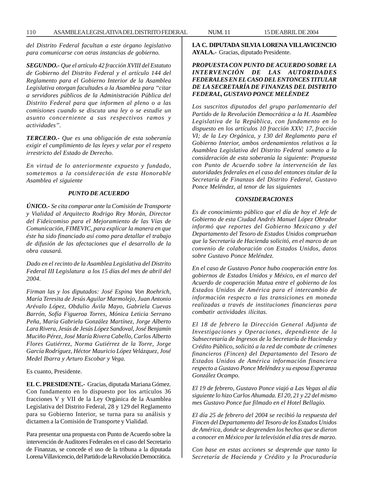*del Distrito Federal facultan a este órgano legislativo para comunicarse con otras instancias de gobierno.*

*SEGUNDO.- Que el artículo 42 fracción XVIII del Estatuto de Gobierno del Distrito Federal y el artículo 144 del Reglamento para el Gobierno Interior de la Asamblea Legislativa otorgan facultades a la Asamblea para ''citar a servidores públicos de la Administración Pública del Distrito Federal para que informen al pleno o a las comisiones cuando se discuta una ley o se estudie un asunto concerniente a sus respectivos ramos y actividades''.*

*TERCERO.- Que es una obligación de esta soberanía exigir el cumplimiento de las leyes y velar por el respeto irrestricto del Estado de Derecho.*

*En virtud de lo anteriormente expuesto y fundado, sometemos a la consideración de esta Honorable Asamblea el siguiente*

#### *PUNTO DE ACUERDO*

*ÚNICO.- Se cita comparar ante la Comisión de Transporte y Vialidad al Arquitecto Rodrigo Rey Morán, Director del Fideicomiso para el Mejoramiento de las Vías de Comunicación, FIMEVIC, para explicar la manera en que éste ha sido financiado así como para detallar el trabajo de difusión de las afectaciones que el desarrollo de la obra causará.*

*Dado en el recinto de la Asamblea Legislativa del Distrito Federal III Legislatura a los 15 días del mes de abril del 2004.*

*Firman las y los diputados: José Espina Von Roehrich, María Teresita de Jesús Aguilar Marmolejo, Juan Antonio Arévalo López, Obdulio Ávila Mayo, Gabriela Cuevas Barrón, Sofía Figueroa Torres, Mónica Leticia Serrano Peña, María Gabriela González Martínez, Jorge Alberto Lara Rivera, Jesús de Jesús López Sandoval, José Benjamín Muciño Pérez, José María Rivera Cabello, Carlos Alberto Flores Gutiérrez, Norma Gutiérrez de la Torre, Jorge García Rodríguez, Héctor Mauricio López Velázquez, José Medel Ibarra y Arturo Escobar y Vega.*

Es cuanto, Presidente.

**EL C. PRESIDENTE.-** Gracias, diputada Mariana Gómez. Con fundamento en lo dispuesto por los artículos 36 fracciones V y VII de la Ley Orgánica de la Asamblea Legislativa del Distrito Federal, 28 y 129 del Reglamento para su Gobierno Interior, se turna para su análisis y dictamen a la Comisión de Transporte y Vialidad.

Para presentar una propuesta con Punto de Acuerdo sobre la intervención de Auditores Federales en el caso del Secretario de Finanzas, se concede el uso de la tribuna a la diputada Lorena Villavicencio, del Partido de la Revolución Democrática.

**LA C. DIPUTADA SILVIA LORENA VILLAVICENCIO AYALA.-** Gracias, diputado Presidente.

# *PROPUESTA CON PUNTO DE ACUERDO SOBRE LA INTERVENCIÓN DE LAS AUTORIDADES FEDERALES EN EL CASO DEL ENTONCES TITULAR DE LA SECRETARÍA DE FINANZAS DEL DISTRITO FEDERAL, GUSTAVO PONCE MELÉNDEZ*

*Los suscritos diputados del grupo parlamentario del Partido de la Revolución Democrática a la H. Asamblea Legislativa de la República, con fundamento en lo dispuesto en los artículos 10 fracción XXV; 17, fracción VI; de la Ley Orgánica, y 130 del Reglamento para el Gobierno Interior, ambos ordenamientos relativos a la Asamblea Legislativa del Distrito Federal someto a la consideración de esta soberanía la siguiente: Propuesta con Punto de Acuerdo sobre la intervención de las autoridades federales en el caso del entonces titular de la Secretaría de Finanzas del Distrito Federal, Gustavo Ponce Meléndez, al tenor de las siguientes*

#### *CONSIDERACIONES*

*Es de conocimiento público que el día de hoy el Jefe de Gobierno de esta Ciudad Andrés Manuel López Obrador informó que reportes del Gobierno Mexicano y del Departamento del Tesoro de Estados Unidos comprueban que la Secretaría de Hacienda solicitó, en el marco de un convenio de colaboración con Estados Unidos, datos sobre Gustavo Ponce Meléndez.*

*En el caso de Gustavo Ponce hubo cooperación entre los gobiernos de Estados Unidos y México, en el marco del Acuerdo de cooperación Mutua entre el gobierno de los Estados Unidos de América para el intercambio de información respecto a las transiciones en moneda realizadas a través de instituciones financieras para combatir actividades ilícitas.*

*El 18 de febrero la Dirección General Adjunta de Investigaciones y Operaciones, dependiente de la Subsecretaría de Ingresos de la Secretaría de Hacienda y Crédito Público, solicitó a la red de combate de crímenes financieros (Fincen) del Departamento del Tesoro de Estados Unidos de América información financiera respecto a Gustavo Ponce Meléndez y su esposa Esperanza González Ocampo.*

*El 19 de febrero, Gustavo Ponce viajó a Las Vegas al día siguiente lo hizo Carlos Ahumada. El 20, 21 y 22 del mismo mes Gustavo Ponce fue filmado en el Hotel Bellagio.*

*El día 25 de febrero del 2004 se recibió la respuesta del Fincen del Departamento del Tesoro de los Estados Unidos de América, donde se desprenden los hechos que se dieron a conocer en México por la televisión el día tres de marzo.*

*Con base en estas acciones se desprende que tanto la Secretaría de Hacienda y Crédito y la Procuraduría*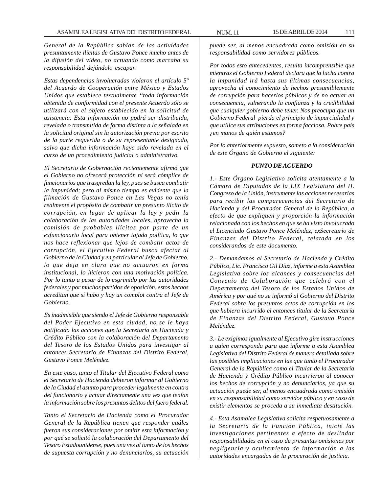*General de la República sabían de las actividades presuntamente ilícitas de Gustavo Ponce mucho antes de la difusión del video, no actuando como marcaba su responsabilidad dejándolo escapar.*

*Estas dependencias involucradas violaron el artículo 5º del Acuerdo de Cooperación entre México y Estados Unidos que establece textualmente ''toda información obtenida de conformidad con el presente Acuerdo sólo se utilizará con el objeto establecido en la solicitud de asistencia. Esta información no podrá ser distribuida, revelada o transmitida de forma distinta a la señalada en la solicitud original sin la autorización previa por escrito de la parte requerida o de su representante designado, salvo que dicha información haya sido revelada en el curso de un procedimiento judicial o administrativo.*

*El Secretario de Gobernación recientemente afirmó que el Gobierno no ofrecerá protección ni será cómplice de funcionarios que trasgredan la ley, pues se busca combatir la impunidad; pero al mismo tiempo es evidente que la filmación de Gustavo Ponce en Las Vegas no tenía realmente el propósito de combatir un presunto ilícito de corrupción, en lugar de aplicar la ley y pedir la colaboración de las autoridades locales, aprovecha la comisión de probables ilícitos por parte de un exfuncionario local para obtener tajada política, lo que nos hace reflexionar que lejos de combatir actos de corrupción, el Ejecutivo Federal busca afectar al Gobierno de la Ciudad y en particular al Jefe de Gobierno, lo que deja en claro que no actuaron en forma institucional, lo hicieron con una motivación política. Por lo tanto a pesar de lo esgrimido por las autoridades federales y por muchos partidos de oposición, estos hechos acreditan que sí hubo y hay un complot contra el Jefe de Gobierno.*

*Es inadmisible que siendo el Jefe de Gobierno responsable del Poder Ejecutivo en esta ciudad, no se le haya notificado las acciones que la Secretaría de Hacienda y Crédito Público con la colaboración del Departamento del Tesoro de los Estados Unidos para investigar al entonces Secretario de Finanzas del Distrito Federal, Gustavo Ponce Meléndez.*

*En este caso, tanto el Titular del Ejecutivo Federal como el Secretario de Hacienda debieron informar al Gobierno de la Ciudad el asunto para proceder legalmente en contra del funcionario y actuar directamente una vez que tenían la información sobre los presuntos delitos del fuero federal.*

*Tanto el Secretario de Hacienda como el Procurador General de la República tienen que responder cuáles fueron sus consideraciones por omitir esta información y por qué se solicitó la colaboración del Departamento del Tesoro Estadounidense, pues una vez al tanto de los hechos de supuesta corrupción y no denunciarlos, su actuación*

*puede ser, al menos encuadrada como omisión en su responsabilidad como servidores públicos.*

*Por todos esto antecedentes, resulta incomprensible que mientras el Gobierno Federal declara que la lucha contra la impunidad irá hasta sus últimas consecuencias, aprovecha el conocimiento de hechos presumiblemente de corrupción para hacerlos públicos y de no actuar en consecuencia, vulnerando la confianza y la credibilidad que cualquier gobierno debe tener. Nos preocupa que un Gobierno Federal pierda el principio de imparcialidad y que utilice sus atribuciones en forma facciosa. Pobre país ¿en manos de quién estamos?*

*Por lo anteriormente expuesto, someto a la consideración de este Órgano de Gobierno el siguiente:*

### *PUNTO DE ACUERDO*

*1.- Este Órgano Legislativo solicita atentamente a la Cámara de Diputados de la LIX Legislatura del H. Congreso de la Unión, instrumente las acciones necesarias para recibir las comparecencias del Secretario de Hacienda y del Procurador General de la República, a efecto de que expliquen y proporción la información relacionada con los hechos en que se ha visto involucrado el Licenciado Gustavo Ponce Meléndez, exSecretario de Finanzas del Distrito Federal, relatada en los considerandos de este documento.*

*2.- Demandamos al Secretario de Hacienda y Crédito Público, Lic. Francisco Gil Díaz, informe a esta Asamblea Legislativa sobre los alcances y consecuencias del Convenio de Colaboración que celebró con el Departamento del Tesoro de los Estados Unidos de América y por qué no se informó al Gobierno del Distrito Federal sobre los presuntos actos de corrupción en los que hubiera incurrido el entonces titular de la Secretaría de Finanzas del Distrito Federal, Gustavo Ponce Meléndez.*

*3.- Le exigimos igualmente al Ejecutivo gire instrucciones a quien corresponda para que informe a esta Asamblea Legislativa del Distrito Federal de manera detallada sobre las posibles implicaciones en las que tanto el Procurador General de la República como el Titular de la Secretaría de Hacienda y Crédito Público incurrieron al conocer los hechos de corrupción y no denunciarlos, ya que su actuación puede ser, al menos encuadrada como omisión en su responsabilidad como servidor público y en caso de existir elementos se proceda a su inmediata destitución.*

*4.- Esta Asamblea Legislativa solicita respetuosamente a la Secretaría de la Función Pública, inicie las investigaciones pertinentes a efecto de deslindar responsabilidades en el caso de presuntas omisiones por negligencia y ocultamiento de información a las autoridades encargadas de la procuración de justicia.*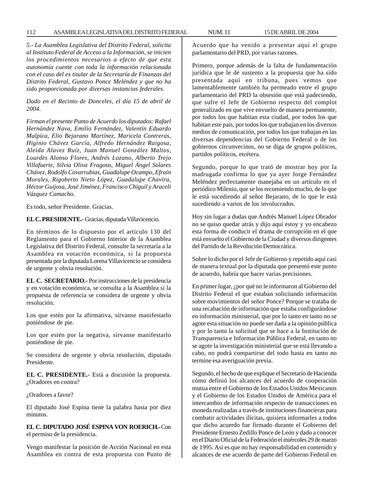*5.- La Asamblea Legislativa del Distrito Federal, solicita al Instituto Federal de Acceso a la Información, se inicien los procedimientos necesarios a efecto de que esta autonomía cuente con toda la información relacionada con el caso del ex titular de la Secretaría de Finanzas del Distrito Federal, Gustavo Ponce Meléndez y que no ha sido proporcionada por diversas instancias federales.*

*Dado en el Recinto de Donceles, el día 15 de abril de 2004.*

*Firman el presente Punto de Acuerdo los diputados: Rafael Hernández Nava, Emilio Fernández, Valentín Eduardo Malpica, Elio Bejarano Martínez, Maricela Contreras, Higinio Chávez García, Alfredo Hernández Raigosa, Aleida Alavez Ruíz, Juan Manuel González Maltos, Lourdes Alonso Flores, Andrés Lozano, Alberto Trejo Villafuerte, Silvia Oliva Fragoso, Miguel Ángel Solares Chávez, Rodolfo Covarrubias, Guadalupe Ocampo, Efraín Morales, Rigoberto Nieto López, Guadalupe Chavira, Héctor Guijosa, José Jiménez, Francisco Chiguil y Araceli Vázquez Camacho.*

Es todo, señor Presidente. Gracias.

**EL C. PRESIDENTE.-** Gracias, diputada Villavicencio.

En términos de lo dispuesto por el artículo 130 del Reglamento para el Gobierno Interior de la Asamblea Legislativa del Distrito Federal, consulte la secretaría a la Asamblea en votación económica, si la propuesta presentada por la diputada Lorena Villavicencio se considera de urgente y obvia resolución.

**EL C. SECRETARIO.-** Por instrucciones de la presidencia y en votación económica, se consulta a la Asamblea si la propuesta de referencia se considera de urgente y obvia resolución.

Los que estén por la afirmativa, sírvanse manifestarlo poniéndose de pie.

Los que estén por la negativa, sírvanse manifestarlo poniéndose de pie.

Se considera de urgente y obvia resolución, diputado Presidente.

**EL C. PRESIDENTE.-** Está a discusión la propuesta. ¿Oradores en contra?

¿Oradores a favor?

El diputado José Espina tiene la palabra hasta por diez minutos.

**EL C. DIPUTADO JOSÉ ESPINA VON ROERICH.-** Con el permiso de la presidencia.

Vengo manifestar la posición de Acción Nacional en esta Asamblea en contra de esta propuesta con Punto de Acuerdo que ha venido a presentar aquí el grupo parlamentario del PRD, por varias razones.

Primero, porque además de la falta de fundamentación jurídica que le dé sustento a la propuesta que ha sido presentada aquí en tribuna, pues vemos que lamentablemente también ha permeado entre el grupo parlamentario del PRD la obsesión que está padeciendo, que sufre el Jefe de Gobierno respecto del complot generalizado en que vive envuelto de manera permanente, por todos los que habitan esta ciudad, por todos los que habitan este país, por todos los que trabajan en los diversos medios de comunicación, por todos los que trabajan en las diversas dependencias del Gobierno Federal o de los gobiernos circunvecinos, no se diga de grupos políticos, partidos políticos, etcétera.

Segundo, porque lo que trató de mostrar hoy por la madrugada confirma lo que ya ayer Jorge Fernández Meléndez perfectamente manejaba en un artículo en el periódico Milenio, que se los recomiendo mucho, de lo que le está sucediendo al señor Bejarano, de lo que le está sucediendo a varios de los involucrados.

Hoy sin lugar a dudas que Andrés Manuel López Obrador no se quiso quedar atrás y dijo aquí estoy y yo encabezo esta forma de conducir el drama de corrupción en el que está envuelto el Gobierno de la Ciudad y diversos dirigentes del Partido de la Revolución Democrática.

Sobre lo dicho por el Jefe de Gobierno y repetido aquí casi de manera textual por la diputada que presentó este punto de acuerdo, habría que hacer varias precisiones.

En primer lugar, ¿por qué no le informaron al Gobierno del Distrito Federal el que estaban solicitando información sobre movimientos del señor Ponce? Porque se trataba de una recabación de información que estaba configurándose en información ministerial, que por lo tanto en tanto no se agote esta situación no puede ser dada a la opinión pública y por lo tanto la solicitud que se hace a la Institución de Transparencia e Información Pública Federal, en tanto no se agote la investigación ministerial que se está llevando a cabo, no podrá compartirse del todo hasta en tanto no termine esa averiguación previa.

Segundo, el hecho de que explique el Secretario de Hacienda cómo definió los alcances del acuerdo de cooperación mutua entre el Gobierno de los Estados Unidos Mexicanos y el Gobierno de los Estados Unidos de América para el intercambio de información respecto de transacciones en moneda realizadas a través de instituciones financieras para combatir actividades ilícitas, quisiera informarles a todos que dicho acuerdo fue firmado durante el Gobierno del Presidente Ernesto Zedillo Ponce de León y dado a conocer en el Diario Oficial de la Federación el miércoles 29 de marzo de 1995. Así es que no hay responsabilidad en contenido y alcances de ese acuerdo de parte del Gobierno Federal en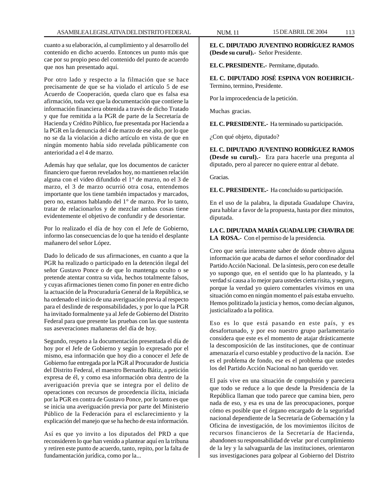cuanto a su elaboración, al cumplimiento y al desarrollo del contenido en dicho acuerdo. Entonces un punto más que cae por su propio peso del contenido del punto de acuerdo que nos han presentado aquí.

Por otro lado y respecto a la filmación que se hace precisamente de que se ha violado el artículo 5 de ese Acuerdo de Cooperación, queda claro que es falsa esa afirmación, toda vez que la documentación que contiene la información financiera obtenida a través de dicho Tratado y que fue remitida a la PGR de parte de la Secretaría de Hacienda y Crédito Público, fue presentada por Hacienda a la PGR en la denuncia del 4 de marzo de ese año, por lo que no se da la violación a dicho artículo en vista de que en ningún momento había sido revelada públicamente con anterioridad a el 4 de marzo.

Además hay que señalar, que los documentos de carácter financiero que fueron revelados hoy, no mantienen relación alguna con el video difundido el 1° de marzo, no el 3 de marzo, el 3 de marzo ocurrió otra cosa, entendemos importante que los tiene también impactados y marcados, pero no, estamos hablando del 1° de marzo. Por lo tanto, tratar de relacionarlos y de mezclar ambas cosas tiene evidentemente el objetivo de confundir y de desorientar.

Por lo realizado el día de hoy con el Jefe de Gobierno, informo las consecuencias de lo que ha tenido el desplante mañanero del señor López.

Dado lo delicado de sus afirmaciones, en cuanto a que la PGR ha realizado o participado en la detención ilegal del señor Gustavo Ponce o de que lo mantenga oculto o se pretende atentar contra su vida, hechos totalmente falsos, y cuyas afirmaciones tienen como fin poner en entre dicho la actuación de la Procuraduría General de la República, se ha ordenado el inicio de una averiguación previa al respecto para el deslinde de responsabilidades, y por lo que la PGR ha invitado formalmente ya al Jefe de Gobierno del Distrito Federal para que presente las pruebas con las que sustenta sus aseveraciones mañaneras del día de hoy.

Segundo, respeto a la documentación presentada el día de hoy por el Jefe de Gobierno y según lo expresado por el mismo, esa información que hoy dio a conocer el Jefe de Gobierno fue entregada por la PGR al Procurador de Justicia del Distrito Federal, el maestro Bernardo Bátiz, a petición expresa de él, y como esa información obra dentro de la averiguación previa que se integra por el delito de operaciones con recursos de procedencia ilícita, iniciada por la PGR en contra de Gustavo Ponce, por lo tanto es que se inicia una averiguación previa por parte del Ministerio Público de la Federación para el esclarecimiento y la explicación del manejo que se ha hecho de esta información.

Así es que yo invito a los diputados del PRD a que reconsideren lo que han venido a plantear aquí en la tribuna y retiren este punto de acuerdo, tanto, repito, por la falta de fundamentación jurídica, como por la...

**EL C. DIPUTADO JUVENTINO RODRÍGUEZ RAMOS (Desde su curul).-** Señor Presidente.

**EL C. PRESIDENTE.-** Permítame, diputado.

**EL C. DIPUTADO JOSÉ ESPINA VON ROEHRICH.-** Termino, termino, Presidente.

Por la improcedencia de la petición.

Muchas gracias.

**EL C. PRESIDENTE.-** Ha terminado su participación.

¿Con qué objeto, diputado?

**EL C. DIPUTADO JUVENTINO RODRÍGUEZ RAMOS (Desde su curul).-** Era para hacerle una pregunta al diputado, pero al parecer no quiere entrar al debate.

Gracias.

**EL C. PRESIDENTE.-** Ha concluido su participación.

En el uso de la palabra, la diputada Guadalupe Chavira, para hablar a favor de la propuesta, hasta por diez minutos, diputada.

# **LA C. DIPUTADA MARÍA GUADALUPE CHAVIRA DE LA ROSA.-** Con el permiso de la presidencia.

Creo que sería interesante saber de dónde obtuvo alguna información que acaba de darnos el señor coordinador del Partido Acción Nacional. De la síntesis, pero con ese detalle yo supongo que, en el sentido que lo ha planteado, y la verdad sí causa a lo mejor para ustedes cierta risita, y seguro, porque la verdad yo quiero comentarles vivimos en una situación como en ningún momento el país estaba envuelto. Hemos politizado la justicia y hemos, como decían algunos, justicializado a la política.

Eso es lo que está pasando en este país, y es desafortunado, y por eso nuestro grupo parlamentario considera que este es el momento de atajar drásticamente la descomposición de las instituciones, que de continuar amenazaría el curso estable y productivo de la nación. Ese es el problema de fondo, ese es el problema que ustedes los del Partido Acción Nacional no han querido ver.

El país vive en una situación de compulsión y pareciera que todo se reduce a lo que desde la Presidencia de la República llaman que todo parece que camina bien, pero nada de eso, y esa es una de las preocupaciones, porque cómo es posible que el órgano encargado de la seguridad nacional dependiente de la Secretaría de Gobernación y la Oficina de investigación, de los movimientos ilícitos de recursos financieros de la Secretaría de Hacienda, abandonen su responsabilidad de velar por el cumplimiento de la ley y la salvaguarda de las instituciones, orientaron sus investigaciones para golpear al Gobierno del Distrito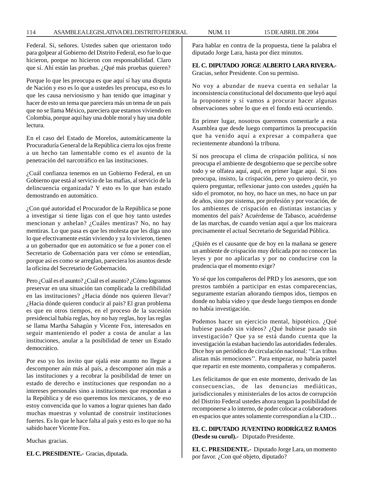Federal. Sí, señores. Ustedes saben que orientaron todo para golpear al Gobierno del Distrito Federal, eso fue lo que hicieron, porque no hicieron con responsabilidad. Claro que sí. Ahí están las pruebas. ¿Qué más pruebas quieren?

Porque lo que les preocupa es que aquí sí hay una disputa de Nación y eso es lo que a ustedes les preocupa, eso es lo que les causa nerviosismo y han tenido que imaginar y hacer de esto un tema que pareciera más un tema de un país que no se llama México, pareciera que estamos viviendo en Colombia, porque aquí hay una doble moral y hay una doble lectura.

En el caso del Estado de Morelos, automáticamente la Procuraduría General de la República cierra los ojos frente a un hecho tan lamentable como es el asunto de la penetración del narcotráfico en las instituciones.

¿Cuál confianza tenemos en un Gobierno Federal, en un Gobierno que está al servicio de las mafias, al servicio de la delincuencia organizada? Y esto es lo que han estado demostrando en automático.

¿Con qué autoridad el Procurador de la República se pone a investigar si tiene ligas con el que hoy tanto ustedes mencionan y anhelan? ¿Cuáles mentiras? No, no hay mentiras. Lo que pasa es que les molesta que les diga uno lo que efectivamente están viviendo y ya lo vivieron, tienen a un gobernador que en automático se fue a poner con el Secretario de Gobernación para ver cómo se entendían, porque así es como se arreglan, pareciera los asuntos desde la oficina del Secretario de Gobernación.

Pero ¿Cuál es el asunto? ¿Cuál es el asunto? ¿Cómo logramos preservar en una situación tan complicada la credibilidad en las instituciones? ¿Hacia dónde nos quieren llevar? ¿Hacia dónde quieren conducir al país? El gran problema es que en otros tiempos, en el proceso de la sucesión presidencial había reglas, hoy no hay reglas, hoy las reglas se llama Martha Sahagún y Vicente Fox, interesados en seguir manteniendo el poder a costa de anular a las instituciones, anular a la posibilidad de tener un Estado democrático.

Por eso yo los invito que ojalá este asunto no llegue a descomponer aún más al país, a descomponer aún más a las instituciones y a recobrar la posibilidad de tener un estado de derecho e instituciones que respondan no a intereses personales sino a instituciones que respondan a la República y de eso queremos los mexicanos, y de eso estoy convencida que lo vamos a lograr quienes han dado muchas muestras y voluntad de construir instituciones fuertes. Es lo que le hace falta al país y esto es lo que no ha sabido hacer Vicente Fox.

Muchas gracias.

**EL C. PRESIDENTE.-** Gracias, diputada.

Para hablar en contra de la propuesta, tiene la palabra el diputado Jorge Lara, hasta por diez minutos.

**EL C. DIPUTADO JORGE ALBERTO LARA RIVERA.-** Gracias, señor Presidente. Con su permiso.

No voy a abundar de nueva cuenta en señalar la inconsistencia constitucional del documento que leyó aquí la proponente y sí vamos a procurar hacer algunas observaciones sobre lo que en el fondo está ocurriendo.

En primer lugar, nosotros queremos comentarle a esta Asamblea que desde luego compartimos la preocupación que ha venido aquí a expresar a compañera que recientemente abandonó la tribuna.

Sí nos preocupa el clima de crispación política, sí nos preocupa el ambiente de desgobierno que se percibe sobre todo y se olfatea aquí, aquí, en primer lugar aquí. Sí nos preocupa, insisto, la crispación, pero yo quiero decir, yo quiero preguntar, reflexionar junto con ustedes ¿quién ha sido el promotor, no hoy, no hace un mes, no hace un par de años, sino por sistema, por profesión y por vocación, de los ambientes de crispación en distintas instancias y momentos del país? Acuérdense de Tabasco, acuérdense de las marchas, de cuando venían aquí a que los maiceara precisamente el actual Secretario de Seguridad Pública.

¿Quién es el causante que de hoy en la mañana se genere un ambiente de crispación muy delicada por no conocer las leyes y por no aplicarlas y por no conducirse con la prudencia que el momento exige?

Yo sé que los compañeros del PRD y los asesores, que son prestos también a participar en estas comparecencias, seguramente estarían añorando tiempos idos, tiempos en donde no había video y que desde luego tiempos en donde no había investigación.

Podemos hacer un ejercicio mental, hipotético. ¿Qué hubiese pasado sin videos? ¿Qué hubiese pasado sin investigación? Que ya se está dando cuenta que la investigación la estaban haciendo las autoridades federales. Dice hoy un periódico de circulación nacional: ''Las tribus alistan más remociones''. Para empezar, no habría pastel que repartir en este momento, compañeras y compañeros.

Les felicitamos de que en este momento, derivado de las consecuencias, de las denuncias mediáticas, jurisdiccionales y ministeriales de los actos de corrupción del Distrito Federal ustedes ahora tengan la posibilidad de recomponerse a lo interno, de poder colocar a colaboradores en espacios que antes solamente correspondían a la CID…

**EL C. DIPUTADO JUVENTINO RODRÍGUEZ RAMOS (Desde su curul).-** Diputado Presidente.

**EL C. PRESIDENTE.-** Diputado Jorge Lara, un momento por favor. ¿Con qué objeto, diputado?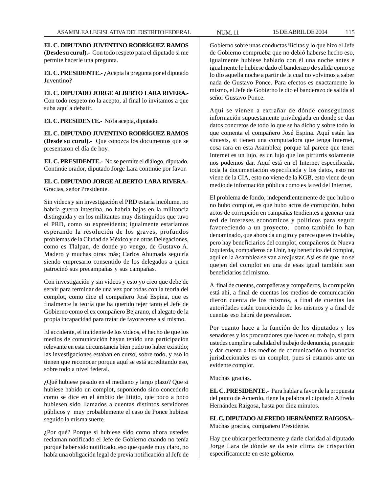**EL C. DIPUTADO JUVENTINO RODRÍGUEZ RAMOS (Desde su curul).-** Con todo respeto para el diputado si me permite hacerle una pregunta.

**EL C. PRESIDENTE.-** ¿Acepta la pregunta por el diputado Juventino?

**EL C. DIPUTADO JORGE ALBERTO LARA RIVERA.-** Con todo respeto no la acepto, al final lo invitamos a que suba aquí a debatir.

**EL C. PRESIDENTE.-** No la acepta, diputado.

**EL C. DIPUTADO JUVENTINO RODRÍGUEZ RAMOS (Desde su curul).-** Que conozca los documentos que se presentaron el día de hoy.

**EL C. PRESIDENTE.-** No se permite el diálogo, diputado. Continúe orador, diputado Jorge Lara continúe por favor.

# **EL C. DIPUTADO JORGE ALBERTO LARA RIVERA.-** Gracias, señor Presidente.

Sin videos y sin investigación el PRD estaría incólume, no habría guerra intestina, no habría bajas en la militancia distinguida y en los militantes muy distinguidos que tuvo el PRD, como su expresidenta; igualmente estaríamos esperando la resolución de los graves, profundos problemas de la Ciudad de México y de otras Delegaciones, como es Tlalpan, de donde yo vengo, de Gustavo A. Madero y muchas otras más; Carlos Ahumada seguiría siendo empresario consentido de los delegados a quien patrocinó sus precampañas y sus campañas.

Con investigación y sin videos y esto yo creo que debe de servir para terminar de una vez por todas con la teoría del complot, como dice el compañero José Espina, que es finalmente la teoría que ha querido tejer tanto el Jefe de Gobierno como el ex compañero Bejarano, el alegato de la propia incapacidad para tratar de favorecerse a sí mismo.

El accidente, el incidente de los videos, el hecho de que los medios de comunicación hayan tenido una participación relevante en esta circunstancia bien pudo no haber existido; las investigaciones estaban en curso, sobre todo, y eso lo tienen que reconocer porque aquí se está acreditando eso, sobre todo a nivel federal.

¿Qué hubiese pasado en el mediano y largo plazo? Que si hubiese habido un complot, suponiendo sino concederlo como se dice en el ámbito de litigio, que poco a poco hubiesen sido llamados a cuentas distintos servidores públicos y muy probablemente el caso de Ponce hubiese seguido la misma suerte.

¿Por qué? Porque si hubiese sido como ahora ustedes reclaman notificado el Jefe de Gobierno cuando no tenía porqué haber sido notificado, eso que quede muy claro, no había una obligación legal de previa notificación al Jefe de

Gobierno sobre unas conductas ilícitas y lo que hizo el Jefe de Gobierno comprueba que no debió haberse hecho eso, igualmente hubiese hablado con él una noche antes e igualmente le hubiese dado el banderazo de salida como se lo dio aquella noche a partir de la cual no volvimos a saber nada de Gustavo Ponce. Para efectos es exactamente lo mismo, el Jefe de Gobierno le dio el banderazo de salida al señor Gustavo Ponce.

Aquí se vienen a extrañar de dónde conseguimos información supuestamente privilegiada en donde se dan datos concretos de todo lo que se ha dicho y sobre todo lo que comenta el compañero José Espina. Aquí están las síntesis, si tienen una computadora que tenga Internet, cosa rara en esta Asamblea; porque tal parece que tener Internet es un lujo, es un lujo que los pirrurris solamente nos podemos dar. Aquí está en el Internet especificada, toda la documentación especificada y los datos, esto no viene de la CIA, esto no viene de la KGB, esto viene de un medio de información pública como es la red del Internet.

El problema de fondo, independientemente de que hubo o no hubo complot, es que hubo actos de corrupción, hubo actos de corrupción en campañas tendientes a generar una red de intereses económicos y políticos para seguir favoreciendo a un proyecto, como también lo han denominado, que ahora da un giro y parece que es inviable, pero hay beneficiarios del complot, compañeros de Nueva Izquierda, compañeros de Unir, hay beneficios del complot, aquí en la Asamblea se van a reajustar. Así es de que no se quejen del complot en una de esas igual también son beneficiarios del mismo.

A final de cuentas, compañeras y compañeros, la corrupción está ahí, a final de cuentas los medios de comunicación dieron cuenta de los mismos, a final de cuentas las autoridades están conociendo de los mismos y a final de cuentas eso habrá de prevalecer.

Por cuanto hace a la función de los diputados y los senadores y los procuradores que hacen su trabajo, si para ustedes cumplir a cabalidad el trabajo de denuncia, perseguir y dar cuenta a los medios de comunicación o instancias jurisdiccionales es un complot, pues sí estamos ante un evidente complot.

Muchas gracias.

**EL C. PRESIDENTE.-** Para hablar a favor de la propuesta del punto de Acuerdo, tiene la palabra el diputado Alfredo Hernández Raigosa, hasta por diez minutos.

**EL C. DIPUTADO ALFREDO HERNÁNDEZ RAIGOSA.-** Muchas gracias, compañero Presidente.

Hay que ubicar perfectamente y darle claridad al diputado Jorge Lara de dónde se da este clima de crispación específicamente en este gobierno.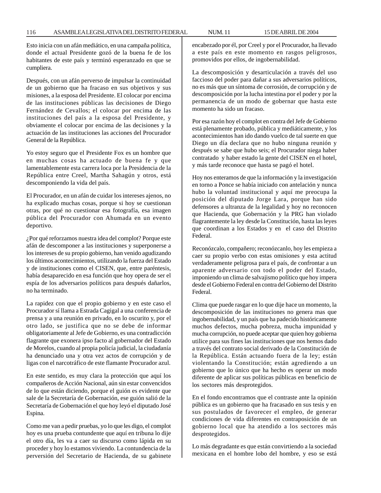Esto inicia con un afán mediático, en una campaña política, donde el actual Presidente gozó de la buena fe de los habitantes de este país y terminó esperanzado en que se cumpliera.

Después, con un afán perverso de impulsar la continuidad de un gobierno que ha fracaso en sus objetivos y sus misiones, a la esposa del Presidente. El colocar por encima de las instituciones públicas las decisiones de Diego Fernández de Cevallos; el colocar por encima de las instituciones del país a la esposa del Presidente, y obviamente el colocar por encima de las decisiones y la actuación de las instituciones las acciones del Procurador General de la República.

Yo estoy seguro que el Presidente Fox es un hombre que en muchas cosas ha actuado de buena fe y que lamentablemente esta carrera loca por la Presidencia de la República entre Creel, Martha Sahagún y otros, está descomponiendo la vida del país.

El Procurador, en un afán de cuidar los intereses ajenos, no ha explicado muchas cosas, porque si hoy se cuestionan otras, por qué no cuestionar esa fotografía, esa imagen pública del Procurador con Ahumada en un evento deportivo.

¿Por qué reforzamos nuestra idea del complot? Porque este afán de descomponer a las instituciones y superponerse a los intereses de su propio gobierno, han venido agudizando los últimos acontecimientos, utilizando la fuerza del Estado y de instituciones como el CISEN, que, entre paréntesis, había desaparecido en esa función que hoy opera de ser el espía de los adversarios políticos para después dañarlos, no ha terminado.

La rapidez con que el propio gobierno y en este caso el Procurador sí llama a Estrada Cagigal a una conferencia de prensa y a una reunión en privado, en lo oscurito y, por el otro lado, se justifica que no se debe de informar obligatoriamente al Jefe de Gobierno, es una contradicción flagrante que exonera ipso facto al gobernador del Estado de Morelos, cuando al propia policía judicial, la ciudadanía ha denunciado una y otra vez actos de corrupción y de ligas con el narcotráfico de este flamante Procurador azul.

En este sentido, es muy clara la protección que aquí los compañeros de Acción Nacional, aún sin estar convencidos de lo que están diciendo, porque el guión es evidente que sale de la Secretaría de Gobernación, ese guión salió de la Secretaría de Gobernación el que hoy leyó el diputado José Espina.

Como me van a pedir pruebas, yo lo que les digo, el complot hoy es una prueba contundente que aquí en tribuna lo dije el otro día, les va a caer su discurso como lápida en su proceder y hoy lo estamos viviendo. La contundencia de la perversión del Secretario de Hacienda, de su gabinete encabezado por él, por Creel y por el Procurador, ha llevado a este país en este momento en rasgos peligrosos, promovidos por ellos, de ingobernabilidad.

La descomposición y desarticulación a través del uso faccioso del poder para dañar a sus adversarios políticos, no es más que un síntoma de corrosión, de corrupción y de descomposición por la lucha intestina por el poder y por la permanencia de un modo de gobernar que hasta este momento ha sido un fracaso.

Por esa razón hoy el complot en contra del Jefe de Gobierno está plenamente probado, pública y mediáticamente, y los acontecimientos han ido dando vuelco de tal suerte en que Diego un día declara que no hubo ninguna reunión y después se sabe que hubo seis; el Procurador niega haber contratado y haber estado la gente del CISEN en el hotel, y más tarde reconoce que hasta se pagó el hotel.

Hoy nos enteramos de que la información y la investigación en torno a Ponce se había iniciado con antelación y nunca hubo la voluntad institucional y aquí me preocupa la posición del diputado Jorge Lara, porque han sido defensores a ultranza de la legalidad y hoy no reconocen que Hacienda, que Gobernación y la PRG han violado flagrantemente la ley desde la Constitución, hasta las leyes que coordinan a los Estados y en el caso del Distrito Federal.

Reconózcalo, compañero; reconózcanlo, hoy les empieza a caer su propio verbo con estas omisiones y esta actitud verdaderamente peligrosa para el país, de confrontar a un aparente adversario con todo el poder del Estado, imponiendo un clima de salvajismo político que hoy impera desde el Gobierno Federal en contra del Gobierno del Distrito Federal.

Clima que puede rasgar en lo que dije hace un momento, la descomposición de las instituciones no genera mas que ingobernabilidad, y un país que ha padecido históricamente muchos defectos, mucha pobreza, mucha impunidad y mucha corrupción, no puede aceptar que quien hoy gobierna utilice para sus fines las instituciones que nos hemos dado a través del contrato social derivado de la Constitución de la República. Están actuando fuera de la ley; están violentando la Constitución; están agrediendo a un gobierno que lo único que ha hecho es operar un modo diferente de aplicar sus políticas públicas en beneficio de los sectores más desprotegidos.

En el fondo encontramos que el contraste ante la opinión pública es un gobierno que ha fracasado en sus tesis y en sus postulados de favorecer el empleo, de generar condiciones de vida diferentes en contraposición de un gobierno local que ha atendido a los sectores más desprotegidos.

Lo más degradante es que están convirtiendo a la sociedad mexicana en el hombre lobo del hombre, y eso se está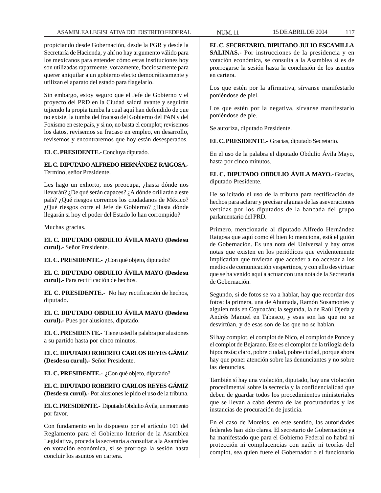propiciando desde Gobernación, desde la PGR y desde la Secretaría de Hacienda, y ahí no hay argumento válido para los mexicanos para entender cómo estas instituciones hoy son utilizadas rapazmente, vorazmente, facciosamente para querer aniquilar a un gobierno electo democráticamente y utilizan el aparato del estado para flagelarlo.

Sin embargo, estoy seguro que el Jefe de Gobierno y el proyecto del PRD en la Ciudad saldrá avante y seguirán tejiendo la propia tumba la cual aquí han defendido de que no existe, la tumba del fracaso del Gobierno del PAN y del Foxismo en este país, y si no, no basta el complot; revisemos los datos, revisemos su fracaso en empleo, en desarrollo, revisemos y encontraremos que hoy están desesperados.

## **EL C. PRESIDENTE.-** Concluya diputado.

# **EL C. DIPUTADO ALFREDO HERNÁNDEZ RAIGOSA.-** Termino, señor Presidente.

Les hago un exhorto, nos preocupa, ¿hasta dónde nos llevarán? ¿De qué serán capaces? ¿A dónde orillarán a este país? ¿Qué riesgos corremos los ciudadanos de México? ¿Qué riesgos corre el Jefe de Gobierno? ¿Hasta dónde llegarán si hoy el poder del Estado lo han corrompido?

Muchas gracias.

**EL C. DIPUTADO OBDULIO ÁVILA MAYO (Desde su curul).-** Señor Presidente.

**EL C. PRESIDENTE.-** ¿Con qué objeto, diputado?

**EL C. DIPUTADO OBDULIO ÁVILA MAYO (Desde su curul).-** Para rectificación de hechos.

**EL C. PRESIDENTE.-** No hay rectificación de hechos, diputado.

**EL C. DIPUTADO OBDULIO ÁVILA MAYO (Desde su curul).-** Pues por alusiones, diputado.

**EL C. PRESIDENTE.-** Tiene usted la palabra por alusiones a su partido hasta por cinco minutos.

**EL C. DIPUTADO ROBERTO CARLOS REYES GÁMIZ (Desde su curul).-** Señor Presidente.

**EL C. PRESIDENTE.-** ¿Con qué objeto, diputado?

**EL C. DIPUTADO ROBERTO CARLOS REYES GÁMIZ (Desde su curul).-** Por alusiones le pido el uso de la tribuna.

**EL C. PRESIDENTE.-** Diputado Obdulio Ávila, un momento por favor.

Con fundamento en lo dispuesto por el artículo 101 del Reglamento para el Gobierno Interior de la Asamblea Legislativa, proceda la secretaría a consultar a la Asamblea en votación económica, si se prorroga la sesión hasta concluir los asuntos en cartera.

**EL C. SECRETARIO, DIPUTADO JULIO ESCAMILLA SALINAS.-** Por instrucciones de la presidencia y en votación económica, se consulta a la Asamblea si es de prorrogarse la sesión hasta la conclusión de los asuntos en cartera.

Los que estén por la afirmativa, sírvanse manifestarlo poniéndose de piel.

Los que estén por la negativa, sírvanse manifestarlo poniéndose de pie.

Se autoriza, diputado Presidente.

**EL C. PRESIDENTE.-** Gracias, diputado Secretario.

En el uso de la palabra el diputado Obdulio Ávila Mayo, hasta por cinco minutos.

**EL C. DIPUTADO OBDULIO ÁVILA MAYO.-** Gracias, diputado Presidente.

He solicitado el uso de la tribuna para rectificación de hechos para aclarar y precisar algunas de las aseveraciones vertidas por los diputados de la bancada del grupo parlamentario del PRD.

Primero, mencionarle al diputado Alfredo Hernández Raigosa que aquí como él bien lo menciona, está el guión de Gobernación. Es una nota del Universal y hay otras notas que existen en los periódicos que evidentemente implicarían que tuvieran que acceder a no accesar a los medios de comunicación vespertinos, y con ello desvirtuar que se ha venido aquí a actuar con una nota de la Secretaría de Gobernación.

Segundo, si de fotos se va a hablar, hay que recordar dos fotos: la primera, una de Ahumada, Ramón Sosamontes y alguien más en Coyoacán; la segunda, la de Raúl Ojeda y Andrés Manuel en Tabasco, y esas son las que no se desvirtúan, y de esas son de las que no se hablan.

Sí hay complot, el complot de Nico, el complot de Ponce y el complot de Bejarano. Ese es el complot de la trilogía de la hipocresía; claro, pobre ciudad, pobre ciudad, porque ahora hay que poner atención sobre las denunciantes y no sobre las denuncias.

También sí hay una violación, diputado, hay una violación procedimental sobre la secrecía y la confidencialidad que deben de guardar todos los procedimientos ministeriales que se llevan a cabo dentro de las procuradurías y las instancias de procuración de justicia.

En el caso de Morelos, en este sentido, las autoridades federales han sido claras. El secretario de Gobernación ya ha manifestado que para el Gobierno Federal no habrá ni protección ni complacencias con nadie ni teorías del complot, sea quien fuere el Gobernador o el funcionario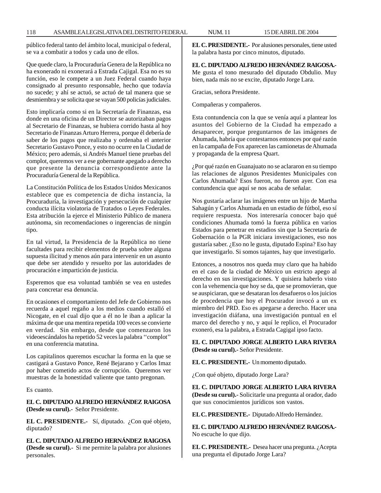público federal tanto del ámbito local, municipal o federal, se va a combatir a todos y cada uno de ellos.

Que quede claro, la Procuraduría Genera de la República no ha exonerado ni exonerará a Estrada Cajigal. Esa no es su función, eso le compete a un Juez Federal cuando haya consignado al presunto responsable, hecho que todavía no sucede; y ahí se actuó, se actuó de tal manera que se desmiembra y se solicita que se vayan 500 policías judiciales.

Esto implicaría como si en la Secretaría de Finanzas, esa donde en una oficina de un Director se autorizaban pagos al Secretario de Finanzas, se hubiera corrido hasta al hoy Secretario de Finanzas Arturo Herrera, porque él debería de saber de los pagos que realizaba y ordenaba el anterior Secretario Gustavo Ponce, y esto no ocurre en la Ciudad de México; pero además, si Andrés Manuel tiene pruebas del complot, queremos ver a ese gobernante apegado a derecho que presente la denuncia correspondiente ante la Procuraduría General de la República.

La Constitución Política de los Estados Unidos Mexicanos establece que es competencia de dicha instancia, la Procuraduría, la investigación y persecución de cualquier conducta ilícita violatoria de Tratados o Leyes Federales. Esta atribución la ejerce el Ministerio Público de manera autónoma, sin recomendaciones o ingerencias de ningún tipo.

En tal virtud, la Presidencia de la República no tiene facultades para recibir elementos de prueba sobre alguna supuesta ilicitud y menos aún para intervenir en un asunto que debe ser atendido y resuelto por las autoridades de procuración e impartición de justicia.

Esperemos que esa voluntad también se vea en ustedes para concretar esa denuncia.

En ocasiones el comportamiento del Jefe de Gobierno nos recuerda a aquel regaño a los medios cuando estalló el Nicogate, en el cual dijo que a él no le iban a aplicar la máxima de que una mentira repetida 100 veces se convierte en verdad. Sin embargo, desde que comenzaron los videoescándalos ha repetido 52 veces la palabra ''complot'' en una conferencia matutina.

Los capitalinos queremos escuchar la forma en la que se castigará a Gustavo Ponce, René Bejarano y Carlos Imaz por haber cometido actos de corrupción. Queremos ver muestras de la honestidad valiente que tanto pregonan.

Es cuanto.

**EL C. DIPUTADO ALFREDO HERNÁNDEZ RAIGOSA (Desde su curul).-** Señor Presidente.

**EL C. PRESIDENTE.-** Sí, diputado. ¿Con qué objeto, diputado?

**EL C. DIPUTADO ALFREDO HERNÁNDEZ RAIGOSA (Desde su curul).-** Si me permite la palabra por alusiones personales.

**EL C. PRESIDENTE.-** Por alusiones personales, tiene usted la palabra hasta por cinco minutos, diputado.

**EL C. DIPUTADO ALFREDO HERNÁNDEZ RAIGOSA.-** Me gusta el tono mesurado del diputado Obdulio. Muy bien, nada más no se excite, diputado Jorge Lara.

Gracias, señora Presidente.

Compañeras y compañeros.

Esta contundencia con la que se venía aquí a plantear los asuntos del Gobierno de la Ciudad ha empezado a desaparecer, porque preguntarnos de las imágenes de Ahumada, habría que contestarnos entonces por qué razón en la campaña de Fox aparecen las camionetas de Ahumada y propaganda de la empresa Quart.

¿Por qué razón en Guanajuato no se aclararon en su tiempo las relaciones de algunos Presidentes Municipales con Carlos Ahumada? Esos fueron, no fueron ayer. Con esa contundencia que aquí se nos acaba de señalar.

Nos gustaría aclarar las imágenes entre un hijo de Martha Sahagún y Carlos Ahumada en un estadio de fútbol, eso sí requiere respuesta. Nos interesaría conocer bajo qué condiciones Ahumada tomó la fuerza pública en varios Estados para penetrar en estadios sin que la Secretaría de Gobernación o la PGR iniciara investigaciones, eso nos gustaría saber. ¿Eso no le gusta, diputado Espina? Eso hay que investigarlo. Si somos tajantes, hay que investigarlo.

Entonces, a nosotros nos queda muy claro que ha habido en el caso de la ciudad de México un estricto apego al derecho en sus investigaciones. Y quisiera haberlo visto con la vehemencia que hoy se da, que se promovieran, que se auspiciaran, que se desataran los desafueros o los juicios de procedencia que hoy el Procurador invocó a un ex miembro del PRD. Eso es apegarse a derecho. Hacer una investigación diáfana, una investigación puntual en el marco del derecho y no, y aquí le replico, el Procurador exoneró, esa la palabra, a Estrada Cagigal ipso facto.

**EL C. DIPUTADO JORGE ALBERTO LARA RIVERA (Desde su curul).-** Señor Presidente.

**EL C. PRESIDENTE.-** Un momento diputado.

¿Con qué objeto, diputado Jorge Lara?

**EL C. DIPUTADO JORGE ALBERTO LARA RIVERA (Desde su curul).-** Solicitarle una pregunta al orador, dado que sus conocimientos jurídicos son vastos.

**EL C. PRESIDENTE.-** Diputado Alfredo Hernández.

**EL C. DIPUTADO ALFREDO HERNÁNDEZ RAIGOSA.-** No escuche lo que dijo.

**EL C. PRESIDENTE.-** Desea hacer una pregunta. ¿Acepta una pregunta el diputado Jorge Lara?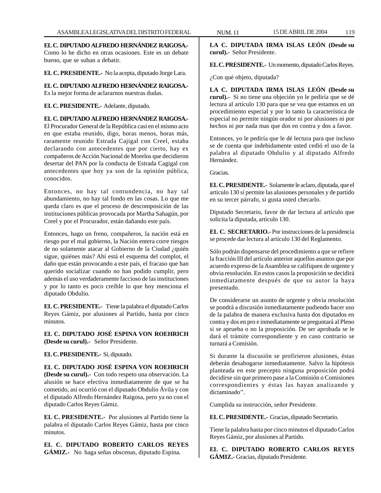**EL C. DIPUTADO ALFREDO HERNÁNDEZ RAIGOSA.-** Como lo he dicho en otras ocasiones. Este es un debate bueno, que se suban a debatir.

**EL C. PRESIDENTE.-** No la acepta, diputado Jorge Lara.

**EL C. DIPUTADO ALFREDO HERNÁNDEZ RAIGOSA.-** Es la mejor forma de aclararnos nuestras dudas.

# **EL C. PRESIDENTE.-** Adelante, diputado.

# **EL C. DIPUTADO ALFREDO HERNÁNDEZ RAIGOSA.-**

El Procurador General de la República casi en el mismo acto en que estaba reunido, digo, horas menos, horas más, raramente reunido Estrada Cajigal con Creel, estaba declarando con antecedentes que por cierto, hay ex compañeros de Acción Nacional de Morelos que decidieron desertar del PAN por la conducta de Estrada Cagigal con antecedentes que hoy ya son de la opinión pública, conocidos.

Entonces, no hay tal contundencia, no hay tal abundamiento, no hay tal fondo en las cosas. Lo que me queda claro es que el proceso de descomposición de las instituciones públicas provocada por Martha Sahagún, por Creel y por el Procurador, están dañando este país.

Entonces, hago un freno, compañeros, la nación está en riesgo por el mal gobierno, la Nación entera corre riesgos de no solamente atacar al Gobierno de la Ciudad ¿quién sigue, quiénes más? Ahí está el esquema del complot, el daño que están provocando a este país, el fracaso que han querido socializar cuando no han podido cumplir, pero además el uso verdaderamente faccioso de las instituciones y por lo tanto es poco creíble lo que hoy menciona el diputado Obdulio.

**EL C. PRESIDENTE.-** Tiene la palabra el diputado Carlos Reyes Gámiz, por alusiones al Partido, hasta por cinco minutos.

**EL C. DIPUTADO JOSÉ ESPINA VON ROEHRICH (Desde su curul).-** Señor Presidente.

# **EL C. PRESIDENTE.-** Sí, diputado.

**EL C. DIPUTADO JOSÉ ESPINA VON ROEHRICH (Desde su curul).-** Con todo respeto una observación. La alusión se hace efectiva inmediatamente de que se ha cometido, así ocurrió con el diputado Obdulio Ávila y con el diputado Alfredo Hernández Raigosa, pero ya no con el diputado Carlos Reyes Gámiz.

**EL C. PRESIDENTE.-** Por alusiones al Partido tiene la palabra el diputado Carlos Reyes Gámiz, hasta por cinco minutos.

**EL C. DIPUTADO ROBERTO CARLOS REYES GÁMIZ.-** No haga señas obscenas, diputado Espina.

**LA C. DIPUTADA IRMA ISLAS LEÓN (Desde su curul).-** Señor Presidente.

**EL C. PRESIDENTE.-** Un momento, diputado Carlos Reyes.

¿Con qué objeto, diputada?

**LA C. DIPUTADA IRMA ISLAS LEÓN (Desde su curul).-** Si no tiene una objeción yo le pediría que se dé lectura al artículo 130 para que se vea que estamos en un procedimiento especial y por lo tanto la característica de especial no permite ningún orador ni por alusiones ni por hechos ni por nada mas que dos en contra y dos a favor.

Entonces, yo le pediría que le dé lectura para que incluso se de cuenta que indebidamente usted cedió el uso de la palabra al diputado Obdulio y al diputado Alfredo Hernández.

Gracias.

**EL C. PRESIDENTE.-** Solamente le aclaro, diputada, que el artículo 130 sí permite las alusiones personales y de partido en su tercer párrafo, si gusta usted checarlo.

Diputado Secretario, favor de dar lectura al artículo que solicita la diputada, artículo 130.

**EL C. SECRETARIO.-** Por instrucciones de la presidencia se procede dar lectura al artículo 130 del Reglamento.

Sólo podrán dispensarse del procedimiento a que se refiere la fracción III del artículo anterior aquellos asuntos que por acuerdo expreso de la Asamblea se califiquen de urgente y obvia resolución. En estos casos la proposición se decidirá inmediatamente después de que su autor la haya presentado.

De considerarse un asunto de urgente y obvia resolución se pondrá a discusión inmediatamente pudiendo hacer uso de la palabra de manera exclusiva hasta dos diputados en contra y dos en pro e inmediatamente se preguntará al Pleno si se aprueba o no la proposición. De ser aprobada se le dará el trámite correspondiente y en caso contrario se turnará a Comisión.

Si durante la discusión se profirieron alusiones, éstas deberán desahogarse inmediatamente. Salvo la hipótesis planteada en este precepto ninguna proposición podrá decidirse sin que primero pase a la Comisión o Comisiones correspondientes y éstas las hayan analizando y dictaminado''.

Cumplida su instrucción, señor Presidente.

**EL C. PRESIDENTE.-** Gracias, diputado Secretario.

Tiene la palabra hasta por cinco minutos el diputado Carlos Reyes Gámiz, por alusiones al Partido.

**EL C. DIPUTADO ROBERTO CARLOS REYES GÁMIZ.-** Gracias, diputado Presidente.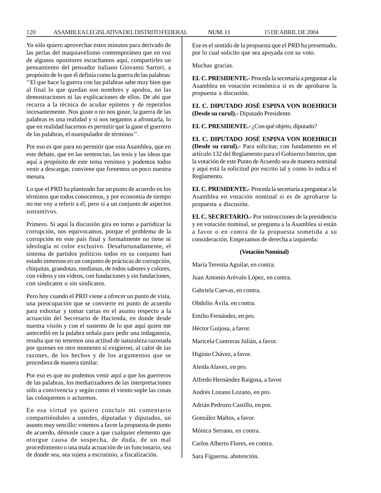Yo sólo quiero aprovechar estos minutos para derivado de las perlas del maquiavelismo contemporáneo que en voz de algunos opositores escuchamos aquí, compartirles un pensamiento del pensador italiano Giovanni Sartori, a propósito de lo que él definía como la guerra de las palabras: ''El que hace la guerra con las palabras sabe muy bien que al final lo que quedan son nombres y apodos, no las demostraciones ni las explicaciones de ellos. De ahí que recurra a la técnica de acuñar epítetos y de repetirlos incesantemente. Nos guste o no nos guste, la guerra de las palabras es una realidad y si nos negamos a afrontarla, lo que en realidad hacemos es permitir que la gane el guerrero de las palabras, el manipulador de términos''.

Por eso es que para no permitir que esta Asamblea, que en este debate, que en las sentencias, las tesis y las ideas que aquí a propósito de este tema venimos y podemos todos venir a descargar, conviene que frenemos un poco nuestra mesura.

Lo que el PRD ha planteado fue un punto de acuerdo en los términos que todos conocemos, y por economía de tiempo no me voy a referir a él, pero sí a un conjunto de aspectos sustantivos.

Primero. Si aquí la discusión gira en torno a partidizar la corrupción, nos equivocamos, porque el problema de la corrupción en este país final y formalmente no tiene ni ideología ni color exclusivo. Desafortunadamente, el sistema de partidos políticos todos en su conjunto han estado inmersos en un conjunto de prácticas de corrupción, chiquitas, grandotas, medianas, de todos sabores y colores, con videos y sin videos, con fundaciones y sin fundaciones, con sindicatos o sin sindicatos.

Pero hoy cuando el PRD viene a ofrecer un punto de vista, una preocupación que se convierte en punto de acuerdo para exhortar y tomar cartas en el asunto respecto a la actuación del Secretario de Hacienda, en donde desde nuestra visión y con el sustento de lo que aquí quien me antecedió en la palabra señala para pedir una indagatoria, resulta que no tenemos una actitud de naturaleza razonada por quienes en otro momento sí exigieron, al calor de las razones, de los hechos y de los argumentos que se procediera de manera similar.

Por eso es que no podemos venir aquí a que los guerreros de las palabras, los mediatizadores de las interpretaciones sólo a convivencia y según como el viento sople las cosas las coloquemos o actuemos.

En esa virtud yo quiero concluir mi comentario compartiéndoles a ustedes, diputadas y diputados, un asunto muy sencillo: votemos a favor la propuesta de punto de acuerdo, démosle cauce a que cualquier elemento que otorgue causa de sospecha, de duda, de un mal procedimiento o una mala actuación de un funcionario, sea de donde sea, sea sujeta a escrutinio, a fiscalización.

Ese es el sentido de la propuesta que el PRD ha presentado, por lo cual solicito que sea apoyada con su voto.

Muchas gracias.

**EL C. PRESIDENTE.-** Proceda la secretaría a preguntar a la Asamblea en votación económica si es de aprobarse la propuesta a discusión.

**EL C. DIPUTADO JOSÉ ESPINA VON ROEHRICH (Desde su curul).-** Diputado Presidente.

**EL C. PRESIDENTE.-** ¿Con qué objeto, diputado?

**EL C. DIPUTADO JOSÉ ESPINA VON ROEHRICH (Desde su curul).-** Para solicitar, con fundamento en el artículo 132 del Reglamento para el Gobierno Interior, que la votación de este Punto de Acuerdo sea de manera nominal y aquí está la solicitud por escrito tal y como lo indica el Reglamento.

**EL C. PRESIDENTE.-** Proceda la secretaría a preguntar a la Asamblea en votación nominal si es de aprobarse la propuesta a discusión.

**EL C. SECRETARIO.-** Por instrucciones de la presidencia y en votación nominal, se pregunta a la Asamblea si están a favor o en contra de la propuesta sometida a su consideración. Empezamos de derecha a izquierda:

#### **(Votación Nominal)**

María Teresita Aguilar, en contra.

Juan Antonio Arévalo López, en contra.

Gabriela Cuevas, en contra.

Obdulio Ávila, en contra.

Emilio Fernández, en pro.

Héctor Guijosa, a favor.

Maricela Contreras Julián, a favor.

Higinio Chávez, a favor.

Aleida Alavez, en pro.

Alfredo Hernández Raigosa, a favor.

Andrés Lozano Lozano, en pro.

Adrián Pedrozo Castillo, en pro.

González Maltos, a favor.

Mónica Serrano, en contra.

Carlos Alberto Flores, en contra.

Sara Figueroa, abstención.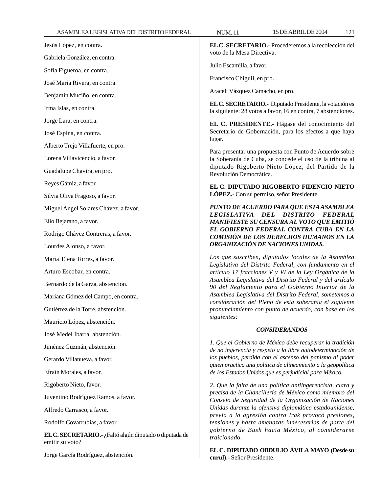| Jesús López, en contra.                                                   | EL C. SECRETARIO.- Procederemos a la recolección del<br>voto de la Mesa Directiva.                                                                                                                                                                                                                                                                                                                                                                                                   |
|---------------------------------------------------------------------------|--------------------------------------------------------------------------------------------------------------------------------------------------------------------------------------------------------------------------------------------------------------------------------------------------------------------------------------------------------------------------------------------------------------------------------------------------------------------------------------|
| Gabriela González, en contra.                                             | Julio Escamilla, a favor.                                                                                                                                                                                                                                                                                                                                                                                                                                                            |
| Sofía Figueroa, en contra.                                                | Francisco Chiguil, en pro.                                                                                                                                                                                                                                                                                                                                                                                                                                                           |
| José María Rivera, en contra.                                             |                                                                                                                                                                                                                                                                                                                                                                                                                                                                                      |
| Benjamín Muciño, en contra.                                               | Araceli Vázquez Camacho, en pro.<br>EL C. SECRETARIO.- Diputado Presidente, la votación es<br>la siguiente: 28 votos a favor, 16 en contra, 7 abstenciones.                                                                                                                                                                                                                                                                                                                          |
| Irma Islas, en contra.                                                    |                                                                                                                                                                                                                                                                                                                                                                                                                                                                                      |
| Jorge Lara, en contra.                                                    | EL C. PRESIDENTE.- Hágase del conocimiento del<br>Secretario de Gobernación, para los efectos a que haya<br>lugar.<br>Para presentar una propuesta con Punto de Acuerdo sobre<br>la Soberanía de Cuba, se concede el uso de la tribuna al<br>diputado Rigoberto Nieto López, del Partido de la<br>Revolución Democrática.                                                                                                                                                            |
| José Espina, en contra.                                                   |                                                                                                                                                                                                                                                                                                                                                                                                                                                                                      |
| Alberto Trejo Villafuerte, en pro.                                        |                                                                                                                                                                                                                                                                                                                                                                                                                                                                                      |
| Lorena Villavicencio, a favor.                                            |                                                                                                                                                                                                                                                                                                                                                                                                                                                                                      |
| Guadalupe Chavira, en pro.                                                |                                                                                                                                                                                                                                                                                                                                                                                                                                                                                      |
| Reyes Gámiz, a favor.                                                     | EL C. DIPUTADO RIGOBERTO FIDENCIO NIETO<br>LÓPEZ.- Con su permiso, señor Presidente.                                                                                                                                                                                                                                                                                                                                                                                                 |
| Silvia Oliva Fragoso, a favor.                                            |                                                                                                                                                                                                                                                                                                                                                                                                                                                                                      |
| Miguel Angel Solares Chávez, a favor.                                     | PUNTO DE ACUERDO PARA QUE ESTA ASAMBLEA<br>LEGISLATIVA DEL DISTRITO FEDERAL<br>MANIFIESTE SU CENSURA AL VOTO QUE EMITIÓ<br>EL GOBIERNO FEDERAL CONTRA CUBA EN LA<br>COMISIÓN DE LOS DERECHOS HUMANOS EN LA<br>ORGANIZACIÓN DE NACIONES UNIDAS.                                                                                                                                                                                                                                       |
| Elio Bejarano, a favor.                                                   |                                                                                                                                                                                                                                                                                                                                                                                                                                                                                      |
| Rodrigo Chávez Contreras, a favor.                                        |                                                                                                                                                                                                                                                                                                                                                                                                                                                                                      |
| Lourdes Alonso, a favor.                                                  |                                                                                                                                                                                                                                                                                                                                                                                                                                                                                      |
| María Elena Torres, a favor.                                              | Los que suscriben, diputados locales de la Asamblea<br>Legislativa del Distrito Federal, con fundamento en el<br>artículo 17 fracciones V y VI de la Ley Orgánica de la<br>Asamblea Legislativa del Distrito Federal y del artículo<br>90 del Reglamento para el Gobierno Interior de la<br>Asamblea Legislativa del Distrito Federal, sometemos a<br>consideración del Pleno de esta soberanía el siguiente<br>pronunciamiento con punto de acuerdo, con base en los<br>siguientes: |
| Arturo Escobar, en contra.                                                |                                                                                                                                                                                                                                                                                                                                                                                                                                                                                      |
| Bernardo de la Garza, abstención.                                         |                                                                                                                                                                                                                                                                                                                                                                                                                                                                                      |
| Mariana Gómez del Campo, en contra.                                       |                                                                                                                                                                                                                                                                                                                                                                                                                                                                                      |
| Gutiérrez de la Torre, abstención.                                        |                                                                                                                                                                                                                                                                                                                                                                                                                                                                                      |
| Mauricio López, abstención.                                               |                                                                                                                                                                                                                                                                                                                                                                                                                                                                                      |
| José Medel Ibarra, abstención.                                            | <b>CONSIDERANDOS</b>                                                                                                                                                                                                                                                                                                                                                                                                                                                                 |
| Jiménez Guzmán, abstención.                                               | 1. Que el Gobierno de México debe recuperar la tradición<br>de no ingerencia y respeto a la libre autodeterminación de<br>los pueblos, perdida con el ascenso del panismo al poder<br>quien practica una política de alineamiento a la geopolítica<br>de los Estados Unidos que es perjudicial para México.                                                                                                                                                                          |
| Gerardo Villanueva, a favor.                                              |                                                                                                                                                                                                                                                                                                                                                                                                                                                                                      |
| Efraín Morales, a favor.                                                  |                                                                                                                                                                                                                                                                                                                                                                                                                                                                                      |
| Rigoberto Nieto, favor.                                                   | 2. Que la falta de una política antiingerencista, clara y<br>precisa de la Chancillería de México como miembro del<br>Consejo de Seguridad de la Organización de Naciones<br>Unidas durante la ofensiva diplomática estadounidense,<br>previa a la agresión contra Irak provocó presiones,<br>tensiones y hasta amenazas innecesarias de parte del<br>gobierno de Bush hacia México, al considerarse<br>traicionado.                                                                 |
| Juventino Rodríguez Ramos, a favor.                                       |                                                                                                                                                                                                                                                                                                                                                                                                                                                                                      |
| Alfredo Carrasco, a favor.                                                |                                                                                                                                                                                                                                                                                                                                                                                                                                                                                      |
| Rodolfo Covarrubias, a favor.                                             |                                                                                                                                                                                                                                                                                                                                                                                                                                                                                      |
| EL C. SECRETARIO.- ¿Faltó algún diputado o diputada de<br>emitir su voto? |                                                                                                                                                                                                                                                                                                                                                                                                                                                                                      |
| Jorge García Rodríguez, abstención.                                       | EL C. DIPUTADO OBDULIO ÁVILA MAYO (Desde su<br>curul).- Señor Presidente.                                                                                                                                                                                                                                                                                                                                                                                                            |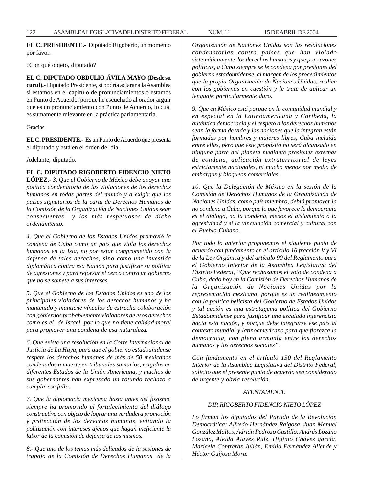**EL C. PRESIDENTE.-** Diputado Rigoberto, un momento por favor.

¿Con qué objeto, diputado?

**EL C. DIPUTADO OBDULIO ÁVILA MAYO (Desde su curul).-** Diputado Presidente, si podría aclarar a la Asamblea si estamos en el capítulo de pronunciamientos o estamos en Punto de Acuerdo, porque he escuchado al orador argüir que es un pronunciamiento con Punto de Acuerdo, lo cual es sumamente relevante en la práctica parlamentaria.

#### Gracias.

**EL C. PRESIDENTE.-** Es un Punto de Acuerdo que presenta el diputado y está en el orden del día.

Adelante, diputado.

*ordenamiento.*

**EL C. DIPUTADO RIGOBERTO FIDENCIO NIETO LÓPEZ.-** *3. Que el Gobierno de México debe apoyar una política condenatoria de las violaciones de los derechos humanos en todas partes del mundo y a exigir que los países signatarios de la carta de Derechos Humanos de la Comisión de la Organización de Naciones Unidas sean consecuentes y los más respetuosos de dicho*

*4. Que el Gobierno de los Estados Unidos promovió la condena de Cuba como un país que viola los derechos humanos en la Isla, no por estar comprometido con la defensa de tales derechos, sino como una investida diplomática contra esa Nación para justificar su política de agresiones y para reforzar el cerco contra un gobierno que no se somete a sus intereses.*

*5. Que el Gobierno de los Estados Unidos es uno de los principales violadores de los derechos humanos y ha mantenido y mantiene vínculos de estrecha colaboración con gobiernos probablemente violadores de esos derechos como es el de Israel, por lo que no tiene calidad moral para promover una condena de esa naturaleza.*

*6. Que existe una resolución en la Corte Internacional de Justicia de La Haya, para que el gobierno estadounidense respete los derechos humanos de más de 50 mexicanos condenados a muerte en tribunales sumarios, erigidos en diferentes Estados de la Unión Americana, y muchos de sus gobernantes han expresado un rotundo rechazo a cumplir ese fallo.*

*7. Que la diplomacia mexicana hasta antes del foxismo, siempre ha promovido el fortalecimiento del diálogo constructivo con objeto de lograr una verdadera promoción y protección de los derechos humanos, evitando la politización con intereses ajenos que hagan ineficiente la labor de la comisión de defensa de los mismos.*

*8.- Que uno de los temas más delicados de la sesiones de trabajo de la Comisión de Derechos Humanos de la* *Organización de Naciones Unidas son las resoluciones condenatorias contra países que han violado sistemáticamente los derechos humanos y que por razones políticas, a Cuba siempre se le condena por presiones del gobierno estadounidense, al margen de los procedimientos que la propia Organización de Naciones Unidas, realice con los gobiernos en cuestión y le trate de aplicar un lenguaje particularmente duro.*

*9. Que en México está porque en la comunidad mundial y en especial en la Latinoamericana y Caribeña, la auténtica democracia y el respeto a los derechos humanos sean la forma de vida y las naciones que la integren están formadas por hombres y mujeres libres, Cuba incluida entre ellas, pero que este propósito no será alcanzado en ninguna parte del planeta mediante presiones externas de condena, aplicación extraterritorial de leyes estrictamente nacionales, ni mucho menos por medio de embargos y bloqueos comerciales.*

*10. Que la Delegación de México en la sesión de la Comisión de Derechos Humanos de la Organización de Naciones Unidas, como país miembro, debió promover la no condena a Cuba, porque lo que favorece la democracia es el diálogo, no la condena, menos el aislamiento o la agresividad y sí la vinculación comercial y cultural con el Pueblo Cubano.*

*Por todo lo anterior proponemos el siguiente punto de acuerdo con fundamento en el artículo 16 fracción V y VI de la Ley Orgánica y del artículo 90 del Reglamento para el Gobierno Interior de la Asamblea Legislativa del Distrito Federal, ''Que rechazamos el voto de condena a Cuba, dado hoy en la Comisión de Derechos Humanos de la Organización de Naciones Unidas por la representación mexicana, porque es un realineamiento con la política belicista del Gobierno de Estados Unidos y tal acción es una estratagema política del Gobierno Estadounidense para justificar una escalada injerencista hacia esta nación, y porque debe integrarse ese país al contexto mundial y latinoamericano para que florezca la democracia, con plena armonía entre los derechos humanos y los derechos sociales''.*

*Con fundamento en el artículo 130 del Reglamento Interior de la Asamblea Legislativa del Distrito Federal, solicito que el presente punto de acuerdo sea considerado de urgente y obvia resolución.*

#### *ATENTAMENTE*

### *DIP. RIGOBERTO FIDENCIO NIETO LÓPEZ*

*Lo firman los diputados del Partido de la Revolución Democrática: Alfredo Hernández Raigosa, Juan Manuel González Maltos, Adrián Pedrozo Castillo, Andrés Lozano Lozano, Aleida Alavez Ruíz, Higinio Chávez garcía, Maricela Contreras Julián, Emilio Fernández Allende y Héctor Guijosa Mora.*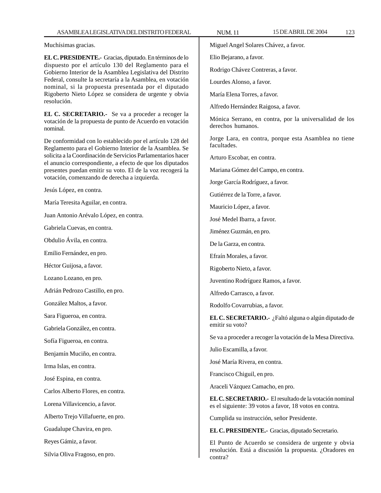Muchísimas gracias.

**EL C. PRESIDENTE.-** Gracias, diputado. En términos de lo dispuesto por el artículo 130 del Reglamento para el Gobierno Interior de la Asamblea Legislativa del Distrito Federal, consulte la secretaría a la Asamblea, en votación nominal, si la propuesta presentada por el diputado Rigoberto Nieto López se considera de urgente y obvia resolución.

**EL C. SECRETARIO.-** Se va a proceder a recoger la votación de la propuesta de punto de Acuerdo en votación nominal.

De conformidad con lo establecido por el artículo 128 del Reglamento para el Gobierno Interior de la Asamblea. Se solicita a la Coordinación de Servicios Parlamentarios hacer el anuncio correspondiente, a efecto de que los diputados presentes puedan emitir su voto. El de la voz recogerá la votación, comenzando de derecha a izquierda.

Jesús López, en contra.

María Teresita Aguilar, en contra.

Juan Antonio Arévalo López, en contra.

Gabriela Cuevas, en contra.

Obdulio Ávila, en contra.

Emilio Fernández, en pro.

Héctor Guijosa, a favor.

Lozano Lozano, en pro.

Adrián Pedrozo Castillo, en pro.

González Maltos, a favor.

Sara Figueroa, en contra.

Gabriela González, en contra.

Sofía Figueroa, en contra.

Benjamín Muciño, en contra.

Irma Islas, en contra.

José Espina, en contra.

Carlos Alberto Flores, en contra.

Lorena Villavicencio, a favor.

Alberto Trejo Villafuerte, en pro.

Guadalupe Chavira, en pro.

Reyes Gámiz, a favor.

Silvia Oliva Fragoso, en pro.

Miguel Angel Solares Chávez, a favor.

Elio Bejarano, a favor.

Rodrigo Chávez Contreras, a favor.

Lourdes Alonso, a favor.

María Elena Torres, a favor.

Alfredo Hernández Raigosa, a favor.

Mónica Serrano, en contra, por la universalidad de los derechos humanos.

Jorge Lara, en contra, porque esta Asamblea no tiene facultades.

Arturo Escobar, en contra.

Mariana Gómez del Campo, en contra.

Jorge García Rodríguez, a favor.

Gutiérrez de la Torre, a favor.

Mauricio López, a favor.

José Medel Ibarra, a favor.

Jiménez Guzmán, en pro.

De la Garza, en contra.

Efraín Morales, a favor.

Rigoberto Nieto, a favor.

Juventino Rodríguez Ramos, a favor.

Alfredo Carrasco, a favor.

Rodolfo Covarrubias, a favor.

**EL C. SECRETARIO.-** ¿Faltó alguna o algún diputado de emitir su voto?

Se va a proceder a recoger la votación de la Mesa Directiva.

Julio Escamilla, a favor.

José María Rivera, en contra.

Francisco Chiguil, en pro.

Araceli Vázquez Camacho, en pro.

**EL C. SECRETARIO.-** El resultado de la votación nominal es el siguiente: 39 votos a favor, 18 votos en contra.

Cumplida su instrucción, señor Presidente.

**EL C. PRESIDENTE.-** Gracias, diputado Secretario.

El Punto de Acuerdo se considera de urgente y obvia resolución. Está a discusión la propuesta. ¿Oradores en contra?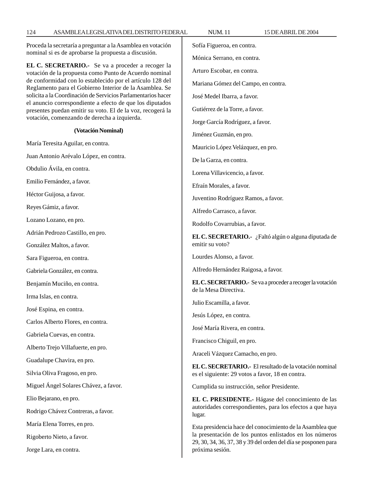Proceda la secretaría a preguntar a la Asamblea en votación nominal si es de aprobarse la propuesta a discusión.

**EL C. SECRETARIO.-** Se va a proceder a recoger la votación de la propuesta como Punto de Acuerdo nominal de conformidad con lo establecido por el artículo 128 del Reglamento para el Gobierno Interior de la Asamblea. Se solicita a la Coordinación de Servicios Parlamentarios hacer el anuncio correspondiente a efecto de que los diputados presentes puedan emitir su voto. El de la voz, recogerá la votación, comenzando de derecha a izquierda.

#### **(Votación Nominal)**

María Teresita Aguilar, en contra. Juan Antonio Arévalo López, en contra. Obdulio Ávila, en contra. Emilio Fernández, a favor.

Héctor Guijosa, a favor.

Reyes Gámiz, a favor.

Lozano Lozano, en pro.

Adrián Pedrozo Castillo, en pro.

González Maltos, a favor.

Sara Figueroa, en contra.

Gabriela González, en contra.

Benjamín Muciño, en contra.

Irma Islas, en contra.

José Espina, en contra.

Carlos Alberto Flores, en contra.

Gabriela Cuevas, en contra.

Alberto Trejo Villafuerte, en pro.

Guadalupe Chavira, en pro.

Silvia Oliva Fragoso, en pro.

Miguel Ángel Solares Chávez, a favor.

Elio Bejarano, en pro.

Rodrigo Chávez Contreras, a favor.

María Elena Torres, en pro.

Rigoberto Nieto, a favor.

Jorge Lara, en contra.

124 ASAMBLEA LEGISLATIVA DEL DISTRITO FEDERAL NUM. 11 15 DE ABRIL DE 2004 Sofía Figueroa, en contra. Mónica Serrano, en contra. Arturo Escobar, en contra. Mariana Gómez del Campo, en contra. José Medel Ibarra, a favor. Gutiérrez de la Torre, a favor. Jorge García Rodríguez, a favor. Jiménez Guzmán, en pro. Mauricio López Velázquez, en pro. De la Garza, en contra. Lorena Villavicencio, a favor. Efraín Morales, a favor. Juventino Rodríguez Ramos, a favor. Alfredo Carrasco, a favor. Rodolfo Covarrubias, a favor. **EL C. SECRETARIO.-** ¿Faltó algún o alguna diputada de emitir su voto? Lourdes Alonso, a favor. Alfredo Hernández Raigosa, a favor. **EL C. SECRETARIO.-** Se va a proceder a recoger la votación de la Mesa Directiva. Julio Escamilla, a favor. Jesús López, en contra. José María Rivera, en contra. Francisco Chiguil, en pro. Araceli Vázquez Camacho, en pro. **EL C. SECRETARIO.-** El resultado de la votación nominal es el siguiente: 29 votos a favor, 18 en contra. Cumplida su instrucción, señor Presidente. **EL C. PRESIDENTE.-** Hágase del conocimiento de las autoridades correspondientes, para los efectos a que haya lugar.

> Esta presidencia hace del conocimiento de la Asamblea que la presentación de los puntos enlistados en los números 29, 30, 34, 36, 37, 38 y 39 del orden del día se posponen para próxima sesión.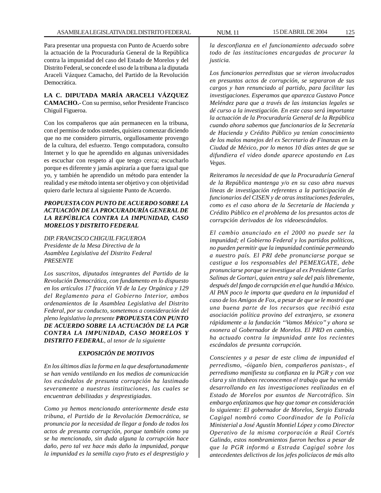Para presentar una propuesta con Punto de Acuerdo sobre la actuación de la Procuraduría General de la República contra la impunidad del caso del Estado de Morelos y del Distrito Federal, se concede el uso de la tribuna a la diputada Araceli Vázquez Camacho, del Partido de la Revolución Democrática.

# **LA C. DIPUTADA MARÍA ARACELI VÁZQUEZ CAMACHO.-** Con su permiso, señor Presidente Francisco Chiguil Figueroa.

Con los compañeros que aún permanecen en la tribuna, con el permiso de todos ustedes, quisiera comenzar diciendo que no me considero pirrurris, orgullosamente provengo de la cultura, del esfuerzo. Tengo computadora, consulto Internet y lo que he aprendido en algunas universidades es escuchar con respeto al que tengo cerca; escucharlo porque es diferente y jamás aspiraría a que fuera igual que yo, y también he aprendido un método para entender la realidad y ese método intenta ser objetivo y con objetividad quiero darle lectura al siguiente Punto de Acuerdo.

# *PROPUESTA CON PUNTO DE ACUERDO SOBRE LA ACTUACIÓN DE LA PROCURADURÍA GENERAL DE LA REPÚBLICA CONTRA LA IMPUNIDAD, CASO MORELOS Y DISTRITO FEDERAL*

*DIP. FRANCISCO CHIGUIL FIGUEROA Presidente de la Mesa Directiva de la Asamblea Legislativa del Distrito Federal PRESENTE*

*Los suscritos, diputados integrantes del Partido de la Revolución Democrática, con fundamento en lo dispuesto en los artículos 17 fracción VI de la Ley Orgánica y 129 del Reglamento para el Gobierno Interior, ambos ordenamientos de la Asamblea Legislativa del Distrito Federal, por su conducto, sometemos a consideración del pleno legislativo la presente PROPUESTA CON PUNTO DE ACUERDO SOBRE LA ACTUACIÓN DE LA PGR CONTRA LA IMPUNIDAD, CASO MORELOS Y DISTRITO FEDERAL, al tenor de la siguiente*

# *EXPOSICIÓN DE MOTIVOS*

*En los últimos días la forma en la que desafortunadamente se han venido ventilando en los medios de comunicación los escándalos de presunta corrupción ha lastimado severamente a nuestras instituciones, las cuales se encuentran debilitadas y desprestigiadas.*

*Como ya hemos mencionado anteriormente desde esta tribuna, el Partido de la Revolución Democrática, se pronuncia por la necesidad de llegar a fondo de todos los actos de presunta corrupción, porque también como ya se ha mencionado, sin duda alguna la corrupción hace daño, pero tal vez hace más daño la impunidad, porque la impunidad es la semilla cuyo fruto es el desprestigio y*

*la desconfianza en el funcionamiento adecuado sobre todo de las instituciones encargadas de procurar la justicia.*

*Los funcionarios perredistas que se vieron involucrados en presuntos actos de corrupción, se separaron de sus cargos y han renunciado al partido, para facilitar las investigaciones. Esperamos que aparezca Gustavo Ponce Meléndez para que a través de las instancias legales se dé curso a la investigación. En este caso será importante la actuación de la Procuraduría General de la República cuando ahora sabemos que funcionarios de la Secretaría de Hacienda y Crédito Público ya tenían conocimiento de los malos manejos del ex Secretario de Finanzas en la Ciudad de México, por lo menos 10 días antes de que se difundiera el video donde aparece apostando en Las Vegas.*

*Reiteramos la necesidad de que la Procuraduría General de la República mantenga y/o en su caso abra nuevas líneas de investigación referentes a la participación de funcionarios del CISEN y de otras instituciones federales, como es el caso ahora de la Secretaría de Hacienda y Crédito Público en el problema de los presuntos actos de corrupción derivados de los videoescándalos.*

*El cambio anunciado en el 2000 no puede ser la impunidad; el Gobierno Federal y los partidos políticos, no pueden permitir que la impunidad continúe permeando a nuestro país. El PRI debe pronunciarse porque se castigue a los responsables del PEMEXGATE, debe pronunciarse porque se investigue al ex Presidente Carlos Salinas de Gortari, quien entra y sale del país libremente, después del fango de corrupción en el que hundió a México. Al PAN poco le importa que quedara en la impunidad el caso de los Amigos de Fox, a pesar de que se le mostró que una buena parte de los recursos que recibió esta asociación política provino del extranjero, se exonera rápidamente a la fundación ''Vamos México'' y ahora se exonera al Gobernador de Morelos. El PRD en cambio, ha actuado contra la impunidad ante los recientes escándalos de presunta corrupción.*

*Conscientes y a pesar de este clima de impunidad el perredismo, -óiganlo bien, compañeros panistas-, el perredismo manifiesta su confianza en la PGR y con voz clara y sin titubeos reconocemos el trabajo que ha venido desarrollando en las investigaciones realizadas en el Estado de Morelos por asuntos de Narcotráfico. Sin embargo enfatizamos que hay que tomar en consideración lo siguiente: El gobernador de Morelos, Sergio Estrada Cagigal nombró como Coordinador de la Policía Ministerial a José Agustín Montiel López y como Director Operativo de la misma corporación a Raúl Cortés Galindo, estos nombramientos fueron hechos a pesar de que la PGR informó a Estrada Cagigal sobre los antecedentes delictivos de los jefes policíacos de más alto*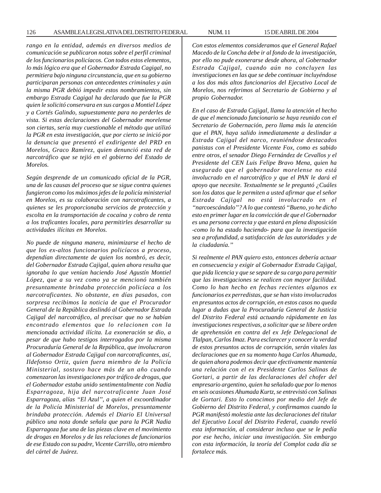*rango en la entidad, además en diversos medios de comunicación se publicaron notas sobre el perfil criminal de los funcionarios policíacos. Con todos estos elementos, lo más lógico era que el Gobernador Estrada Cagigal, no permitiera bajo ninguna circunstancia, que en su gobierno participaran personas con antecedentes criminales y aún la misma PGR debió impedir estos nombramientos, sin embargo Estrada Cagigal ha declarado que fue la PGR quien le solicitó conservara en sus cargos a Montiel López y a Cortés Galindo, supuestamente para no perderles de vista. Si estas declaraciones del Gobernador morelense son ciertas, sería muy cuestionable el método que utilizó la PGR en esta investigación, que por cierto se inició por la denuncia que presentó el exdirigente del PRD en Morelos, Graco Ramírez, quien denunció esta red de narcotráfico que se tejió en el gobierno del Estado de Morelos.*

*Según desprende de un comunicado oficial de la PGR, una de las causas del proceso que se sigue contra quienes fungieron como los máximos jefes de la policía ministerial en Morelos, es su colaboración con narcotraficantes, a quienes se les proporcionaba servicios de protección y escolta en la transportación de cocaína y cobro de renta a los traficantes locales, para permitirles desarrollar su actividades ilícitas en Morelos.*

*No puede de ninguna manera, minimizarse el hecho de que los ex-altos funcionarios policíacos a proceso, dependían directamente de quien los nombró, es decir, del Gobernador Estrada Cajigal, quien ahora resulta que ignoraba lo que venían haciendo José Agustín Montiel López, que a su vez como ya se mencionó también presuntamente brindaba protección policíaca a los narcotraficantes. No obstante, en días pasados, con sorpresa recibimos la noticia de que el Procurador General de la República deslindó al Gobernador Estrada Cajigal del narcotráfico, al precisar que no se habían encontrado elementos que lo relacionen con la mencionada actividad ilícita. La exoneración se dio, a pesar de que hubo testigos interrogados por la misma Procuraduría General de la República, que involucraron al Gobernador Estrada Cajigal con narcotraficantes, así, Ildefonso Ortiz, quien fuera miembro de la Policía Ministerial, sostuvo hace más de un año cuando comenzaron las investigaciones por tráfico de drogas, que el Gobernador estaba unido sentimentalmente con Nadia Esparragoza, hija del narcotraficante Juan José Esparragoza, alías ''El Azul'', a quien el excoordinador de la Policía Ministerial de Morelos, presuntamente brindaba protección. Además el Diario El Universal público una nota donde señala que para la PGR Nadia Esparragoza fue una de las piezas clave en el movimiento de drogas en Morelos y de las relaciones de funcionarios de ese Estado con su padre, Vicente Carrillo, otro miembro del cártel de Juárez.*

*Con estos elementos consideramos que el General Rafael Macedo de la Concha debe ir al fondo de la investigación, por ello no pude exonerarse desde ahora, al Gobernador Estrada Cajigal, cuando aún no concluyen las investigaciones en las que se debe continuar incluyéndose a los dos más altos funcionarios del Ejecutivo Local de Morelos, nos referimos al Secretario de Gobierno y al propio Gobernador.*

*En el caso de Estrada Cajigal, llama la atención el hecho de que el mencionado funcionario se haya reunido con el Secretario de Gobernación, pero llama más la atención que el PAN, haya salido inmediatamente a deslindar a Estrada Cajigal del narco, reuniéndose destacados panistas con el Presidente Vicente Fox, como es sabido entre otros, el senador Diego Fernández de Cevallos y el Presidente del CEN Luis Felipe Bravo Mena, quien ha asegurado que el gobernador morelense no está involucrado en el narcotráfico y que el PAN le dará el apoyo que necesite. Textualmente se le preguntó ¿Cuáles son los datos que le permiten a usted afirmar que el señor Estrada Cajigal no está involucrado en el ''narcoescándalo''? A lo que contestó ''Bueno, yo he dicho esto en primer lugar en la convicción de que el Gobernador es una persona correcta y que estará en plena disposición -como lo ha estado haciendo- para que la investigación sea a profundidad, a satisfacción de las autoridades y de la ciudadanía.''*

*Si realmente el PAN quiero esto, entonces debería actuar en consecuencia y exigir al Gobernador Estrada Cajigal, que pida licencia y que se separe de su cargo para permitir que las investigaciones se realicen con mayor facilidad. Como lo han hecho en fechas recientes algunos ex funcionarios ex perredistas, que se han visto involucrados en presuntos actos de corrupción, en estos casos no queda lugar a dudas que la Procuraduría General de Justicia del Distrito Federal está actuando rápidamente en las investigaciones respectivas, a solicitar que se libere orden de aprehensión en contra del ex Jefe Delegacional de Tlalpan, Carlos Imaz. Para esclarecer y conocer la verdad de estos presuntos actos de corrupción, serán vitales las declaraciones que en su momento haga Carlos Ahumada, de quien ahora podemos decir que efectivamente mantenía una relación con el ex Presidente Carlos Salinas de Gortari, a partir de las declaraciones del chofer del empresario argentino, quien ha señalado que por lo menos en seis ocasiones Ahumada Kurtz, se entrevistó con Salinas de Gortari. Esto lo conocimos por medio del Jefe de Gobierno del Distrito Federal, y confirmamos cuando la PGR manifestó molestia ante las declaraciones del titular del Ejecutivo Local del Distrito Federal, cuando reveló esta información, al considerar incluso que se le pedía por ese hecho, iniciar una investigación. Sin embargo con esta información, la teoría del Complot cada día se fortalece más.*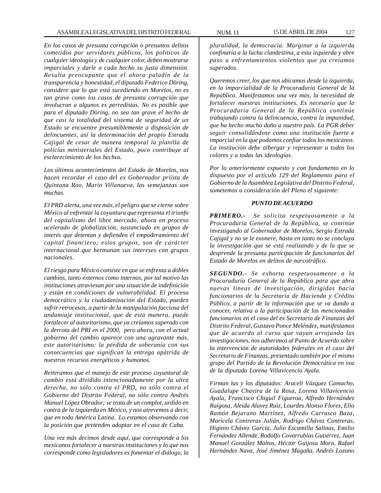*En los casos de presunta corrupción o presuntos delitos cometidos por servidores públicos, los políticos de cualquier ideología y de cualquier color, deben mostrarse imparciales y darle a cada hecho su justa dimensión. Resulta preocupante que el ahora paladín de la transparencia y honestidad, el diputado Federico Döring, considere que lo que está sucediendo en Morelos, no es tan grave como los casos de presunta corrupción que involucran a algunos ex perredistas. No es posible que para el diputado Döring, no sea tan grave el hecho de que casi la totalidad del sistema de seguridad de un Estado se encuentre presumiblemente a disposición de delincuentes, así la determinación del propio Estrada Cajigal de cesar de manera temporal la planilla de policías ministeriales del Estado, poco contribuye al esclarecimiento de los hechos.*

*Los últimos acontecimientos del Estado de Morelos, nos hacen recordar el caso del ex Gobernador priísta de Quintana Roo, Mario Villanueva, las semejanzas son muchas.*

*El PRD alerta, una vez más, el peligro que se cierne sobre México al enfrentar la coyuntura que representa el triunfo del capitalismo del libre mercado, ahora en proceso acelerado de globalización, sustanciado en grupos de interés que detentan y defienden el empoderamiento del capital financiero; estos grupos, son de carácter internacional que hermanan sus intereses con grupos nacionales.*

*El riesgo para México consiste en que se enfrenta a dobles cambios, tanto externos como internos, por tal motivo las instituciones atraviesan por una situación de indefinición y están en condiciones de vulnerabilidad. El proceso democrático y la ciudadanización del Estado, pueden sufrir retrocesos, a partir de la manipulación facciosa del andamiaje institucional, que de esta manera, puede fortalecer al autoritarismo, que ya creíamos superado con la derrota del PRI en el 2000, pero ahora, con el actual gobierno del cambio aparece con una agravante más, este autoritarismo: la pérdida de soberanía con sus consecuencias que significan la entrega apátrida de nuestros recursos energéticos y humanos.*

*Reiteramos que el manejo de este proceso coyuntural de cambio está dividido intencionadamente por la ultra derecha, no sólo contra el PRD, no sólo contra el Gobierno del Distrito Federal, no sólo contra Andrés Manuel López Obrador; se trata de un complot, urdido en contra de la izquierda en México, y nos atrevemos a decir, que en toda América Latina. Lo estamos observando con la posición que pretenden adoptar en el caso de Cuba.*

*Una vez más decimos desde aquí, que corresponde a los mexicanos fortalecer a nuestras instituciones y lo que nos corresponde como legisladores es fomentar el diálogo, la*

*pluralidad, la democracia. Marginar a la izquierda confinaría a la lucha clandestina, a esta izquierda y abre paso a enfrentamientos violentos que ya creíamos superados.*

*Queremos creer, los que nos ubicamos desde la izquierda, en la imparcialidad de la Procuraduría General de la República. Manifestamos una vez más, la necesidad de fortalecer nuestras instituciones. Es necesario que la Procuraduría General de la República continúe trabajando contra la delincuencia, contra la impunidad, que ha hecho mucho daño a nuestro país. La PGR deber seguir consolidándose como una institución fuerte e imparcial en la que podamos confiar todos los mexicanos. La institución debe albergar y representar a todos los colores y a todas las ideologías.*

*Por lo anteriormente expuesto y con fundamento en lo dispuesto por el artículo 129 del Reglamento para el Gobierno de la Asamblea Legislativa del Distrito Federal, sometemos a consideración del Pleno el siguiente:*

# *PUNTO DE ACUERDO*

*PRIMERO.- Se solicita respetuosamente a la Procuraduría General de la República, se continúe investigando al Gobernador de Morelos, Sergio Estrada Cajigal y no se le exonere, hasta en tanto no se concluya la investigación que se está realizando y de la que se desprende la presunta participación de funcionarios del Estado de Morelos en delitos de narcotráfico.*

*SEGUNDO.- Se exhorta respetuosamente a la Procuraduría General de la República para que abra nuevas líneas de investigación, dirigidas hacia funcionarios de la Secretaría de Hacienda y Crédito Público, a partir de la información que se va dando a conocer, relativa a la participación de los mencionados funcionarios en el caso del ex Secretario de Finanzas del Distrito Federal, Gustavo Ponce Meléndez, manifestamos que de acuerdo al curso que vayan arrojando las investigaciones, nos adherimos al Punto de Acuerdo sobre la intervención de autoridades federales en el caso del Secretario de Finanzas, presentado también por el mismo grupo del Partido de la Revolución Democrática en voz de la diputada Lorena Villavicencio Ayala.*

*Firman las y los diputados: Araceli Vázquez Camacho, Guadalupe Chavira de la Rosa, Lorena Villavicencio Ayala, Francisco Chiguil Figueroa, Alfredo Hernández Raigosa, Aleida Alavez Ruíz, Lourdes Alonso Flores, Elio Ramón Bejarano Martínez, Alfredo Carrasco Baza, Maricela Contreras Julián, Rodrigo Chávez Contreras, Higinio Chávez García, Julio Escamilla Salinas, Emilio Fernández Allende, Rodolfo Covarrubias Gutiérrez, Juan Manuel González Maltos, Héctor Guijosa Mora, Rafael Hernández Nava, José Jiménez Magaña, Andrés Lozano*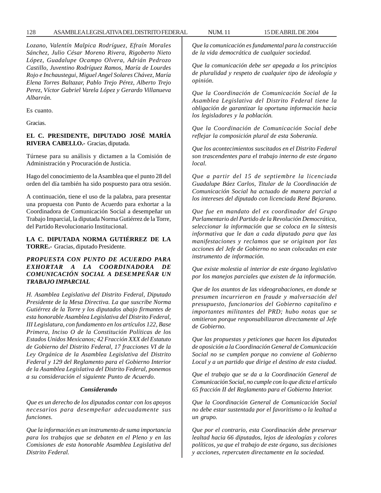*Lozano, Valentín Malpica Rodríguez, Efraín Morales Sánchez, Julio César Moreno Rivera, Rigoberto Nieto López, Guadalupe Ocampo Olvera, Adrián Pedrozo Castillo, Juventino Rodríguez Ramos, María de Lourdes Rojo e Inchaustegui, Miguel Angel Solares Chávez, María Elena Torres Baltazar, Pablo Trejo Pérez, Alberto Trejo Perez, Víctor Gabriel Varela López y Gerardo Villanueva Albarrán.*

Es cuanto.

Gracias.

# **EL C. PRESIDENTE, DIPUTADO JOSÉ MARÍA RIVERA CABELLO.-** Gracias, diputada.

Túrnese para su análisis y dictamen a la Comisión de Administración y Procuración de Justicia.

Hago del conocimiento de la Asamblea que el punto 28 del orden del día también ha sido pospuesto para otra sesión.

A continuación, tiene el uso de la palabra, para presentar una propuesta con Punto de Acuerdo para exhortar a la Coordinadora de Comunicación Social a desempeñar un Trabajo Imparcial, la diputada Norma Gutiérrez de la Torre, del Partido Revolucionario Institucional.

**LA C. DIPUTADA NORMA GUTIÉRREZ DE LA TORRE.-** Gracias, diputado Presidente.

# *PROPUESTA CON PUNTO DE ACUERDO PARA EXHORTAR A LA COORDINADORA DE COMUNICACIÓN SOCIAL A DESEMPEÑAR UN TRABAJO IMPARCIAL*

*H. Asamblea Legislativa del Distrito Federal, Diputado Presidente de la Mesa Directiva. La que suscribe Norma Gutiérrez de la Torre y los diputados abajo firmantes de esta honorable Asamblea Legislativa del Distrito Federal, III Legislatura, con fundamento en los artículos 122, Base Primera, Inciso O de la Constitución Políticas de los Estados Unidos Mexicanos; 42 Fracción XXX del Estatuto de Gobierno del Distrito Federal, 17 fracciones VI de la Ley Orgánica de la Asamblea Legislativa del Distrito Federal y 129 del Reglamento para el Gobierno Interior de la Asamblea Legislativa del Distrito Federal, ponemos a su consideración el siguiente Punto de Acuerdo.*

#### *Considerando*

*Que es un derecho de los diputados contar con los apoyos necesarios para desempeñar adecuadamente sus funciones.*

*Que la información es un instrumento de suma importancia para los trabajos que se debaten en el Pleno y en las Comisiones de esta honorable Asamblea Legislativa del Distrito Federal.*

*Que la comunicación es fundamental para la construcción de la vida democrática de cualquier sociedad.*

*Que la comunicación debe ser apegada a los principios de pluralidad y respeto de cualquier tipo de ideología y opinión.*

*Que la Coordinación de Comunicación Social de la Asamblea Legislativa del Distrito Federal tiene la obligación de garantizar la oportuna información hacia los legisladores y la población.*

*Que la Coordinación de Comunicación Social debe reflejar la composición plural de esta Soberanía.*

*Que los acontecimientos suscitados en el Distrito Federal son trascendentes para el trabajo interno de este órgano local.*

*Que a partir del 15 de septiembre la licenciada Guadalupe Báez Carlos, Titular de la Coordinación de Comunicación Social ha actuado de manera parcial a los intereses del diputado con licenciada René Bejarano.*

*Que fue en mandato del ex coordinador del Grupo Parlamentario del Partido de la Revolución Democrática, seleccionar la información que se coloca en la síntesis informativa que le dan a cada diputado para que las manifestaciones y reclamos que se originan por las acciones del Jefe de Gobierno no sean colocadas en este instrumento de información.*

*Que existe molestia al interior de este órgano legislativo por los manejos parciales que existen de la información.*

*Que de los asuntos de las videograbaciones, en donde se presumen incurrieron en fraude y malversación del presupuesto, funcionarios del Gobierno capitalino e importantes militantes del PRD; hubo notas que se omitieron porque responsabilizaron directamente al Jefe de Gobierno.*

*Que las propuestas y peticiones que hacen los diputados de oposición a la Coordinación General de Comunicación Social no se cumplen porque no conviene al Gobierno Local y a un partido que dirige el destino de esta ciudad.*

*Que el trabajo que se da a la Coordinación General de Comunicación Social, no cumple con lo que dicta el artículo 65 fracción II del Reglamento para el Gobierno Interior.*

*Que la Coordinación General de Comunicación Social no debe estar sustentada por el favoritismo o la lealtad a un grupo.*

*Que por el contrario, esta Coordinación debe preservar lealtad hacia 66 diputados, lejos de ideologías y colores políticos, ya que el trabajo de este órgano, sus decisiones y acciones, repercuten directamente en la sociedad.*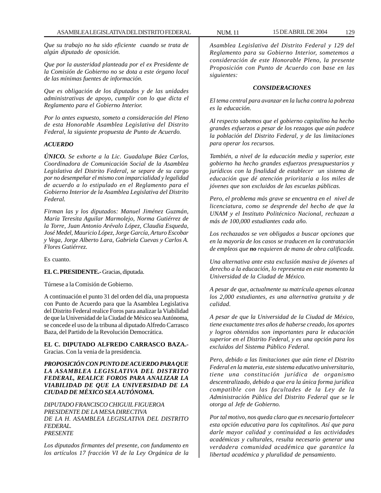*Que su trabajo no ha sido eficiente cuando se trata de algún diputado de oposición.*

*Que por la austeridad planteada por el ex Presidente de la Comisión de Gobierno no se dota a este órgano local de las mínimas fuentes de información.*

*Que es obligación de los diputados y de las unidades administrativas de apoyo, cumplir con lo que dicta el Reglamento para el Gobierno Interior.*

*Por lo antes expuesto, someto a consideración del Pleno de esta Honorable Asamblea Legislativa del Distrito Federal, la siguiente propuesta de Punto de Acuerdo.*

### *ACUERDO*

*ÚNICO. Se exhorte a la Lic. Guadalupe Báez Carlos, Coordinadora de Comunicación Social de la Asamblea Legislativa del Distrito Federal, se separe de su cargo por no desempeñar el mismo con imparcialidad y legalidad de acuerdo a lo estipulado en el Reglamento para el Gobierno Interior de la Asamblea Legislativa del Distrito Federal.*

*Firman las y los diputados: Manuel Jiménez Guzmán, María Teresita Aguilar Marmolejo, Norma Gutiérrez de la Torre, Juan Antonio Arévalo López, Claudia Esqueda, José Medel, Mauricio López, Jorge García, Arturo Escobar y Vega, Jorge Alberto Lara, Gabriela Cuevas y Carlos A. Flores Gutiérrez.*

Es cuanto.

**EL C. PRESIDENTE.-** Gracias, diputada.

Túrnese a la Comisión de Gobierno.

A continuación el punto 31 del orden del día, una propuesta con Punto de Acuerdo para que la Asamblea Legislativa del Distrito Federal realice Foros para analizar la Viabilidad de que la Universidad de la Ciudad de México sea Autónoma, se concede el uso de la tribuna al diputado Alfredo Carrasco Baza, del Partido de la Revolución Democrática.

# **EL C. DIPUTADO ALFREDO CARRASCO BAZA.-** Gracias. Con la venia de la presidencia.

*PROPOSICIÓN CON PUNTO DE ACUERDO PARA QUE LA ASAMBLEA LEGISLATIVA DEL DISTRITO FEDERAL, REALICE FOROS PARA ANALIZAR LA VIABILIDAD DE QUE LA UNIVERSIDAD DE LA CIUDAD DE MÉXICO SEA AUTÓNOMA.*

*DIPUTADO FRANCISCO CHIGUIL FIGUEROA PRESIDENTE DE LA MESA DIRECTIVA DE LA H. ASAMBLEA LEGISLATIVA DEL DISTRITO FEDERAL. PRESENTE*

*Los diputados firmantes del presente, con fundamento en los artículos 17 fracción VI de la Ley Orgánica de la*

*Asamblea Legislativa del Distrito Federal y 129 del Reglamento para su Gobierno Interior, sometemos a consideración de este Honorable Pleno, la presente Proposición con Punto de Acuerdo con base en las siguientes:*

#### *CONSIDERACIONES*

*El tema central para avanzar en la lucha contra la pobreza es la educación.*

*Al respecto sabemos que el gobierno capitalino ha hecho grandes esfuerzos a pesar de los rezagos que aún padece la población del Distrito Federal, y de las limitaciones para operar los recursos.*

*También, a nivel de la educación media y superior, este gobierno ha hecho grandes esfuerzos presupuestarios y jurídicos con la finalidad de establecer un sistema de educación que dé atención prioritaria a los miles de jóvenes que son excluidos de las escuelas públicas.*

*Pero, el problema más grave se encuentra en el nivel de licenciatura, como se desprende del hecho de que la UNAM y el Instituto Politécnico Nacional, rechazan a más de 100,000 estudiantes cada año.*

*Los rechazados se ven obligados a buscar opciones que en la mayoría de los casos se traducen en la contratación de empleos que no requieren de mano de obra calificada.*

*Una alternativa ante esta exclusión masiva de jóvenes al derecho a la educación, lo representa en este momento la Universidad de la Ciudad de México.*

*A pesar de que, actualmente su matrícula apenas alcanza los 2,000 estudiantes, es una alternativa gratuita y de calidad.*

*A pesar de que la Universidad de la Ciudad de México, tiene exactamente tres años de haberse creado, los aportes y logros obtenidos son importantes para le educación superior en el Distrito Federal, y es una opción para los excluidos del Sistema Público Federal.*

*Pero, debido a las limitaciones que aún tiene el Distrito Federal en la materia, este sistema educativo universitario, tiene una constitución jurídica de organismo descentralizado, debido a que era la única forma jurídica compatible con las facultades de la Ley de la Administración Pública del Distrito Federal que se le otorga al Jefe de Gobierno.*

*Por tal motivo, nos queda claro que es necesario fortalecer esta opción educativa para los capitalinos. Así que para darle mayor calidad y continuidad a las actividades académicas y culturales, resulta necesario generar una verdadera comunidad académica que garantice la libertad académica y pluralidad de pensamiento.*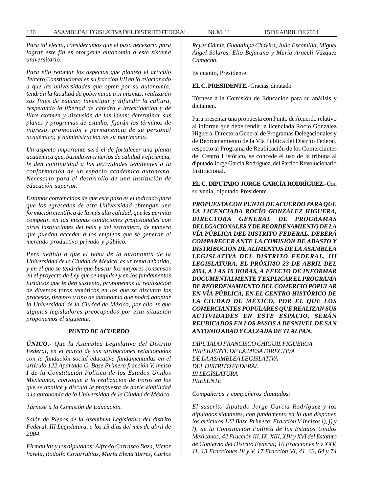*Para tal efecto, consideramos que el paso necesario para lograr este fin es otorgarle autonomía a este sistema universitario.*

*Para ello retomar los aspectos que plantea el artículo Tercero Constitucional en su fracción VII en lo relacionado a que las universidades que opten por su autonomía; tendrán la facultad de gobernarse a si mismas, realizarán sus fines de educar, investigar y difundir la cultura, respetando la libertad de cátedra e investigación y de libre examen y discusión de las ideas; determinar sus planes y programas de estudio; fijarán los términos de ingreso, promoción y permanencia de su personal académico; y administración de su patrimonio.*

*Un aspecto importante será el de fortalecer una planta académica que, basada en criterios de calidad y eficiencia, le den continuidad a las actividades tendientes a la conformación de un espacio académico autónomo. Necesario para el desarrollo de una institución de educación superior.*

*Estamos convencidos de que este paso es el indicado para que los egresados de esta Universidad obtengan una formación científica de la más alta calidad, que les permita competir, en las mismas condiciones profesionales con otras instituciones del país y del extranjero, de manera que puedan acceder a los empleos que se generan el mercado productivo privado y público.*

*Pero debido a que el tema de la autonomía de la Universidad de la Ciudad de México, es un tema debatido, y en el que se tendrán que buscar los mayores consensos en el proyecto de Ley que se impulse y en los fundamentos jurídicos que le den sustento, proponemos la realización de diversos foros temáticos en los que se discutan los procesos, tiempos y tipo de autonomía que podrá adoptar la Universidad de la Ciudad de México, por ello es que algunos legisladores preocupados por esta situación proponemos el siguiente:*

#### *PUNTO DE ACUERDO*

*ÚNICO.- Que la Asamblea Legislativa del Distrito Federal, en el marco de sus atribuciones relacionadas con la fundación social educativa fundamentadas en el artículo 122 Apartado C, Base Primera fracción V, inciso I de la Constitución Política de los Estados Unidos Mexicanos, convoque a la realización de Foros en los que se analice y discuta la propuesta de darle viabilidad a la autonomía de la Universidad de la Ciudad de México.*

*Túrnese a la Comisión de Educación.*

*Salón de Plenos de la Asamblea Legislativa del distrito Federal, III Legislatura, a los 15 días del mes de abril de 2004.*

*Firman las y los diputados: Alfredo Carrasco Baza, Víctor Varela, Rodolfo Covarrubias, María Elena Torres, Carlos* *Reyes Gámiz, Guadalupe Chavira, Julio Escamilla, Miguel Ángel Solares, Elio Bejarano y María Araceli Vázquez Camacho.*

Es cuanto, Presidente.

**EL C. PRESIDENTE.-** Gracias, diputado.

Túrnese a la Comisión de Educación para su análisis y dictamen.

Para presentar una propuesta con Punto de Acuerdo relativo al informe que debe rendir la licenciada Rocío González Higuera, Directora General de Programas Delegacionales y de Reordenamiento de la Vía Pública del Distrito Federal, respecto al Programa de Reubicación de los Comerciantes del Centro Histórico, se concede el uso de la tribuna al diputado Jorge García Rodríguez, del Partido Revolucionario Institucional.

**EL C. DIPUTADO JORGE GARCÍA RODRÍGUEZ.-** Con su venia, diputado Presidente.

*PROPUESTA CON PUNTO DE ACUERDO PARA QUE LA LICENCIADA ROCÍO GONZÁLEZ HIGUERA, DIRECTORA GENERAL DE PROGRAMAS DELEGACIONALES Y DE REORDENAMIENTO DE LA VÍA PÚBLICA DEL DISTRITO FEDERAL, DEBERÁ COMPARECER ANTE LA COMISIÓN DE ABASTO Y DISTRIBUCIÓN DE ALIMENTOS DE LA ASAMBLEA LEGISLATIVA DEL DISTRITO FEDERAL, III LEGISLATURA, EL PRÓXIMO 23 DE ABRIL DEL 2004, A LAS 10 HORAS, A EFECTO DE INFORMAR DOCUMENTALMENTE Y EXPLICAR EL PROGRAMA DE REORDENAMIENTO DEL COMERCIO POPULAR EN VÍA PÚBLICA, EN EL CENTRO HISTÓRICO DE LA CIUDAD DE MÉXICO, POR EL QUE LOS COMERCIANTES POPULARES QUE REALIZAN SUS ACTIVIDADES EN ESTE ESPACIO, SERÁN REUBICADOS EN LOS PASOS A DESNIVEL DE SAN ANTONIO ABAD Y CALZADA DE TLALPAN.*

*DIPUTADO FRANCISCO CHIGUIL FIGUEROA PRESIDENTE DE LA MESA DIRECTIVA DE LA ASAMBLEA LEGISLATIVA DEL DISTRITO FEDERAL III LEGISLATURA PRESENTE*

*Compañeras y compañeros diputados:*

*El suscrito diputado Jorge García Rodríguez y los diputados signantes, con fundamento en lo que disponen los artículos 122 Base Primera, Fracción V Incisos i), j) y l), de la Constitución Política de los Estados Unidos Mexicanos; 42 Fracción III, IX, XIII, XIV y XVI del Estatuto de Gobierno del Distrito Federal; 10 Fracciones V y XXV, 11, 13 Fracciones IV y V, 17 Fracción VI, 41, 63, 64 y 74*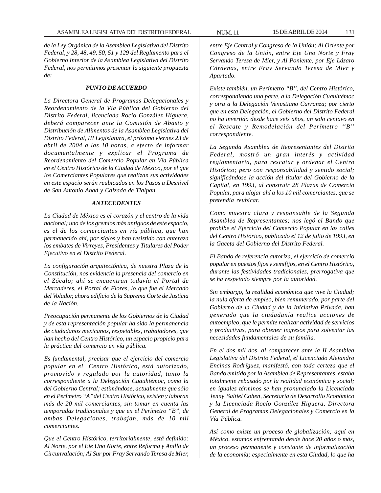*de la Ley Orgánica de la Asamblea Legislativa del Distrito Federal, y 28, 48, 49, 50, 51 y 129 del Reglamento para el Gobierno Interior de la Asamblea Legislativa del Distrito Federal, nos permitimos presentar la siguiente propuesta de:*

#### *PUNTO DE ACUERDO*

*La Directora General de Programas Delegacionales y Reordenamiento de la Vía Pública del Gobierno del Distrito Federal, licenciada Rocío González Higuera, deberá comparecer ante la Comisión de Abasto y Distribución de Alimentos de la Asamblea Legislativa del Distrito Federal, III Legislatura, el próximo viernes 23 de abril de 2004 a las 10 horas, a efecto de informar documentalmente y explicar el Programa de Reordenamiento del Comercio Popular en Vía Pública en el Centro Histórico de la Ciudad de México, por el que los Comerciantes Populares que realizan sus actividades en este espacio serán reubicados en los Pasos a Desnivel de San Antonio Abad y Calzada de Tlalpan.*

## *ANTECEDENTES*

*La Ciudad de México es el corazón y el centro de la vida nacional; uno de los gremios más antiguos de este espacio, es el de los comerciantes en vía pública, que han permanecido ahí, por siglos y han resistido con entereza los embates de Virreyes, Presidentes y Titulares del Poder Ejecutivo en el Distrito Federal.*

*La configuración arquitectónica, de nuestra Plaza de la Constitución, nos evidencia la presencia del comercio en el Zócalo; ahí se encuentran todavía el Portal de Mercaderes, el Portal de Flores, lo que fue el Mercado del Volador, ahora edificio de la Suprema Corte de Justicia de la Nación.*

*Preocupación permanente de los Gobiernos de la Ciudad y de esta representación popular ha sido la permanencia de ciudadanos mexicanos, respetables, trabajadores, que han hecho del Centro Histórico, un espacio propicio para la práctica del comercio en vía pública.*

*Es fundamental, precisar que el ejercicio del comercio popular en el Centro Histórico, está autorizado, promovido y regulado por la autoridad, tanto la correspondiente a la Delegación Cuauhtémoc, como la del Gobierno Central; estimándose, actualmente que sólo en el Perímetro ''A'' del Centro Histórico, existen y laboran más de 20 mil comerciantes, sin tomar en cuenta las temporadas tradicionales y que en el Perímetro ''B'', de ambas Delegaciones, trabajan, más de 10 mil comerciantes.*

*Que el Centro Histórico, territorialmente, está definido: Al Norte, por el Eje Uno Norte, entre Reforma y Anillo de Circunvalación; Al Sur por Fray Servando Teresa de Mier,* *entre Eje Central y Congreso de la Unión; Al Oriente por Congreso de la Unión, entre Eje Uno Norte y Fray Servando Teresa de Mier, y Al Poniente, por Eje Lázaro Cárdenas, entre Fray Servando Teresa de Mier y Apartado.*

*Existe también, un Perímetro ''B'', del Centro Histórico, correspondiendo una parte, a la Delegación Cuauhtémoc y otra a la Delegación Venustiano Carranza; por cierto que en esta Delegación, el Gobierno del Distrito Federal no ha invertido desde hace seis años, un solo centavo en el Rescate y Remodelación del Perímetro ''B'' correspondiente.*

*La Segunda Asamblea de Representantes del Distrito Federal, mostró un gran interés y actividad reglamentaria, para rescatar y ordenar el Centro Histórico; pero con responsabilidad y sentido social; significándose la acción del titular del Gobierno de la Capital, en 1993, al construir 28 Plazas de Comercio Popular, para alojar ahí a los 10 mil comerciantes, que se pretendía reubicar.*

*Como muestra clara y responsable de la Segunda Asamblea de Representantes; nos legó el Bando que prohíbe el Ejercicio del Comercio Popular en las calles del Centro Histórico, publicado el 12 de julio de 1993, en la Gaceta del Gobierno del Distrito Federal.*

*El Bando de referencia autoriza, el ejercicio de comercio popular en puestos fijos y semifijos, en el Centro Histórico, durante las festividades tradicionales, prerrogativa que se ha respetado siempre por la autoridad.*

*Sin embargo, la realidad económica que vive la Ciudad; la nula oferta de empleo, bien remunerado, por parte del Gobierno de la Ciudad y de la Iniciativa Privada, han generado que la ciudadanía realice acciones de autoempleo, que le permite realizar actividad de servicios y productivas, para obtener ingresos para solventar las necesidades fundamentales de su familia.*

*En el dos mil dos, al comparecer ante la II Asamblea Legislativa del Distrito Federal, el Licenciado Alejandro Encinas Rodríguez, manifestó, con toda certeza que el Bando emitido por la Asamblea de Representantes, estaba totalmente rebasado por la realidad económica y social; en iguales términos se han pronunciado la Licenciada Jenny Saltiel Cohen, Secretaria de Desarrollo Económico y la Licenciada Rocío González Higuera, Directora General de Programas Delegacionales y Comercio en la Vía Pública.*

*Así como existe un proceso de globalización; aquí en México, estamos enfrentando desde hace 20 años o más, un proceso permanente y constante de informalización de la economía; especialmente en esta Ciudad, lo que ha*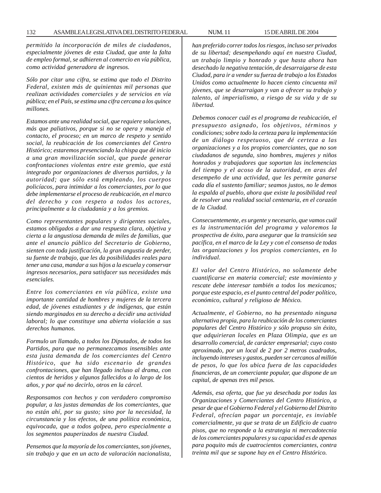*permitido la incorporación de miles de ciudadanos, especialmente jóvenes de esta Ciudad, que ante la falta de empleo formal, se adhieren al comercio en vía pública, como actividad generadora de ingresos.*

*Sólo por citar una cifra, se estima que todo el Distrito Federal, existen más de quinientas mil personas que realizan actividades comerciales y de servicios en vía pública; en el País, se estima una cifra cercana a los quince millones.*

*Estamos ante una realidad social, que requiere soluciones, más que paliativos, porque si no se opera y maneja el contacto, el proceso; en un marco de respeto y sentido social, la reubicación de los comerciantes del Centro Histórico; estaremos presenciando la chispa que dé inicio a una gran movilización social, que puede generar confrontaciones violentas entre este gremio, que está integrado por organizaciones de diversos partidos, y la autoridad; que sólo está empleando, los cuerpos policíacos, para intimidar a los comerciantes, por lo que debe implementarse el proceso de reubicación, en el marco del derecho y con respeto a todos los actores, principalmente a la ciudadanía y a los gremios.*

*Como representantes populares y dirigentes sociales, estamos obligados a dar una respuesta clara, objetiva y cierta a la angustiosa demanda de miles de familias, que ante el anuncio público del Secretario de Gobierno, sienten con toda justificación, la gran angustia de perder, su fuente de trabajo, que les da posibilidades reales para tener una casa, mandar a sus hijos a la escuela y conservar ingresos necesarios, para satisfacer sus necesidades más esenciales.*

*Entre los comerciantes en vía pública, existe una importante cantidad de hombres y mujeres de la tercera edad, de jóvenes estudiantes y de indígenas, que están siendo marginados en su derecho a decidir una actividad laboral; lo que constituye una abierta violación a sus derechos humanos.*

*Formulo un llamado, a todos los Diputados, de todos los Partidos, para que no permanezcamos insensibles ante esta justa demanda de los comerciantes del Centro Histórico, que ha sido escenario de grandes confrontaciones, que han llegado incluso al drama, con cientos de heridos y algunos fallecidos a lo largo de los años, y por qué no decirlo, otros en la cárcel.*

*Responsamos con hechos y con verdadero compromiso popular, a las justas demandas de los comerciantes, que no están ahí, por su gusto; sino por la necesidad, la circunstancia y los efectos, de una política económica, equivocada, que a todos golpea, pero especialmente a los segmentos pauperizados de nuestra Ciudad.*

*Pensemos que la mayoría de los comerciantes, son jóvenes, sin trabajo y que en un acto de valoración nacionalista,* *han preferido correr todos los riesgos, incluso ser privados de su libertad; desempeñando aquí en nuestra Ciudad, un trabajo limpio y honrado y que hasta ahora han desechado la negativa tentación, de desarraigarse de esta Ciudad, para ir a vender su fuerza de trabajo a los Estados Unidos como actualmente lo hacen ciento cincuenta mil jóvenes, que se desarraigan y van a ofrecer su trabajo y talento, al imperialismo, a riesgo de su vida y de su libertad.*

*Debemos conocer cuál es el programa de reubicación, el presupuesto asignado, los objetivos, términos y condiciones; sobre todo la certeza para la implementación de un diálogo respetuoso, que dé certeza a las organizaciones y a los propios comerciantes, que no son ciudadanos de segunda, sino hombres, mujeres y niños honrados y trabajadores que soportan las inclemencias del tiempo y el acoso de la autoridad, en aras del desempeño de una actividad, que les permite ganarse cada día el sustento familiar; seamos justos, no le demos la espalda al pueblo, ahora que existe la posibilidad real de resolver una realidad social centenaria, en el corazón de la Ciudad.*

*Consecuentemente, es urgente y necesario, que vamos cuál es la instrumentación del programa y valoremos la prospectiva de éxito, para asegurar que la transición sea pacífica, en el marco de la Ley y con el consenso de todas las organizaciones y los propios comerciantes, en lo individual.*

*El valor del Centro Histórico, no solamente debe cuantificarse en materia comercial; este movimiento y rescate debe interesar también a todos los mexicanos; porque este espacio, es el punto central del poder político, económico, cultural y religioso de México.*

*Actualmente, el Gobierno, no ha presentado ninguna alternativa propia, para la reubicación de los comerciantes populares del Centro Histórico y sólo propuso sin éxito, que adquirieran locales en Plaza Olimpia, que es un desarrollo comercial, de carácter empresarial; cuyo costo aproximado, por un local de 2 por 2 metros cuadrados, incluyendo intereses y gastos, pueden ser cercanos al millón de pesos, lo que los ubica fuera de las capacidades financieras, de un comerciante popular, que dispone de un capital, de apenas tres mil pesos.*

*Además, esa oferta, que fue ya desechada por todas las Organizaciones y Comerciantes del Centro Histórico, a pesar de que el Gobierno Federal y el Gobierno del Distrito Federal, ofrecían pagar un porcentaje, es inviable comercialmente, ya que se trata de un Edificio de cuatro pisos, que no responde a la estrategia ni mercadotecnia de los comerciantes populares y su capacidad es de apenas para poquito más de cuatrocientos comerciantes, contra treinta mil que se supone hay en el Centro Histórico.*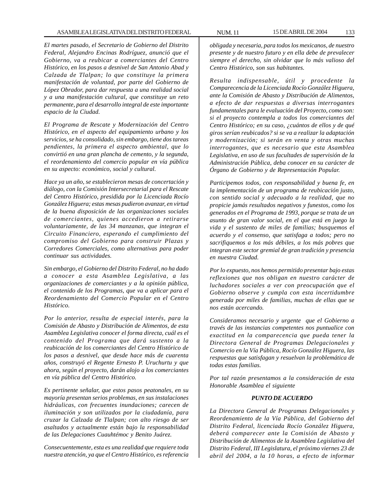*El martes pasado, el Secretario de Gobierno del Distrito Federal, Alejandro Encinas Rodríguez, anunció que el Gobierno, va a reubicar a comerciantes del Centro Histórico, en los pasos a desnivel de San Antonio Abad y Calzada de Tlalpan; lo que constituye la primera manifestación de voluntad, por parte del Gobierno de López Obrador, para dar respuesta a una realidad social y a una manifestación cultural, que constituye un reto permanente, para el desarrollo integral de este importante espacio de la Ciudad.*

*El Programa de Rescate y Modernización del Centro Histórico, en el aspecto del equipamiento urbano y los servicios, se ha consolidado, sin embargo, tiene dos tareas pendientes, la primera el aspecto ambiental, que lo convirtió en una gran plancha de cemento, y la segunda, el reordenamiento del comercio popular en vía pública en su aspecto: económico, social y cultural.*

*Hace ya un año, se establecieron mesas de concertación y diálogo, con la Comisión Intersecretarial para el Rescate del Centro Histórico, presidida por la Licenciada Rocío González Higuera; estas mesas pudieron avanzar, en virtud de la buena disposición de las organizaciones sociales de comerciantes, quienes accedieron a retirarse voluntariamente, de las 34 manzanas, que integran el Circuito Financiero, esperando el cumplimiento del compromiso del Gobierno para construir Plazas y Corredores Comerciales, como alternativas para poder continuar sus actividades.*

*Sin embargo, el Gobierno del Distrito Federal, no ha dado a conocer a esta Asamblea Legislativa, a las organizaciones de comerciantes y a la opinión pública, el contenido de los Programas, que va a aplicar para el Reordenamiento del Comercio Popular en el Centro Histórico.*

*Por lo anterior, resulta de especial interés, para la Comisión de Abasto y Distribución de Alimentos, de esta Asamblea Legislativa conocer el forma directa, cuál es el contenido del Programa que dará sustento a la reubicación de los comerciantes del Centro Histórico de los pasos a desnivel, que desde hace más de cuarenta años, construyó el Regente Ernesto P. Uruchurtu y que ahora, según el proyecto, darán alojo a los comerciantes en vía pública del Centro Histórico.*

*Es pertinente señalar, que estos pasos peatonales, en su mayoría presentan serios problemas, en sus instalaciones hidráulicas, con frecuentes inundaciones; carecen de iluminación y son utilizados por la ciudadanía, para cruzar la Calzada de Tlalpan; con alto riesgo de ser asaltados y actualmente están bajo la responsabilidad de las Delegaciones Cuauhtémoc y Benito Juárez.*

*Consecuentemente, esta es una realidad que requiere toda nuestra atención, ya que el Centro Histórico, es referencia*

*obligada y necesaria, para todos los mexicanos, de nuestro presente y de nuestro futuro y en ella debe de prevalecer siempre el derecho, sin olvidar que lo más valioso del Centro Histórico, son sus habitantes.*

*Resulta indispensable, útil y procedente la Comparecencia de la Licenciada Rocío González Higuera, ante la Comisión de Abasto y Distribución de Alimentos, a efecto de dar respuestas a diversas interrogantes fundamentales para le evaluación del Proyecto, como son: si el proyecto contempla a todos los comerciantes del Centro Histórico; en su caso, ¿cuántos de ellos y de qué giros serían reubicados? si se va a realizar la adaptación y modernización; si serán en venta y otras muchas interrogantes, que es necesario que esta Asamblea Legislativa, en uso de sus facultades de supervisión de la Administración Pública, deba conocer en su carácter de Órgano de Gobierno y de Representación Popular.*

*Participemos todos, con responsabilidad y buena fe, en la implementación de un programa de reubicación justo, con sentido social y adecuado a la realidad, que no propicie jamás resultados negativos y funestos, como los generados en el Programa de 1993, porque se trata de un asunto de gran valor social, en el que está en juego la vida y el sustento de miles de familias; busquemos el acuerdo y el consenso, que satisfaga a todos; pero no sacrifiquemos a los más débiles, a los más pobres que integran este sector gremial de gran tradición y presencia en nuestra Ciudad.*

*Por lo expuesto, nos hemos permitido presentar bajo estas reflexiones que nos obligan en nuestro carácter de luchadores sociales a ver con preocupación que el Gobierno observe y cumpla con esta incertidumbre generada por miles de familias, muchas de ellas que se nos están acercando.*

*Consideramos necesario y urgente que el Gobierno a través de las instancias competentes nos puntualice con exactitud en la comparecencia que pueda tener la Directora General de Programas Delegacionales y Comercio en la Vía Pública, Rocío González Higuera, las respuestas que satisfagan y resuelvan la problemática de todas estas familias.*

*Por tal razón presentamos a la consideración de esta Honorable Asamblea el siguiente*

### *PUNTO DE ACUERDO*

*La Directora General de Programas Delegacionales y Reordenamiento de la Vía Pública, del Gobierno del Distrito Federal, licenciada Rocío González Higuera, deberá comparecer ante la Comisión de Abasto y Distribución de Alimentos de la Asamblea Legislativa del Distrito Federal, III Legislatura, el próximo viernes 23 de abril del 2004, a la 10 horas, a efecto de informar*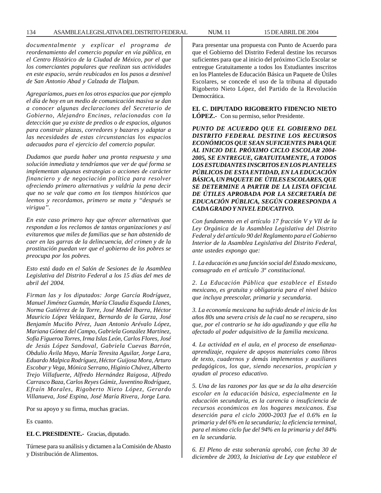*documentalmente y explicar el programa de reordenamiento del comercio popular en vía pública, en el Centro Histórico de la Ciudad de México, por el que los comerciantes populares que realizan sus actividades en este espacio, serán reubicados en los pasos a desnivel de San Antonio Abad y Calzada de Tlalpan.*

*Agregaríamos, pues en los otros espacios que por ejemplo el día de hoy en un medio de comunicación masiva se dan a conocer algunas declaraciones del Secretario de Gobierno, Alejandro Encinas, relacionadas con la detección que ya existe de predios o de espacios, algunos para construir plazas, corredores y bazares y adaptar a las necesidades de estas circunstancias los espacios adecuados para el ejercicio del comercio popular.*

*Dudamos que pueda haber una pronta respuesta y una solución inmediata y tendríamos que ver de qué forma se implementan algunas estrategias o acciones de carácter financiero y de negociación política para resolver ofreciendo primero alternativas y valdría la pena decir que no se vale que como en los tiempos históricos que leemos y recordamos, primero se mata y ''después se virigua''.*

*En este caso primero hay que ofrecer alternativas que respondan a los reclamos de tantas organizaciones y así evitaremos que miles de familias que se han abstenido de caer en las garras de la delincuencia, del crimen y de la prostitución puedan ver que el gobierno de los pobres se preocupa por los pobres.*

*Esto está dado en el Salón de Sesiones de la Asamblea Legislativa del Distrito Federal a los 15 días del mes de abril del 2004.*

*Firman las y los diputados: Jorge García Rodríguez, Manuel Jiménez Guzmán, María Claudia Esqueda Llanes, Norma Gutiérrez de la Torre, José Medel Ibarra, Héctor Mauricio López Velázquez, Bernardo de la Garza, José Benjamín Muciño Pérez, Juan Antonio Arévalo López, Mariana Gómez del Campo, Gabriela González Martínez, Sofía Figueroa Torres, Irma Islas León, Carlos Flores, José de Jesús López Sandoval, Gabriela Cuevas Barrón, Obdulio Ávila Mayo, María Teresita Aguilar, Jorge Lara, Eduardo Malpica Rodríguez, Héctor Guijosa Mora, Arturo Escobar y Vega, Mónica Serrano, Higinio Chávez, Alberto Trejo Villafuerte, Alfredo Hernández Raigosa, Alfredo Carrasco Baza, Carlos Reyes Gámiz, Juventino Rodríguez, Efraín Morales, Rigoberto Nieto López, Gerardo Villanueva, José Espina, José María Rivera, Jorge Lara.*

Por su apoyo y su firma, muchas gracias.

Es cuanto.

### **EL C. PRESIDENTE.-** Gracias, diputado.

Túrnese para su análisis y dictamen a la Comisión de Abasto y Distribución de Alimentos.

Para presentar una propuesta con Punto de Acuerdo para que el Gobierno del Distrito Federal destine los recursos suficientes para que al inicio del próximo Ciclo Escolar se entregue Gratuitamente a todos los Estudiantes inscritos en los Planteles de Educación Básica un Paquete de Útiles Escolares, se concede el uso de la tribuna al diputado Rigoberto Nieto López, del Partido de la Revolución Democrática.

**EL C. DIPUTADO RIGOBERTO FIDENCIO NIETO LÓPEZ.-** Con su permiso, señor Presidente.

*PUNTO DE ACUERDO QUE EL GOBIERNO DEL DISTRITO FEDERAL DESTINE LOS RECURSOS ECONÓMICOS QUE SEAN SUFICIENTES PARA QUE AL INICIO DEL PRÓXIMO CICLO ESCOLAR 2004- 2005, SE ENTREGUE, GRATUITAMENTE, A TODOS LOS ESTUDIANTES INSCRITOS EN LOS PLANTELES PÚBLICOS DE ESTA ENTIDAD, EN LA EDUCACIÓN BÁSICA, UN PAQUETE DE ÚTILES ESCOLARES, QUE SE DETERMINE A PARTIR DE LA LISTA OFICIAL DE ÚTILES APROBADA POR LA SECRETARÍA DE EDUCACIÓN PÚBLICA, SEGÚN CORRESPONDA A CADA GRADO Y NIVEL EDUCATIVO.*

*Con fundamento en el artículo 17 fracción V y VII de la Ley Orgánica de la Asamblea Legislativa del Distrito Federal y del artículo 90 del Reglamento para el Gobierno Interior de la Asamblea Legislativa del Distrito Federal, ante ustedes expongo que:*

*1. La educación es una función social del Estado mexicano, consagrado en el artículo 3º constitucional.*

*2. La Educación Pública que establece el Estado mexicano, es gratuita y obligatoria para el nivel básico que incluya preescolar, primaria y secundaria.*

*3. La economía mexicana ha sufrido desde el inicio de los años 80s una severa crisis de la cual no se recupera, sino que, por el contrario se ha ido agudizando y que ella ha afectado al poder adquisitivo de la familia mexicana.*

*4. La actividad en el aula, en el proceso de enseñanzaaprendizaje, requiere de apoyos materiales como libros de texto, cuadernos y demás implementos y auxiliares pedagógicos, los que, siendo necesarios, propician y ayudan al proceso educativo.*

*5. Una de las razones por las que se da la alta deserción escolar en la educación básica, especialmente en la educación secundaria, es la carencia o insuficiencia de recursos económicos en los hogares mexicanos. Esa deserción para el ciclo 2000-2003 fue el 0.6% en la primaria y del 6% en la secundaria; la eficiencia terminal, para el mismo ciclo fue del 94% en la primaria y del 84% en la secundaria.*

*6. El Pleno de esta soberanía aprobó, con fecha 30 de diciembre de 2003, la Iniciativa de Ley que establece el*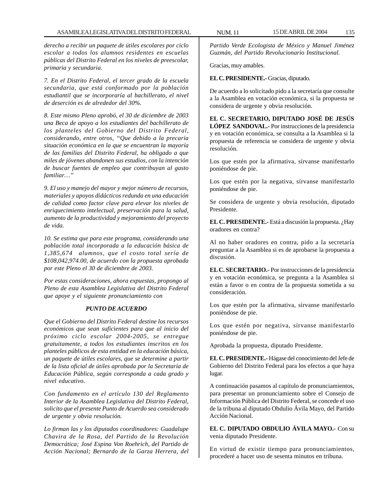*derecho a recibir un paquete de útiles escolares por ciclo escolar a todos los alumnos residentes en escuelas públicas del Distrito Federal en los niveles de preescolar, primaria y secundaria.*

*7. En el Distrito Federal, el tercer grado de la escuela secundaria, que está conformado por la población estudiantil que se incorporaría al bachillerato, el nivel de deserción es de alrededor del 30%.*

*8. Este mismo Pleno aprobó, el 30 de diciembre de 2003 una Beca de apoyo a los estudiantes del bachillerato de los planteles del Gobierno del Distrito Federal, considerando, entre otros, ''Que debido a la precaria situación económica en la que se encuentran la mayoría de las familias del Distrito Federal, ha obligado a que miles de jóvenes abandonen sus estudios, con la intención de buscar fuentes de empleo que contribuyan al gasto familiar…''*

*9. El uso y manejo del mayor y mejor número de recursos, materiales y apoyos didácticos redunda en una educación de calidad como factor clave para elevar los niveles de enriquecimiento intelectual, preservación para la salud, aumento de la productividad y mejoramiento del proyecto de vida.*

*10. Se estima que para este programa, considerando una población total incorporada a la educación básica de 1,385,674 alumnos, que el costo total sería de \$108,042,974.00, de acuerdo con la propuesta aprobada por este Pleno el 30 de diciembre de 2003.*

*Por estas consideraciones, ahora expuestas, propongo al Pleno de esta Asamblea Legislativa del Distrito Federal que apoye y el siguiente pronunciamiento con*

### *PUNTO DE ACUERDO*

*Que el Gobierno del Distrito Federal destine los recursos económicos que sean suficientes para que al inicio del próximo ciclo escolar 2004-2005, se entregue gratuitamente, a todos los estudiantes inscritos en los planteles públicos de esta entidad en la educación básica, un paquete de útiles escolares, que se determine a partir de la lista oficial de útiles aprobada por la Secretaría de Educación Pública, según corresponda a cada grado y nivel educativo.*

*Con fundamento en el artículo 130 del Reglamento Interior de la Asamblea Legislativa del Distrito Federal, solicito que el presente Punto de Acuerdo sea considerado de urgente y obvia resolución.*

*Lo firman las y los diputados coordinadores: Guadalupe Chavira de la Rosa, del Partido de la Revolución Democrática; José Espina Von Roehrich, del Partido de Acción Nacional; Bernardo de la Garza Herrera, del*

*Partido Verde Ecologista de México y Manuel Jiménez Guzmán, del Partido Revolucionario Institucional.*

Gracias, muy amables.

**EL C. PRESIDENTE.-** Gracias, diputado.

De acuerdo a lo solicitado pido a la secretaría que consulte a la Asamblea en votación económica, si la propuesta se considera de urgente y obvia resolución.

**EL C. SECRETARIO, DIPUTADO JOSÉ DE JESÚS LÓPEZ SANDOVAL.-** Por instrucciones de la presidencia y en votación económica, se consulta a la Asamblea si la propuesta de referencia se considera de urgente y obvia resolución.

Los que estén por la afirmativa, sírvanse manifestarlo poniéndose de pie.

Los que estén por la negativa, sírvanse manifestarlo poniéndose de pie.

Se considera de urgente y obvia resolución, diputado Presidente.

**EL C. PRESIDENTE.-** Está a discusión la propuesta. ¿Hay oradores en contra?

Al no haber oradores en contra, pido a la secretaría preguntar a la Asamblea si es de aprobarse la propuesta a discusión.

**EL C. SECRETARIO.-** Por instrucciones de la presidencia y en votación económica, se pregunta a la Asamblea si están a favor o en contra de la propuesta sometida a su consideración.

Los que estén por la afirmativa, sírvanse manifestarlo poniéndose de pie.

Los que estén por negativa, sírvanse manifestarlo poniéndose de pie.

Aprobada la propuesta, diputado Presidente.

**EL C. PRESIDENTE.-** Hágase del conocimiento del Jefe de Gobierno del Distrito Federal para los efectos a que haya lugar.

A continuación pasamos al capítulo de pronunciamientos, para presentar un pronunciamiento sobre el Consejo de Información Pública del Distrito Federal, se concede el uso de la tribuna al diputado Obdulio Ávila Mayo, del Partido Acción Nacional.

**EL C. DIPUTADO OBDULIO ÁVILA MAYO.-** Con su venia diputado Presidente.

En virtud de existir tiempo para pronunciamientos, procederé a hacer uso de sesenta minutos en tribuna.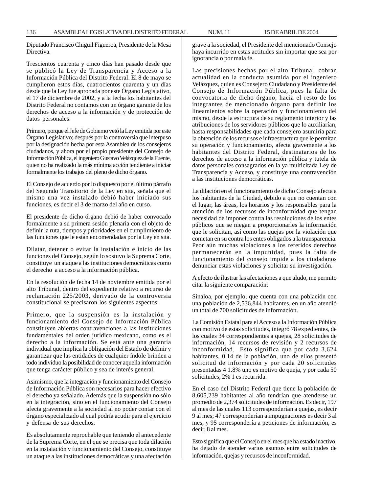136 ASAMBLEA LEGISLATIVA DEL DISTRITO FEDERAL NUM. 11 15 DE ABRIL DE 2004

Diputado Francisco Chiguil Figueroa, Presidente de la Mesa Directiva.

Trescientos cuarenta y cinco días han pasado desde que se publicó la Ley de Transparencia y Acceso a la Información Pública del Distrito Federal. El 8 de mayo se cumplieron estos días, cuatrocientos cuarenta y un días desde que la Ley fue aprobada por este Órgano Legislativo, el 17 de diciembre de 2002, y a la fecha los habitantes del Distrito Federal no contamos con un órgano garante de los derechos de acceso a la información y de protección de datos personales.

Primero, porque el Jefe de Gobierno vetó la Ley emitida por este Órgano Legislativo; después por la controversia que interpuso por la designación hecha por esta Asamblea de los consejeros ciudadanos, y ahora por el propio presidente del Consejo de Información Pública, el ingeniero Gustavo Velázquez de la Fuente, quien no ha realizado la más mínima acción tendiente a iniciar formalmente los trabajos del pleno de dicho órgano.

El Consejo de acuerdo por lo dispuesto por el último párrafo del Segundo Transitorio de la Ley en sita, señala que el mismo una vez instalado debió haber iniciado sus funciones, es decir el 3 de marzo del año en curso.

El presidente de dicho órgano debió de haber convocado formalmente a su primera sesión plenaria con el objeto de definir la ruta, tiempos y prioridades en el cumplimiento de las funciones que le están encomendadas por la Ley en sita.

Dilatar, detener o evitar la instalación e inicio de las funciones del Consejo, según lo sostuvo la Suprema Corte, constituye un ataque a las instituciones democráticas como el derecho a acceso a la información pública.

En la resolución de fecha 14 de noviembre emitida por el alto Tribunal, dentro del expediente relativo a recurso de reclamación 225/2003, derivado de la controversia constitucional se precisaron los siguientes aspectos:

Primero, que la suspensión es la instalación y funcionamiento del Consejo de Información Pública constituyen abiertas contravenciones a las instituciones fundamentales del orden jurídico mexicano, como es el derecho a la información. Se está ante una garantía individual que implica la obligación del Estado de definir y garantizar que las entidades de cualquier índole brinden a todo individuo la posibilidad de conocer aquella información que tenga carácter público y sea de interés general.

Asimismo, que la integración y funcionamiento del Consejo de Información Pública son necesarios para hacer efectivo el derecho ya señalado. Además que la suspensión no sólo en la integración, sino en el funcionamiento del Consejo afecta gravemente a la sociedad al no poder contar con el órgano especializado al cual podría acudir para el ejercicio y defensa de sus derechos.

Es absolutamente reprochable que teniendo el antecedente de la Suprema Corte, en el que se precisa que toda dilación en la instalación y funcionamiento del Consejo, constituye un ataque a las instituciones democráticas y una afectación grave a la sociedad, el Presidente del mencionado Consejo haya incurrido en estas actitudes sin importar que sea por ignorancia o por mala fe.

Las precisiones hechas por el alto Tribunal, cobran actualidad en la conducta asumida por el ingeniero Velázquez, quien es Consejero Ciudadano y Presidente del Consejo de Información Pública, pues la falta de convocatoria de dicho órgano, hacia el resto de los integrantes de mencionado órgano para definir los lineamientos sobre la operación y funcionamiento del mismo, desde la estructura de su reglamento interior y las atribuciones de los servidores públicos que lo auxiliarían, hasta responsabilidades que cada consejero asumiría para la obtención de los recursos e infraestructura que le permitan su operación y funcionamiento, afecta gravemente a los habitantes del Distrito Federal, destinatarios de los derechos de acceso a la información pública y tutela de datos personales consagrados en la ya multicitada Ley de Transparencia y Acceso, y constituye una contravención a las instituciones democráticas.

La dilación en el funcionamiento de dicho Consejo afecta a los habitantes de la Ciudad, debido a que no cuentan con el lugar, las áreas, los horarios y los responsables para la atención de los recursos de inconformidad que tengan necesidad de imponer contra las resoluciones de los entes públicos que se niegan a proporcionarles la información que le solicitan, así como las quejas por la violación que cometan en su contra los entes obligados a la transparencia. Peor aún muchas violaciones a los referidos derechos permanecerán en la impunidad, pues la falta de funcionamiento del consejo impide a los ciudadanos denunciar estas violaciones y solicitar su investigación.

A efecto de ilustrar las afectaciones a que aludo, me permito citar la siguiente comparación:

Sinaloa, por ejemplo, que cuenta con una población con una población de 2,536,844 habitantes, en un año atendió un total de 700 solicitudes de información.

La Comisión Estatal para el Acceso a la Información Pública con motivo de estas solicitudes, integró 78 expedientes, de los cuales 34 correspondientes a quejas, 28 solicitudes de información, 14 recursos de revisión y 2 recursos de inconformidad. Esto significa que por cada 3,624 habitantes, 0.14 de la población, uno de ellos presentó solicitud de información y por cada 20 solicitudes presentadas 4 1.8% uno es motivo de queja, y por cada 50 solicitudes, 2% 1 es recurrida.

En el caso del Distrito Federal que tiene la población de 8,605,239 habitantes al año tendrían que atenderse un promedio de 2,374 solicitudes de información. Es decir, 197 al mes de las cuales 113 corresponderían a quejas, es decir 9 al mes; 47 corresponderían a impugnaciones es decir 3 al mes, y 95 correspondería a peticiones de información, es decir, 8 al mes.

Esto significa que el Consejo en el mes que ha estado inactivo, ha dejado de atender varios asuntos entre solicitudes de información, quejas y recursos de inconformidad.